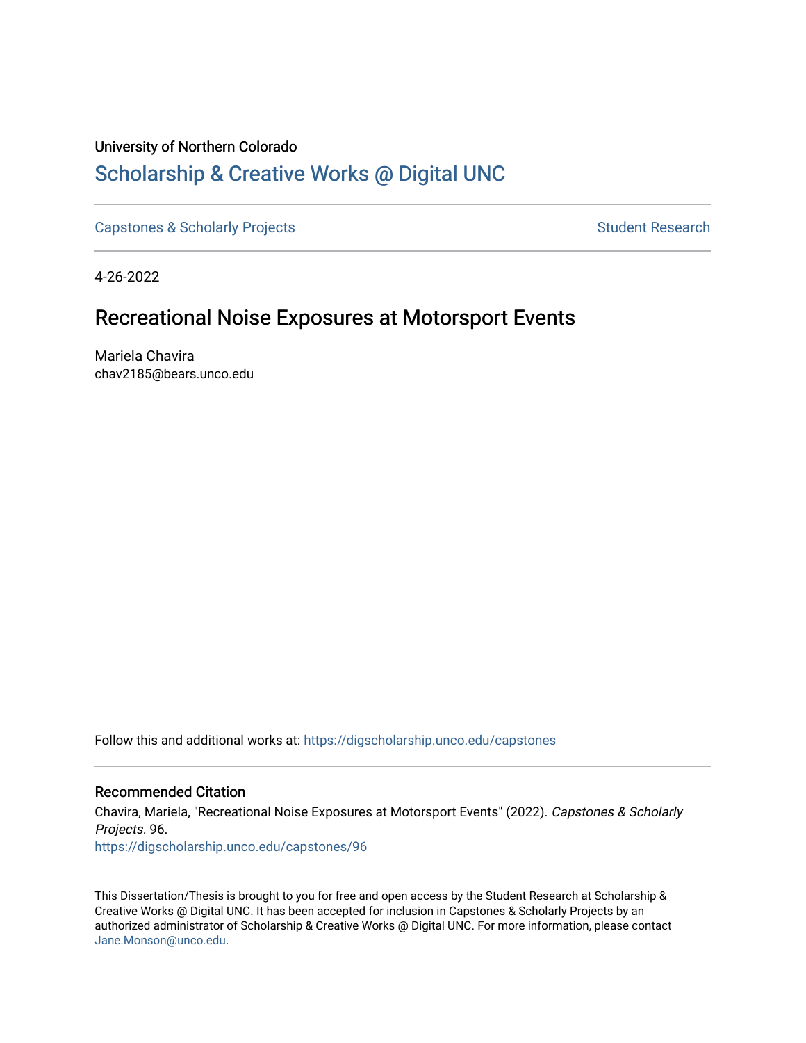# University of Northern Colorado [Scholarship & Creative Works @ Digital UNC](https://digscholarship.unco.edu/)

[Capstones & Scholarly Projects](https://digscholarship.unco.edu/capstones) **Student Research** Student Research

4-26-2022

# Recreational Noise Exposures at Motorsport Events

Mariela Chavira chav2185@bears.unco.edu

Follow this and additional works at: [https://digscholarship.unco.edu/capstones](https://digscholarship.unco.edu/capstones?utm_source=digscholarship.unco.edu%2Fcapstones%2F96&utm_medium=PDF&utm_campaign=PDFCoverPages) 

# Recommended Citation

Chavira, Mariela, "Recreational Noise Exposures at Motorsport Events" (2022). Capstones & Scholarly Projects. 96. [https://digscholarship.unco.edu/capstones/96](https://digscholarship.unco.edu/capstones/96?utm_source=digscholarship.unco.edu%2Fcapstones%2F96&utm_medium=PDF&utm_campaign=PDFCoverPages)

This Dissertation/Thesis is brought to you for free and open access by the Student Research at Scholarship & Creative Works @ Digital UNC. It has been accepted for inclusion in Capstones & Scholarly Projects by an authorized administrator of Scholarship & Creative Works @ Digital UNC. For more information, please contact [Jane.Monson@unco.edu.](mailto:Jane.Monson@unco.edu)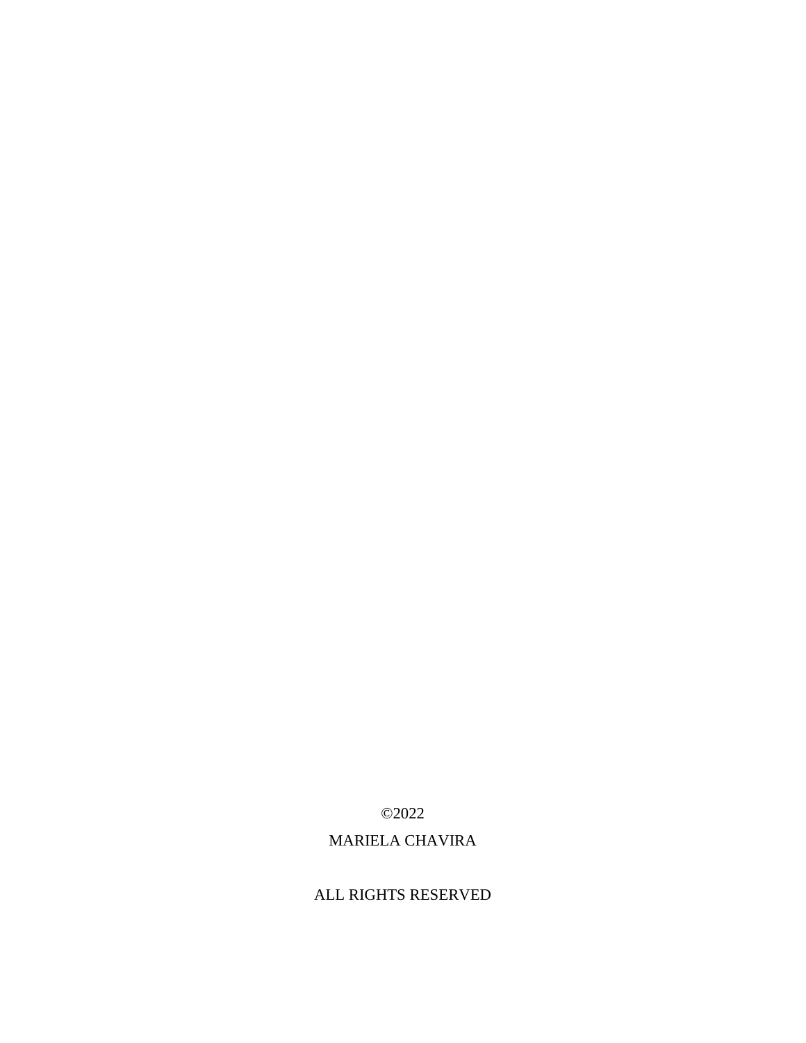# ALL RIGHTS RESERVED

# MARIELA CHAVIRA

©2022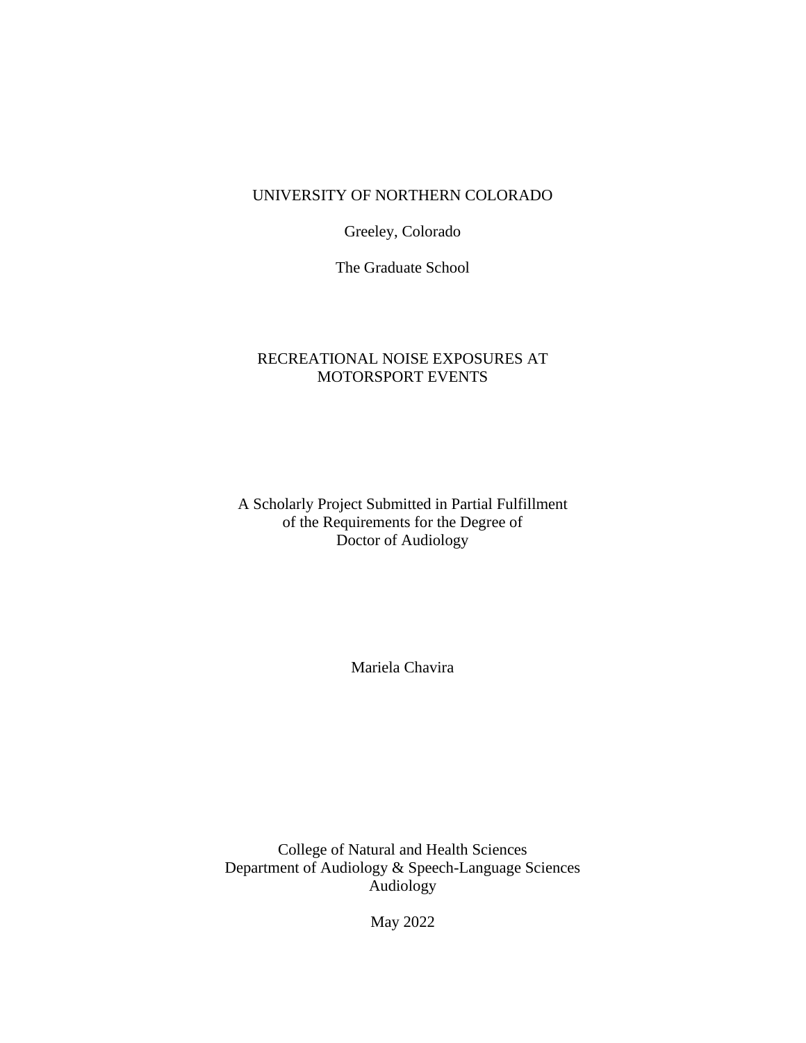# UNIVERSITY OF NORTHERN COLORADO

Greeley, Colorado

The Graduate School

# RECREATIONAL NOISE EXPOSURES AT MOTORSPORT EVENTS

A Scholarly Project Submitted in Partial Fulfillment of the Requirements for the Degree of Doctor of Audiology

Mariela Chavira

College of Natural and Health Sciences Department of Audiology & Speech-Language Sciences Audiology

May 2022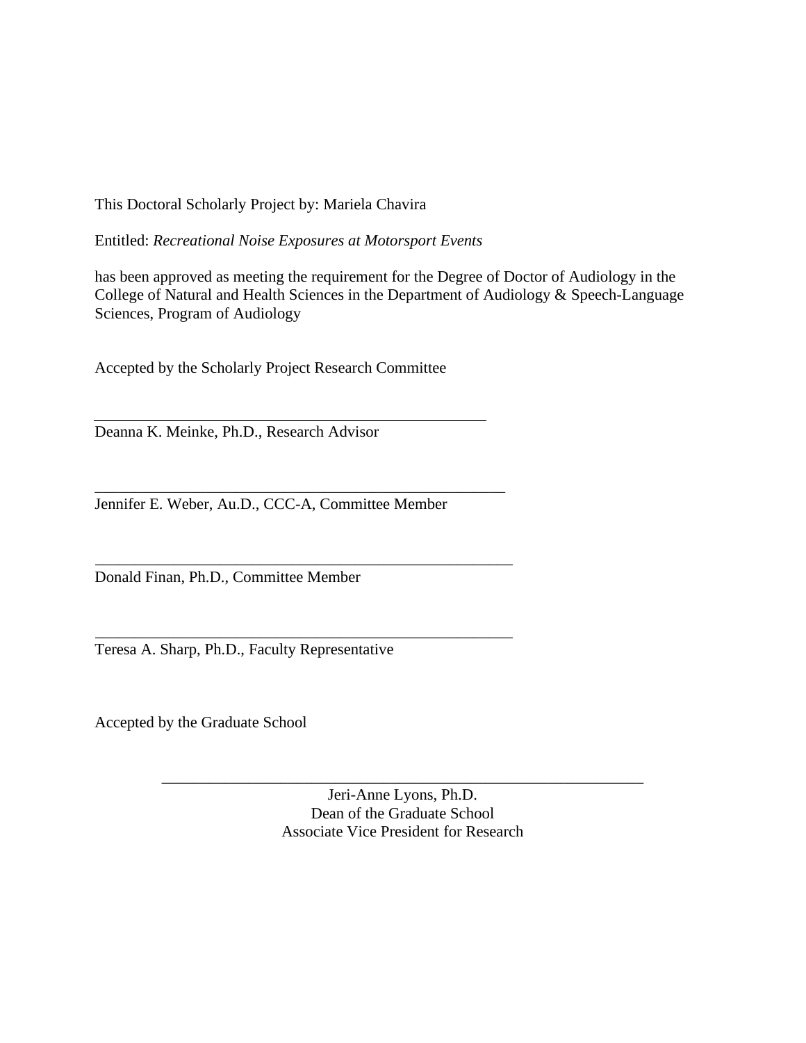This Doctoral Scholarly Project by: Mariela Chavira

Entitled: *Recreational Noise Exposures at Motorsport Events*

has been approved as meeting the requirement for the Degree of Doctor of Audiology in the College of Natural and Health Sciences in the Department of Audiology & Speech-Language Sciences, Program of Audiology

Accepted by the Scholarly Project Research Committee

Deanna K. Meinke, Ph.D., Research Advisor

Jennifer E. Weber, Au.D., CCC-A, Committee Member

\_\_\_\_\_\_\_\_\_\_\_\_\_\_\_\_\_\_\_\_\_\_\_\_\_\_\_\_\_\_\_\_\_\_\_\_\_\_\_\_\_\_\_\_\_\_\_\_\_\_\_\_

Donald Finan, Ph.D., Committee Member

Teresa A. Sharp, Ph.D., Faculty Representative

Accepted by the Graduate School

Jeri-Anne Lyons, Ph.D. Dean of the Graduate School Associate Vice President for Research

\_\_\_\_\_\_\_\_\_\_\_\_\_\_\_\_\_\_\_\_\_\_\_\_\_\_\_\_\_\_\_\_\_\_\_\_\_\_\_\_\_\_\_\_\_\_\_\_\_\_\_\_\_\_\_\_\_\_\_\_\_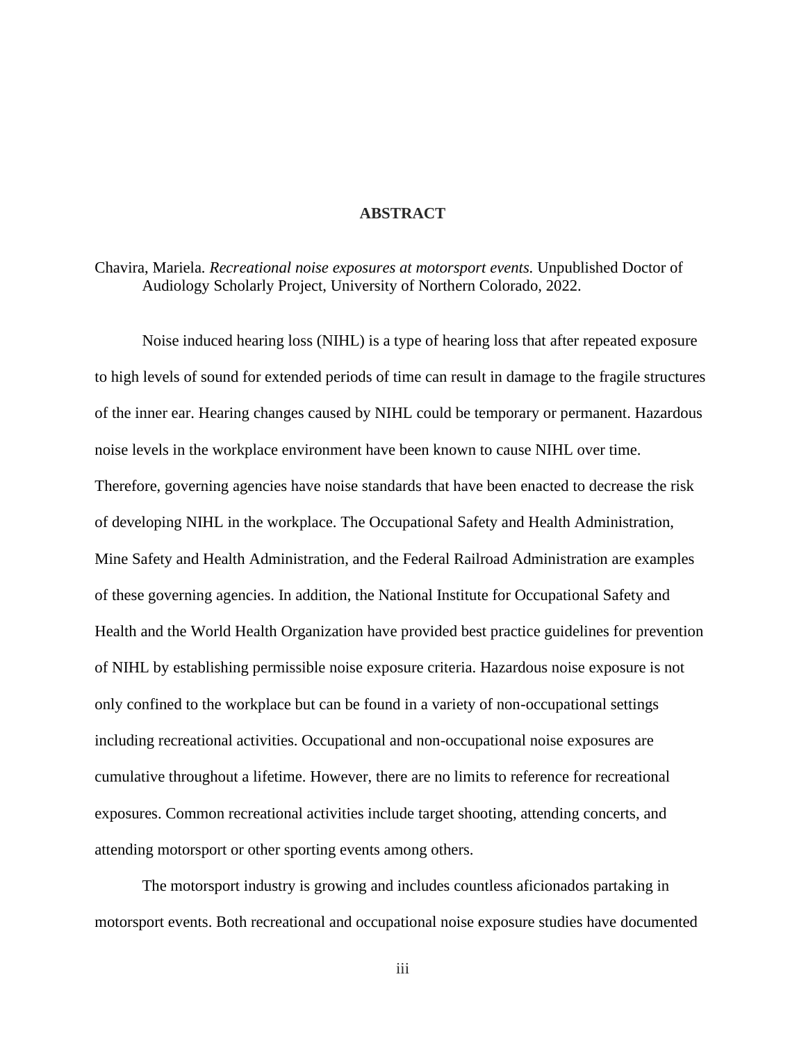## **ABSTRACT**

Chavira, Mariela*. Recreational noise exposures at motorsport events.* Unpublished Doctor of Audiology Scholarly Project, University of Northern Colorado, 2022.

Noise induced hearing loss (NIHL) is a type of hearing loss that after repeated exposure to high levels of sound for extended periods of time can result in damage to the fragile structures of the inner ear. Hearing changes caused by NIHL could be temporary or permanent. Hazardous noise levels in the workplace environment have been known to cause NIHL over time. Therefore, governing agencies have noise standards that have been enacted to decrease the risk of developing NIHL in the workplace. The Occupational Safety and Health Administration, Mine Safety and Health Administration, and the Federal Railroad Administration are examples of these governing agencies. In addition, the National Institute for Occupational Safety and Health and the World Health Organization have provided best practice guidelines for prevention of NIHL by establishing permissible noise exposure criteria. Hazardous noise exposure is not only confined to the workplace but can be found in a variety of non-occupational settings including recreational activities. Occupational and non-occupational noise exposures are cumulative throughout a lifetime. However, there are no limits to reference for recreational exposures. Common recreational activities include target shooting, attending concerts, and attending motorsport or other sporting events among others.

The motorsport industry is growing and includes countless aficionados partaking in motorsport events. Both recreational and occupational noise exposure studies have documented

iii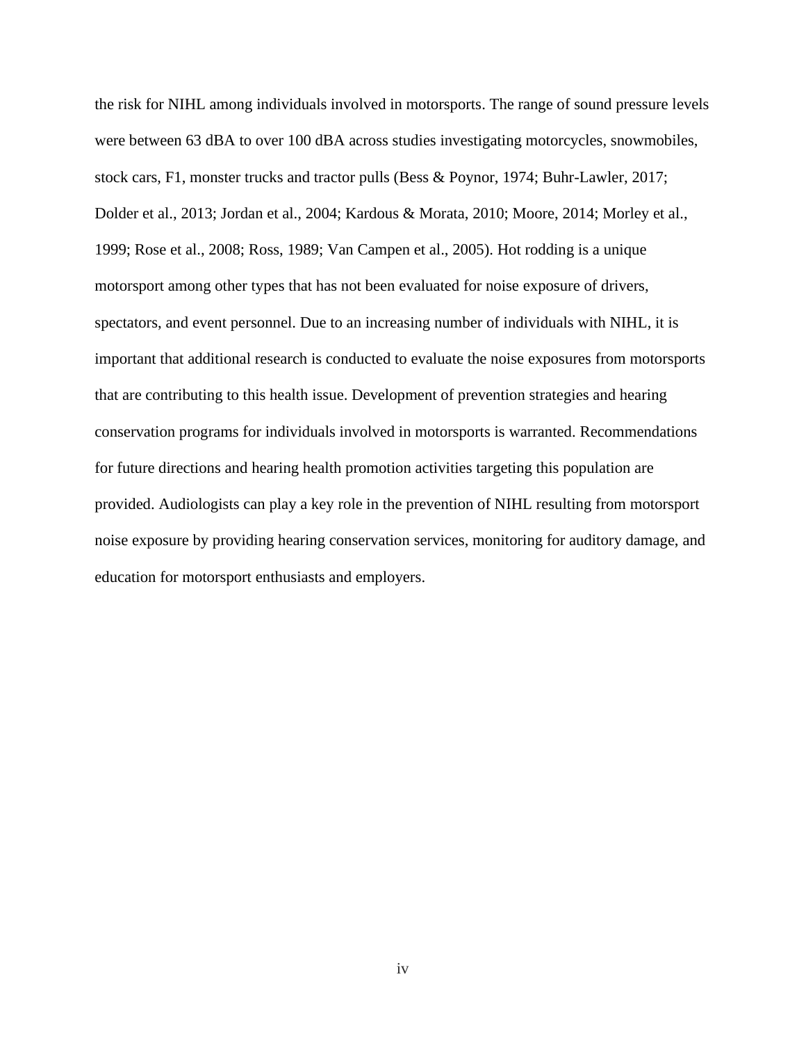the risk for NIHL among individuals involved in motorsports. The range of sound pressure levels were between 63 dBA to over 100 dBA across studies investigating motorcycles, snowmobiles, stock cars, F1, monster trucks and tractor pulls (Bess & Poynor, 1974; Buhr-Lawler, 2017; Dolder et al., 2013; Jordan et al., 2004; Kardous & Morata, 2010; Moore, 2014; Morley et al., 1999; Rose et al., 2008; Ross, 1989; Van Campen et al., 2005). Hot rodding is a unique motorsport among other types that has not been evaluated for noise exposure of drivers, spectators, and event personnel. Due to an increasing number of individuals with NIHL, it is important that additional research is conducted to evaluate the noise exposures from motorsports that are contributing to this health issue. Development of prevention strategies and hearing conservation programs for individuals involved in motorsports is warranted. Recommendations for future directions and hearing health promotion activities targeting this population are provided. Audiologists can play a key role in the prevention of NIHL resulting from motorsport noise exposure by providing hearing conservation services, monitoring for auditory damage, and education for motorsport enthusiasts and employers.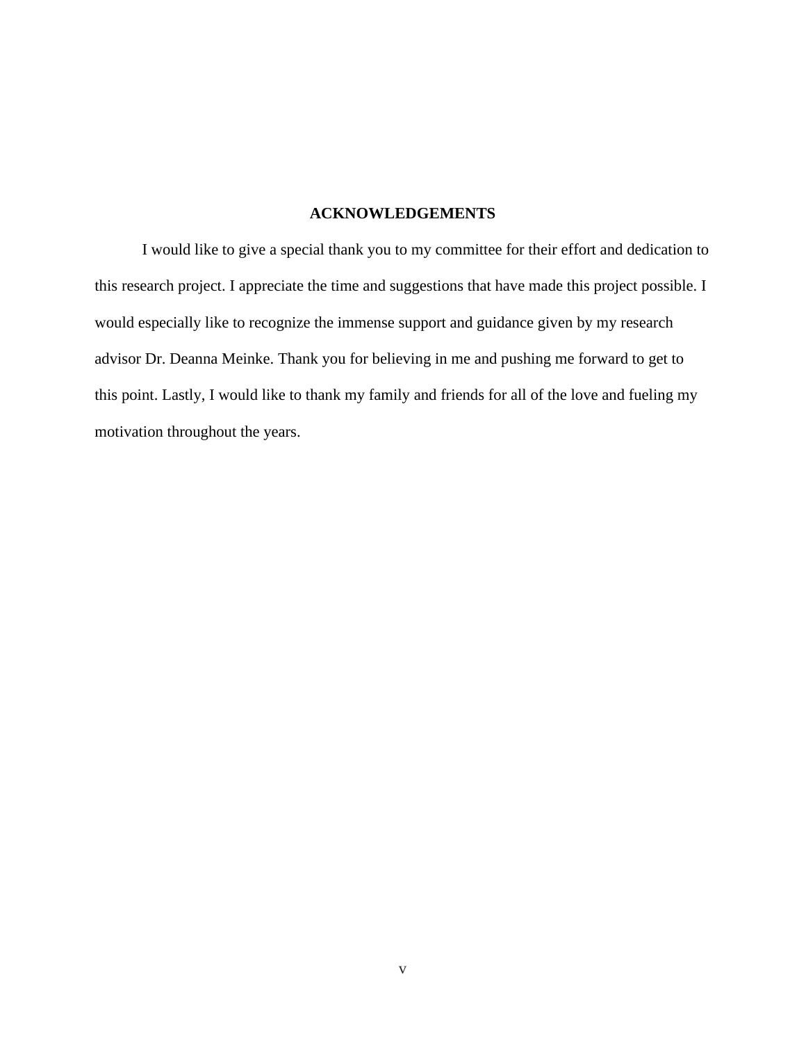## **ACKNOWLEDGEMENTS**

I would like to give a special thank you to my committee for their effort and dedication to this research project. I appreciate the time and suggestions that have made this project possible. I would especially like to recognize the immense support and guidance given by my research advisor Dr. Deanna Meinke. Thank you for believing in me and pushing me forward to get to this point. Lastly, I would like to thank my family and friends for all of the love and fueling my motivation throughout the years.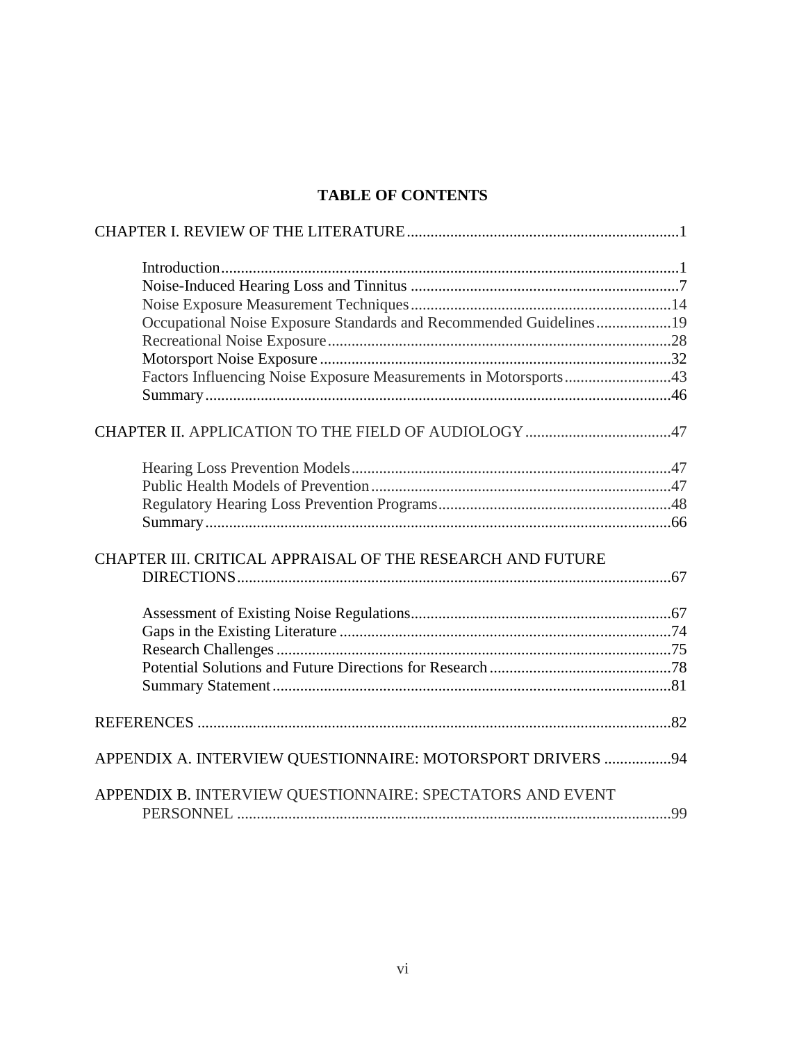# **TABLE OF CONTENTS**

| Occupational Noise Exposure Standards and Recommended Guidelines19 |  |
|--------------------------------------------------------------------|--|
|                                                                    |  |
|                                                                    |  |
| Factors Influencing Noise Exposure Measurements in Motorsports43   |  |
|                                                                    |  |
|                                                                    |  |
|                                                                    |  |
|                                                                    |  |
|                                                                    |  |
|                                                                    |  |
|                                                                    |  |
|                                                                    |  |
|                                                                    |  |
| CHAPTER III. CRITICAL APPRAISAL OF THE RESEARCH AND FUTURE         |  |
|                                                                    |  |
|                                                                    |  |
|                                                                    |  |
|                                                                    |  |
|                                                                    |  |
|                                                                    |  |
|                                                                    |  |
|                                                                    |  |
|                                                                    |  |
| APPENDIX A. INTERVIEW QUESTIONNAIRE: MOTORSPORT DRIVERS 94         |  |
|                                                                    |  |
| APPENDIX B. INTERVIEW QUESTIONNAIRE: SPECTATORS AND EVENT          |  |
|                                                                    |  |
|                                                                    |  |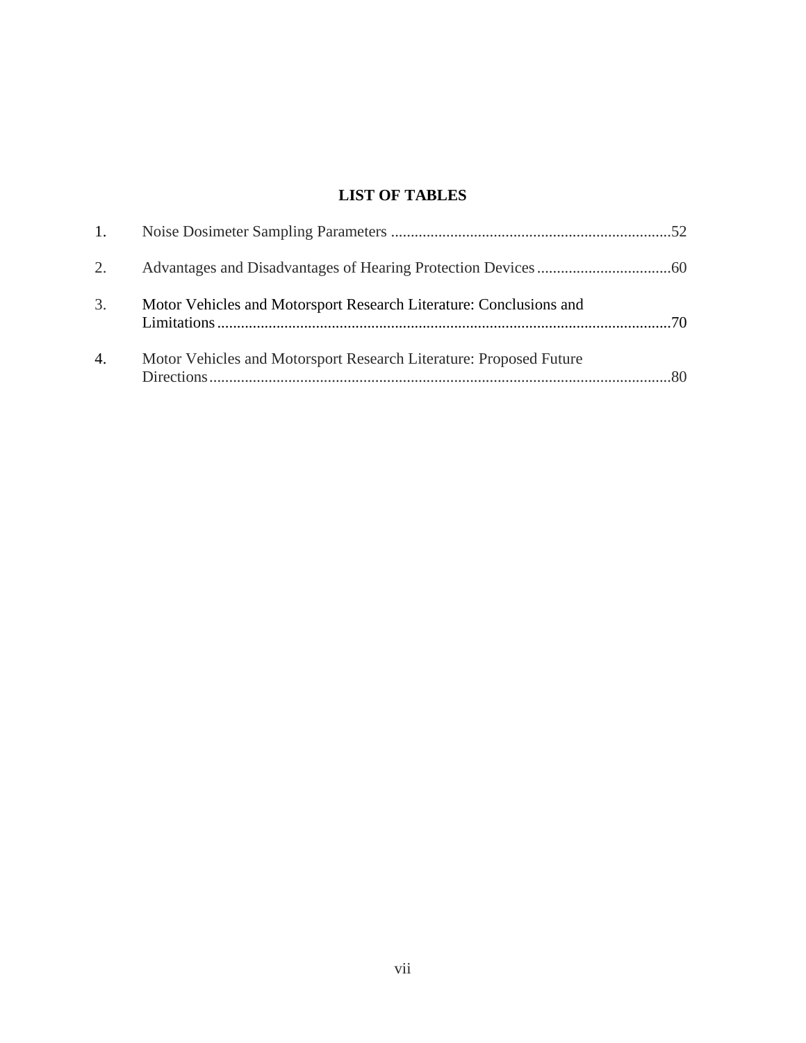# **LIST OF TABLES**

| 1. |                                                                    |  |
|----|--------------------------------------------------------------------|--|
| 2. |                                                                    |  |
| 3. | Motor Vehicles and Motorsport Research Literature: Conclusions and |  |
| 4. | Motor Vehicles and Motorsport Research Literature: Proposed Future |  |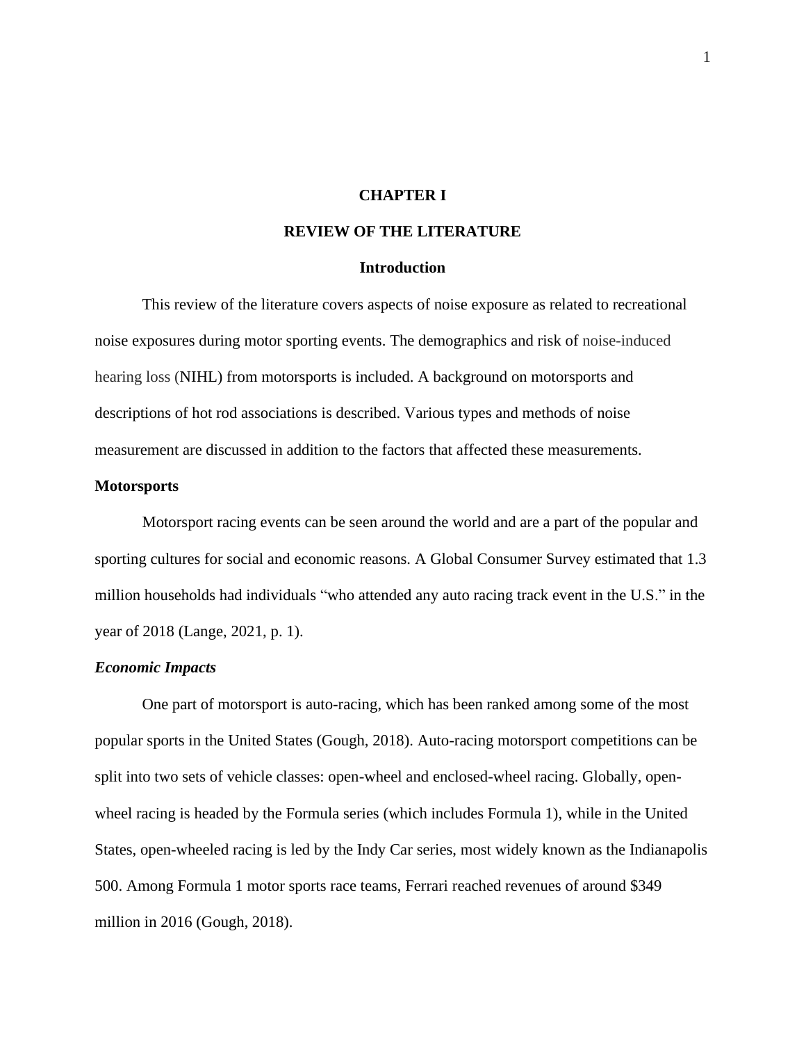## **CHAPTER I**

## **REVIEW OF THE LITERATURE**

## **Introduction**

This review of the literature covers aspects of noise exposure as related to recreational noise exposures during motor sporting events. The demographics and risk of noise-induced hearing loss (NIHL) from motorsports is included. A background on motorsports and descriptions of hot rod associations is described. Various types and methods of noise measurement are discussed in addition to the factors that affected these measurements.

## **Motorsports**

Motorsport racing events can be seen around the world and are a part of the popular and sporting cultures for social and economic reasons. A Global Consumer Survey estimated that 1.3 million households had individuals "who attended any auto racing track event in the U.S." in the year of 2018 (Lange, 2021, p. 1).

#### *Economic Impacts*

One part of motorsport is auto-racing, which has been ranked among some of the most popular sports in the United States (Gough, 2018). Auto-racing motorsport competitions can be split into two sets of vehicle classes: open-wheel and enclosed-wheel racing. Globally, openwheel racing is headed by the Formula series (which includes Formula 1), while in the United States, open-wheeled racing is led by the Indy Car series, most widely known as the Indianapolis 500. Among Formula 1 motor sports race teams, Ferrari reached revenues of around \$349 million in 2016 (Gough, 2018).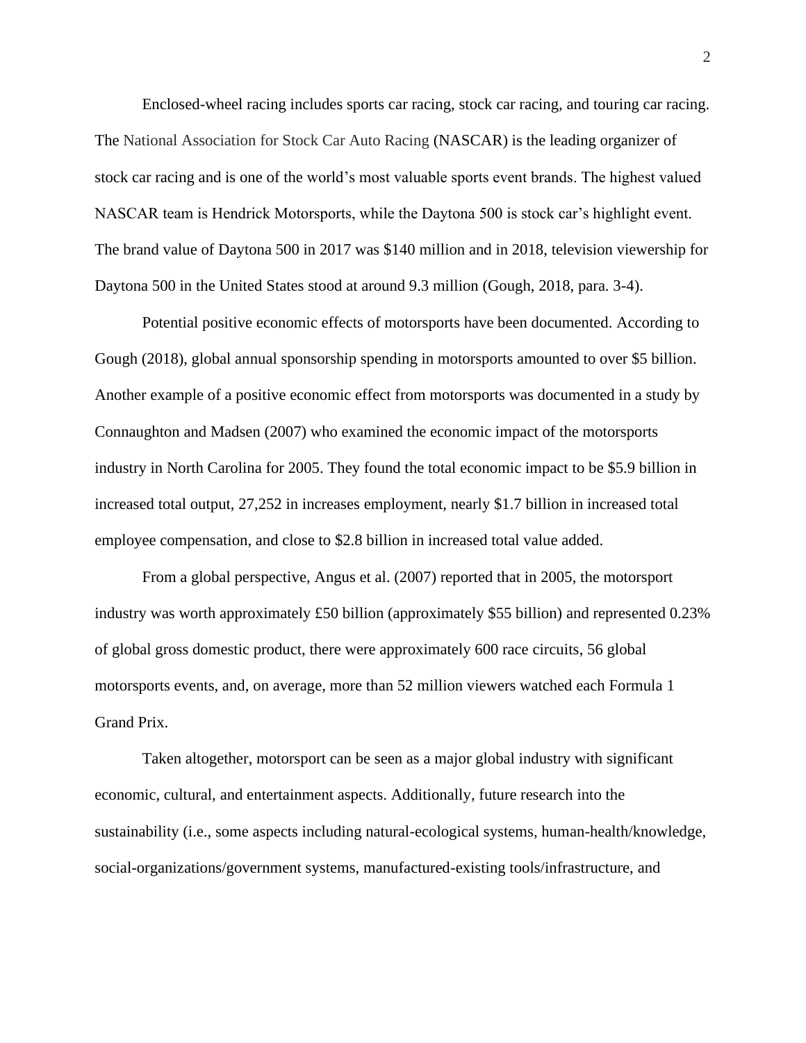Enclosed-wheel racing includes sports car racing, stock car racing, and touring car racing. The National Association for Stock Car Auto Racing (NASCAR) is the leading organizer of stock car racing and is one of the world's most valuable sports event brands. The highest valued NASCAR team is Hendrick Motorsports, while the Daytona 500 is stock car's highlight event. The brand value of Daytona 500 in 2017 was \$140 million and in 2018, television viewership for Daytona 500 in the United States stood at around 9.3 million (Gough, 2018, para. 3-4).

Potential positive economic effects of motorsports have been documented. According to Gough (2018), global annual sponsorship spending in motorsports amounted to over \$5 billion. Another example of a positive economic effect from motorsports was documented in a study by Connaughton and Madsen (2007) who examined the economic impact of the motorsports industry in North Carolina for 2005. They found the total economic impact to be \$5.9 billion in increased total output, 27,252 in increases employment, nearly \$1.7 billion in increased total employee compensation, and close to \$2.8 billion in increased total value added.

From a global perspective, Angus et al. (2007) reported that in 2005, the motorsport industry was worth approximately £50 billion (approximately \$55 billion) and represented 0.23% of global gross domestic product, there were approximately 600 race circuits, 56 global motorsports events, and, on average, more than 52 million viewers watched each Formula 1 Grand Prix.

Taken altogether, motorsport can be seen as a major global industry with significant economic, cultural, and entertainment aspects. Additionally, future research into the sustainability (i.e., some aspects including natural-ecological systems, human-health/knowledge, social-organizations/government systems, manufactured-existing tools/infrastructure, and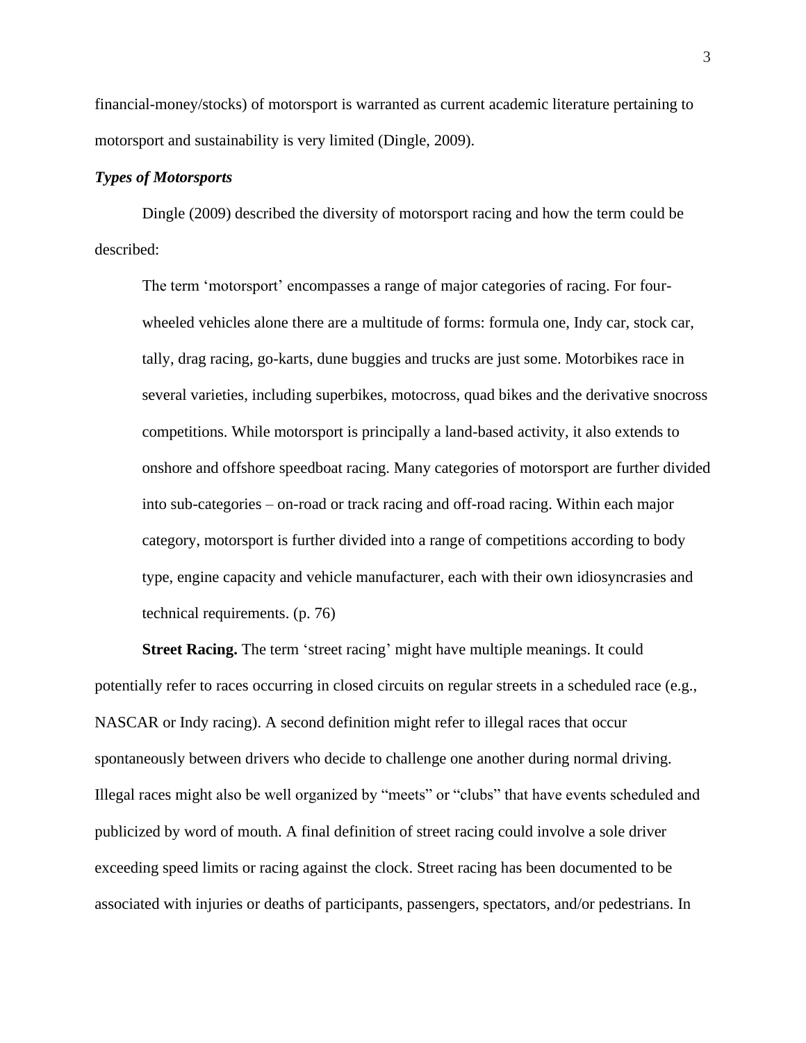financial-money/stocks) of motorsport is warranted as current academic literature pertaining to motorsport and sustainability is very limited (Dingle, 2009).

## *Types of Motorsports*

Dingle (2009) described the diversity of motorsport racing and how the term could be described:

The term 'motorsport' encompasses a range of major categories of racing. For fourwheeled vehicles alone there are a multitude of forms: formula one, Indy car, stock car, tally, drag racing, go-karts, dune buggies and trucks are just some. Motorbikes race in several varieties, including superbikes, motocross, quad bikes and the derivative snocross competitions. While motorsport is principally a land-based activity, it also extends to onshore and offshore speedboat racing. Many categories of motorsport are further divided into sub-categories – on-road or track racing and off-road racing. Within each major category, motorsport is further divided into a range of competitions according to body type, engine capacity and vehicle manufacturer, each with their own idiosyncrasies and technical requirements. (p. 76)

**Street Racing.** The term 'street racing' might have multiple meanings. It could potentially refer to races occurring in closed circuits on regular streets in a scheduled race (e.g., NASCAR or Indy racing). A second definition might refer to illegal races that occur spontaneously between drivers who decide to challenge one another during normal driving. Illegal races might also be well organized by "meets" or "clubs" that have events scheduled and publicized by word of mouth. A final definition of street racing could involve a sole driver exceeding speed limits or racing against the clock. Street racing has been documented to be associated with injuries or deaths of participants, passengers, spectators, and/or pedestrians. In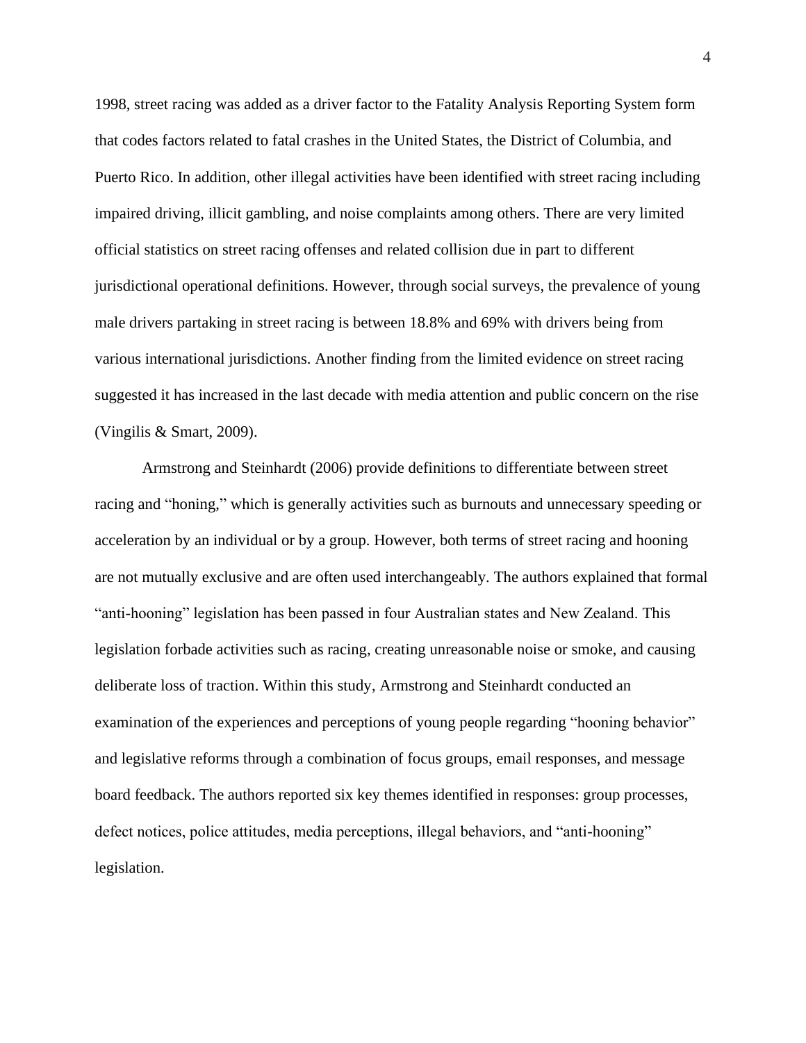1998, street racing was added as a driver factor to the Fatality Analysis Reporting System form that codes factors related to fatal crashes in the United States, the District of Columbia, and Puerto Rico. In addition, other illegal activities have been identified with street racing including impaired driving, illicit gambling, and noise complaints among others. There are very limited official statistics on street racing offenses and related collision due in part to different jurisdictional operational definitions. However, through social surveys, the prevalence of young male drivers partaking in street racing is between 18.8% and 69% with drivers being from various international jurisdictions. Another finding from the limited evidence on street racing suggested it has increased in the last decade with media attention and public concern on the rise (Vingilis & Smart, 2009).

Armstrong and Steinhardt (2006) provide definitions to differentiate between street racing and "honing," which is generally activities such as burnouts and unnecessary speeding or acceleration by an individual or by a group. However, both terms of street racing and hooning are not mutually exclusive and are often used interchangeably. The authors explained that formal "anti-hooning" legislation has been passed in four Australian states and New Zealand. This legislation forbade activities such as racing, creating unreasonable noise or smoke, and causing deliberate loss of traction. Within this study, Armstrong and Steinhardt conducted an examination of the experiences and perceptions of young people regarding "hooning behavior" and legislative reforms through a combination of focus groups, email responses, and message board feedback. The authors reported six key themes identified in responses: group processes, defect notices, police attitudes, media perceptions, illegal behaviors, and "anti-hooning" legislation.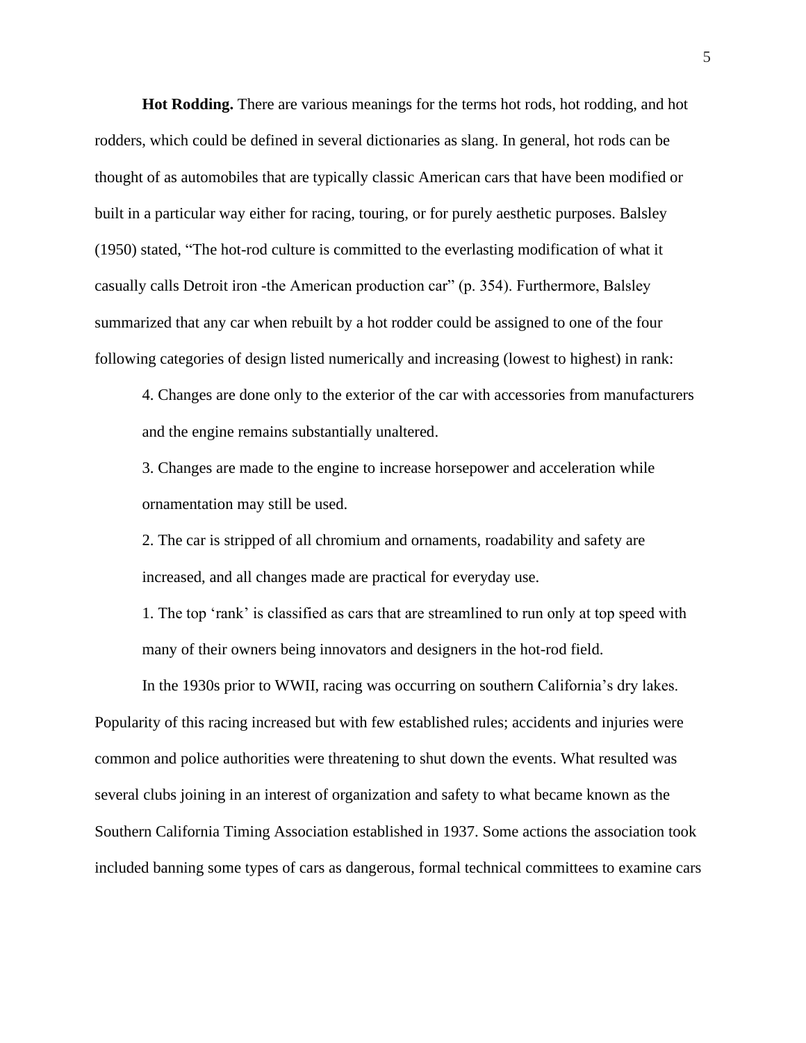**Hot Rodding.** There are various meanings for the terms hot rods, hot rodding, and hot rodders, which could be defined in several dictionaries as slang. In general, hot rods can be thought of as automobiles that are typically classic American cars that have been modified or built in a particular way either for racing, touring, or for purely aesthetic purposes. Balsley (1950) stated, "The hot-rod culture is committed to the everlasting modification of what it casually calls Detroit iron -the American production car" (p. 354). Furthermore, Balsley summarized that any car when rebuilt by a hot rodder could be assigned to one of the four following categories of design listed numerically and increasing (lowest to highest) in rank:

4. Changes are done only to the exterior of the car with accessories from manufacturers and the engine remains substantially unaltered.

3. Changes are made to the engine to increase horsepower and acceleration while ornamentation may still be used.

2. The car is stripped of all chromium and ornaments, roadability and safety are increased, and all changes made are practical for everyday use.

1. The top 'rank' is classified as cars that are streamlined to run only at top speed with many of their owners being innovators and designers in the hot-rod field.

In the 1930s prior to WWII, racing was occurring on southern California's dry lakes. Popularity of this racing increased but with few established rules; accidents and injuries were common and police authorities were threatening to shut down the events. What resulted was several clubs joining in an interest of organization and safety to what became known as the Southern California Timing Association established in 1937. Some actions the association took included banning some types of cars as dangerous, formal technical committees to examine cars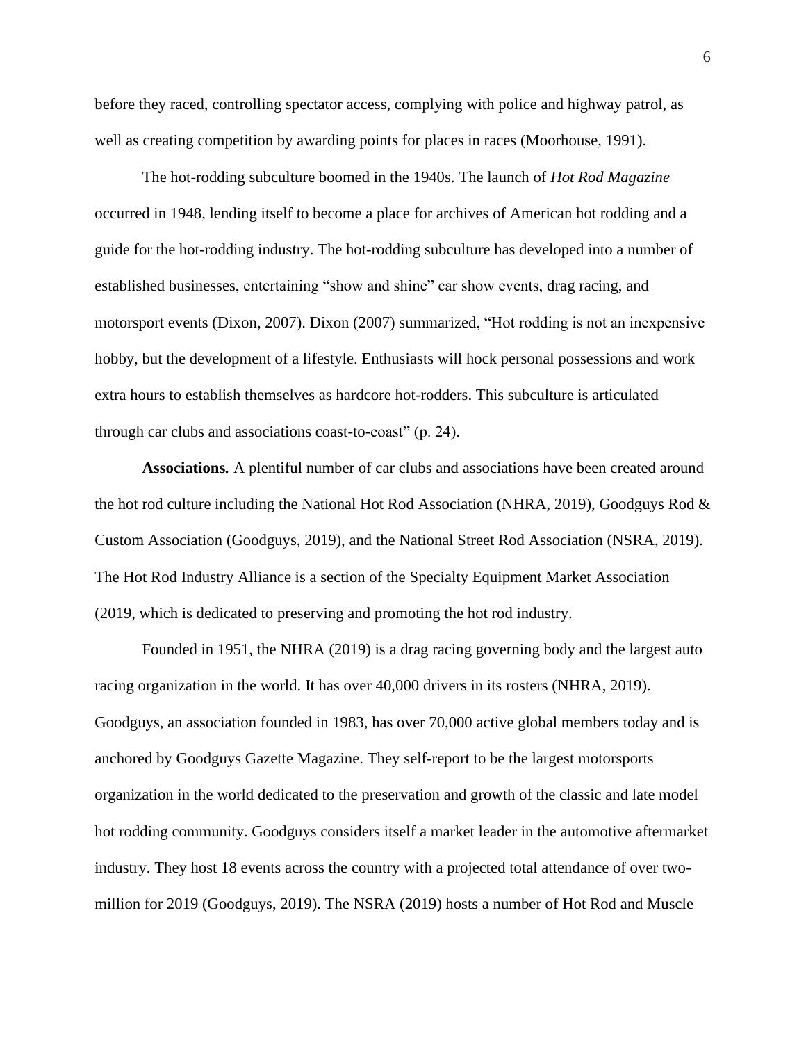before they raced, controlling spectator access, complying with police and highway patrol, as well as creating competition by awarding points for places in races (Moorhouse, 1991).

The hot-rodding subculture boomed in the 1940s. The launch of *Hot Rod Magazine*  occurred in 1948, lending itself to become a place for archives of American hot rodding and a guide for the hot-rodding industry. The hot-rodding subculture has developed into a number of established businesses, entertaining "show and shine" car show events, drag racing, and motorsport events (Dixon, 2007). Dixon (2007) summarized, "Hot rodding is not an inexpensive hobby, but the development of a lifestyle. Enthusiasts will hock personal possessions and work extra hours to establish themselves as hardcore hot-rodders. This subculture is articulated through car clubs and associations coast-to-coast" (p. 24).

**Associations***.* A plentiful number of car clubs and associations have been created around the hot rod culture including the National Hot Rod Association (NHRA, 2019), Goodguys Rod & Custom Association (Goodguys, 2019), and the National Street Rod Association (NSRA, 2019). The Hot Rod Industry Alliance is a section of the Specialty Equipment Market Association (2019, which is dedicated to preserving and promoting the hot rod industry.

Founded in 1951, the NHRA (2019) is a drag racing governing body and the largest auto racing organization in the world. It has over 40,000 drivers in its rosters (NHRA, 2019). Goodguys, an association founded in 1983, has over 70,000 active global members today and is anchored by Goodguys Gazette Magazine. They self-report to be the largest motorsports organization in the world dedicated to the preservation and growth of the classic and late model hot rodding community. Goodguys considers itself a market leader in the automotive aftermarket industry. They host 18 events across the country with a projected total attendance of over twomillion for 2019 (Goodguys, 2019). The NSRA (2019) hosts a number of Hot Rod and Muscle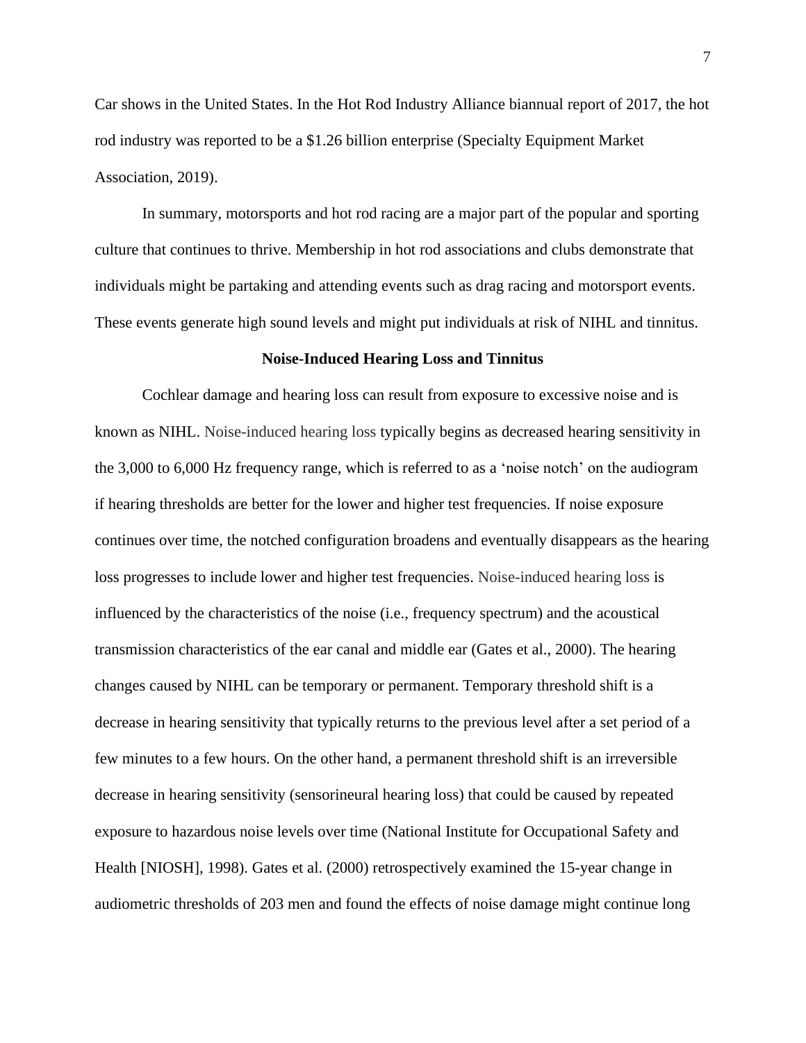Car shows in the United States. In the Hot Rod Industry Alliance biannual report of 2017, the hot rod industry was reported to be a \$1.26 billion enterprise (Specialty Equipment Market Association, 2019).

In summary, motorsports and hot rod racing are a major part of the popular and sporting culture that continues to thrive. Membership in hot rod associations and clubs demonstrate that individuals might be partaking and attending events such as drag racing and motorsport events. These events generate high sound levels and might put individuals at risk of NIHL and tinnitus.

#### **Noise-Induced Hearing Loss and Tinnitus**

Cochlear damage and hearing loss can result from exposure to excessive noise and is known as NIHL. Noise-induced hearing loss typically begins as decreased hearing sensitivity in the 3,000 to 6,000 Hz frequency range, which is referred to as a 'noise notch' on the audiogram if hearing thresholds are better for the lower and higher test frequencies. If noise exposure continues over time, the notched configuration broadens and eventually disappears as the hearing loss progresses to include lower and higher test frequencies. Noise-induced hearing loss is influenced by the characteristics of the noise (i.e., frequency spectrum) and the acoustical transmission characteristics of the ear canal and middle ear (Gates et al., 2000). The hearing changes caused by NIHL can be temporary or permanent. Temporary threshold shift is a decrease in hearing sensitivity that typically returns to the previous level after a set period of a few minutes to a few hours. On the other hand, a permanent threshold shift is an irreversible decrease in hearing sensitivity (sensorineural hearing loss) that could be caused by repeated exposure to hazardous noise levels over time (National Institute for Occupational Safety and Health [NIOSH], 1998). Gates et al. (2000) retrospectively examined the 15-year change in audiometric thresholds of 203 men and found the effects of noise damage might continue long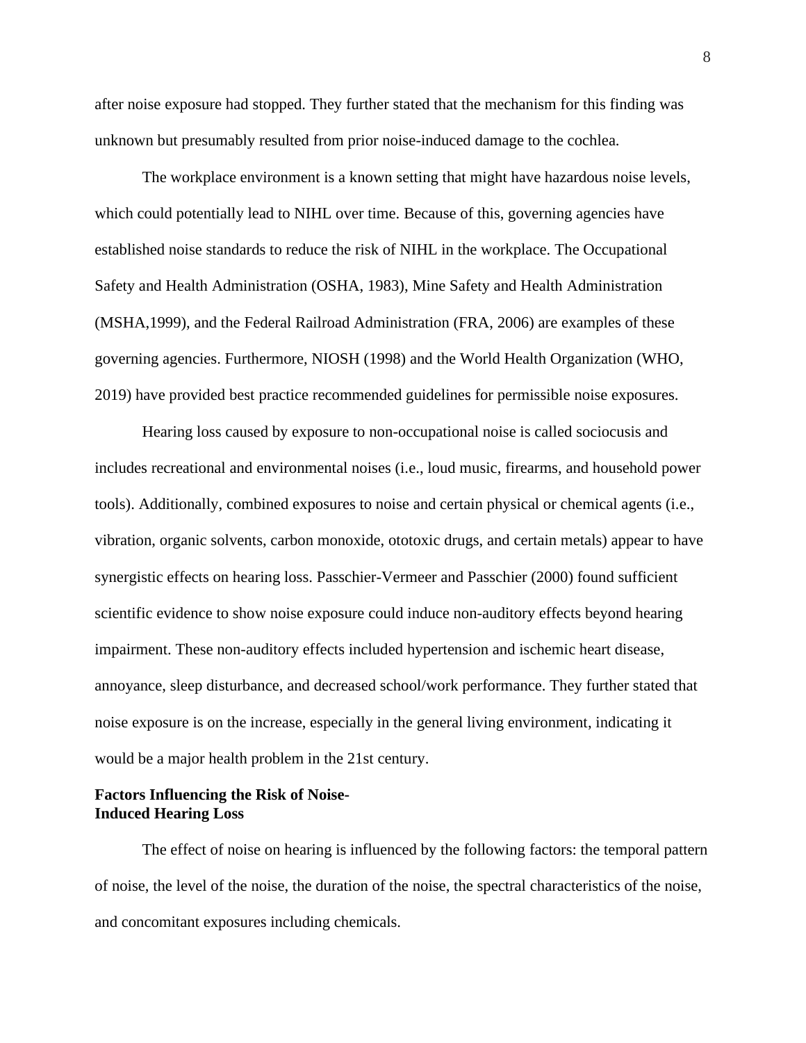after noise exposure had stopped. They further stated that the mechanism for this finding was unknown but presumably resulted from prior noise-induced damage to the cochlea.

The workplace environment is a known setting that might have hazardous noise levels, which could potentially lead to NIHL over time. Because of this, governing agencies have established noise standards to reduce the risk of NIHL in the workplace. The Occupational Safety and Health Administration (OSHA, 1983), Mine Safety and Health Administration (MSHA,1999), and the Federal Railroad Administration (FRA, 2006) are examples of these governing agencies. Furthermore, NIOSH (1998) and the World Health Organization (WHO, 2019) have provided best practice recommended guidelines for permissible noise exposures.

Hearing loss caused by exposure to non-occupational noise is called sociocusis and includes recreational and environmental noises (i.e., loud music, firearms, and household power tools). Additionally, combined exposures to noise and certain physical or chemical agents (i.e., vibration, organic solvents, carbon monoxide, ototoxic drugs, and certain metals) appear to have synergistic effects on hearing loss. Passchier-Vermeer and Passchier (2000) found sufficient scientific evidence to show noise exposure could induce non-auditory effects beyond hearing impairment. These non-auditory effects included hypertension and ischemic heart disease, annoyance, sleep disturbance, and decreased school/work performance. They further stated that noise exposure is on the increase, especially in the general living environment, indicating it would be a major health problem in the 21st century.

# **Factors Influencing the Risk of Noise-Induced Hearing Loss**

The effect of noise on hearing is influenced by the following factors: the temporal pattern of noise, the level of the noise, the duration of the noise, the spectral characteristics of the noise, and concomitant exposures including chemicals.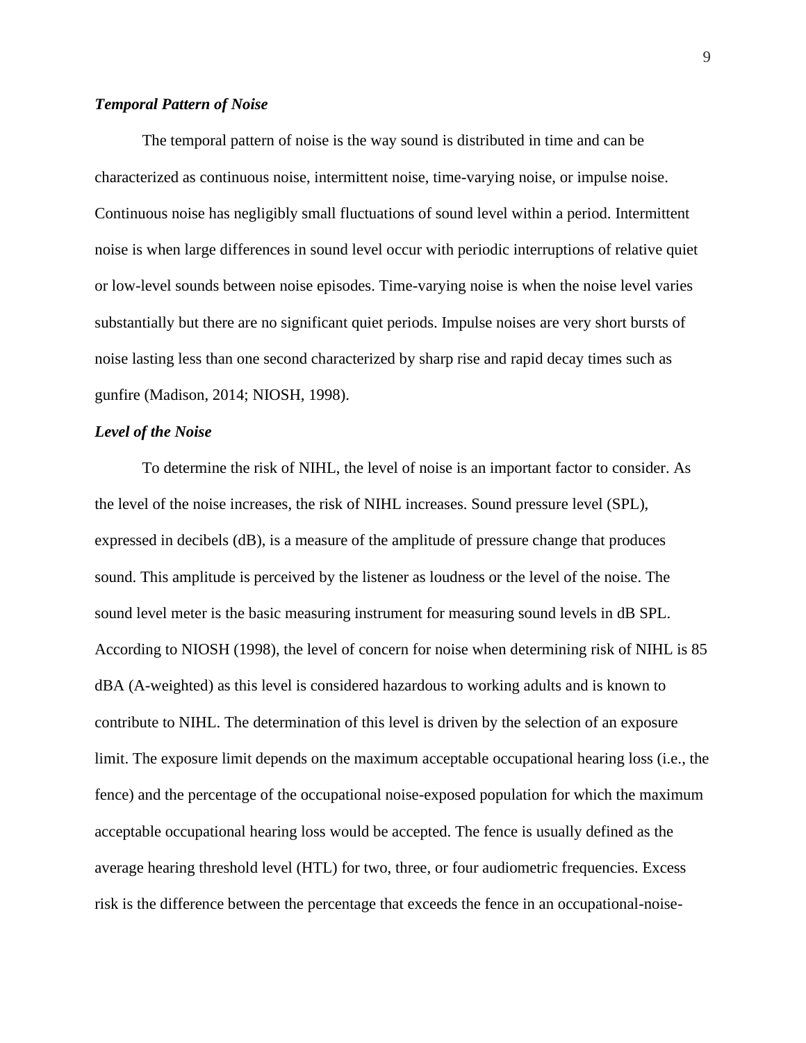#### *Temporal Pattern of Noise*

The temporal pattern of noise is the way sound is distributed in time and can be characterized as continuous noise, intermittent noise, time-varying noise, or impulse noise. Continuous noise has negligibly small fluctuations of sound level within a period. Intermittent noise is when large differences in sound level occur with periodic interruptions of relative quiet or low-level sounds between noise episodes. Time-varying noise is when the noise level varies substantially but there are no significant quiet periods. Impulse noises are very short bursts of noise lasting less than one second characterized by sharp rise and rapid decay times such as gunfire (Madison, 2014; NIOSH, 1998).

#### *Level of the Noise*

To determine the risk of NIHL, the level of noise is an important factor to consider. As the level of the noise increases, the risk of NIHL increases. Sound pressure level (SPL), expressed in decibels (dB), is a measure of the amplitude of pressure change that produces sound. This amplitude is perceived by the listener as loudness or the level of the noise. The sound level meter is the basic measuring instrument for measuring sound levels in dB SPL. According to NIOSH (1998), the level of concern for noise when determining risk of NIHL is 85 dBA (A-weighted) as this level is considered hazardous to working adults and is known to contribute to NIHL. The determination of this level is driven by the selection of an exposure limit. The exposure limit depends on the maximum acceptable occupational hearing loss (i.e., the fence) and the percentage of the occupational noise-exposed population for which the maximum acceptable occupational hearing loss would be accepted. The fence is usually defined as the average hearing threshold level (HTL) for two, three, or four audiometric frequencies. Excess risk is the difference between the percentage that exceeds the fence in an occupational-noise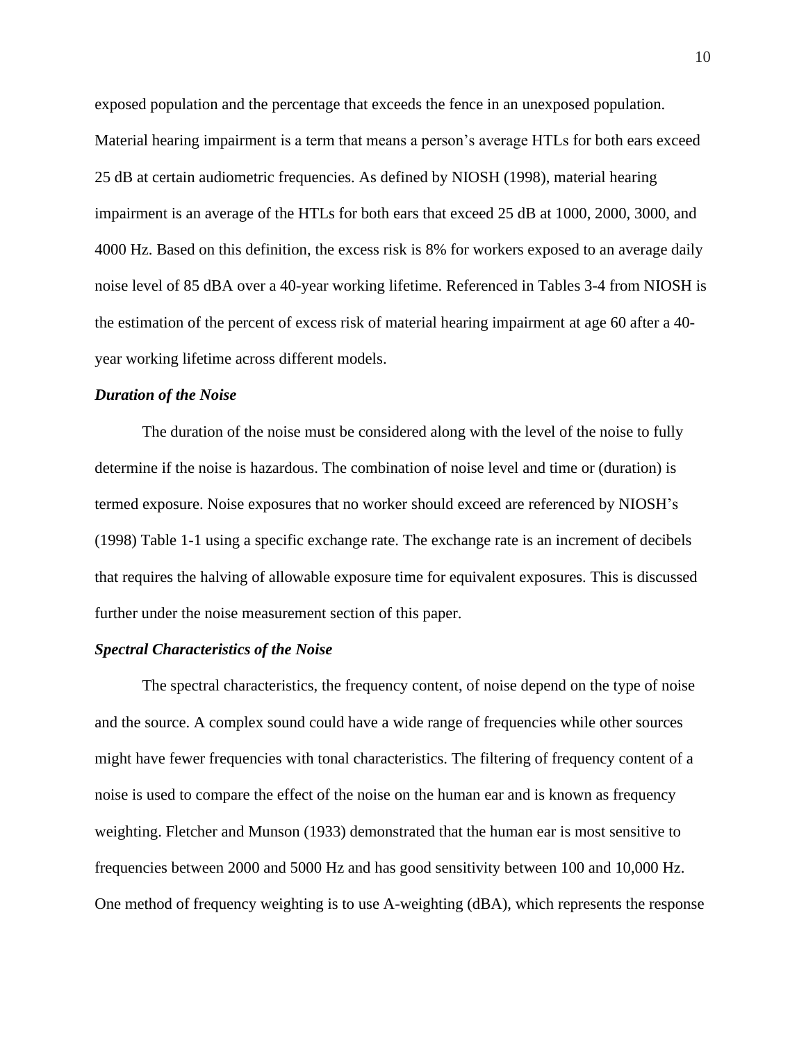exposed population and the percentage that exceeds the fence in an unexposed population. Material hearing impairment is a term that means a person's average HTLs for both ears exceed 25 dB at certain audiometric frequencies. As defined by NIOSH (1998), material hearing impairment is an average of the HTLs for both ears that exceed 25 dB at 1000, 2000, 3000, and 4000 Hz. Based on this definition, the excess risk is 8% for workers exposed to an average daily noise level of 85 dBA over a 40-year working lifetime. Referenced in Tables 3-4 from NIOSH is the estimation of the percent of excess risk of material hearing impairment at age 60 after a 40 year working lifetime across different models.

#### *Duration of the Noise*

The duration of the noise must be considered along with the level of the noise to fully determine if the noise is hazardous. The combination of noise level and time or (duration) is termed exposure. Noise exposures that no worker should exceed are referenced by NIOSH's (1998) Table 1-1 using a specific exchange rate. The exchange rate is an increment of decibels that requires the halving of allowable exposure time for equivalent exposures. This is discussed further under the noise measurement section of this paper.

#### *Spectral Characteristics of the Noise*

The spectral characteristics, the frequency content, of noise depend on the type of noise and the source. A complex sound could have a wide range of frequencies while other sources might have fewer frequencies with tonal characteristics. The filtering of frequency content of a noise is used to compare the effect of the noise on the human ear and is known as frequency weighting. Fletcher and Munson (1933) demonstrated that the human ear is most sensitive to frequencies between 2000 and 5000 Hz and has good sensitivity between 100 and 10,000 Hz. One method of frequency weighting is to use A-weighting (dBA), which represents the response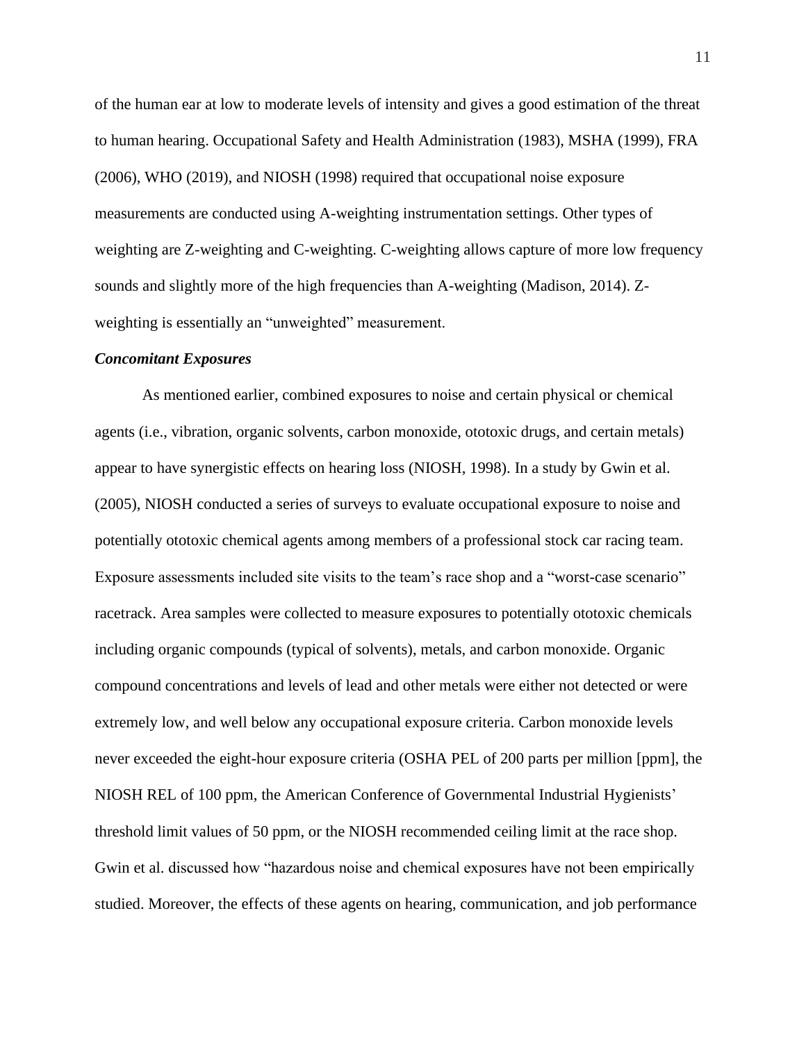of the human ear at low to moderate levels of intensity and gives a good estimation of the threat to human hearing. Occupational Safety and Health Administration (1983), MSHA (1999), FRA (2006), WHO (2019), and NIOSH (1998) required that occupational noise exposure measurements are conducted using A-weighting instrumentation settings. Other types of weighting are Z-weighting and C-weighting. C-weighting allows capture of more low frequency sounds and slightly more of the high frequencies than A-weighting (Madison, 2014). Zweighting is essentially an "unweighted" measurement.

#### *Concomitant Exposures*

As mentioned earlier, combined exposures to noise and certain physical or chemical agents (i.e., vibration, organic solvents, carbon monoxide, ototoxic drugs, and certain metals) appear to have synergistic effects on hearing loss (NIOSH, 1998). In a study by Gwin et al. (2005), NIOSH conducted a series of surveys to evaluate occupational exposure to noise and potentially ototoxic chemical agents among members of a professional stock car racing team. Exposure assessments included site visits to the team's race shop and a "worst-case scenario" racetrack. Area samples were collected to measure exposures to potentially ototoxic chemicals including organic compounds (typical of solvents), metals, and carbon monoxide. Organic compound concentrations and levels of lead and other metals were either not detected or were extremely low, and well below any occupational exposure criteria. Carbon monoxide levels never exceeded the eight-hour exposure criteria (OSHA PEL of 200 parts per million [ppm], the NIOSH REL of 100 ppm, the American Conference of Governmental Industrial Hygienists' threshold limit values of 50 ppm, or the NIOSH recommended ceiling limit at the race shop. Gwin et al. discussed how "hazardous noise and chemical exposures have not been empirically studied. Moreover, the effects of these agents on hearing, communication, and job performance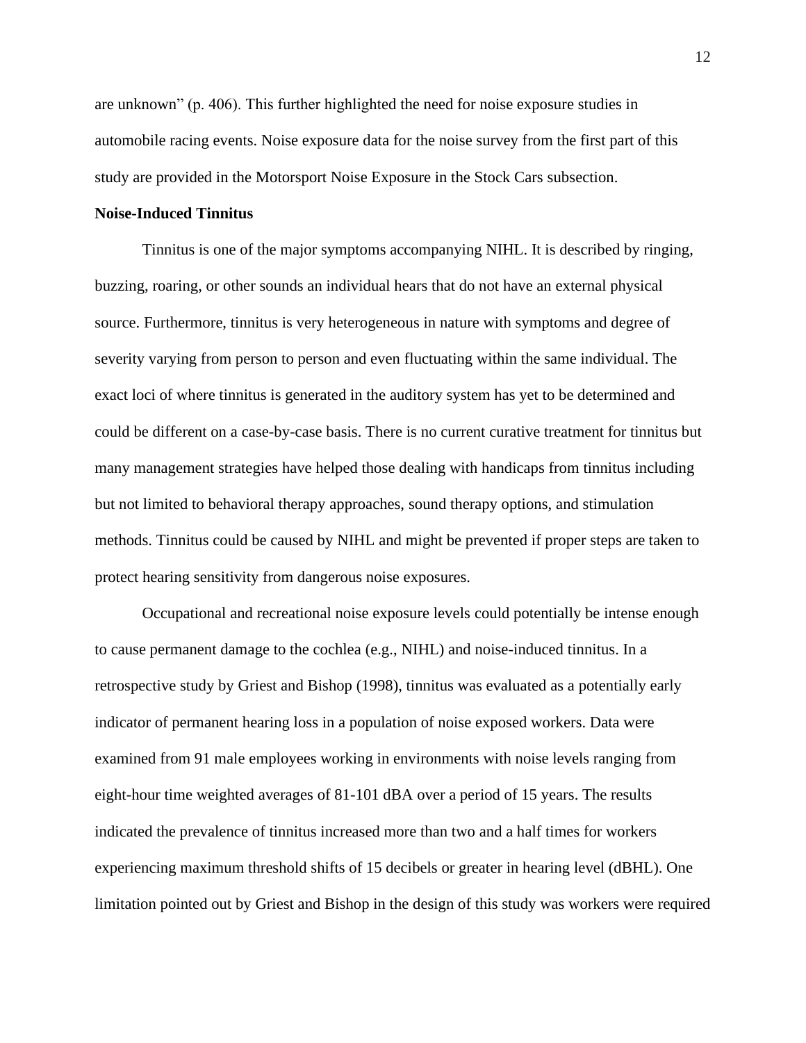are unknown" (p. 406). This further highlighted the need for noise exposure studies in automobile racing events. Noise exposure data for the noise survey from the first part of this study are provided in the Motorsport Noise Exposure in the Stock Cars subsection.

#### **Noise-Induced Tinnitus**

Tinnitus is one of the major symptoms accompanying NIHL. It is described by ringing, buzzing, roaring, or other sounds an individual hears that do not have an external physical source. Furthermore, tinnitus is very heterogeneous in nature with symptoms and degree of severity varying from person to person and even fluctuating within the same individual. The exact loci of where tinnitus is generated in the auditory system has yet to be determined and could be different on a case-by-case basis. There is no current curative treatment for tinnitus but many management strategies have helped those dealing with handicaps from tinnitus including but not limited to behavioral therapy approaches, sound therapy options, and stimulation methods. Tinnitus could be caused by NIHL and might be prevented if proper steps are taken to protect hearing sensitivity from dangerous noise exposures.

Occupational and recreational noise exposure levels could potentially be intense enough to cause permanent damage to the cochlea (e.g., NIHL) and noise-induced tinnitus. In a retrospective study by Griest and Bishop (1998), tinnitus was evaluated as a potentially early indicator of permanent hearing loss in a population of noise exposed workers. Data were examined from 91 male employees working in environments with noise levels ranging from eight-hour time weighted averages of 81-101 dBA over a period of 15 years. The results indicated the prevalence of tinnitus increased more than two and a half times for workers experiencing maximum threshold shifts of 15 decibels or greater in hearing level (dBHL). One limitation pointed out by Griest and Bishop in the design of this study was workers were required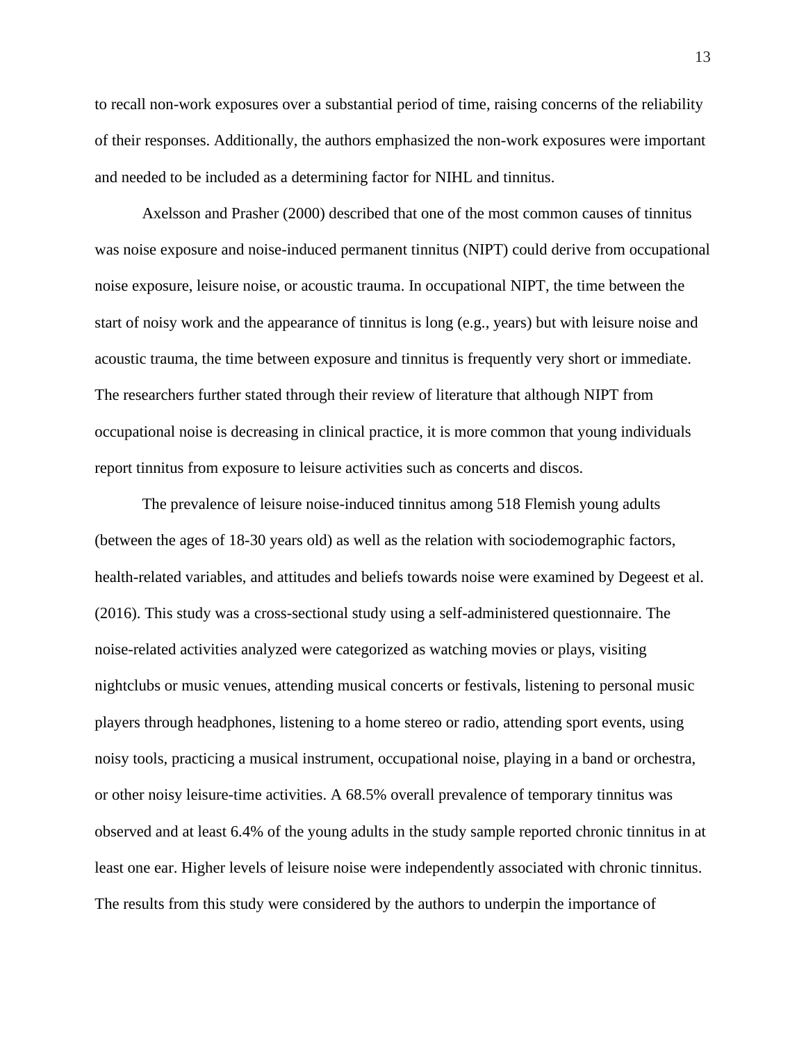to recall non-work exposures over a substantial period of time, raising concerns of the reliability of their responses. Additionally, the authors emphasized the non-work exposures were important and needed to be included as a determining factor for NIHL and tinnitus.

Axelsson and Prasher (2000) described that one of the most common causes of tinnitus was noise exposure and noise-induced permanent tinnitus (NIPT) could derive from occupational noise exposure, leisure noise, or acoustic trauma. In occupational NIPT, the time between the start of noisy work and the appearance of tinnitus is long (e.g., years) but with leisure noise and acoustic trauma, the time between exposure and tinnitus is frequently very short or immediate. The researchers further stated through their review of literature that although NIPT from occupational noise is decreasing in clinical practice, it is more common that young individuals report tinnitus from exposure to leisure activities such as concerts and discos.

The prevalence of leisure noise-induced tinnitus among 518 Flemish young adults (between the ages of 18-30 years old) as well as the relation with sociodemographic factors, health-related variables, and attitudes and beliefs towards noise were examined by Degeest et al. (2016). This study was a cross-sectional study using a self-administered questionnaire. The noise-related activities analyzed were categorized as watching movies or plays, visiting nightclubs or music venues, attending musical concerts or festivals, listening to personal music players through headphones, listening to a home stereo or radio, attending sport events, using noisy tools, practicing a musical instrument, occupational noise, playing in a band or orchestra, or other noisy leisure-time activities. A 68.5% overall prevalence of temporary tinnitus was observed and at least 6.4% of the young adults in the study sample reported chronic tinnitus in at least one ear. Higher levels of leisure noise were independently associated with chronic tinnitus. The results from this study were considered by the authors to underpin the importance of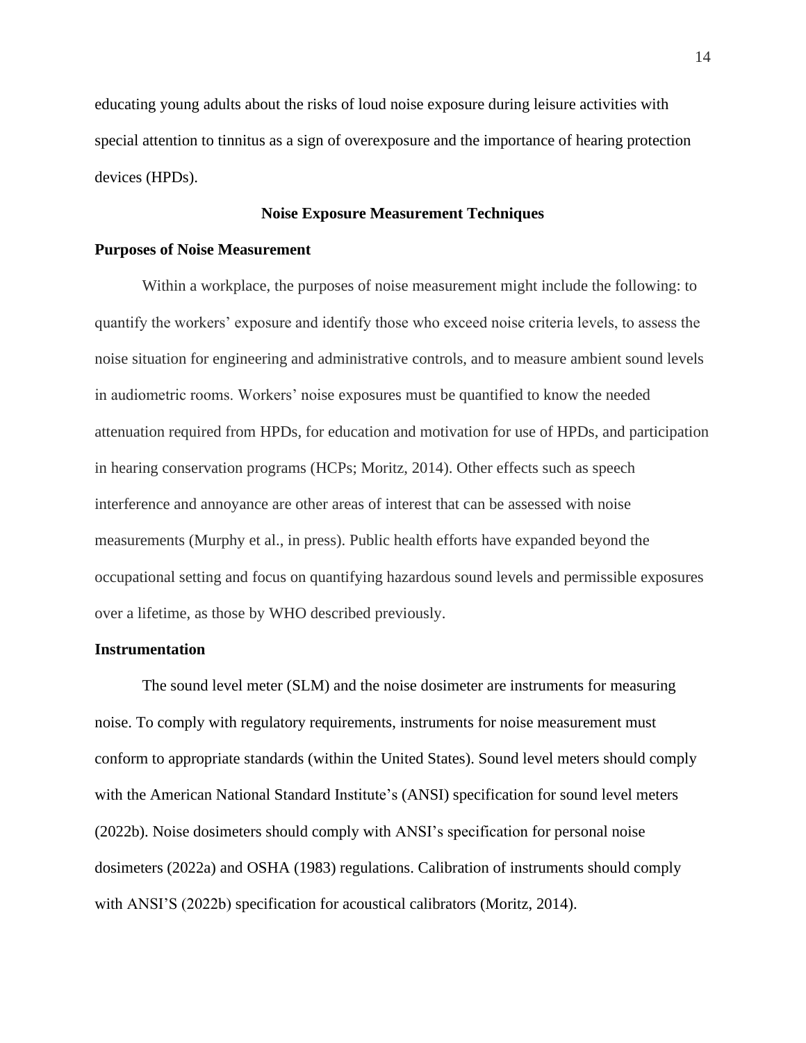educating young adults about the risks of loud noise exposure during leisure activities with special attention to tinnitus as a sign of overexposure and the importance of hearing protection devices (HPDs).

## **Noise Exposure Measurement Techniques**

#### **Purposes of Noise Measurement**

Within a workplace, the purposes of noise measurement might include the following: to quantify the workers' exposure and identify those who exceed noise criteria levels, to assess the noise situation for engineering and administrative controls, and to measure ambient sound levels in audiometric rooms. Workers' noise exposures must be quantified to know the needed attenuation required from HPDs, for education and motivation for use of HPDs, and participation in hearing conservation programs (HCPs; Moritz, 2014). Other effects such as speech interference and annoyance are other areas of interest that can be assessed with noise measurements (Murphy et al., in press). Public health efforts have expanded beyond the occupational setting and focus on quantifying hazardous sound levels and permissible exposures over a lifetime, as those by WHO described previously.

#### **Instrumentation**

The sound level meter (SLM) and the noise dosimeter are instruments for measuring noise. To comply with regulatory requirements, instruments for noise measurement must conform to appropriate standards (within the United States). Sound level meters should comply with the American National Standard Institute's (ANSI) specification for sound level meters (2022b). Noise dosimeters should comply with ANSI's specification for personal noise dosimeters (2022a) and OSHA (1983) regulations. Calibration of instruments should comply with ANSI'S (2022b) specification for acoustical calibrators (Moritz, 2014).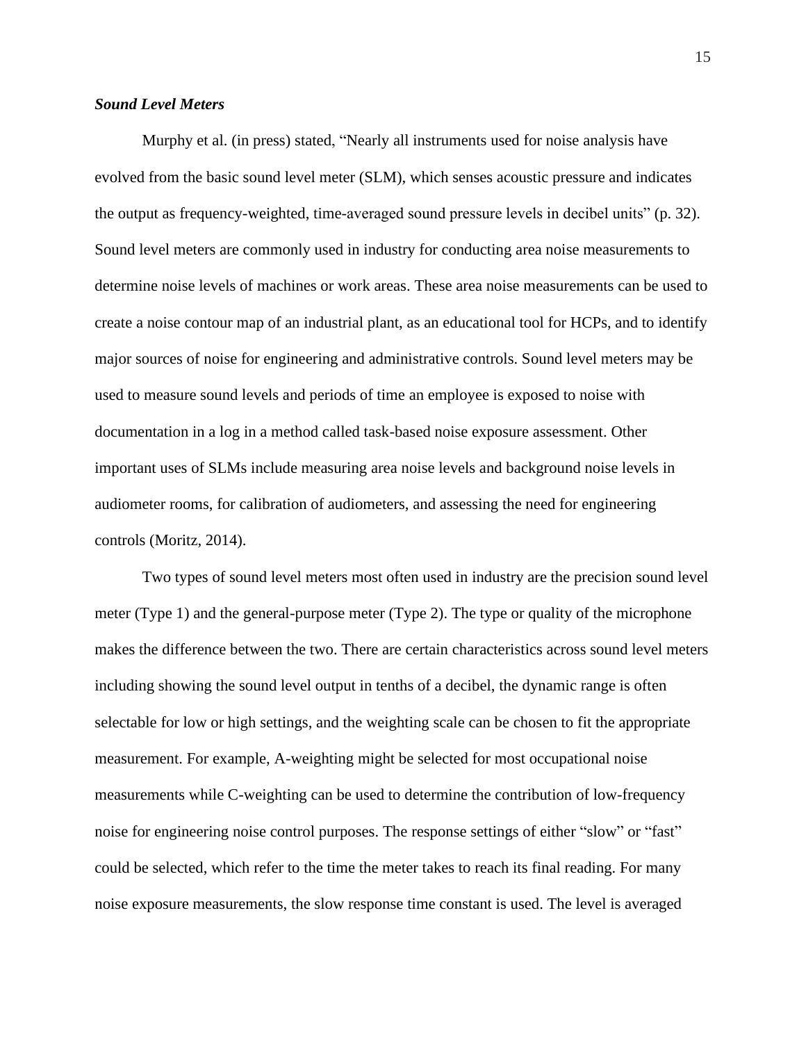## *Sound Level Meters*

Murphy et al. (in press) stated, "Nearly all instruments used for noise analysis have evolved from the basic sound level meter (SLM), which senses acoustic pressure and indicates the output as frequency-weighted, time-averaged sound pressure levels in decibel units" (p. 32). Sound level meters are commonly used in industry for conducting area noise measurements to determine noise levels of machines or work areas. These area noise measurements can be used to create a noise contour map of an industrial plant, as an educational tool for HCPs, and to identify major sources of noise for engineering and administrative controls. Sound level meters may be used to measure sound levels and periods of time an employee is exposed to noise with documentation in a log in a method called task-based noise exposure assessment. Other important uses of SLMs include measuring area noise levels and background noise levels in audiometer rooms, for calibration of audiometers, and assessing the need for engineering controls (Moritz, 2014).

Two types of sound level meters most often used in industry are the precision sound level meter (Type 1) and the general-purpose meter (Type 2). The type or quality of the microphone makes the difference between the two. There are certain characteristics across sound level meters including showing the sound level output in tenths of a decibel, the dynamic range is often selectable for low or high settings, and the weighting scale can be chosen to fit the appropriate measurement. For example, A-weighting might be selected for most occupational noise measurements while C-weighting can be used to determine the contribution of low-frequency noise for engineering noise control purposes. The response settings of either "slow" or "fast" could be selected, which refer to the time the meter takes to reach its final reading. For many noise exposure measurements, the slow response time constant is used. The level is averaged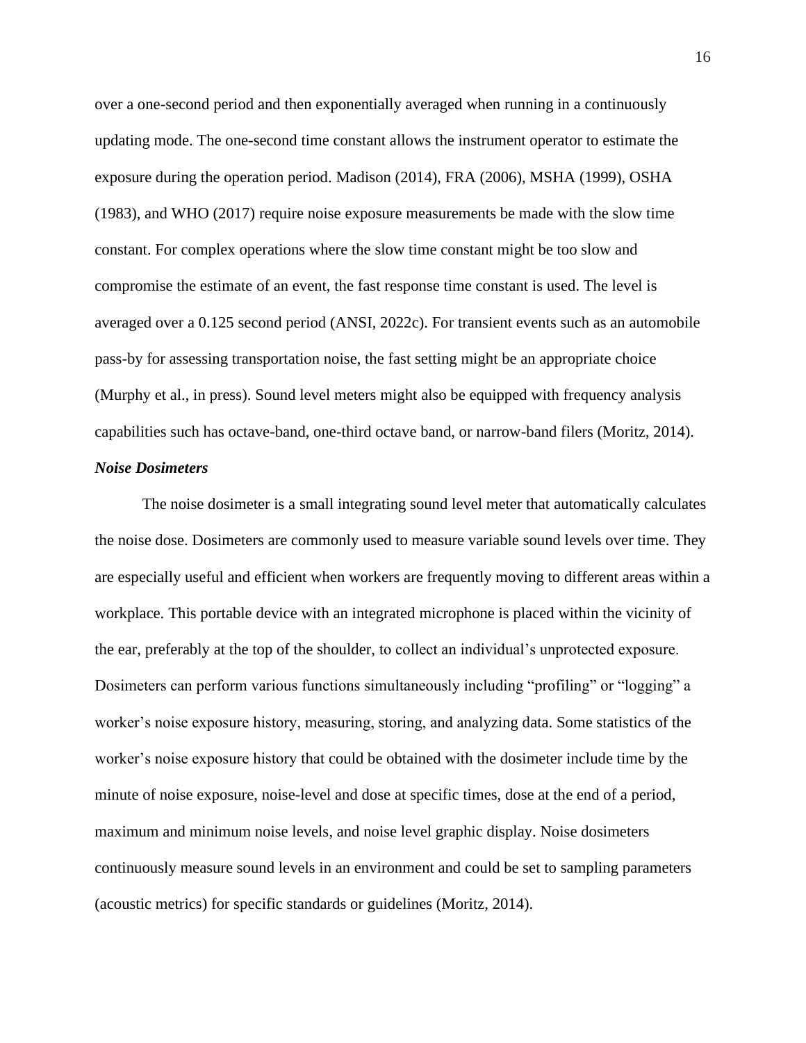over a one-second period and then exponentially averaged when running in a continuously updating mode. The one-second time constant allows the instrument operator to estimate the exposure during the operation period. Madison (2014), FRA (2006), MSHA (1999), OSHA (1983), and WHO (2017) require noise exposure measurements be made with the slow time constant. For complex operations where the slow time constant might be too slow and compromise the estimate of an event, the fast response time constant is used. The level is averaged over a 0.125 second period (ANSI, 2022c). For transient events such as an automobile pass-by for assessing transportation noise, the fast setting might be an appropriate choice (Murphy et al., in press). Sound level meters might also be equipped with frequency analysis capabilities such has octave-band, one-third octave band, or narrow-band filers (Moritz, 2014).

## *Noise Dosimeters*

The noise dosimeter is a small integrating sound level meter that automatically calculates the noise dose. Dosimeters are commonly used to measure variable sound levels over time. They are especially useful and efficient when workers are frequently moving to different areas within a workplace. This portable device with an integrated microphone is placed within the vicinity of the ear, preferably at the top of the shoulder, to collect an individual's unprotected exposure. Dosimeters can perform various functions simultaneously including "profiling" or "logging" a worker's noise exposure history, measuring, storing, and analyzing data. Some statistics of the worker's noise exposure history that could be obtained with the dosimeter include time by the minute of noise exposure, noise-level and dose at specific times, dose at the end of a period, maximum and minimum noise levels, and noise level graphic display. Noise dosimeters continuously measure sound levels in an environment and could be set to sampling parameters (acoustic metrics) for specific standards or guidelines (Moritz, 2014).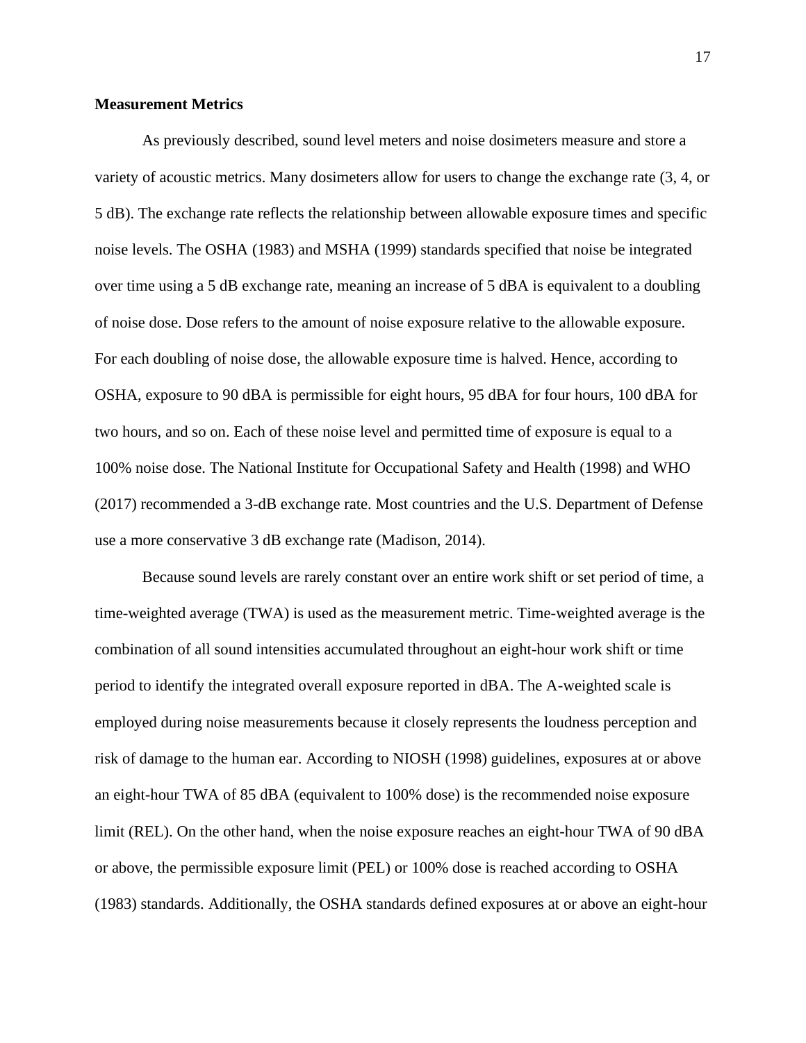## **Measurement Metrics**

As previously described, sound level meters and noise dosimeters measure and store a variety of acoustic metrics. Many dosimeters allow for users to change the exchange rate (3, 4, or 5 dB). The exchange rate reflects the relationship between allowable exposure times and specific noise levels. The OSHA (1983) and MSHA (1999) standards specified that noise be integrated over time using a 5 dB exchange rate, meaning an increase of 5 dBA is equivalent to a doubling of noise dose. Dose refers to the amount of noise exposure relative to the allowable exposure. For each doubling of noise dose, the allowable exposure time is halved. Hence, according to OSHA, exposure to 90 dBA is permissible for eight hours, 95 dBA for four hours, 100 dBA for two hours, and so on. Each of these noise level and permitted time of exposure is equal to a 100% noise dose. The National Institute for Occupational Safety and Health (1998) and WHO (2017) recommended a 3-dB exchange rate. Most countries and the U.S. Department of Defense use a more conservative 3 dB exchange rate (Madison, 2014).

Because sound levels are rarely constant over an entire work shift or set period of time, a time-weighted average (TWA) is used as the measurement metric. Time-weighted average is the combination of all sound intensities accumulated throughout an eight-hour work shift or time period to identify the integrated overall exposure reported in dBA. The A-weighted scale is employed during noise measurements because it closely represents the loudness perception and risk of damage to the human ear. According to NIOSH (1998) guidelines, exposures at or above an eight-hour TWA of 85 dBA (equivalent to 100% dose) is the recommended noise exposure limit (REL). On the other hand, when the noise exposure reaches an eight-hour TWA of 90 dBA or above, the permissible exposure limit (PEL) or 100% dose is reached according to OSHA (1983) standards. Additionally, the OSHA standards defined exposures at or above an eight-hour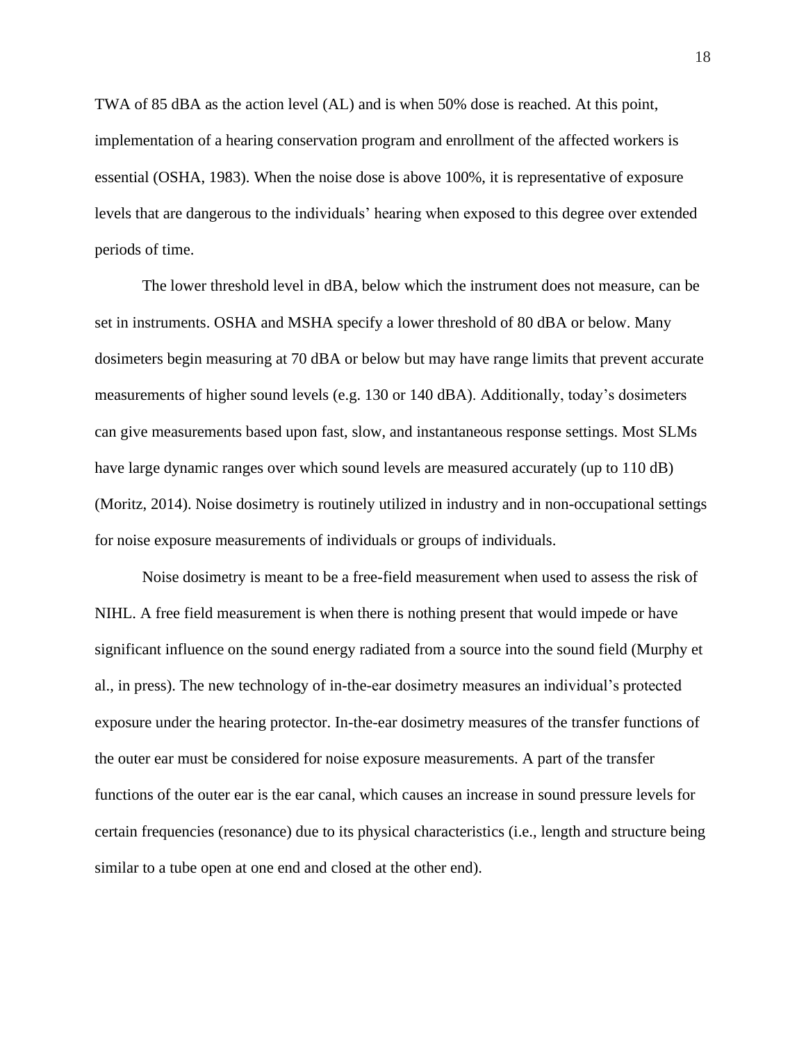TWA of 85 dBA as the action level (AL) and is when 50% dose is reached. At this point, implementation of a hearing conservation program and enrollment of the affected workers is essential (OSHA, 1983). When the noise dose is above 100%, it is representative of exposure levels that are dangerous to the individuals' hearing when exposed to this degree over extended periods of time.

The lower threshold level in dBA, below which the instrument does not measure, can be set in instruments. OSHA and MSHA specify a lower threshold of 80 dBA or below. Many dosimeters begin measuring at 70 dBA or below but may have range limits that prevent accurate measurements of higher sound levels (e.g. 130 or 140 dBA). Additionally, today's dosimeters can give measurements based upon fast, slow, and instantaneous response settings. Most SLMs have large dynamic ranges over which sound levels are measured accurately (up to 110 dB) (Moritz, 2014). Noise dosimetry is routinely utilized in industry and in non-occupational settings for noise exposure measurements of individuals or groups of individuals.

Noise dosimetry is meant to be a free-field measurement when used to assess the risk of NIHL. A free field measurement is when there is nothing present that would impede or have significant influence on the sound energy radiated from a source into the sound field (Murphy et al., in press). The new technology of in-the-ear dosimetry measures an individual's protected exposure under the hearing protector. In-the-ear dosimetry measures of the transfer functions of the outer ear must be considered for noise exposure measurements. A part of the transfer functions of the outer ear is the ear canal, which causes an increase in sound pressure levels for certain frequencies (resonance) due to its physical characteristics (i.e., length and structure being similar to a tube open at one end and closed at the other end).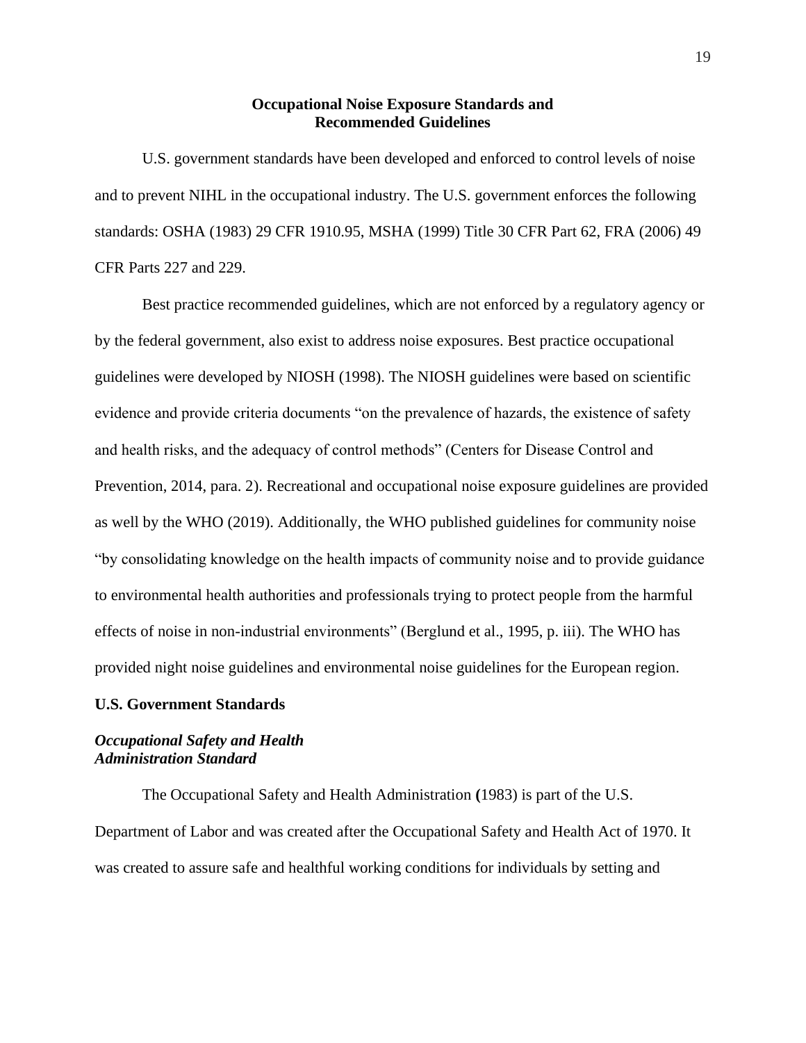## **Occupational Noise Exposure Standards and Recommended Guidelines**

U.S. government standards have been developed and enforced to control levels of noise and to prevent NIHL in the occupational industry. The U.S. government enforces the following standards: OSHA (1983) 29 CFR 1910.95, MSHA (1999) Title 30 CFR Part 62, FRA (2006) 49 CFR Parts 227 and 229.

Best practice recommended guidelines, which are not enforced by a regulatory agency or by the federal government, also exist to address noise exposures. Best practice occupational guidelines were developed by NIOSH (1998). The NIOSH guidelines were based on scientific evidence and provide criteria documents "on the prevalence of hazards, the existence of safety and health risks, and the adequacy of control methods" (Centers for Disease Control and Prevention, 2014, para. 2). Recreational and occupational noise exposure guidelines are provided as well by the WHO (2019). Additionally, the WHO published guidelines for community noise "by consolidating knowledge on the health impacts of community noise and to provide guidance to environmental health authorities and professionals trying to protect people from the harmful effects of noise in non-industrial environments" (Berglund et al., 1995, p. iii). The WHO has provided night noise guidelines and environmental noise guidelines for the European region.

#### **U.S. Government Standards**

## *Occupational Safety and Health Administration Standard*

The Occupational Safety and Health Administration **(**1983) is part of the U.S. Department of Labor and was created after the Occupational Safety and Health Act of 1970. It was created to assure safe and healthful working conditions for individuals by setting and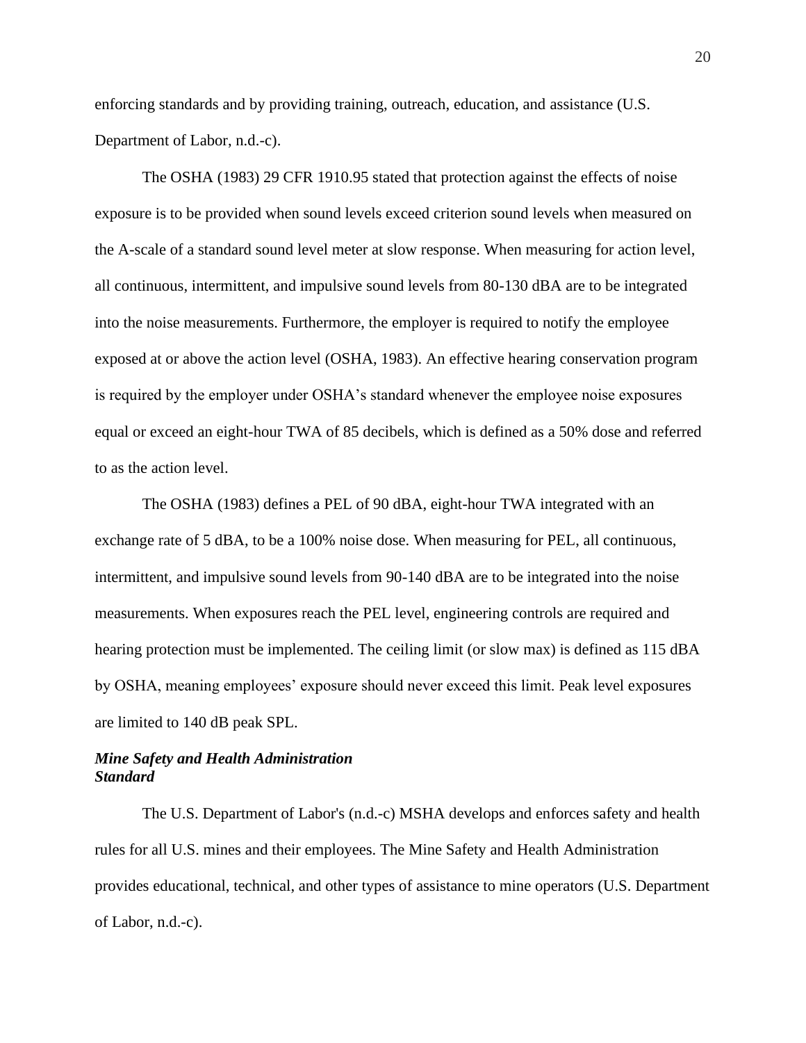enforcing standards and by providing training, outreach, education, and assistance (U.S. Department of Labor, n.d.-c).

The OSHA (1983) 29 CFR 1910.95 stated that protection against the effects of noise exposure is to be provided when sound levels exceed criterion sound levels when measured on the A-scale of a standard sound level meter at slow response. When measuring for action level, all continuous, intermittent, and impulsive sound levels from 80-130 dBA are to be integrated into the noise measurements. Furthermore, the employer is required to notify the employee exposed at or above the action level (OSHA, 1983). An effective hearing conservation program is required by the employer under OSHA's standard whenever the employee noise exposures equal or exceed an eight-hour TWA of 85 decibels, which is defined as a 50% dose and referred to as the action level.

The OSHA (1983) defines a PEL of 90 dBA, eight-hour TWA integrated with an exchange rate of 5 dBA, to be a 100% noise dose. When measuring for PEL, all continuous, intermittent, and impulsive sound levels from 90-140 dBA are to be integrated into the noise measurements. When exposures reach the PEL level, engineering controls are required and hearing protection must be implemented. The ceiling limit (or slow max) is defined as 115 dBA by OSHA, meaning employees' exposure should never exceed this limit. Peak level exposures are limited to 140 dB peak SPL.

## *Mine Safety and Health Administration Standard*

The U.S. Department of Labor's (n.d.-c) MSHA develops and enforces safety and health rules for all U.S. mines and their employees. The Mine Safety and Health Administration provides educational, technical, and other types of assistance to mine operators (U.S. Department of Labor, n.d.-c).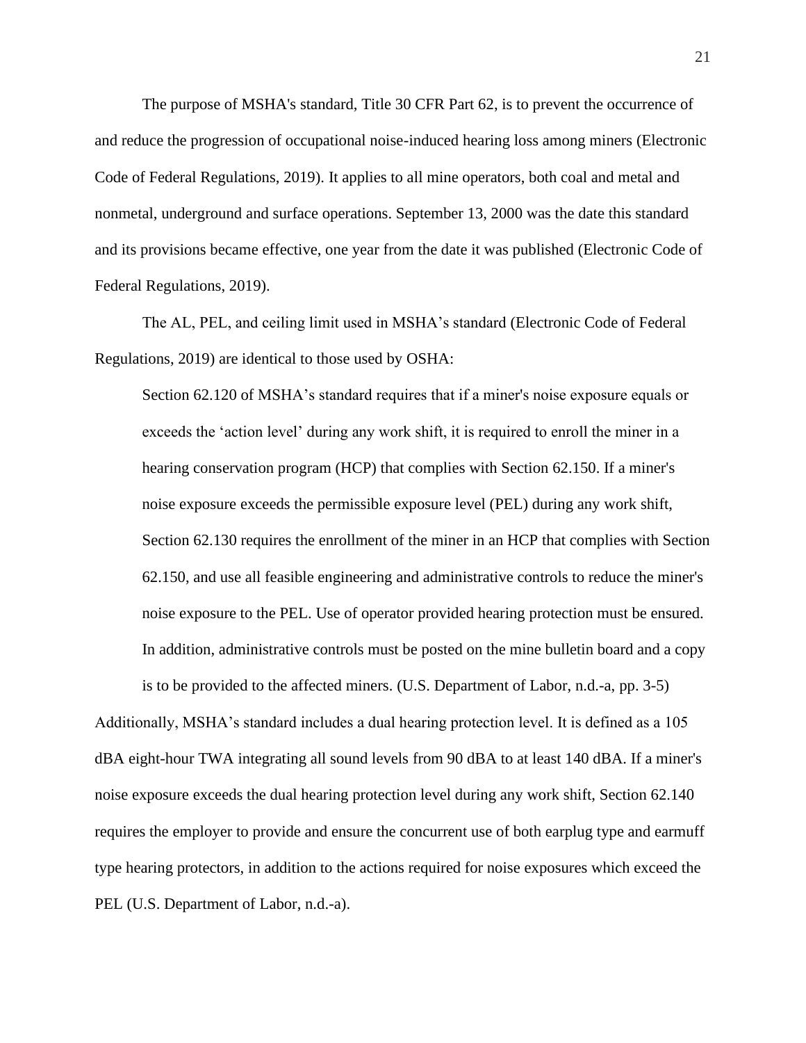The purpose of MSHA's standard, Title 30 CFR Part 62, is to prevent the occurrence of and reduce the progression of occupational noise-induced hearing loss among miners (Electronic Code of Federal Regulations, 2019). It applies to all mine operators, both coal and metal and nonmetal, underground and surface operations. September 13, 2000 was the date this standard and its provisions became effective, one year from the date it was published (Electronic Code of Federal Regulations, 2019).

The AL, PEL, and ceiling limit used in MSHA's standard (Electronic Code of Federal Regulations, 2019) are identical to those used by OSHA:

Section 62.120 of MSHA's standard requires that if a miner's noise exposure equals or exceeds the 'action level' during any work shift, it is required to enroll the miner in a hearing conservation program (HCP) that complies with Section 62.150. If a miner's noise exposure exceeds the permissible exposure level (PEL) during any work shift, Section 62.130 requires the enrollment of the miner in an HCP that complies with Section 62.150, and use all feasible engineering and administrative controls to reduce the miner's noise exposure to the PEL. Use of operator provided hearing protection must be ensured. In addition, administrative controls must be posted on the mine bulletin board and a copy is to be provided to the affected miners. (U.S. Department of Labor, n.d.-a, pp. 3-5)

Additionally, MSHA's standard includes a dual hearing protection level. It is defined as a 105 dBA eight-hour TWA integrating all sound levels from 90 dBA to at least 140 dBA. If a miner's noise exposure exceeds the dual hearing protection level during any work shift, Section 62.140 requires the employer to provide and ensure the concurrent use of both earplug type and earmuff type hearing protectors, in addition to the actions required for noise exposures which exceed the PEL (U.S. Department of Labor, n.d.-a).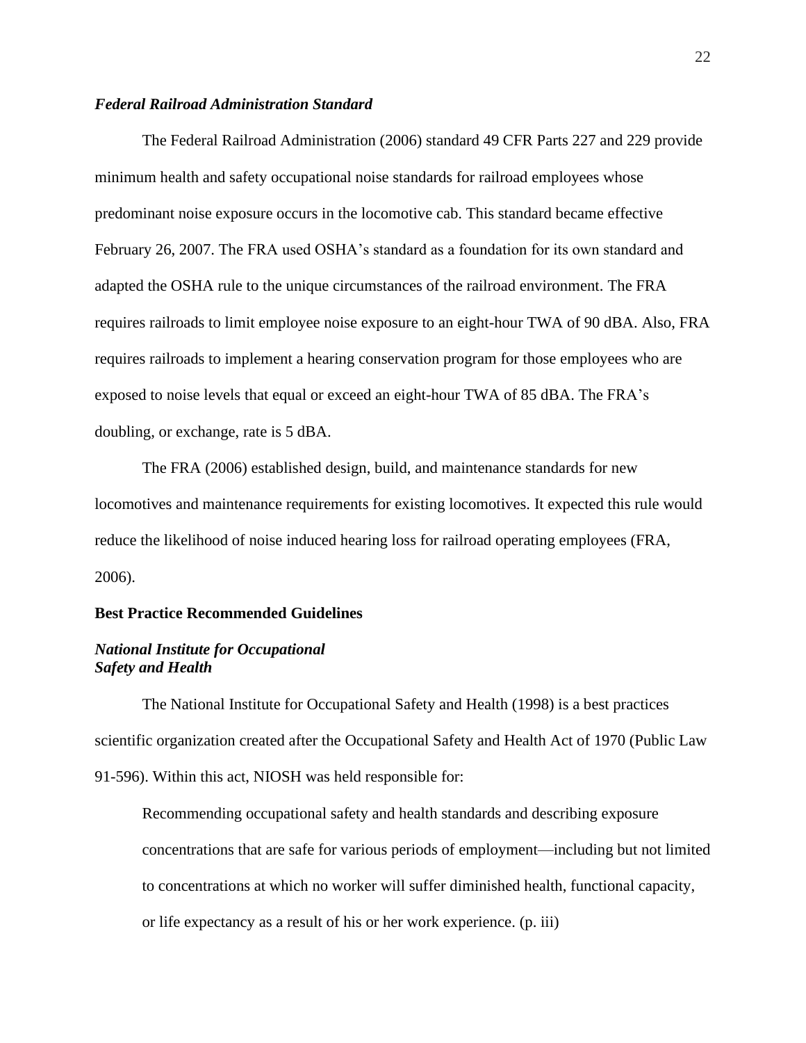## *Federal Railroad Administration Standard*

The Federal Railroad Administration (2006) standard 49 CFR Parts 227 and 229 provide minimum health and safety occupational noise standards for railroad employees whose predominant noise exposure occurs in the locomotive cab. This standard became effective February 26, 2007. The FRA used OSHA's standard as a foundation for its own standard and adapted the OSHA rule to the unique circumstances of the railroad environment. The FRA requires railroads to limit employee noise exposure to an eight-hour TWA of 90 dBA. Also, FRA requires railroads to implement a hearing conservation program for those employees who are exposed to noise levels that equal or exceed an eight-hour TWA of 85 dBA. The FRA's doubling, or exchange, rate is 5 dBA.

The FRA (2006) established design, build, and maintenance standards for new locomotives and maintenance requirements for existing locomotives. It expected this rule would reduce the likelihood of noise induced hearing loss for railroad operating employees (FRA, 2006).

### **Best Practice Recommended Guidelines**

#### *National Institute for Occupational Safety and Health*

The National Institute for Occupational Safety and Health (1998) is a best practices scientific organization created after the Occupational Safety and Health Act of 1970 (Public Law 91-596). Within this act, NIOSH was held responsible for:

Recommending occupational safety and health standards and describing exposure concentrations that are safe for various periods of employment—including but not limited to concentrations at which no worker will suffer diminished health, functional capacity, or life expectancy as a result of his or her work experience. (p. iii)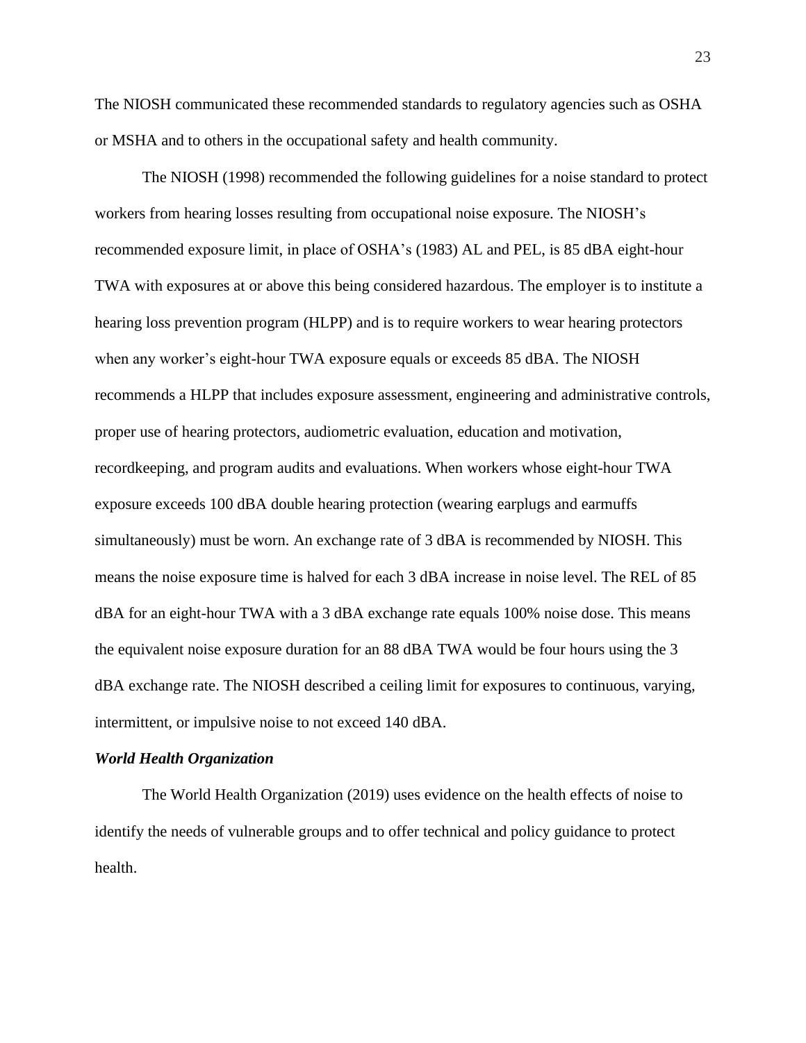The NIOSH communicated these recommended standards to regulatory agencies such as OSHA or MSHA and to others in the occupational safety and health community.

The NIOSH (1998) recommended the following guidelines for a noise standard to protect workers from hearing losses resulting from occupational noise exposure. The NIOSH's recommended exposure limit, in place of OSHA's (1983) AL and PEL, is 85 dBA eight-hour TWA with exposures at or above this being considered hazardous. The employer is to institute a hearing loss prevention program (HLPP) and is to require workers to wear hearing protectors when any worker's eight-hour TWA exposure equals or exceeds 85 dBA. The NIOSH recommends a HLPP that includes exposure assessment, engineering and administrative controls, proper use of hearing protectors, audiometric evaluation, education and motivation, recordkeeping, and program audits and evaluations. When workers whose eight-hour TWA exposure exceeds 100 dBA double hearing protection (wearing earplugs and earmuffs simultaneously) must be worn. An exchange rate of 3 dBA is recommended by NIOSH. This means the noise exposure time is halved for each 3 dBA increase in noise level. The REL of 85 dBA for an eight-hour TWA with a 3 dBA exchange rate equals 100% noise dose. This means the equivalent noise exposure duration for an 88 dBA TWA would be four hours using the 3 dBA exchange rate. The NIOSH described a ceiling limit for exposures to continuous, varying, intermittent, or impulsive noise to not exceed 140 dBA.

#### *World Health Organization*

The World Health Organization (2019) uses evidence on the health effects of noise to identify the needs of vulnerable groups and to offer technical and policy guidance to protect health.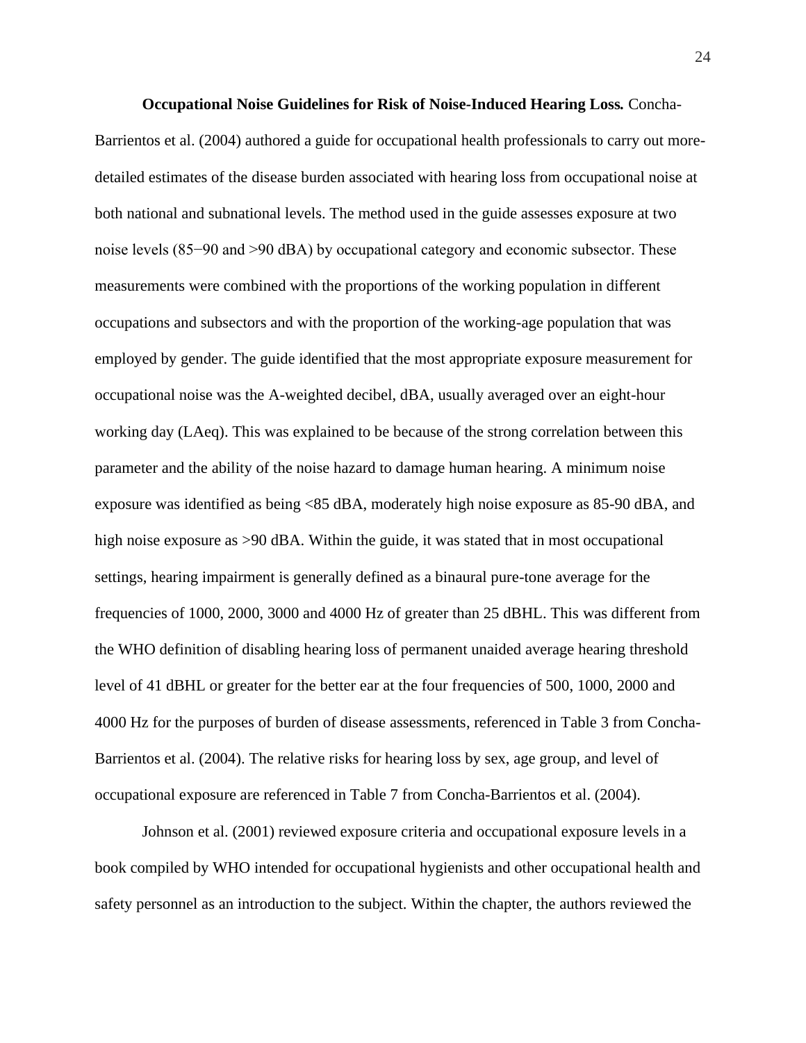**Occupational Noise Guidelines for Risk of Noise-Induced Hearing Loss***.* Concha-Barrientos et al. (2004) authored a guide for occupational health professionals to carry out moredetailed estimates of the disease burden associated with hearing loss from occupational noise at both national and subnational levels. The method used in the guide assesses exposure at two noise levels (85−90 and >90 dBA) by occupational category and economic subsector. These measurements were combined with the proportions of the working population in different occupations and subsectors and with the proportion of the working-age population that was employed by gender. The guide identified that the most appropriate exposure measurement for occupational noise was the A-weighted decibel, dBA, usually averaged over an eight-hour working day (LAeq). This was explained to be because of the strong correlation between this parameter and the ability of the noise hazard to damage human hearing. A minimum noise exposure was identified as being <85 dBA, moderately high noise exposure as 85-90 dBA, and high noise exposure as  $>90$  dBA. Within the guide, it was stated that in most occupational settings, hearing impairment is generally defined as a binaural pure-tone average for the frequencies of 1000, 2000, 3000 and 4000 Hz of greater than 25 dBHL. This was different from the WHO definition of disabling hearing loss of permanent unaided average hearing threshold level of 41 dBHL or greater for the better ear at the four frequencies of 500, 1000, 2000 and 4000 Hz for the purposes of burden of disease assessments, referenced in Table 3 from Concha-Barrientos et al. (2004). The relative risks for hearing loss by sex, age group, and level of occupational exposure are referenced in Table 7 from Concha-Barrientos et al. (2004).

Johnson et al. (2001) reviewed exposure criteria and occupational exposure levels in a book compiled by WHO intended for occupational hygienists and other occupational health and safety personnel as an introduction to the subject. Within the chapter, the authors reviewed the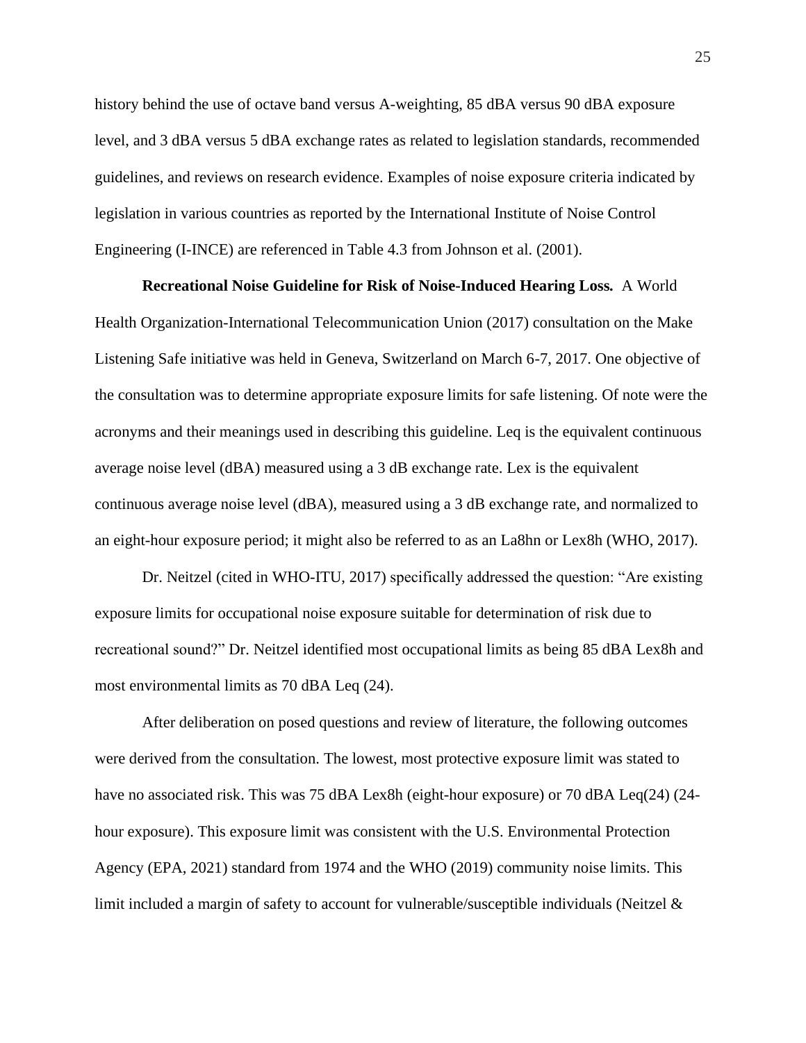history behind the use of octave band versus A-weighting, 85 dBA versus 90 dBA exposure level, and 3 dBA versus 5 dBA exchange rates as related to legislation standards, recommended guidelines, and reviews on research evidence. Examples of noise exposure criteria indicated by legislation in various countries as reported by the International Institute of Noise Control Engineering (I-INCE) are referenced in Table 4.3 from Johnson et al. (2001).

**Recreational Noise Guideline for Risk of Noise-Induced Hearing Loss***.* A World Health Organization-International Telecommunication Union (2017) consultation on the Make Listening Safe initiative was held in Geneva, Switzerland on March 6-7, 2017. One objective of the consultation was to determine appropriate exposure limits for safe listening. Of note were the acronyms and their meanings used in describing this guideline. Leq is the equivalent continuous average noise level (dBA) measured using a 3 dB exchange rate. Lex is the equivalent continuous average noise level (dBA), measured using a 3 dB exchange rate, and normalized to an eight-hour exposure period; it might also be referred to as an La8hn or Lex8h (WHO, 2017).

Dr. Neitzel (cited in WHO-ITU, 2017) specifically addressed the question: "Are existing exposure limits for occupational noise exposure suitable for determination of risk due to recreational sound?" Dr. Neitzel identified most occupational limits as being 85 dBA Lex8h and most environmental limits as 70 dBA Leq (24).

After deliberation on posed questions and review of literature, the following outcomes were derived from the consultation. The lowest, most protective exposure limit was stated to have no associated risk. This was 75 dBA Lex8h (eight-hour exposure) or 70 dBA Leq(24) (24hour exposure). This exposure limit was consistent with the U.S. Environmental Protection Agency (EPA, 2021) standard from 1974 and the WHO (2019) community noise limits. This limit included a margin of safety to account for vulnerable/susceptible individuals (Neitzel &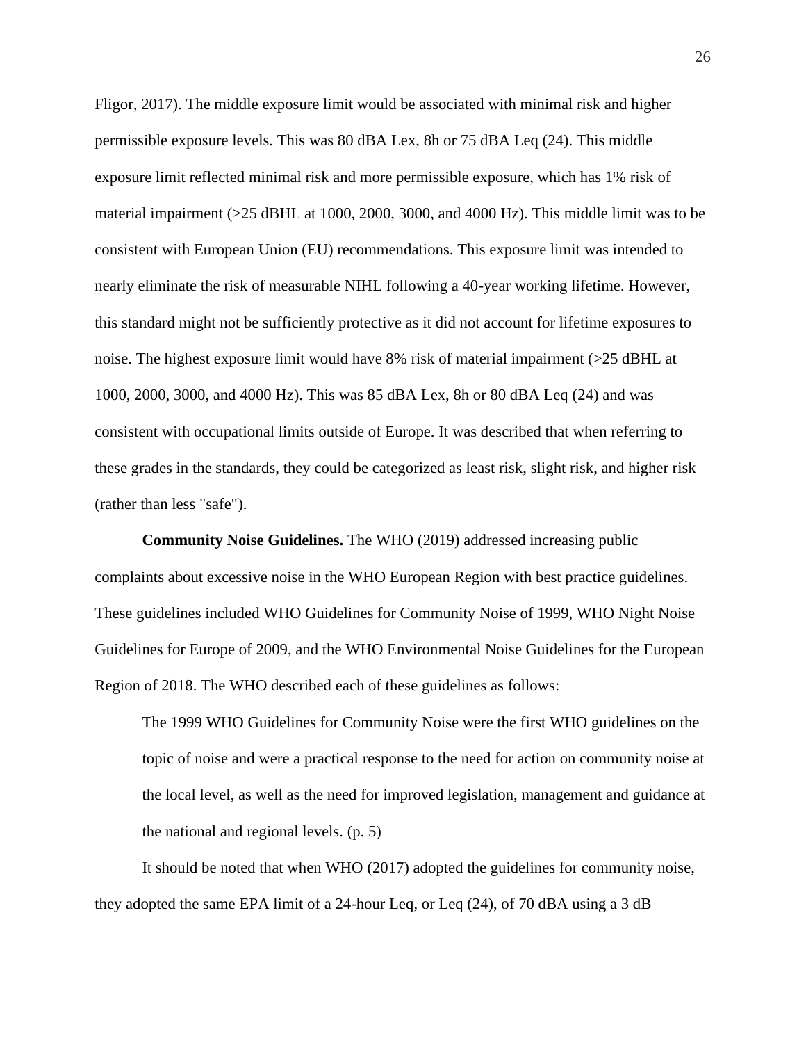Fligor, 2017). The middle exposure limit would be associated with minimal risk and higher permissible exposure levels. This was 80 dBA Lex, 8h or 75 dBA Leq (24). This middle exposure limit reflected minimal risk and more permissible exposure, which has 1% risk of material impairment (>25 dBHL at 1000, 2000, 3000, and 4000 Hz). This middle limit was to be consistent with European Union (EU) recommendations. This exposure limit was intended to nearly eliminate the risk of measurable NIHL following a 40-year working lifetime. However, this standard might not be sufficiently protective as it did not account for lifetime exposures to noise. The highest exposure limit would have 8% risk of material impairment (>25 dBHL at 1000, 2000, 3000, and 4000 Hz). This was 85 dBA Lex, 8h or 80 dBA Leq (24) and was consistent with occupational limits outside of Europe. It was described that when referring to these grades in the standards, they could be categorized as least risk, slight risk, and higher risk (rather than less "safe").

**Community Noise Guidelines.** The WHO (2019) addressed increasing public complaints about excessive noise in the WHO European Region with best practice guidelines. These guidelines included WHO Guidelines for Community Noise of 1999, WHO Night Noise Guidelines for Europe of 2009, and the WHO Environmental Noise Guidelines for the European Region of 2018. The WHO described each of these guidelines as follows:

The 1999 WHO Guidelines for Community Noise were the first WHO guidelines on the topic of noise and were a practical response to the need for action on community noise at the local level, as well as the need for improved legislation, management and guidance at the national and regional levels. (p. 5)

It should be noted that when WHO (2017) adopted the guidelines for community noise, they adopted the same EPA limit of a 24-hour Leq, or Leq (24), of 70 dBA using a 3 dB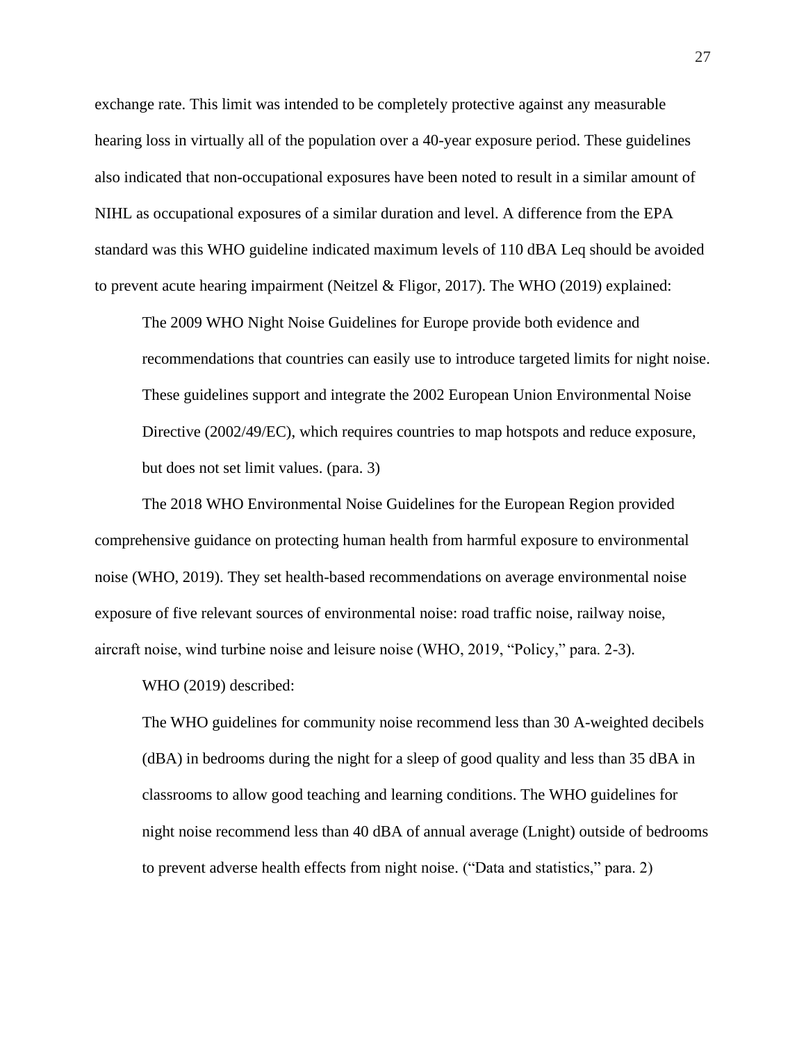exchange rate. This limit was intended to be completely protective against any measurable hearing loss in virtually all of the population over a 40-year exposure period. These guidelines also indicated that non-occupational exposures have been noted to result in a similar amount of NIHL as occupational exposures of a similar duration and level. A difference from the EPA standard was this WHO guideline indicated maximum levels of 110 dBA Leq should be avoided to prevent acute hearing impairment (Neitzel & Fligor, 2017). The WHO (2019) explained:

The 2009 WHO Night Noise Guidelines for Europe provide both evidence and recommendations that countries can easily use to introduce targeted limits for night noise. These guidelines support and integrate the 2002 European Union Environmental Noise Directive (2002/49/EC), which requires countries to map hotspots and reduce exposure, but does not set limit values. (para. 3)

The 2018 WHO Environmental Noise Guidelines for the European Region provided comprehensive guidance on protecting human health from harmful exposure to environmental noise (WHO, 2019). They set health-based recommendations on average environmental noise exposure of five relevant sources of environmental noise: road traffic noise, railway noise, aircraft noise, wind turbine noise and leisure noise (WHO, 2019, "Policy," para. 2-3).

WHO (2019) described:

The WHO guidelines for community noise recommend less than 30 A-weighted decibels (dBA) in bedrooms during the night for a sleep of good quality and less than 35 dBA in classrooms to allow good teaching and learning conditions. The WHO guidelines for night noise recommend less than 40 dBA of annual average (Lnight) outside of bedrooms to prevent adverse health effects from night noise. ("Data and statistics," para. 2)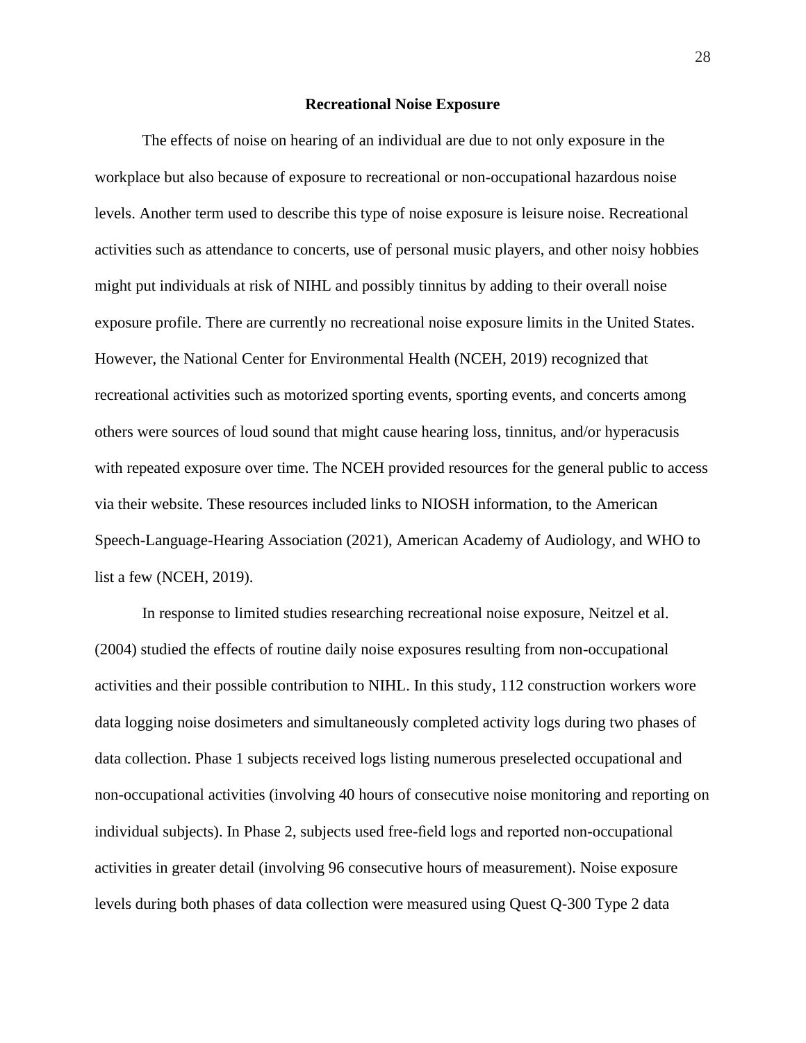#### **Recreational Noise Exposure**

The effects of noise on hearing of an individual are due to not only exposure in the workplace but also because of exposure to recreational or non-occupational hazardous noise levels. Another term used to describe this type of noise exposure is leisure noise. Recreational activities such as attendance to concerts, use of personal music players, and other noisy hobbies might put individuals at risk of NIHL and possibly tinnitus by adding to their overall noise exposure profile. There are currently no recreational noise exposure limits in the United States. However, the National Center for Environmental Health (NCEH, 2019) recognized that recreational activities such as motorized sporting events, sporting events, and concerts among others were sources of loud sound that might cause hearing loss, tinnitus, and/or hyperacusis with repeated exposure over time. The NCEH provided resources for the general public to access via their website. These resources included links to NIOSH information, to the American Speech-Language-Hearing Association (2021), American Academy of Audiology, and WHO to list a few (NCEH, 2019).

In response to limited studies researching recreational noise exposure, Neitzel et al. (2004) studied the effects of routine daily noise exposures resulting from non-occupational activities and their possible contribution to NIHL. In this study, 112 construction workers wore data logging noise dosimeters and simultaneously completed activity logs during two phases of data collection. Phase 1 subjects received logs listing numerous preselected occupational and non-occupational activities (involving 40 hours of consecutive noise monitoring and reporting on individual subjects). In Phase 2, subjects used free-field logs and reported non-occupational activities in greater detail (involving 96 consecutive hours of measurement). Noise exposure levels during both phases of data collection were measured using Quest Q-300 Type 2 data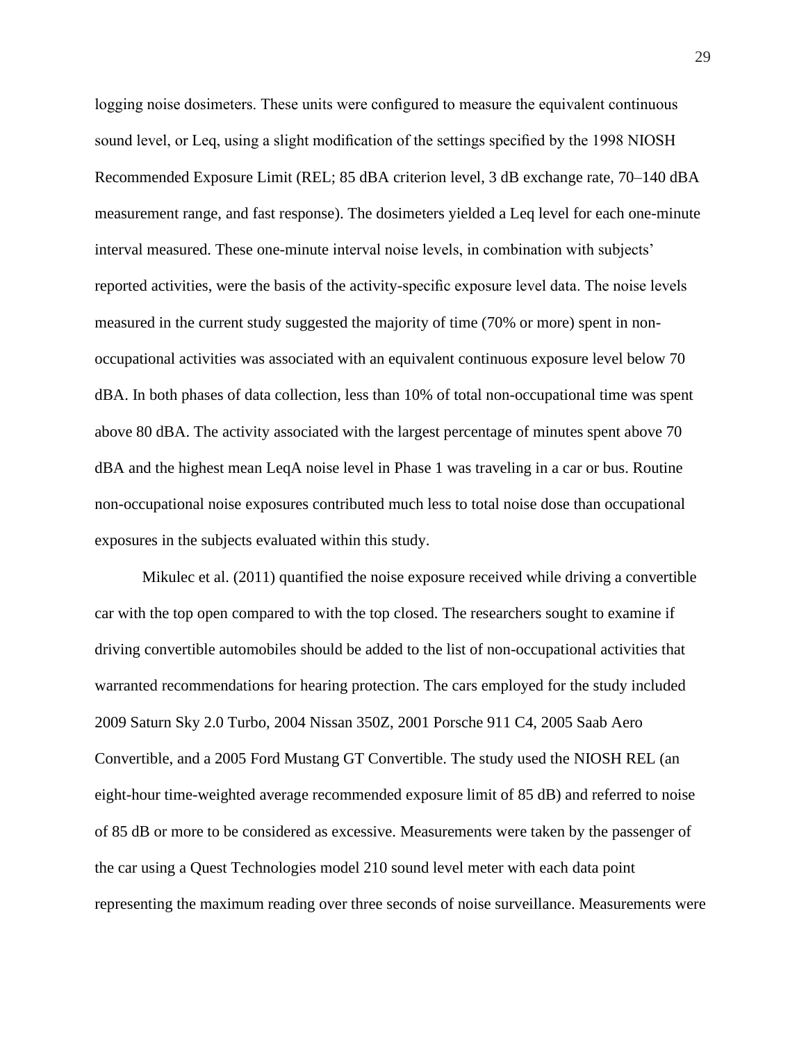logging noise dosimeters. These units were configured to measure the equivalent continuous sound level, or Leq, using a slight modification of the settings specified by the 1998 NIOSH Recommended Exposure Limit (REL; 85 dBA criterion level, 3 dB exchange rate, 70–140 dBA measurement range, and fast response). The dosimeters yielded a Leq level for each one-minute interval measured. These one-minute interval noise levels, in combination with subjects' reported activities, were the basis of the activity-specific exposure level data. The noise levels measured in the current study suggested the majority of time (70% or more) spent in nonoccupational activities was associated with an equivalent continuous exposure level below 70 dBA. In both phases of data collection, less than 10% of total non-occupational time was spent above 80 dBA. The activity associated with the largest percentage of minutes spent above 70 dBA and the highest mean LeqA noise level in Phase 1 was traveling in a car or bus. Routine non-occupational noise exposures contributed much less to total noise dose than occupational exposures in the subjects evaluated within this study.

Mikulec et al. (2011) quantified the noise exposure received while driving a convertible car with the top open compared to with the top closed. The researchers sought to examine if driving convertible automobiles should be added to the list of non-occupational activities that warranted recommendations for hearing protection. The cars employed for the study included 2009 Saturn Sky 2.0 Turbo, 2004 Nissan 350Z, 2001 Porsche 911 C4, 2005 Saab Aero Convertible, and a 2005 Ford Mustang GT Convertible. The study used the NIOSH REL (an eight-hour time-weighted average recommended exposure limit of 85 dB) and referred to noise of 85 dB or more to be considered as excessive. Measurements were taken by the passenger of the car using a Quest Technologies model 210 sound level meter with each data point representing the maximum reading over three seconds of noise surveillance. Measurements were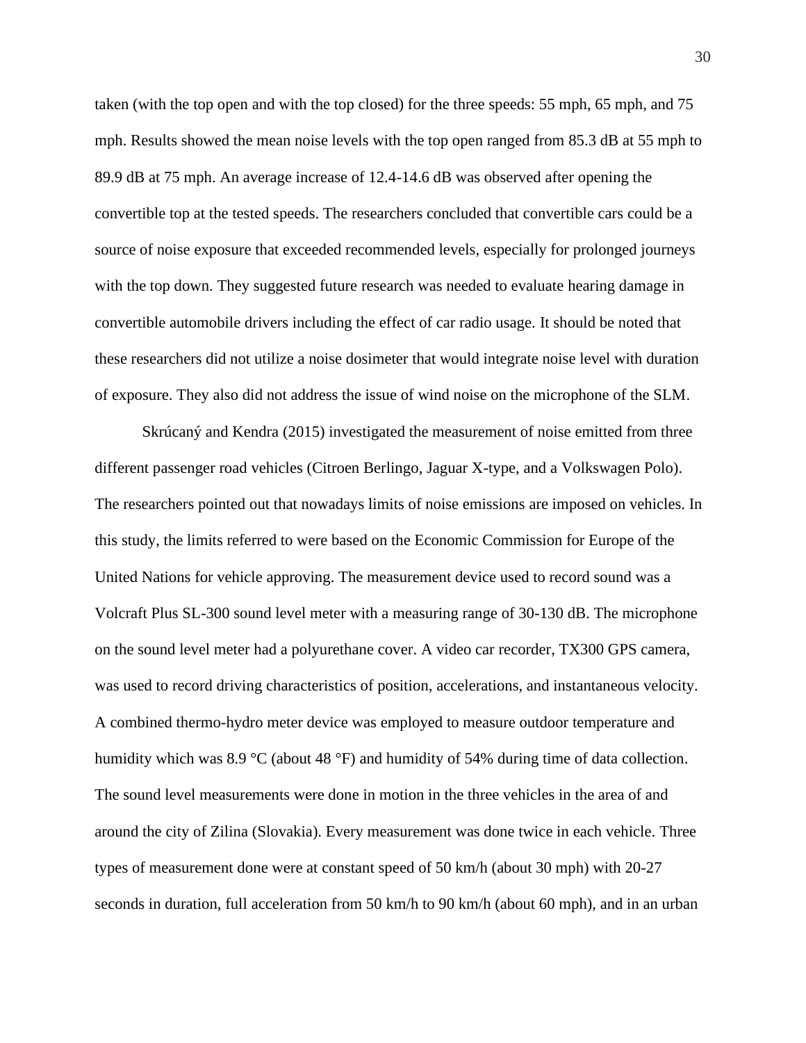taken (with the top open and with the top closed) for the three speeds: 55 mph, 65 mph, and 75 mph. Results showed the mean noise levels with the top open ranged from 85.3 dB at 55 mph to 89.9 dB at 75 mph. An average increase of 12.4-14.6 dB was observed after opening the convertible top at the tested speeds. The researchers concluded that convertible cars could be a source of noise exposure that exceeded recommended levels, especially for prolonged journeys with the top down. They suggested future research was needed to evaluate hearing damage in convertible automobile drivers including the effect of car radio usage. It should be noted that these researchers did not utilize a noise dosimeter that would integrate noise level with duration of exposure. They also did not address the issue of wind noise on the microphone of the SLM.

Skrúcaný and Kendra (2015) investigated the measurement of noise emitted from three different passenger road vehicles (Citroen Berlingo, Jaguar X-type, and a Volkswagen Polo). The researchers pointed out that nowadays limits of noise emissions are imposed on vehicles. In this study, the limits referred to were based on the Economic Commission for Europe of the United Nations for vehicle approving. The measurement device used to record sound was a Volcraft Plus SL-300 sound level meter with a measuring range of 30-130 dB. The microphone on the sound level meter had a polyurethane cover. A video car recorder, TX300 GPS camera, was used to record driving characteristics of position, accelerations, and instantaneous velocity. A combined thermo-hydro meter device was employed to measure outdoor temperature and humidity which was 8.9 °C (about 48 °F) and humidity of 54% during time of data collection. The sound level measurements were done in motion in the three vehicles in the area of and around the city of Zilina (Slovakia). Every measurement was done twice in each vehicle. Three types of measurement done were at constant speed of 50 km/h (about 30 mph) with 20-27 seconds in duration, full acceleration from 50 km/h to 90 km/h (about 60 mph), and in an urban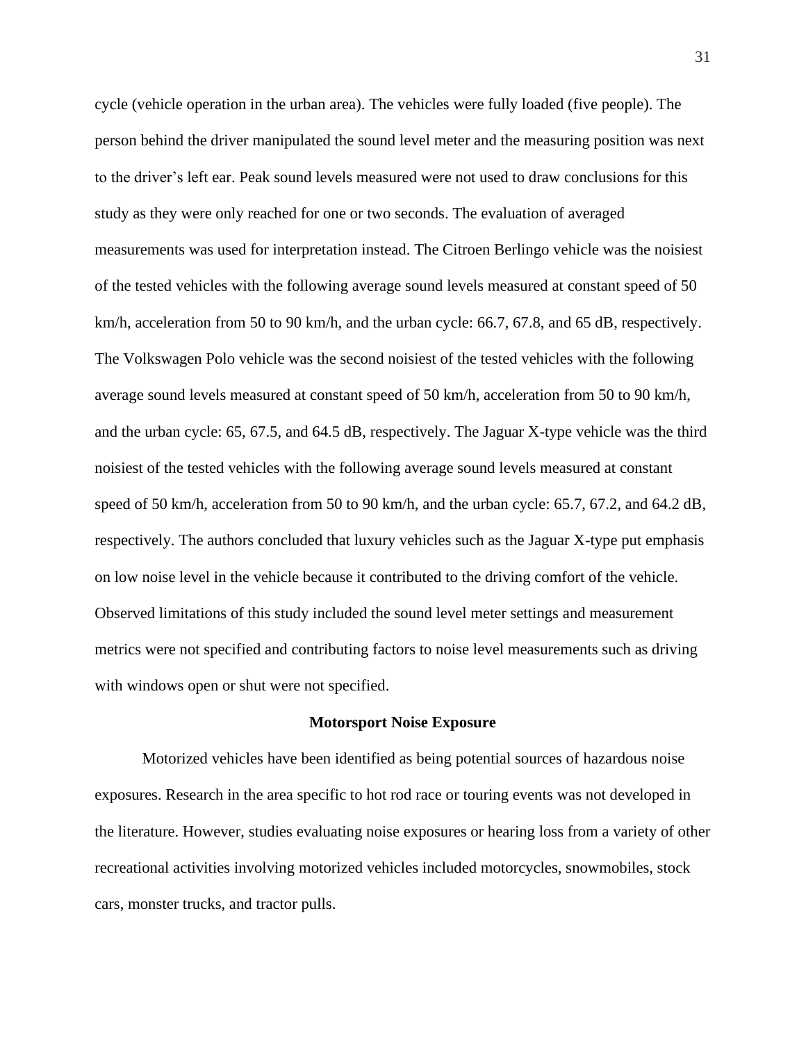cycle (vehicle operation in the urban area). The vehicles were fully loaded (five people). The person behind the driver manipulated the sound level meter and the measuring position was next to the driver's left ear. Peak sound levels measured were not used to draw conclusions for this study as they were only reached for one or two seconds. The evaluation of averaged measurements was used for interpretation instead. The Citroen Berlingo vehicle was the noisiest of the tested vehicles with the following average sound levels measured at constant speed of 50 km/h, acceleration from 50 to 90 km/h, and the urban cycle: 66.7, 67.8, and 65 dB, respectively. The Volkswagen Polo vehicle was the second noisiest of the tested vehicles with the following average sound levels measured at constant speed of 50 km/h, acceleration from 50 to 90 km/h, and the urban cycle: 65, 67.5, and 64.5 dB, respectively. The Jaguar X-type vehicle was the third noisiest of the tested vehicles with the following average sound levels measured at constant speed of 50 km/h, acceleration from 50 to 90 km/h, and the urban cycle: 65.7, 67.2, and 64.2 dB, respectively. The authors concluded that luxury vehicles such as the Jaguar X-type put emphasis on low noise level in the vehicle because it contributed to the driving comfort of the vehicle. Observed limitations of this study included the sound level meter settings and measurement metrics were not specified and contributing factors to noise level measurements such as driving with windows open or shut were not specified.

#### **Motorsport Noise Exposure**

Motorized vehicles have been identified as being potential sources of hazardous noise exposures. Research in the area specific to hot rod race or touring events was not developed in the literature. However, studies evaluating noise exposures or hearing loss from a variety of other recreational activities involving motorized vehicles included motorcycles, snowmobiles, stock cars, monster trucks, and tractor pulls.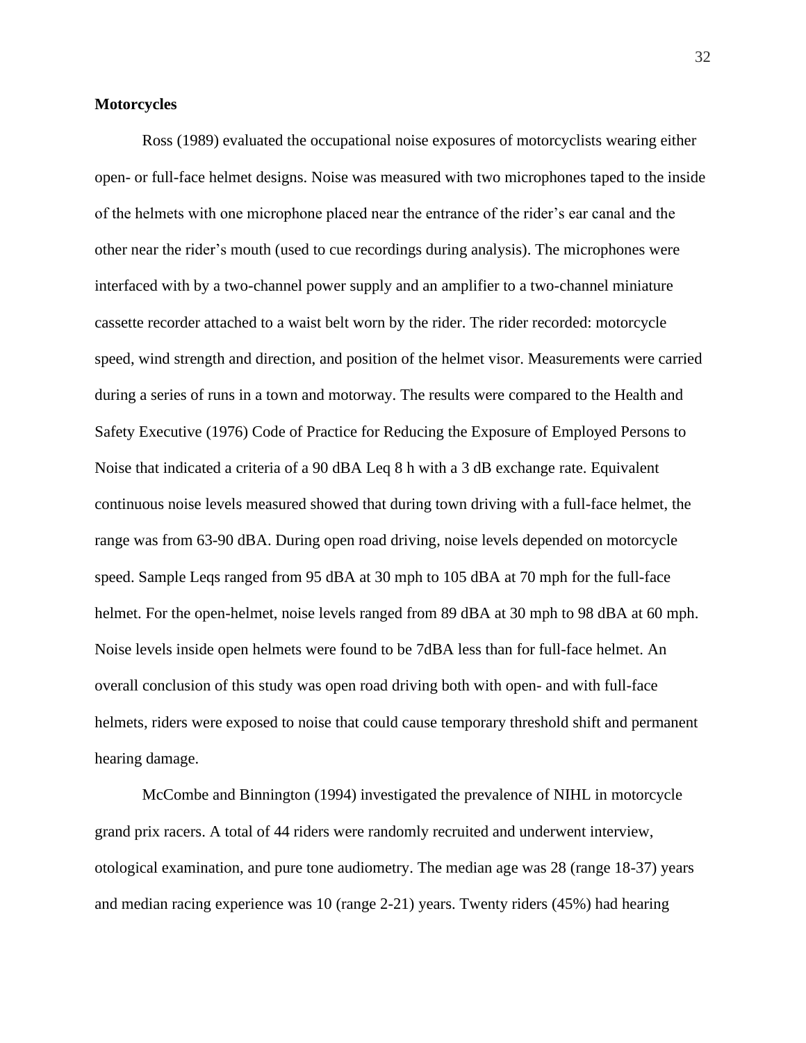# **Motorcycles**

Ross (1989) evaluated the occupational noise exposures of motorcyclists wearing either open- or full-face helmet designs. Noise was measured with two microphones taped to the inside of the helmets with one microphone placed near the entrance of the rider's ear canal and the other near the rider's mouth (used to cue recordings during analysis). The microphones were interfaced with by a two-channel power supply and an amplifier to a two-channel miniature cassette recorder attached to a waist belt worn by the rider. The rider recorded: motorcycle speed, wind strength and direction, and position of the helmet visor. Measurements were carried during a series of runs in a town and motorway. The results were compared to the Health and Safety Executive (1976) Code of Practice for Reducing the Exposure of Employed Persons to Noise that indicated a criteria of a 90 dBA Leq 8 h with a 3 dB exchange rate. Equivalent continuous noise levels measured showed that during town driving with a full-face helmet, the range was from 63-90 dBA. During open road driving, noise levels depended on motorcycle speed. Sample Leqs ranged from 95 dBA at 30 mph to 105 dBA at 70 mph for the full-face helmet. For the open-helmet, noise levels ranged from 89 dBA at 30 mph to 98 dBA at 60 mph. Noise levels inside open helmets were found to be 7dBA less than for full-face helmet. An overall conclusion of this study was open road driving both with open- and with full-face helmets, riders were exposed to noise that could cause temporary threshold shift and permanent hearing damage.

McCombe and Binnington (1994) investigated the prevalence of NIHL in motorcycle grand prix racers. A total of 44 riders were randomly recruited and underwent interview, otological examination, and pure tone audiometry. The median age was 28 (range 18-37) years and median racing experience was 10 (range 2-21) years. Twenty riders (45%) had hearing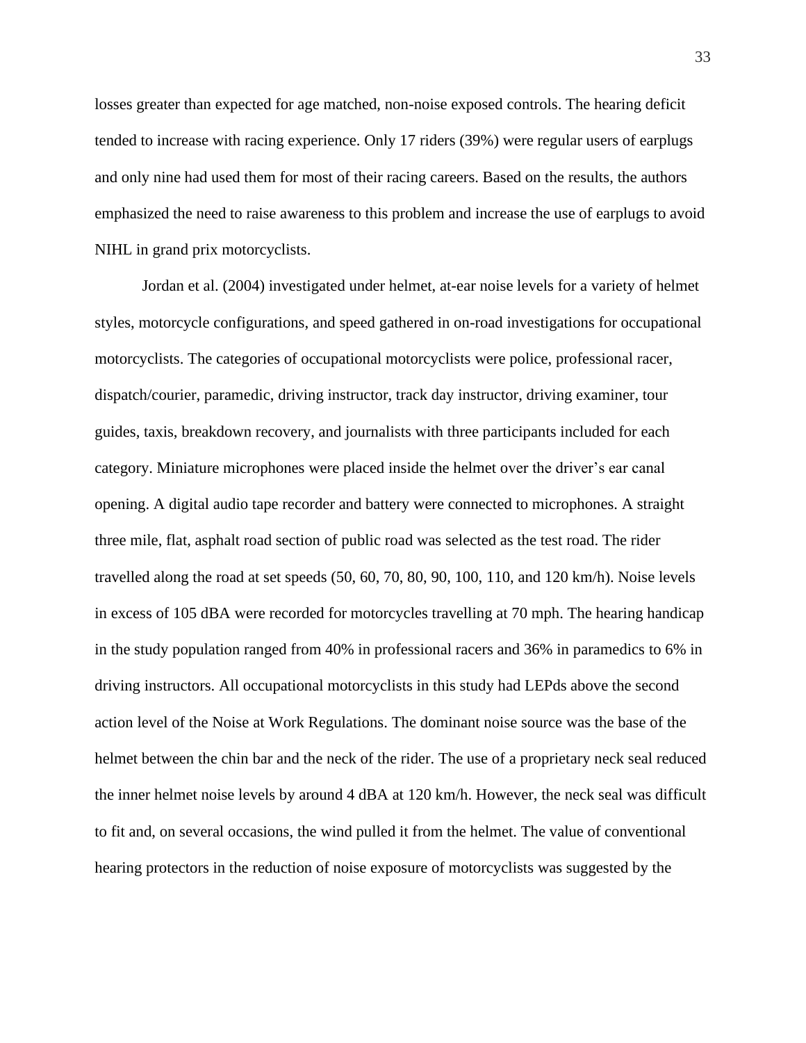losses greater than expected for age matched, non-noise exposed controls. The hearing deficit tended to increase with racing experience. Only 17 riders (39%) were regular users of earplugs and only nine had used them for most of their racing careers. Based on the results, the authors emphasized the need to raise awareness to this problem and increase the use of earplugs to avoid NIHL in grand prix motorcyclists.

Jordan et al. (2004) investigated under helmet, at-ear noise levels for a variety of helmet styles, motorcycle configurations, and speed gathered in on-road investigations for occupational motorcyclists. The categories of occupational motorcyclists were police, professional racer, dispatch/courier, paramedic, driving instructor, track day instructor, driving examiner, tour guides, taxis, breakdown recovery, and journalists with three participants included for each category. Miniature microphones were placed inside the helmet over the driver's ear canal opening. A digital audio tape recorder and battery were connected to microphones. A straight three mile, flat, asphalt road section of public road was selected as the test road. The rider travelled along the road at set speeds (50, 60, 70, 80, 90, 100, 110, and 120 km/h). Noise levels in excess of 105 dBA were recorded for motorcycles travelling at 70 mph. The hearing handicap in the study population ranged from 40% in professional racers and 36% in paramedics to 6% in driving instructors. All occupational motorcyclists in this study had LEPds above the second action level of the Noise at Work Regulations. The dominant noise source was the base of the helmet between the chin bar and the neck of the rider. The use of a proprietary neck seal reduced the inner helmet noise levels by around 4 dBA at 120 km/h. However, the neck seal was difficult to fit and, on several occasions, the wind pulled it from the helmet. The value of conventional hearing protectors in the reduction of noise exposure of motorcyclists was suggested by the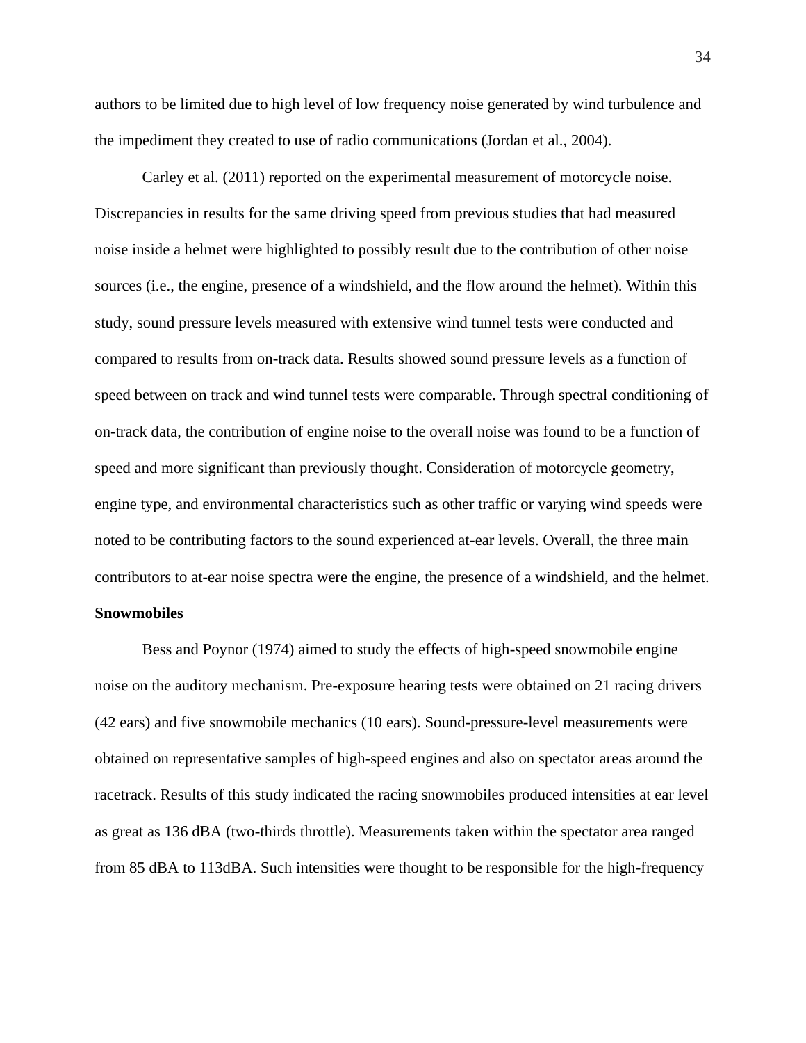authors to be limited due to high level of low frequency noise generated by wind turbulence and the impediment they created to use of radio communications (Jordan et al., 2004).

Carley et al. (2011) reported on the experimental measurement of motorcycle noise. Discrepancies in results for the same driving speed from previous studies that had measured noise inside a helmet were highlighted to possibly result due to the contribution of other noise sources (i.e., the engine, presence of a windshield, and the flow around the helmet). Within this study, sound pressure levels measured with extensive wind tunnel tests were conducted and compared to results from on-track data. Results showed sound pressure levels as a function of speed between on track and wind tunnel tests were comparable. Through spectral conditioning of on-track data, the contribution of engine noise to the overall noise was found to be a function of speed and more significant than previously thought. Consideration of motorcycle geometry, engine type, and environmental characteristics such as other traffic or varying wind speeds were noted to be contributing factors to the sound experienced at-ear levels. Overall, the three main contributors to at-ear noise spectra were the engine, the presence of a windshield, and the helmet.

## **Snowmobiles**

Bess and Poynor (1974) aimed to study the effects of high-speed snowmobile engine noise on the auditory mechanism. Pre-exposure hearing tests were obtained on 21 racing drivers (42 ears) and five snowmobile mechanics (10 ears). Sound-pressure-level measurements were obtained on representative samples of high-speed engines and also on spectator areas around the racetrack. Results of this study indicated the racing snowmobiles produced intensities at ear level as great as 136 dBA (two-thirds throttle). Measurements taken within the spectator area ranged from 85 dBA to 113dBA. Such intensities were thought to be responsible for the high-frequency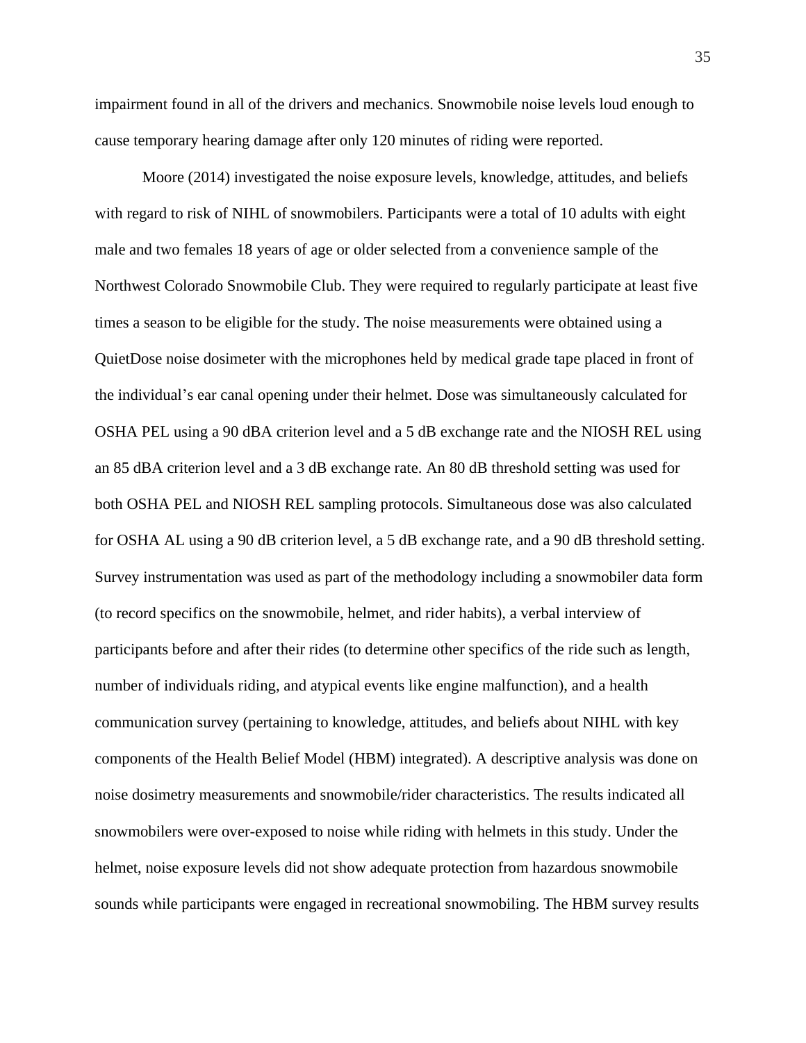impairment found in all of the drivers and mechanics. Snowmobile noise levels loud enough to cause temporary hearing damage after only 120 minutes of riding were reported.

Moore (2014) investigated the noise exposure levels, knowledge, attitudes, and beliefs with regard to risk of NIHL of snowmobilers. Participants were a total of 10 adults with eight male and two females 18 years of age or older selected from a convenience sample of the Northwest Colorado Snowmobile Club. They were required to regularly participate at least five times a season to be eligible for the study. The noise measurements were obtained using a QuietDose noise dosimeter with the microphones held by medical grade tape placed in front of the individual's ear canal opening under their helmet. Dose was simultaneously calculated for OSHA PEL using a 90 dBA criterion level and a 5 dB exchange rate and the NIOSH REL using an 85 dBA criterion level and a 3 dB exchange rate. An 80 dB threshold setting was used for both OSHA PEL and NIOSH REL sampling protocols. Simultaneous dose was also calculated for OSHA AL using a 90 dB criterion level, a 5 dB exchange rate, and a 90 dB threshold setting. Survey instrumentation was used as part of the methodology including a snowmobiler data form (to record specifics on the snowmobile, helmet, and rider habits), a verbal interview of participants before and after their rides (to determine other specifics of the ride such as length, number of individuals riding, and atypical events like engine malfunction), and a health communication survey (pertaining to knowledge, attitudes, and beliefs about NIHL with key components of the Health Belief Model (HBM) integrated). A descriptive analysis was done on noise dosimetry measurements and snowmobile/rider characteristics. The results indicated all snowmobilers were over-exposed to noise while riding with helmets in this study. Under the helmet, noise exposure levels did not show adequate protection from hazardous snowmobile sounds while participants were engaged in recreational snowmobiling. The HBM survey results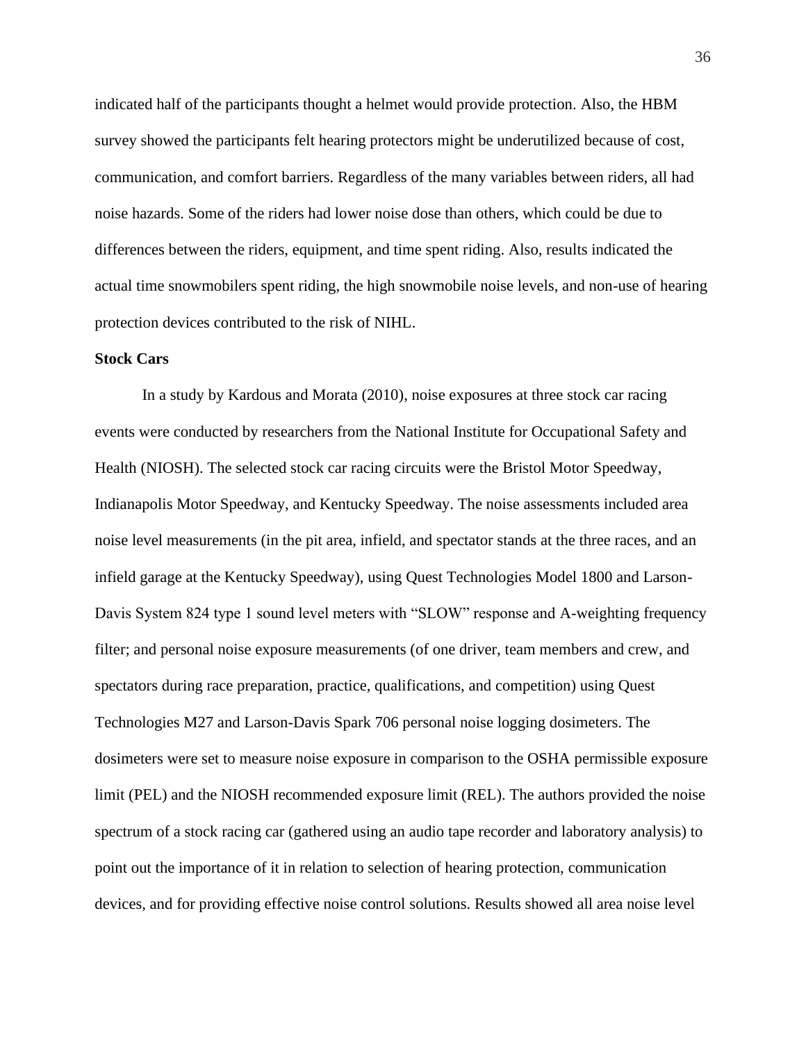indicated half of the participants thought a helmet would provide protection. Also, the HBM survey showed the participants felt hearing protectors might be underutilized because of cost, communication, and comfort barriers. Regardless of the many variables between riders, all had noise hazards. Some of the riders had lower noise dose than others, which could be due to differences between the riders, equipment, and time spent riding. Also, results indicated the actual time snowmobilers spent riding, the high snowmobile noise levels, and non-use of hearing protection devices contributed to the risk of NIHL.

## **Stock Cars**

In a study by Kardous and Morata (2010), noise exposures at three stock car racing events were conducted by researchers from the National Institute for Occupational Safety and Health (NIOSH). The selected stock car racing circuits were the Bristol Motor Speedway, Indianapolis Motor Speedway, and Kentucky Speedway. The noise assessments included area noise level measurements (in the pit area, infield, and spectator stands at the three races, and an infield garage at the Kentucky Speedway), using Quest Technologies Model 1800 and Larson-Davis System 824 type 1 sound level meters with "SLOW" response and A-weighting frequency filter; and personal noise exposure measurements (of one driver, team members and crew, and spectators during race preparation, practice, qualifications, and competition) using Quest Technologies M27 and Larson-Davis Spark 706 personal noise logging dosimeters. The dosimeters were set to measure noise exposure in comparison to the OSHA permissible exposure limit (PEL) and the NIOSH recommended exposure limit (REL). The authors provided the noise spectrum of a stock racing car (gathered using an audio tape recorder and laboratory analysis) to point out the importance of it in relation to selection of hearing protection, communication devices, and for providing effective noise control solutions. Results showed all area noise level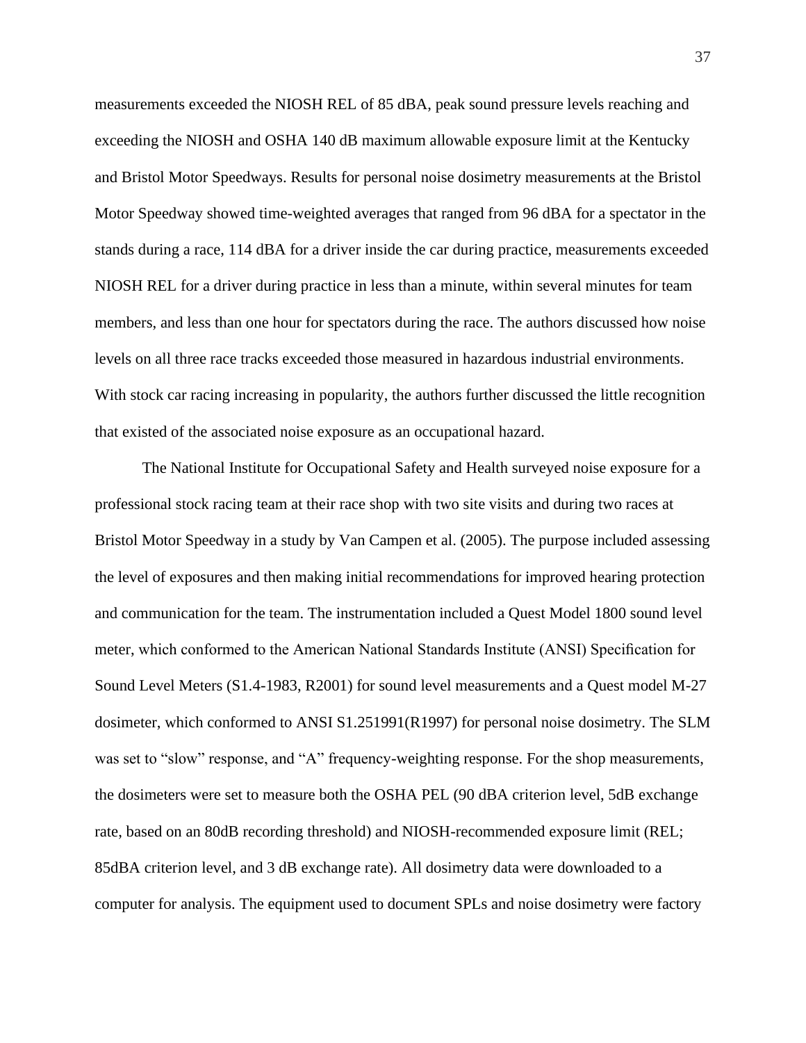measurements exceeded the NIOSH REL of 85 dBA, peak sound pressure levels reaching and exceeding the NIOSH and OSHA 140 dB maximum allowable exposure limit at the Kentucky and Bristol Motor Speedways. Results for personal noise dosimetry measurements at the Bristol Motor Speedway showed time-weighted averages that ranged from 96 dBA for a spectator in the stands during a race, 114 dBA for a driver inside the car during practice, measurements exceeded NIOSH REL for a driver during practice in less than a minute, within several minutes for team members, and less than one hour for spectators during the race. The authors discussed how noise levels on all three race tracks exceeded those measured in hazardous industrial environments. With stock car racing increasing in popularity, the authors further discussed the little recognition that existed of the associated noise exposure as an occupational hazard.

The National Institute for Occupational Safety and Health surveyed noise exposure for a professional stock racing team at their race shop with two site visits and during two races at Bristol Motor Speedway in a study by Van Campen et al. (2005). The purpose included assessing the level of exposures and then making initial recommendations for improved hearing protection and communication for the team. The instrumentation included a Quest Model 1800 sound level meter, which conformed to the American National Standards Institute (ANSI) Specification for Sound Level Meters (S1.4-1983, R2001) for sound level measurements and a Quest model M-27 dosimeter, which conformed to ANSI S1.251991(R1997) for personal noise dosimetry. The SLM was set to "slow" response, and "A" frequency-weighting response. For the shop measurements, the dosimeters were set to measure both the OSHA PEL (90 dBA criterion level, 5dB exchange rate, based on an 80dB recording threshold) and NIOSH-recommended exposure limit (REL; 85dBA criterion level, and 3 dB exchange rate). All dosimetry data were downloaded to a computer for analysis. The equipment used to document SPLs and noise dosimetry were factory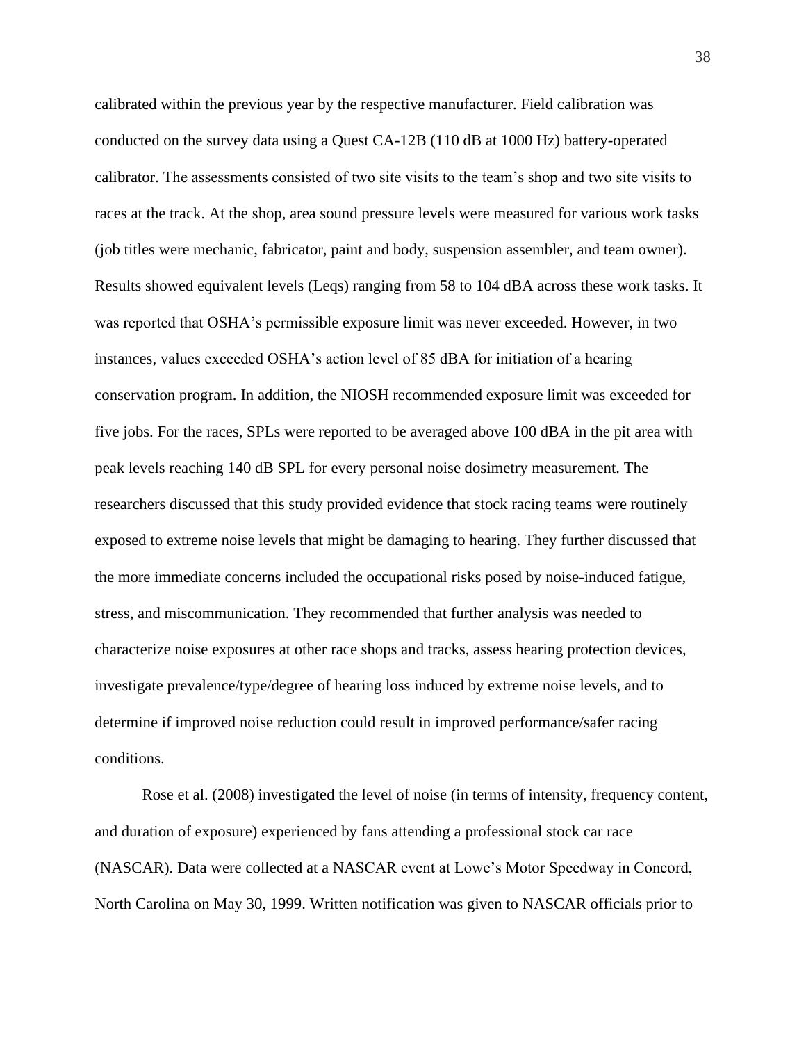calibrated within the previous year by the respective manufacturer. Field calibration was conducted on the survey data using a Quest CA-12B (110 dB at 1000 Hz) battery-operated calibrator. The assessments consisted of two site visits to the team's shop and two site visits to races at the track. At the shop, area sound pressure levels were measured for various work tasks (job titles were mechanic, fabricator, paint and body, suspension assembler, and team owner). Results showed equivalent levels (Leqs) ranging from 58 to 104 dBA across these work tasks. It was reported that OSHA's permissible exposure limit was never exceeded. However, in two instances, values exceeded OSHA's action level of 85 dBA for initiation of a hearing conservation program. In addition, the NIOSH recommended exposure limit was exceeded for five jobs. For the races, SPLs were reported to be averaged above 100 dBA in the pit area with peak levels reaching 140 dB SPL for every personal noise dosimetry measurement. The researchers discussed that this study provided evidence that stock racing teams were routinely exposed to extreme noise levels that might be damaging to hearing. They further discussed that the more immediate concerns included the occupational risks posed by noise-induced fatigue, stress, and miscommunication. They recommended that further analysis was needed to characterize noise exposures at other race shops and tracks, assess hearing protection devices, investigate prevalence/type/degree of hearing loss induced by extreme noise levels, and to determine if improved noise reduction could result in improved performance/safer racing conditions.

Rose et al. (2008) investigated the level of noise (in terms of intensity, frequency content, and duration of exposure) experienced by fans attending a professional stock car race (NASCAR). Data were collected at a NASCAR event at Lowe's Motor Speedway in Concord, North Carolina on May 30, 1999. Written notification was given to NASCAR officials prior to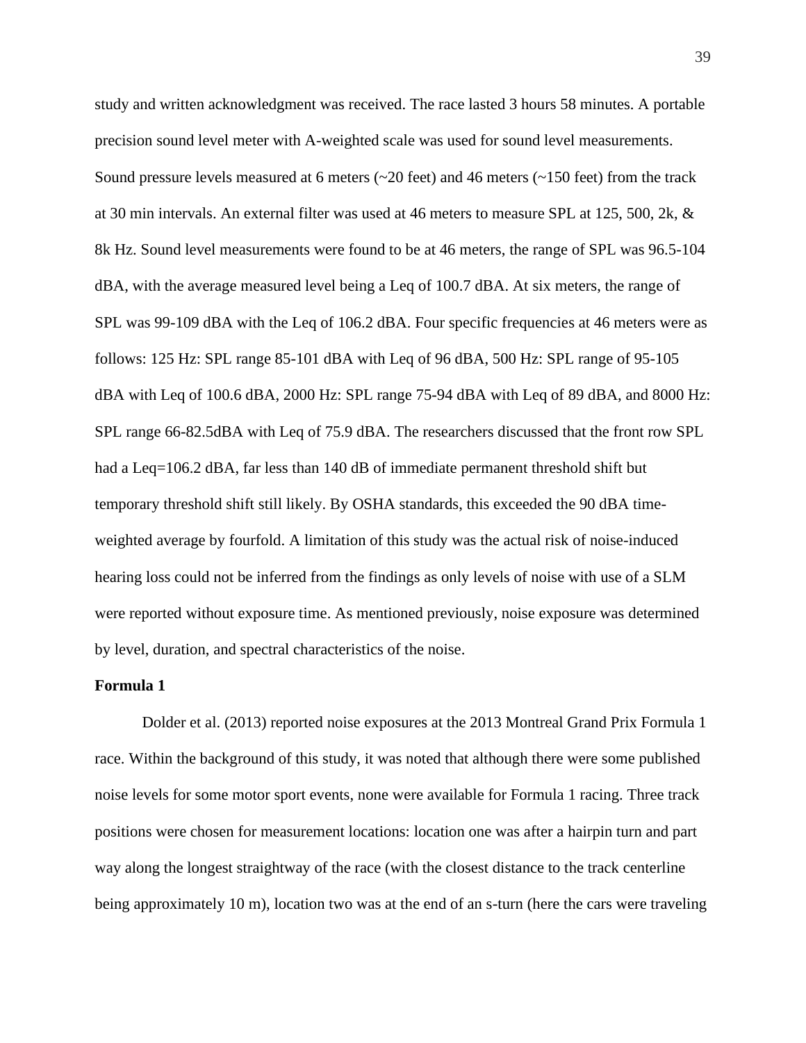study and written acknowledgment was received. The race lasted 3 hours 58 minutes. A portable precision sound level meter with A-weighted scale was used for sound level measurements. Sound pressure levels measured at 6 meters ( $\sim$ 20 feet) and 46 meters ( $\sim$ 150 feet) from the track at 30 min intervals. An external filter was used at 46 meters to measure SPL at 125, 500, 2k, & 8k Hz. Sound level measurements were found to be at 46 meters, the range of SPL was 96.5-104 dBA, with the average measured level being a Leq of 100.7 dBA. At six meters, the range of SPL was 99-109 dBA with the Leq of 106.2 dBA. Four specific frequencies at 46 meters were as follows: 125 Hz: SPL range 85-101 dBA with Leq of 96 dBA, 500 Hz: SPL range of 95-105 dBA with Leq of 100.6 dBA, 2000 Hz: SPL range 75-94 dBA with Leq of 89 dBA, and 8000 Hz: SPL range 66-82.5dBA with Leq of 75.9 dBA. The researchers discussed that the front row SPL had a Leq=106.2 dBA, far less than 140 dB of immediate permanent threshold shift but temporary threshold shift still likely. By OSHA standards, this exceeded the 90 dBA timeweighted average by fourfold. A limitation of this study was the actual risk of noise-induced hearing loss could not be inferred from the findings as only levels of noise with use of a SLM were reported without exposure time. As mentioned previously, noise exposure was determined by level, duration, and spectral characteristics of the noise.

#### **Formula 1**

Dolder et al. (2013) reported noise exposures at the 2013 Montreal Grand Prix Formula 1 race. Within the background of this study, it was noted that although there were some published noise levels for some motor sport events, none were available for Formula 1 racing. Three track positions were chosen for measurement locations: location one was after a hairpin turn and part way along the longest straightway of the race (with the closest distance to the track centerline being approximately 10 m), location two was at the end of an s-turn (here the cars were traveling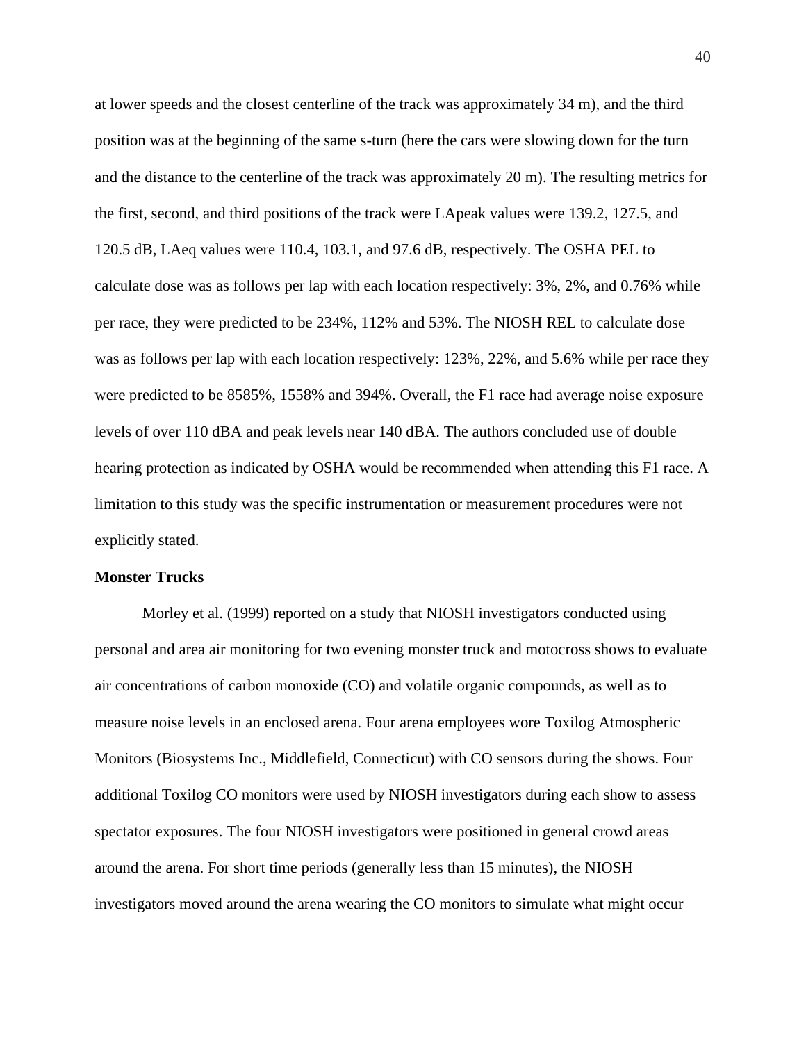at lower speeds and the closest centerline of the track was approximately 34 m), and the third position was at the beginning of the same s-turn (here the cars were slowing down for the turn and the distance to the centerline of the track was approximately 20 m). The resulting metrics for the first, second, and third positions of the track were LApeak values were 139.2, 127.5, and 120.5 dB, LAeq values were 110.4, 103.1, and 97.6 dB, respectively. The OSHA PEL to calculate dose was as follows per lap with each location respectively: 3%, 2%, and 0.76% while per race, they were predicted to be 234%, 112% and 53%. The NIOSH REL to calculate dose was as follows per lap with each location respectively: 123%, 22%, and 5.6% while per race they were predicted to be 8585%, 1558% and 394%. Overall, the F1 race had average noise exposure levels of over 110 dBA and peak levels near 140 dBA. The authors concluded use of double hearing protection as indicated by OSHA would be recommended when attending this F1 race. A limitation to this study was the specific instrumentation or measurement procedures were not explicitly stated.

#### **Monster Trucks**

Morley et al. (1999) reported on a study that NIOSH investigators conducted using personal and area air monitoring for two evening monster truck and motocross shows to evaluate air concentrations of carbon monoxide (CO) and volatile organic compounds, as well as to measure noise levels in an enclosed arena. Four arena employees wore Toxilog Atmospheric Monitors (Biosystems Inc., Middlefield, Connecticut) with CO sensors during the shows. Four additional Toxilog CO monitors were used by NIOSH investigators during each show to assess spectator exposures. The four NIOSH investigators were positioned in general crowd areas around the arena. For short time periods (generally less than 15 minutes), the NIOSH investigators moved around the arena wearing the CO monitors to simulate what might occur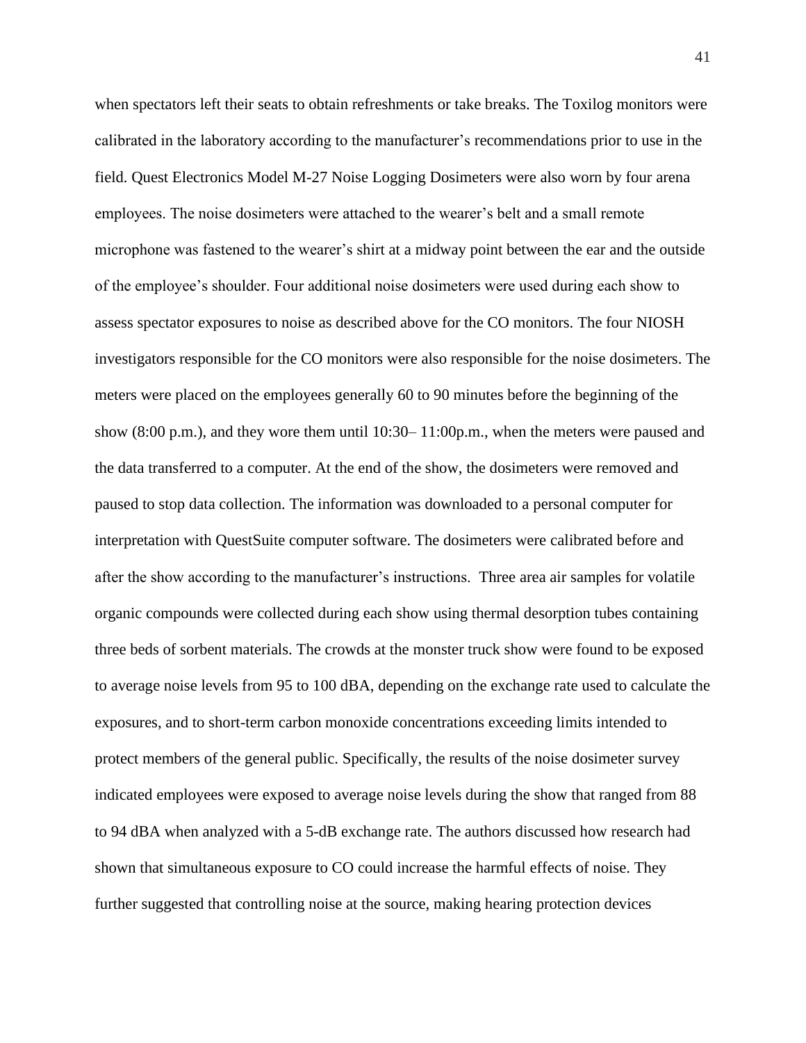when spectators left their seats to obtain refreshments or take breaks. The Toxilog monitors were calibrated in the laboratory according to the manufacturer's recommendations prior to use in the field. Quest Electronics Model M-27 Noise Logging Dosimeters were also worn by four arena employees. The noise dosimeters were attached to the wearer's belt and a small remote microphone was fastened to the wearer's shirt at a midway point between the ear and the outside of the employee's shoulder. Four additional noise dosimeters were used during each show to assess spectator exposures to noise as described above for the CO monitors. The four NIOSH investigators responsible for the CO monitors were also responsible for the noise dosimeters. The meters were placed on the employees generally 60 to 90 minutes before the beginning of the show (8:00 p.m.), and they wore them until 10:30– 11:00p.m., when the meters were paused and the data transferred to a computer. At the end of the show, the dosimeters were removed and paused to stop data collection. The information was downloaded to a personal computer for interpretation with QuestSuite computer software. The dosimeters were calibrated before and after the show according to the manufacturer's instructions. Three area air samples for volatile organic compounds were collected during each show using thermal desorption tubes containing three beds of sorbent materials. The crowds at the monster truck show were found to be exposed to average noise levels from 95 to 100 dBA, depending on the exchange rate used to calculate the exposures, and to short-term carbon monoxide concentrations exceeding limits intended to protect members of the general public. Specifically, the results of the noise dosimeter survey indicated employees were exposed to average noise levels during the show that ranged from 88 to 94 dBA when analyzed with a 5-dB exchange rate. The authors discussed how research had shown that simultaneous exposure to CO could increase the harmful effects of noise. They further suggested that controlling noise at the source, making hearing protection devices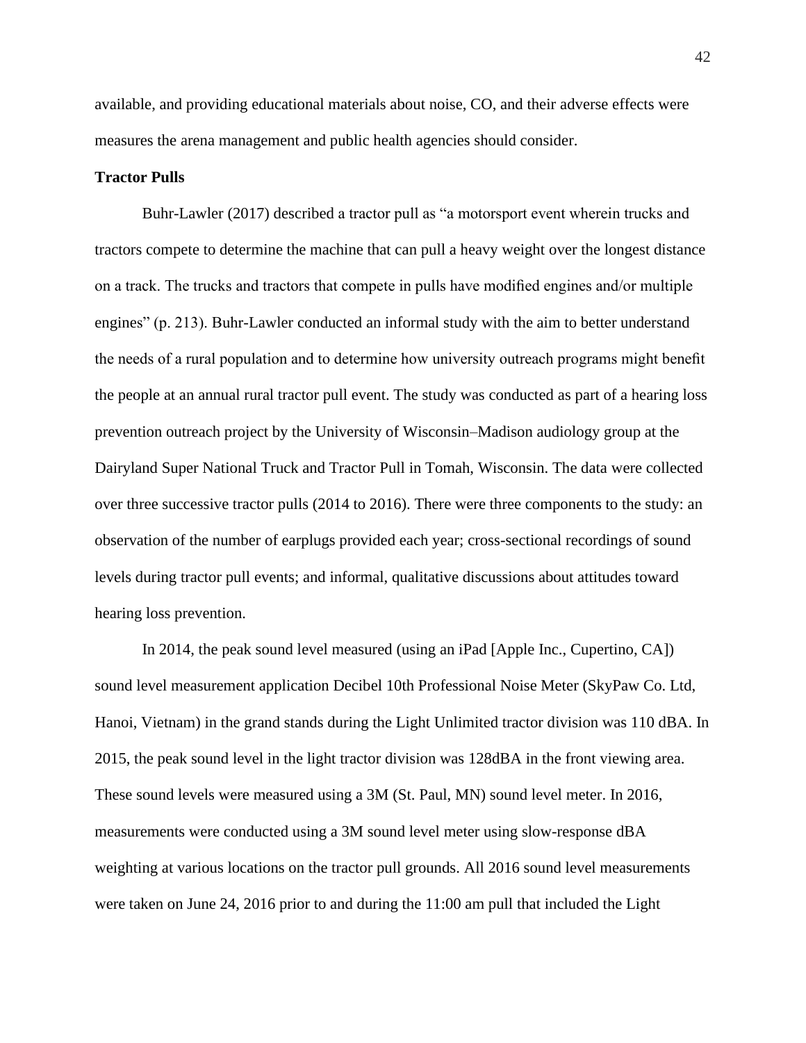available, and providing educational materials about noise, CO, and their adverse effects were measures the arena management and public health agencies should consider.

## **Tractor Pulls**

Buhr-Lawler (2017) described a tractor pull as "a motorsport event wherein trucks and tractors compete to determine the machine that can pull a heavy weight over the longest distance on a track. The trucks and tractors that compete in pulls have modified engines and/or multiple engines" (p. 213). Buhr-Lawler conducted an informal study with the aim to better understand the needs of a rural population and to determine how university outreach programs might benefit the people at an annual rural tractor pull event. The study was conducted as part of a hearing loss prevention outreach project by the University of Wisconsin–Madison audiology group at the Dairyland Super National Truck and Tractor Pull in Tomah, Wisconsin. The data were collected over three successive tractor pulls (2014 to 2016). There were three components to the study: an observation of the number of earplugs provided each year; cross-sectional recordings of sound levels during tractor pull events; and informal, qualitative discussions about attitudes toward hearing loss prevention.

In 2014, the peak sound level measured (using an iPad [Apple Inc., Cupertino, CA]) sound level measurement application Decibel 10th Professional Noise Meter (SkyPaw Co. Ltd, Hanoi, Vietnam) in the grand stands during the Light Unlimited tractor division was 110 dBA. In 2015, the peak sound level in the light tractor division was 128dBA in the front viewing area. These sound levels were measured using a 3M (St. Paul, MN) sound level meter. In 2016, measurements were conducted using a 3M sound level meter using slow-response dBA weighting at various locations on the tractor pull grounds. All 2016 sound level measurements were taken on June 24, 2016 prior to and during the 11:00 am pull that included the Light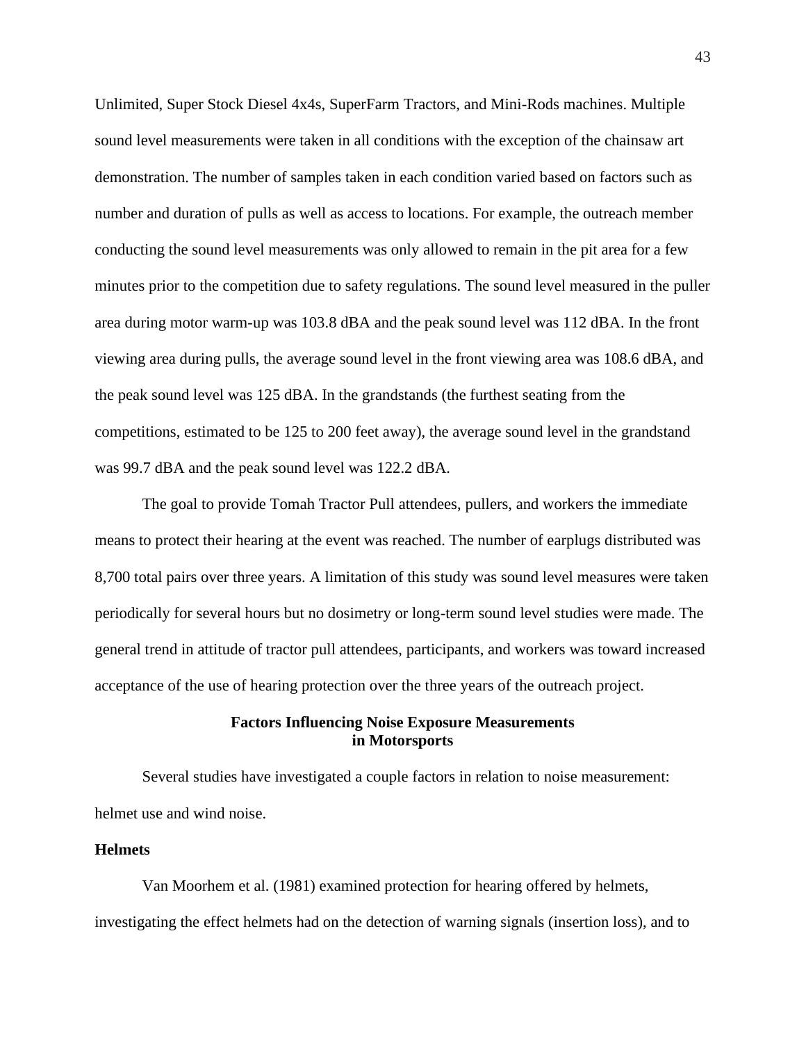Unlimited, Super Stock Diesel 4x4s, SuperFarm Tractors, and Mini-Rods machines. Multiple sound level measurements were taken in all conditions with the exception of the chainsaw art demonstration. The number of samples taken in each condition varied based on factors such as number and duration of pulls as well as access to locations. For example, the outreach member conducting the sound level measurements was only allowed to remain in the pit area for a few minutes prior to the competition due to safety regulations. The sound level measured in the puller area during motor warm-up was 103.8 dBA and the peak sound level was 112 dBA. In the front viewing area during pulls, the average sound level in the front viewing area was 108.6 dBA, and the peak sound level was 125 dBA. In the grandstands (the furthest seating from the competitions, estimated to be 125 to 200 feet away), the average sound level in the grandstand was 99.7 dBA and the peak sound level was 122.2 dBA.

The goal to provide Tomah Tractor Pull attendees, pullers, and workers the immediate means to protect their hearing at the event was reached. The number of earplugs distributed was 8,700 total pairs over three years. A limitation of this study was sound level measures were taken periodically for several hours but no dosimetry or long-term sound level studies were made. The general trend in attitude of tractor pull attendees, participants, and workers was toward increased acceptance of the use of hearing protection over the three years of the outreach project.

# **Factors Influencing Noise Exposure Measurements in Motorsports**

Several studies have investigated a couple factors in relation to noise measurement: helmet use and wind noise.

## **Helmets**

Van Moorhem et al. (1981) examined protection for hearing offered by helmets, investigating the effect helmets had on the detection of warning signals (insertion loss), and to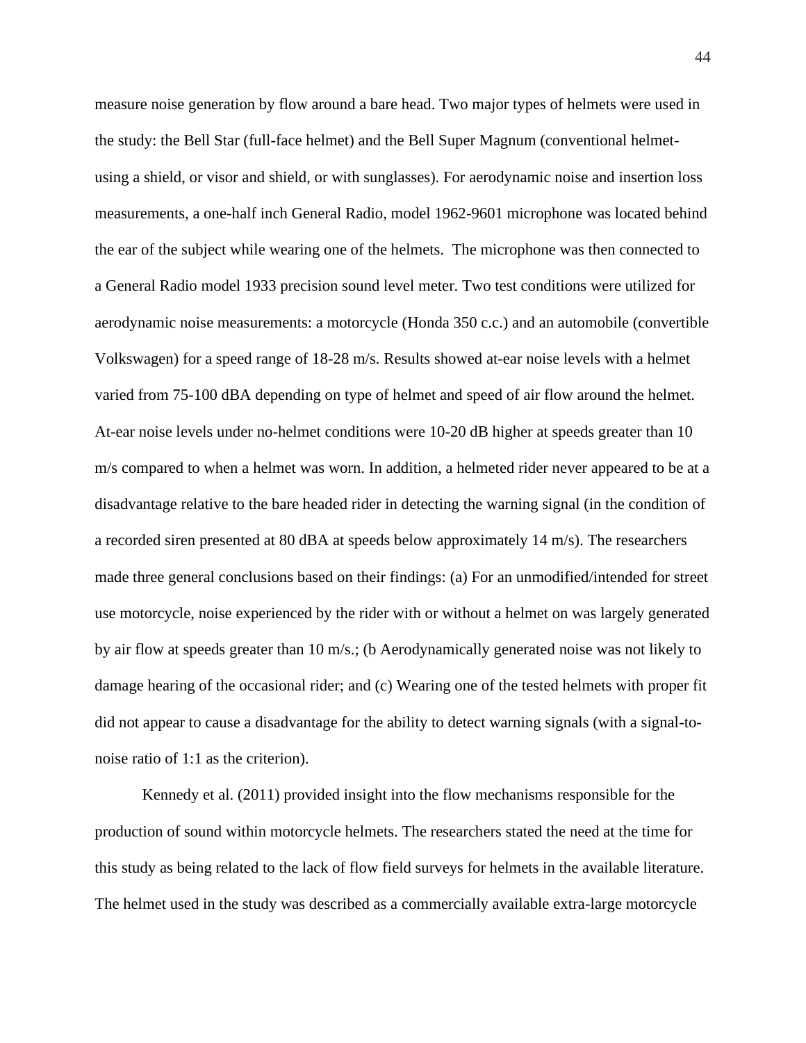measure noise generation by flow around a bare head. Two major types of helmets were used in the study: the Bell Star (full-face helmet) and the Bell Super Magnum (conventional helmetusing a shield, or visor and shield, or with sunglasses). For aerodynamic noise and insertion loss measurements, a one-half inch General Radio, model 1962-9601 microphone was located behind the ear of the subject while wearing one of the helmets. The microphone was then connected to a General Radio model 1933 precision sound level meter. Two test conditions were utilized for aerodynamic noise measurements: a motorcycle (Honda 350 c.c.) and an automobile (convertible Volkswagen) for a speed range of 18-28 m/s. Results showed at-ear noise levels with a helmet varied from 75-100 dBA depending on type of helmet and speed of air flow around the helmet. At-ear noise levels under no-helmet conditions were 10-20 dB higher at speeds greater than 10 m/s compared to when a helmet was worn. In addition, a helmeted rider never appeared to be at a disadvantage relative to the bare headed rider in detecting the warning signal (in the condition of a recorded siren presented at 80 dBA at speeds below approximately 14 m/s). The researchers made three general conclusions based on their findings: (a) For an unmodified/intended for street use motorcycle, noise experienced by the rider with or without a helmet on was largely generated by air flow at speeds greater than 10 m/s.; (b Aerodynamically generated noise was not likely to damage hearing of the occasional rider; and (c) Wearing one of the tested helmets with proper fit did not appear to cause a disadvantage for the ability to detect warning signals (with a signal-tonoise ratio of 1:1 as the criterion).

Kennedy et al. (2011) provided insight into the flow mechanisms responsible for the production of sound within motorcycle helmets. The researchers stated the need at the time for this study as being related to the lack of flow field surveys for helmets in the available literature. The helmet used in the study was described as a commercially available extra-large motorcycle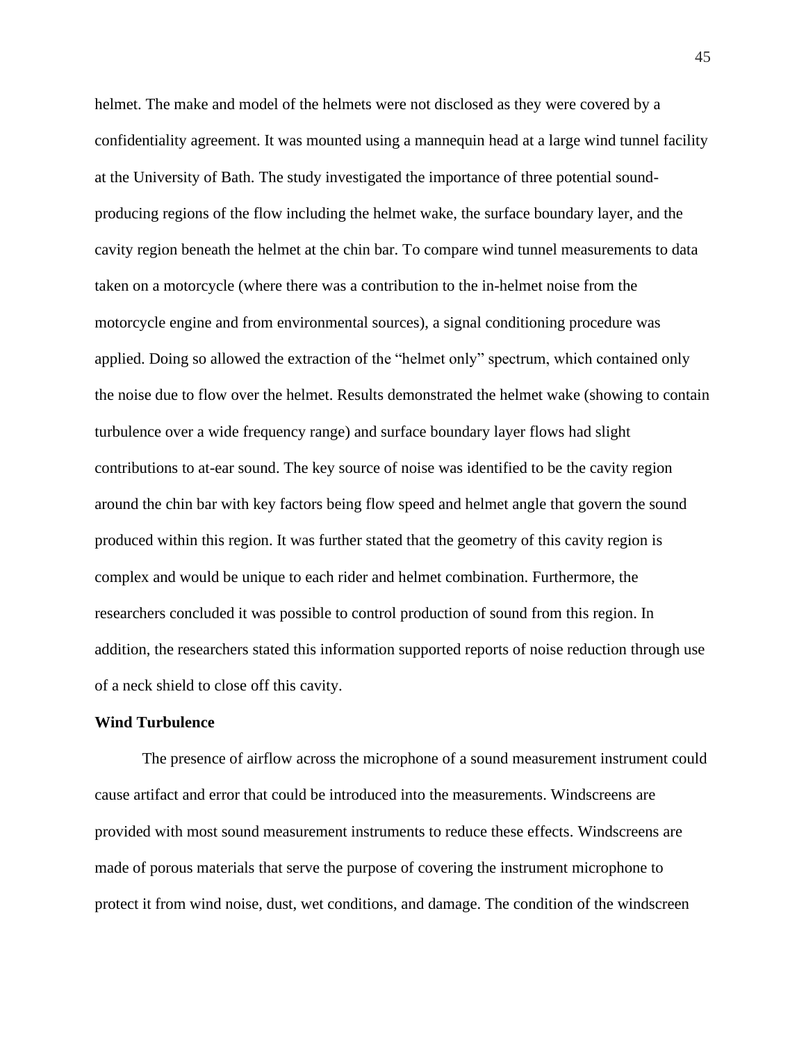helmet. The make and model of the helmets were not disclosed as they were covered by a confidentiality agreement. It was mounted using a mannequin head at a large wind tunnel facility at the University of Bath. The study investigated the importance of three potential soundproducing regions of the flow including the helmet wake, the surface boundary layer, and the cavity region beneath the helmet at the chin bar. To compare wind tunnel measurements to data taken on a motorcycle (where there was a contribution to the in-helmet noise from the motorcycle engine and from environmental sources), a signal conditioning procedure was applied. Doing so allowed the extraction of the "helmet only" spectrum, which contained only the noise due to flow over the helmet. Results demonstrated the helmet wake (showing to contain turbulence over a wide frequency range) and surface boundary layer flows had slight contributions to at-ear sound. The key source of noise was identified to be the cavity region around the chin bar with key factors being flow speed and helmet angle that govern the sound produced within this region. It was further stated that the geometry of this cavity region is complex and would be unique to each rider and helmet combination. Furthermore, the researchers concluded it was possible to control production of sound from this region. In addition, the researchers stated this information supported reports of noise reduction through use of a neck shield to close off this cavity.

## **Wind Turbulence**

The presence of airflow across the microphone of a sound measurement instrument could cause artifact and error that could be introduced into the measurements. Windscreens are provided with most sound measurement instruments to reduce these effects. Windscreens are made of porous materials that serve the purpose of covering the instrument microphone to protect it from wind noise, dust, wet conditions, and damage. The condition of the windscreen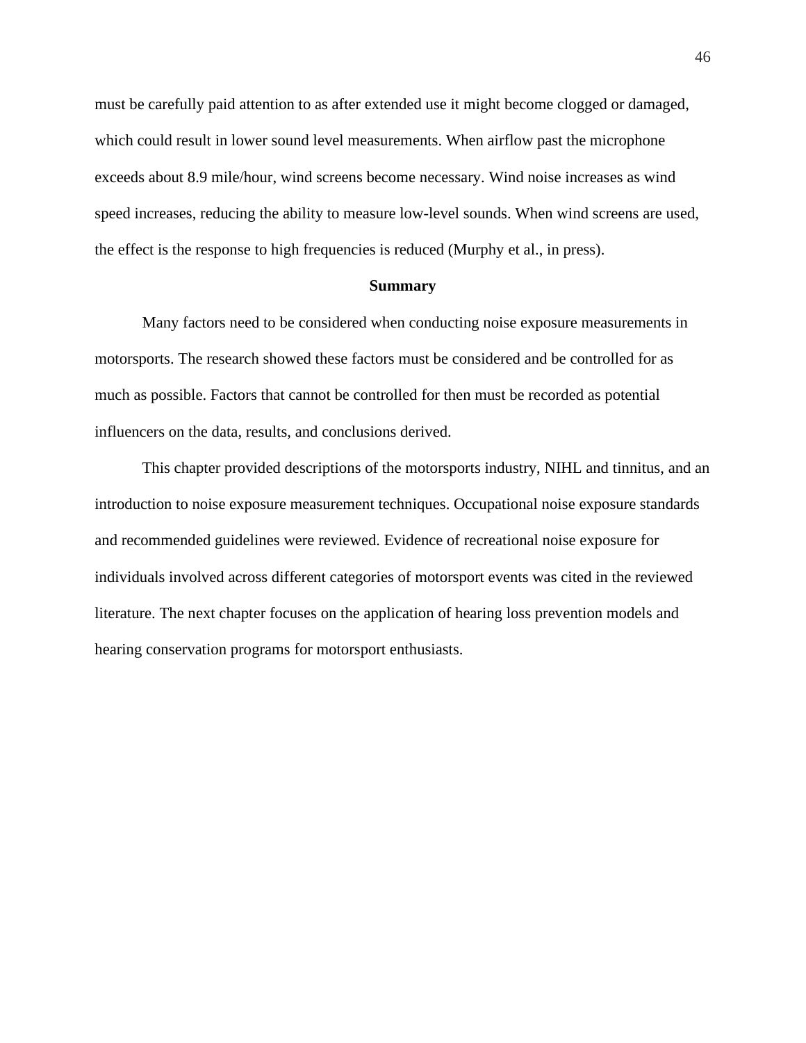must be carefully paid attention to as after extended use it might become clogged or damaged, which could result in lower sound level measurements. When airflow past the microphone exceeds about 8.9 mile/hour, wind screens become necessary. Wind noise increases as wind speed increases, reducing the ability to measure low-level sounds. When wind screens are used, the effect is the response to high frequencies is reduced (Murphy et al., in press).

## **Summary**

Many factors need to be considered when conducting noise exposure measurements in motorsports. The research showed these factors must be considered and be controlled for as much as possible. Factors that cannot be controlled for then must be recorded as potential influencers on the data, results, and conclusions derived.

This chapter provided descriptions of the motorsports industry, NIHL and tinnitus, and an introduction to noise exposure measurement techniques. Occupational noise exposure standards and recommended guidelines were reviewed. Evidence of recreational noise exposure for individuals involved across different categories of motorsport events was cited in the reviewed literature. The next chapter focuses on the application of hearing loss prevention models and hearing conservation programs for motorsport enthusiasts.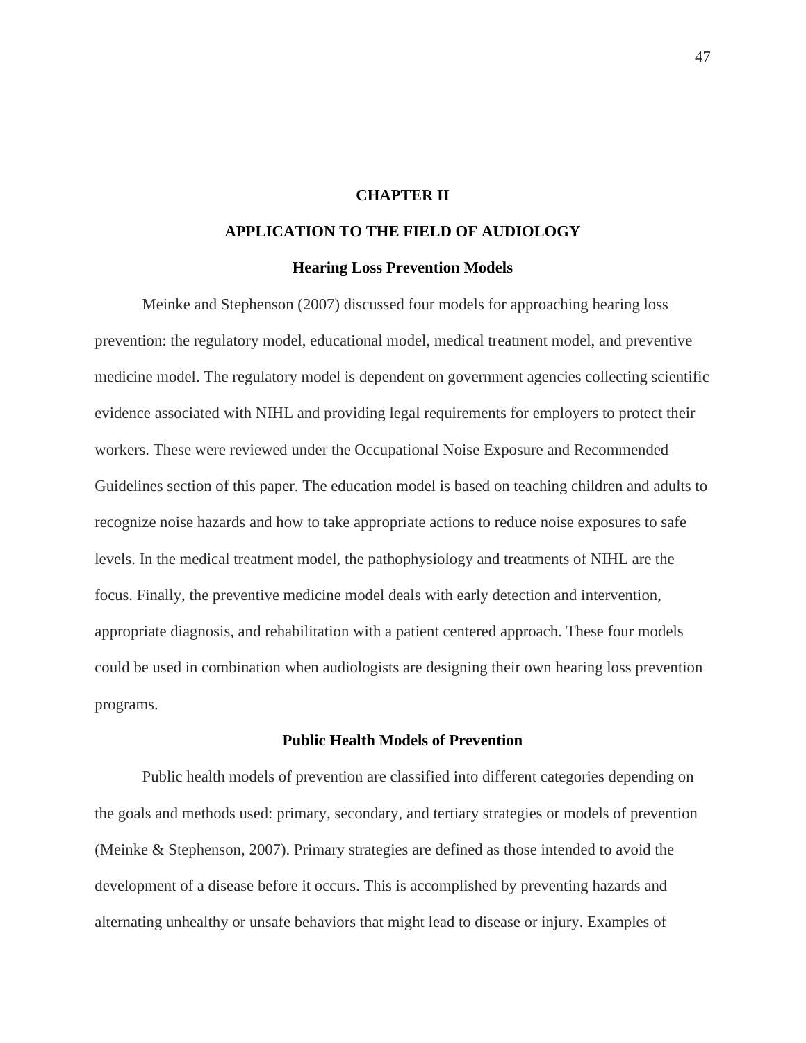# **CHAPTER II**

# **APPLICATION TO THE FIELD OF AUDIOLOGY**

### **Hearing Loss Prevention Models**

Meinke and Stephenson (2007) discussed four models for approaching hearing loss prevention: the regulatory model, educational model, medical treatment model, and preventive medicine model. The regulatory model is dependent on government agencies collecting scientific evidence associated with NIHL and providing legal requirements for employers to protect their workers. These were reviewed under the Occupational Noise Exposure and Recommended Guidelines section of this paper. The education model is based on teaching children and adults to recognize noise hazards and how to take appropriate actions to reduce noise exposures to safe levels. In the medical treatment model, the pathophysiology and treatments of NIHL are the focus. Finally, the preventive medicine model deals with early detection and intervention, appropriate diagnosis, and rehabilitation with a patient centered approach. These four models could be used in combination when audiologists are designing their own hearing loss prevention programs.

### **Public Health Models of Prevention**

Public health models of prevention are classified into different categories depending on the goals and methods used: primary, secondary, and tertiary strategies or models of prevention (Meinke & Stephenson, 2007). Primary strategies are defined as those intended to avoid the development of a disease before it occurs. This is accomplished by preventing hazards and alternating unhealthy or unsafe behaviors that might lead to disease or injury. Examples of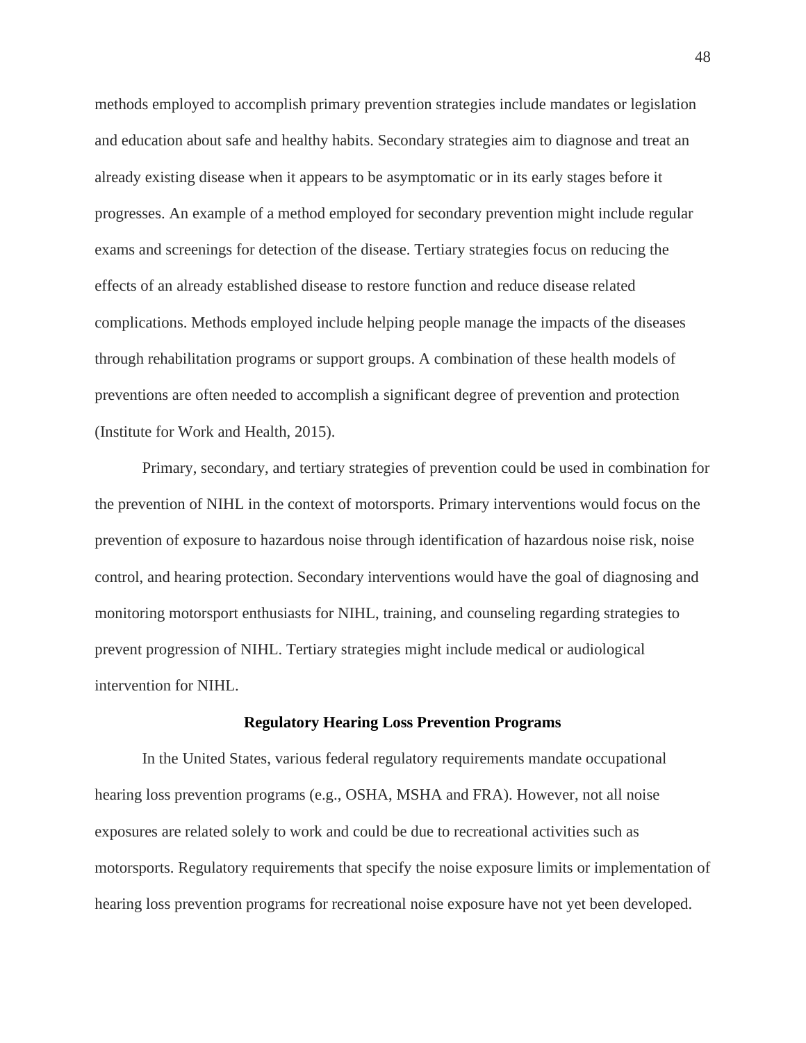methods employed to accomplish primary prevention strategies include mandates or legislation and education about safe and healthy habits. Secondary strategies aim to diagnose and treat an already existing disease when it appears to be asymptomatic or in its early stages before it progresses. An example of a method employed for secondary prevention might include regular exams and screenings for detection of the disease. Tertiary strategies focus on reducing the effects of an already established disease to restore function and reduce disease related complications. Methods employed include helping people manage the impacts of the diseases through rehabilitation programs or support groups. A combination of these health models of preventions are often needed to accomplish a significant degree of prevention and protection (Institute for Work and Health, 2015).

Primary, secondary, and tertiary strategies of prevention could be used in combination for the prevention of NIHL in the context of motorsports. Primary interventions would focus on the prevention of exposure to hazardous noise through identification of hazardous noise risk, noise control, and hearing protection. Secondary interventions would have the goal of diagnosing and monitoring motorsport enthusiasts for NIHL, training, and counseling regarding strategies to prevent progression of NIHL. Tertiary strategies might include medical or audiological intervention for NIHL.

#### **Regulatory Hearing Loss Prevention Programs**

In the United States, various federal regulatory requirements mandate occupational hearing loss prevention programs (e.g., OSHA, MSHA and FRA). However, not all noise exposures are related solely to work and could be due to recreational activities such as motorsports. Regulatory requirements that specify the noise exposure limits or implementation of hearing loss prevention programs for recreational noise exposure have not yet been developed.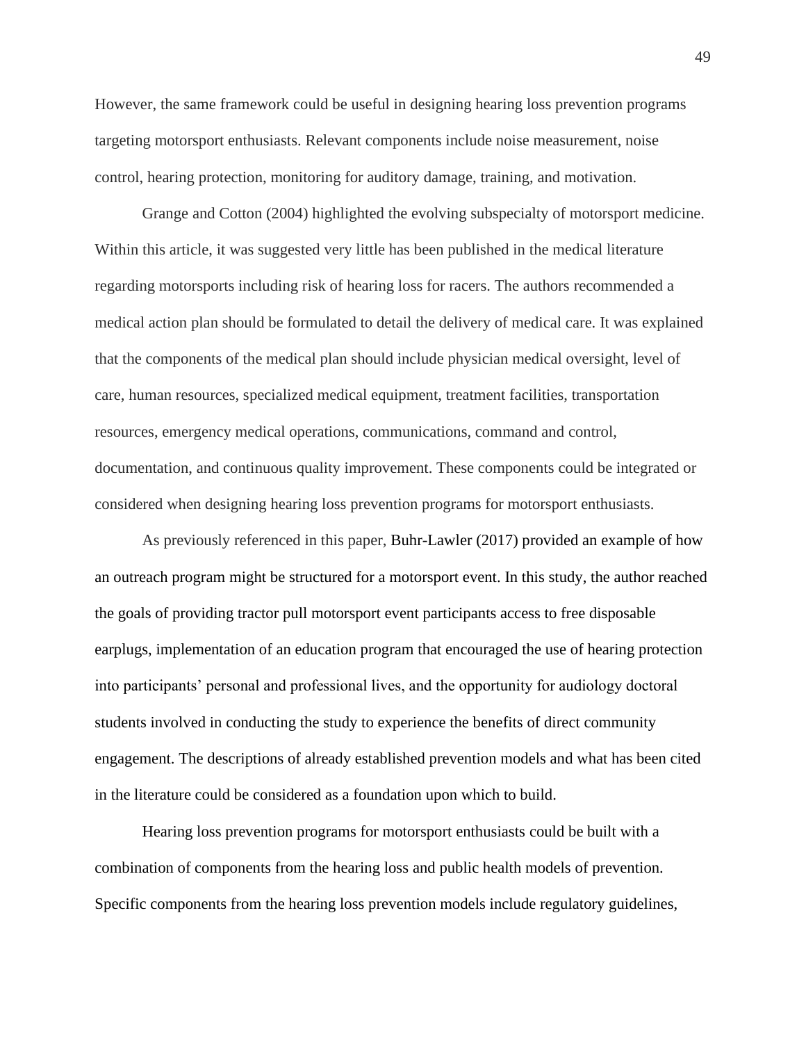However, the same framework could be useful in designing hearing loss prevention programs targeting motorsport enthusiasts. Relevant components include noise measurement, noise control, hearing protection, monitoring for auditory damage, training, and motivation.

Grange and Cotton (2004) highlighted the evolving subspecialty of motorsport medicine. Within this article, it was suggested very little has been published in the medical literature regarding motorsports including risk of hearing loss for racers. The authors recommended a medical action plan should be formulated to detail the delivery of medical care. It was explained that the components of the medical plan should include physician medical oversight, level of care, human resources, specialized medical equipment, treatment facilities, transportation resources, emergency medical operations, communications, command and control, documentation, and continuous quality improvement. These components could be integrated or considered when designing hearing loss prevention programs for motorsport enthusiasts.

As previously referenced in this paper, Buhr-Lawler (2017) provided an example of how an outreach program might be structured for a motorsport event. In this study, the author reached the goals of providing tractor pull motorsport event participants access to free disposable earplugs, implementation of an education program that encouraged the use of hearing protection into participants' personal and professional lives, and the opportunity for audiology doctoral students involved in conducting the study to experience the benefits of direct community engagement. The descriptions of already established prevention models and what has been cited in the literature could be considered as a foundation upon which to build.

Hearing loss prevention programs for motorsport enthusiasts could be built with a combination of components from the hearing loss and public health models of prevention. Specific components from the hearing loss prevention models include regulatory guidelines,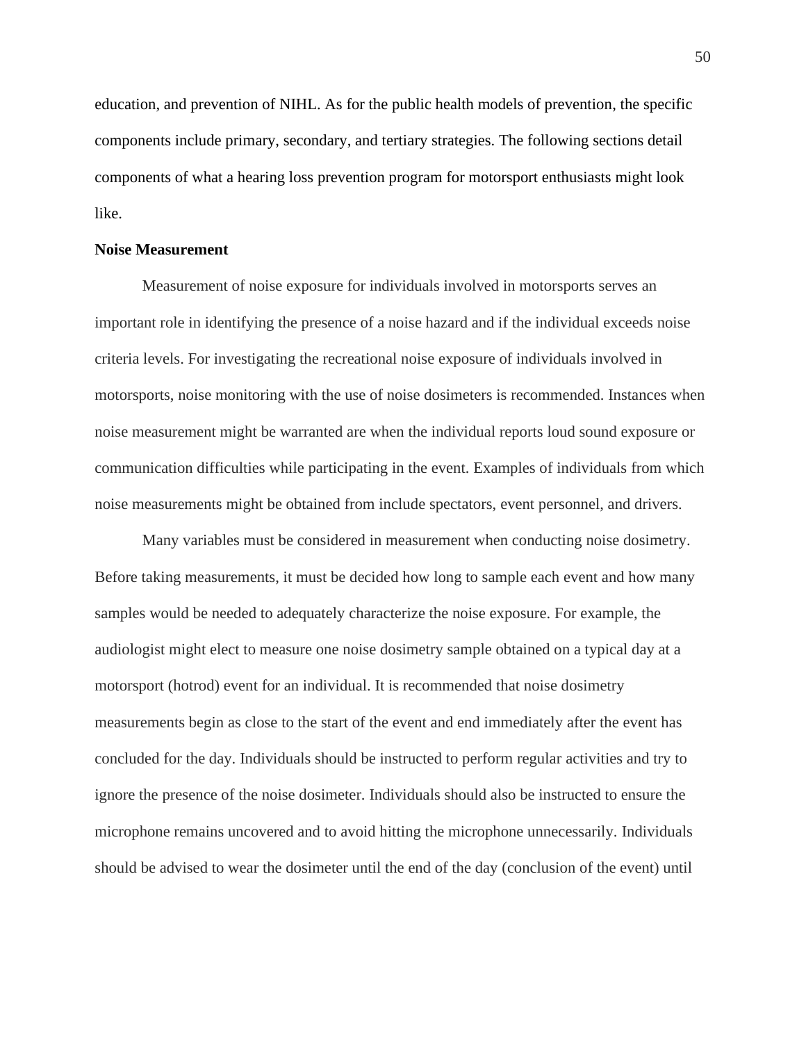education, and prevention of NIHL. As for the public health models of prevention, the specific components include primary, secondary, and tertiary strategies. The following sections detail components of what a hearing loss prevention program for motorsport enthusiasts might look like.

#### **Noise Measurement**

Measurement of noise exposure for individuals involved in motorsports serves an important role in identifying the presence of a noise hazard and if the individual exceeds noise criteria levels. For investigating the recreational noise exposure of individuals involved in motorsports, noise monitoring with the use of noise dosimeters is recommended. Instances when noise measurement might be warranted are when the individual reports loud sound exposure or communication difficulties while participating in the event. Examples of individuals from which noise measurements might be obtained from include spectators, event personnel, and drivers.

Many variables must be considered in measurement when conducting noise dosimetry. Before taking measurements, it must be decided how long to sample each event and how many samples would be needed to adequately characterize the noise exposure. For example, the audiologist might elect to measure one noise dosimetry sample obtained on a typical day at a motorsport (hotrod) event for an individual. It is recommended that noise dosimetry measurements begin as close to the start of the event and end immediately after the event has concluded for the day. Individuals should be instructed to perform regular activities and try to ignore the presence of the noise dosimeter. Individuals should also be instructed to ensure the microphone remains uncovered and to avoid hitting the microphone unnecessarily. Individuals should be advised to wear the dosimeter until the end of the day (conclusion of the event) until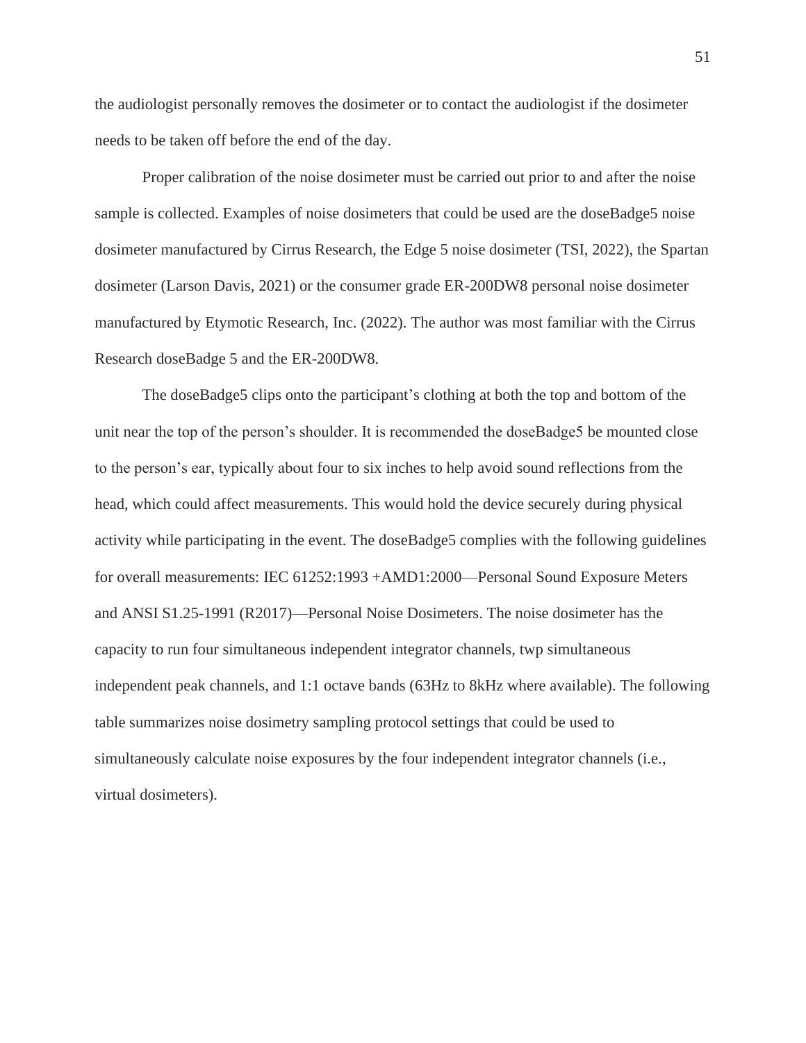the audiologist personally removes the dosimeter or to contact the audiologist if the dosimeter needs to be taken off before the end of the day.

Proper calibration of the noise dosimeter must be carried out prior to and after the noise sample is collected. Examples of noise dosimeters that could be used are the doseBadge5 noise dosimeter manufactured by Cirrus Research, the Edge 5 noise dosimeter (TSI, 2022), the Spartan dosimeter (Larson Davis, 2021) or the consumer grade ER-200DW8 personal noise dosimeter manufactured by Etymotic Research, Inc. (2022). The author was most familiar with the Cirrus Research doseBadge 5 and the ER-200DW8.

The doseBadge5 clips onto the participant's clothing at both the top and bottom of the unit near the top of the person's shoulder. It is recommended the doseBadge5 be mounted close to the person's ear, typically about four to six inches to help avoid sound reflections from the head, which could affect measurements. This would hold the device securely during physical activity while participating in the event. The doseBadge5 complies with the following guidelines for overall measurements: IEC 61252:1993 +AMD1:2000—Personal Sound Exposure Meters and ANSI S1.25-1991 (R2017)—Personal Noise Dosimeters. The noise dosimeter has the capacity to run four simultaneous independent integrator channels, twp simultaneous independent peak channels, and 1:1 octave bands (63Hz to 8kHz where available). The following table summarizes noise dosimetry sampling protocol settings that could be used to simultaneously calculate noise exposures by the four independent integrator channels (i.e., virtual dosimeters).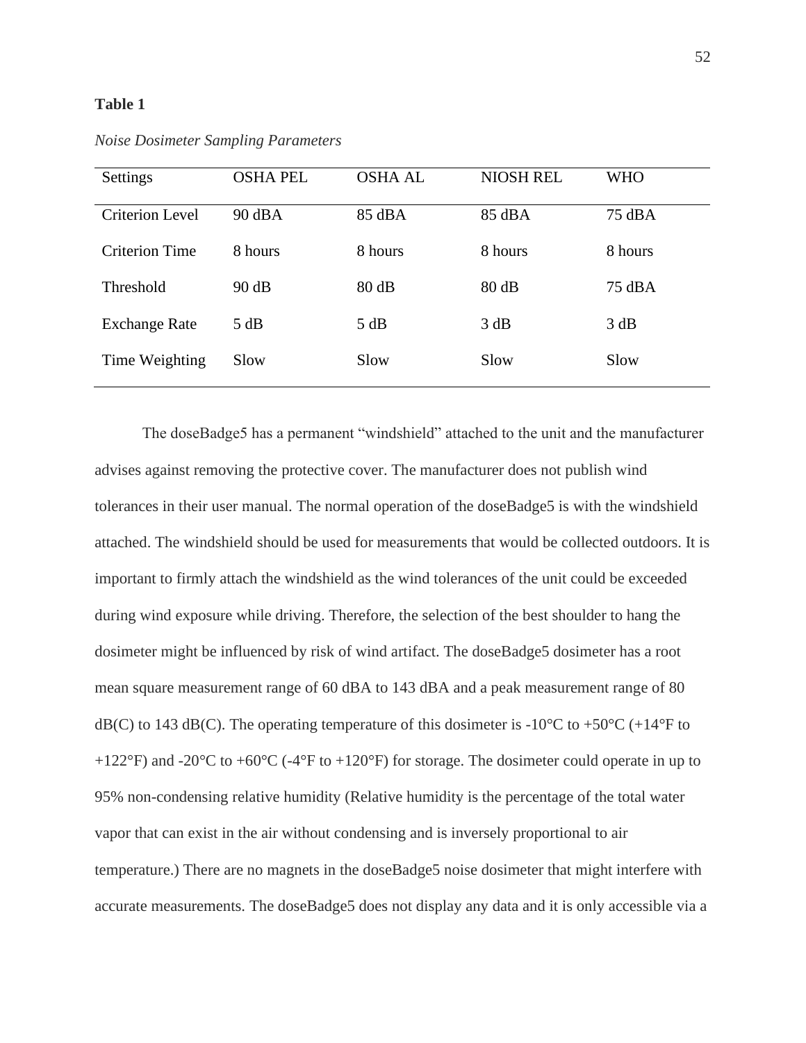## **Table 1**

| Settings               | <b>OSHA PEL</b> | <b>OSHA AL</b> | <b>NIOSH REL</b> | WHO     |
|------------------------|-----------------|----------------|------------------|---------|
| <b>Criterion Level</b> | 90 dBA          | 85 dBA         | 85 dBA           | 75 dBA  |
| <b>Criterion Time</b>  | 8 hours         | 8 hours        | 8 hours          | 8 hours |
| Threshold              | 90 dB           | 80 dB          | 80 dB            | 75 dBA  |
| <b>Exchange Rate</b>   | 5 dB            | 5 dB           | 3 dB             | 3 dB    |
| Time Weighting         | Slow            | Slow           | Slow             | Slow    |

*Noise Dosimeter Sampling Parameters*

The doseBadge5 has a permanent "windshield" attached to the unit and the manufacturer advises against removing the protective cover. The manufacturer does not publish wind tolerances in their user manual. The normal operation of the doseBadge5 is with the windshield attached. The windshield should be used for measurements that would be collected outdoors. It is important to firmly attach the windshield as the wind tolerances of the unit could be exceeded during wind exposure while driving. Therefore, the selection of the best shoulder to hang the dosimeter might be influenced by risk of wind artifact. The doseBadge5 dosimeter has a root mean square measurement range of 60 dBA to 143 dBA and a peak measurement range of 80  $dB(C)$  to 143 dB(C). The operating temperature of this dosimeter is -10<sup>o</sup>C to +50<sup>o</sup>C (+14<sup>o</sup>F to +122°F) and -20°C to +60°C (-4°F to +120°F) for storage. The dosimeter could operate in up to 95% non-condensing relative humidity (Relative humidity is the percentage of the total water vapor that can exist in the air without condensing and is inversely proportional to air temperature.) There are no magnets in the doseBadge5 noise dosimeter that might interfere with accurate measurements. The doseBadge5 does not display any data and it is only accessible via a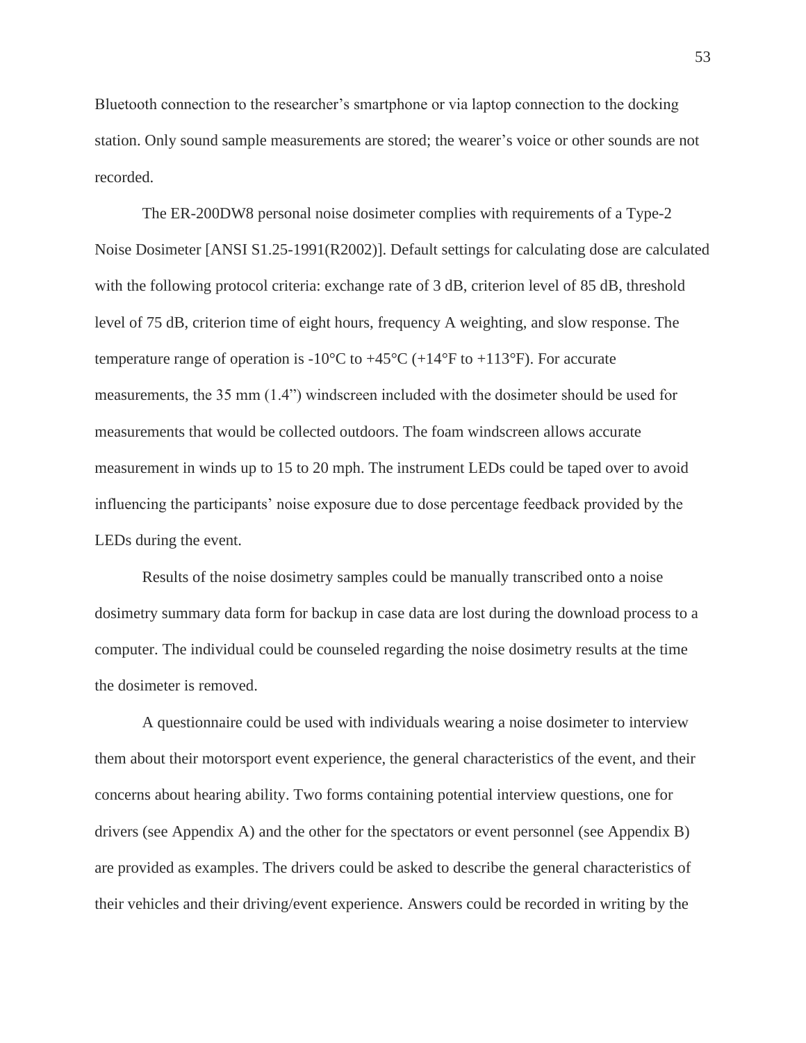Bluetooth connection to the researcher's smartphone or via laptop connection to the docking station. Only sound sample measurements are stored; the wearer's voice or other sounds are not recorded.

The ER-200DW8 personal noise dosimeter complies with requirements of a Type-2 Noise Dosimeter [ANSI S1.25-1991(R2002)]. Default settings for calculating dose are calculated with the following protocol criteria: exchange rate of 3 dB, criterion level of 85 dB, threshold level of 75 dB, criterion time of eight hours, frequency A weighting, and slow response. The temperature range of operation is  $-10^{\circ}$ C to  $+45^{\circ}$ C ( $+14^{\circ}$ F to  $+113^{\circ}$ F). For accurate measurements, the 35 mm (1.4") windscreen included with the dosimeter should be used for measurements that would be collected outdoors. The foam windscreen allows accurate measurement in winds up to 15 to 20 mph. The instrument LEDs could be taped over to avoid influencing the participants' noise exposure due to dose percentage feedback provided by the LEDs during the event.

Results of the noise dosimetry samples could be manually transcribed onto a noise dosimetry summary data form for backup in case data are lost during the download process to a computer. The individual could be counseled regarding the noise dosimetry results at the time the dosimeter is removed.

A questionnaire could be used with individuals wearing a noise dosimeter to interview them about their motorsport event experience, the general characteristics of the event, and their concerns about hearing ability. Two forms containing potential interview questions, one for drivers (see Appendix A) and the other for the spectators or event personnel (see Appendix B) are provided as examples. The drivers could be asked to describe the general characteristics of their vehicles and their driving/event experience. Answers could be recorded in writing by the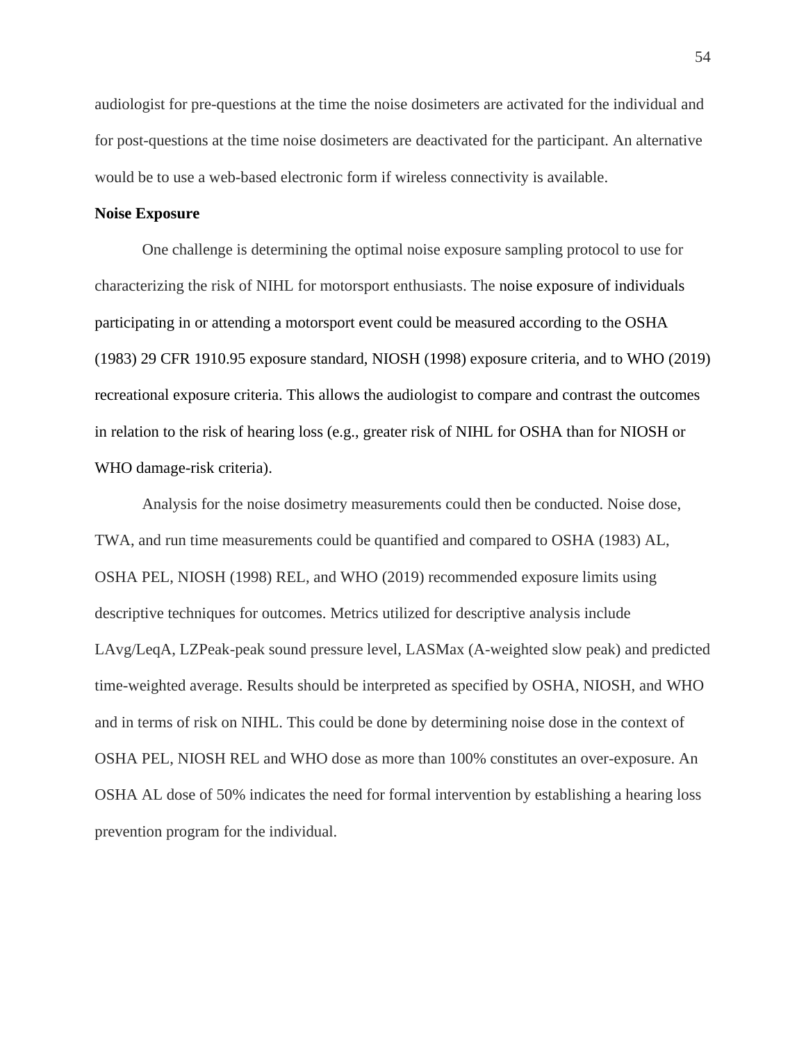audiologist for pre-questions at the time the noise dosimeters are activated for the individual and for post-questions at the time noise dosimeters are deactivated for the participant. An alternative would be to use a web-based electronic form if wireless connectivity is available.

## **Noise Exposure**

One challenge is determining the optimal noise exposure sampling protocol to use for characterizing the risk of NIHL for motorsport enthusiasts. The noise exposure of individuals participating in or attending a motorsport event could be measured according to the OSHA (1983) 29 CFR 1910.95 exposure standard, NIOSH (1998) exposure criteria, and to WHO (2019) recreational exposure criteria. This allows the audiologist to compare and contrast the outcomes in relation to the risk of hearing loss (e.g., greater risk of NIHL for OSHA than for NIOSH or WHO damage-risk criteria).

Analysis for the noise dosimetry measurements could then be conducted. Noise dose, TWA, and run time measurements could be quantified and compared to OSHA (1983) AL, OSHA PEL, NIOSH (1998) REL, and WHO (2019) recommended exposure limits using descriptive techniques for outcomes. Metrics utilized for descriptive analysis include LAvg/LeqA, LZPeak-peak sound pressure level, LASMax (A-weighted slow peak) and predicted time-weighted average. Results should be interpreted as specified by OSHA, NIOSH, and WHO and in terms of risk on NIHL. This could be done by determining noise dose in the context of OSHA PEL, NIOSH REL and WHO dose as more than 100% constitutes an over-exposure. An OSHA AL dose of 50% indicates the need for formal intervention by establishing a hearing loss prevention program for the individual.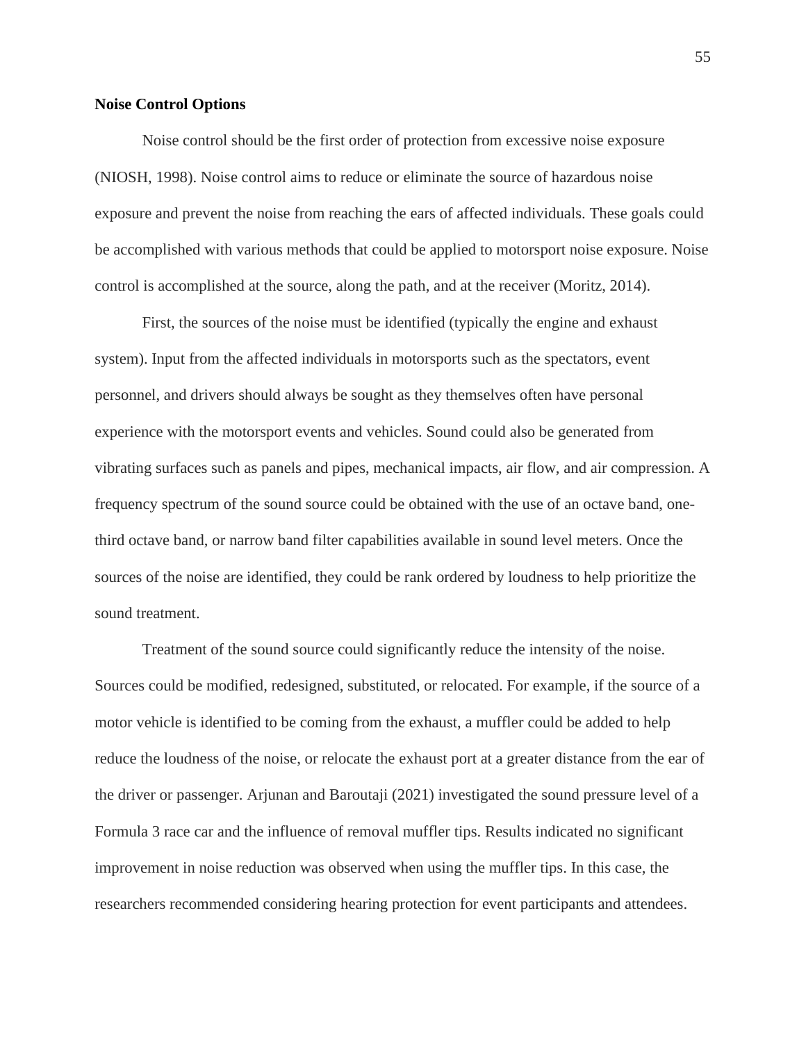#### **Noise Control Options**

Noise control should be the first order of protection from excessive noise exposure (NIOSH, 1998). Noise control aims to reduce or eliminate the source of hazardous noise exposure and prevent the noise from reaching the ears of affected individuals. These goals could be accomplished with various methods that could be applied to motorsport noise exposure. Noise control is accomplished at the source, along the path, and at the receiver (Moritz, 2014).

First, the sources of the noise must be identified (typically the engine and exhaust system). Input from the affected individuals in motorsports such as the spectators, event personnel, and drivers should always be sought as they themselves often have personal experience with the motorsport events and vehicles. Sound could also be generated from vibrating surfaces such as panels and pipes, mechanical impacts, air flow, and air compression. A frequency spectrum of the sound source could be obtained with the use of an octave band, onethird octave band, or narrow band filter capabilities available in sound level meters. Once the sources of the noise are identified, they could be rank ordered by loudness to help prioritize the sound treatment.

Treatment of the sound source could significantly reduce the intensity of the noise. Sources could be modified, redesigned, substituted, or relocated. For example, if the source of a motor vehicle is identified to be coming from the exhaust, a muffler could be added to help reduce the loudness of the noise, or relocate the exhaust port at a greater distance from the ear of the driver or passenger. Arjunan and Baroutaji (2021) investigated the sound pressure level of a Formula 3 race car and the influence of removal muffler tips. Results indicated no significant improvement in noise reduction was observed when using the muffler tips. In this case, the researchers recommended considering hearing protection for event participants and attendees.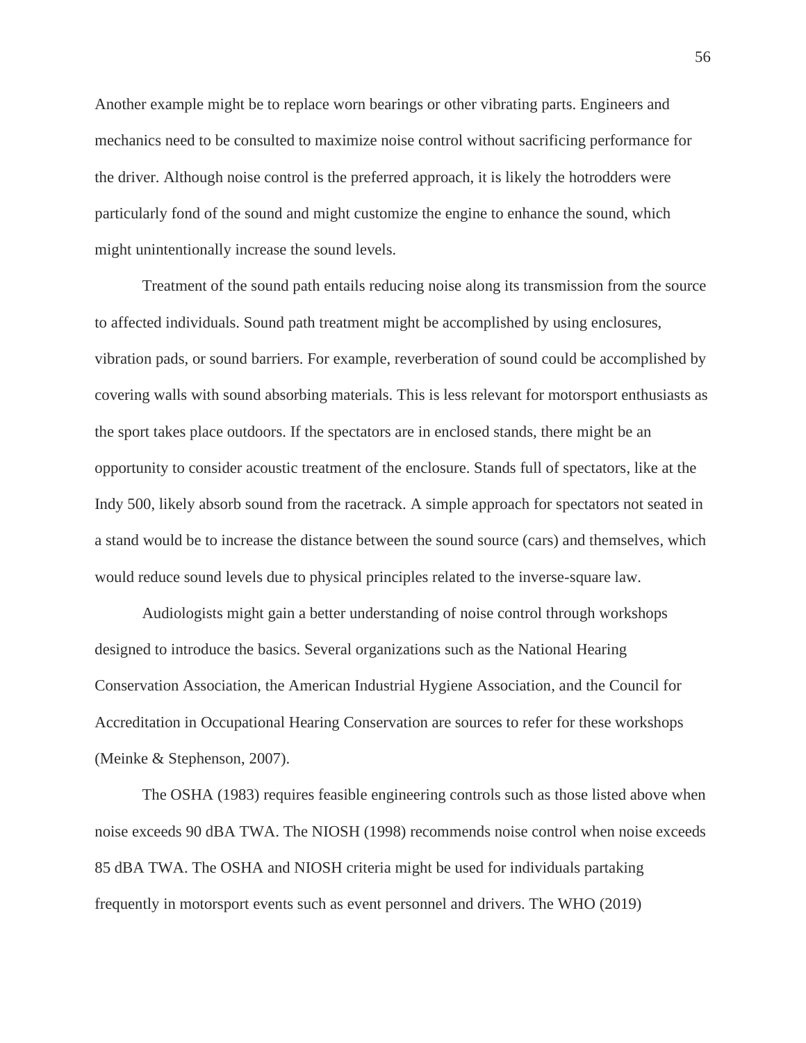Another example might be to replace worn bearings or other vibrating parts. Engineers and mechanics need to be consulted to maximize noise control without sacrificing performance for the driver. Although noise control is the preferred approach, it is likely the hotrodders were particularly fond of the sound and might customize the engine to enhance the sound, which might unintentionally increase the sound levels.

Treatment of the sound path entails reducing noise along its transmission from the source to affected individuals. Sound path treatment might be accomplished by using enclosures, vibration pads, or sound barriers. For example, reverberation of sound could be accomplished by covering walls with sound absorbing materials. This is less relevant for motorsport enthusiasts as the sport takes place outdoors. If the spectators are in enclosed stands, there might be an opportunity to consider acoustic treatment of the enclosure. Stands full of spectators, like at the Indy 500, likely absorb sound from the racetrack. A simple approach for spectators not seated in a stand would be to increase the distance between the sound source (cars) and themselves, which would reduce sound levels due to physical principles related to the inverse-square law.

Audiologists might gain a better understanding of noise control through workshops designed to introduce the basics. Several organizations such as the National Hearing Conservation Association, the American Industrial Hygiene Association, and the Council for Accreditation in Occupational Hearing Conservation are sources to refer for these workshops (Meinke & Stephenson, 2007).

The OSHA (1983) requires feasible engineering controls such as those listed above when noise exceeds 90 dBA TWA. The NIOSH (1998) recommends noise control when noise exceeds 85 dBA TWA. The OSHA and NIOSH criteria might be used for individuals partaking frequently in motorsport events such as event personnel and drivers. The WHO (2019)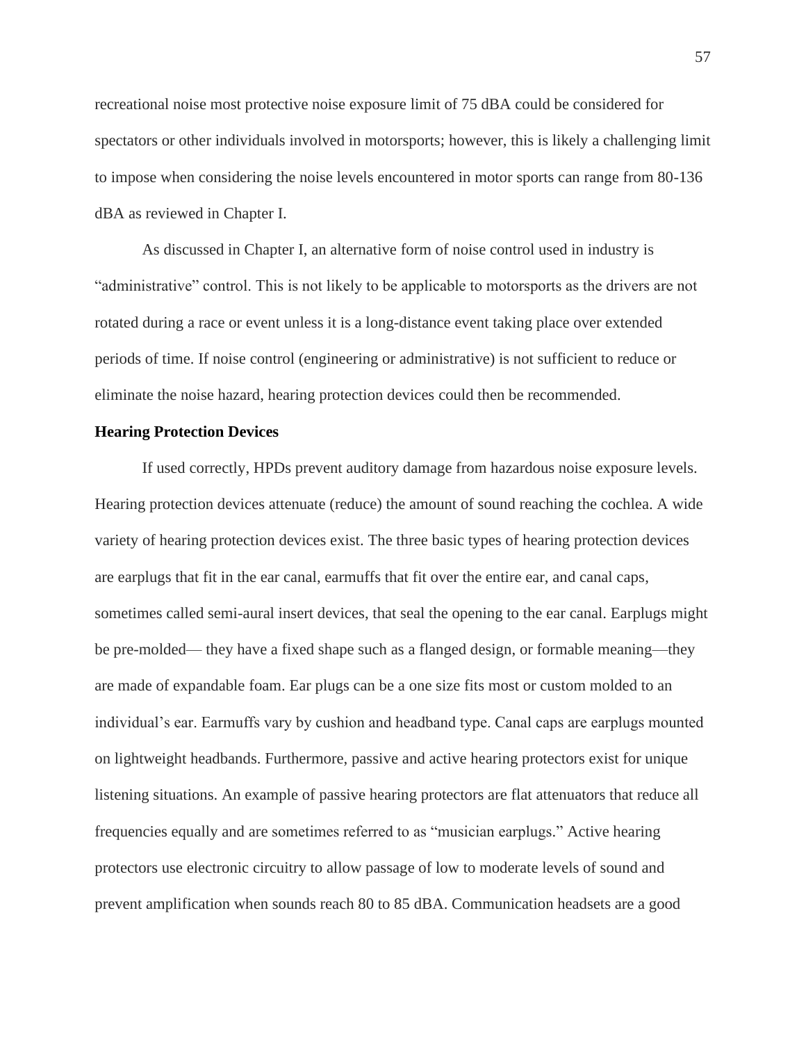recreational noise most protective noise exposure limit of 75 dBA could be considered for spectators or other individuals involved in motorsports; however, this is likely a challenging limit to impose when considering the noise levels encountered in motor sports can range from 80-136 dBA as reviewed in Chapter I.

As discussed in Chapter I, an alternative form of noise control used in industry is "administrative" control. This is not likely to be applicable to motorsports as the drivers are not rotated during a race or event unless it is a long-distance event taking place over extended periods of time. If noise control (engineering or administrative) is not sufficient to reduce or eliminate the noise hazard, hearing protection devices could then be recommended.

# **Hearing Protection Devices**

If used correctly, HPDs prevent auditory damage from hazardous noise exposure levels. Hearing protection devices attenuate (reduce) the amount of sound reaching the cochlea. A wide variety of hearing protection devices exist. The three basic types of hearing protection devices are earplugs that fit in the ear canal, earmuffs that fit over the entire ear, and canal caps, sometimes called semi-aural insert devices, that seal the opening to the ear canal. Earplugs might be pre-molded— they have a fixed shape such as a flanged design, or formable meaning—they are made of expandable foam. Ear plugs can be a one size fits most or custom molded to an individual's ear. Earmuffs vary by cushion and headband type. Canal caps are earplugs mounted on lightweight headbands. Furthermore, passive and active hearing protectors exist for unique listening situations. An example of passive hearing protectors are flat attenuators that reduce all frequencies equally and are sometimes referred to as "musician earplugs." Active hearing protectors use electronic circuitry to allow passage of low to moderate levels of sound and prevent amplification when sounds reach 80 to 85 dBA. Communication headsets are a good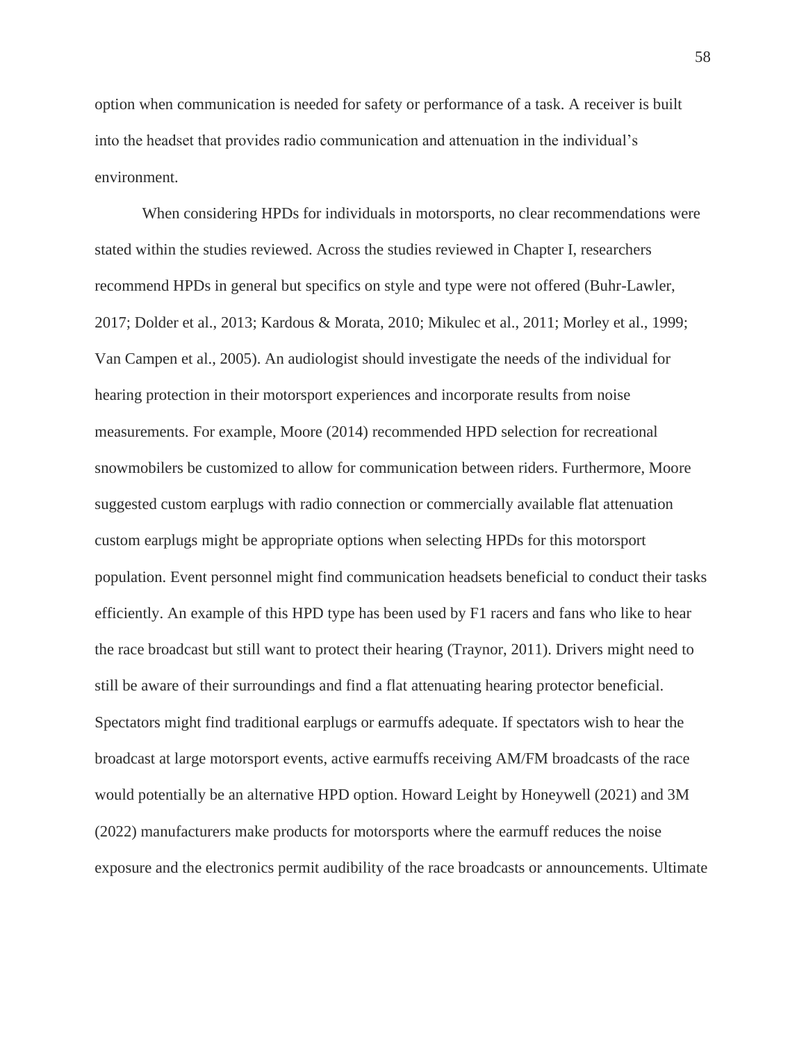option when communication is needed for safety or performance of a task. A receiver is built into the headset that provides radio communication and attenuation in the individual's environment.

When considering HPDs for individuals in motorsports, no clear recommendations were stated within the studies reviewed. Across the studies reviewed in Chapter I, researchers recommend HPDs in general but specifics on style and type were not offered (Buhr-Lawler, 2017; Dolder et al., 2013; Kardous & Morata, 2010; Mikulec et al., 2011; Morley et al., 1999; Van Campen et al., 2005). An audiologist should investigate the needs of the individual for hearing protection in their motorsport experiences and incorporate results from noise measurements. For example, Moore (2014) recommended HPD selection for recreational snowmobilers be customized to allow for communication between riders. Furthermore, Moore suggested custom earplugs with radio connection or commercially available flat attenuation custom earplugs might be appropriate options when selecting HPDs for this motorsport population. Event personnel might find communication headsets beneficial to conduct their tasks efficiently. An example of this HPD type has been used by F1 racers and fans who like to hear the race broadcast but still want to protect their hearing (Traynor, 2011). Drivers might need to still be aware of their surroundings and find a flat attenuating hearing protector beneficial. Spectators might find traditional earplugs or earmuffs adequate. If spectators wish to hear the broadcast at large motorsport events, active earmuffs receiving AM/FM broadcasts of the race would potentially be an alternative HPD option. Howard Leight by Honeywell (2021) and 3M (2022) manufacturers make products for motorsports where the earmuff reduces the noise exposure and the electronics permit audibility of the race broadcasts or announcements. Ultimate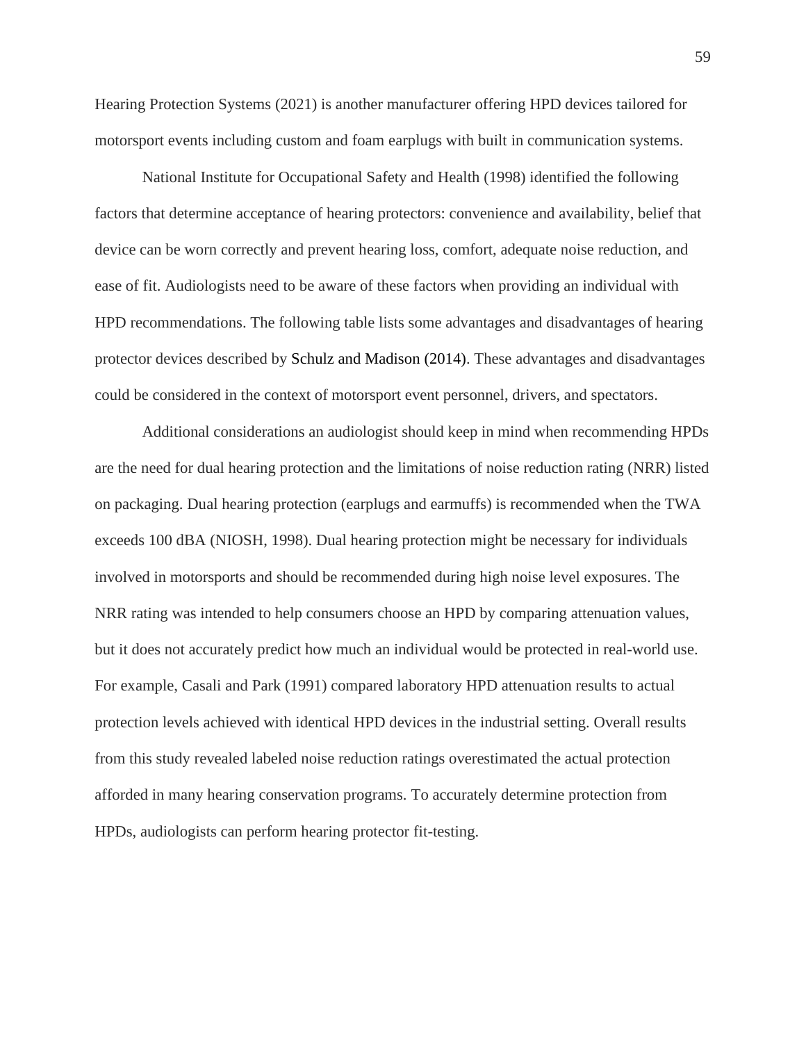Hearing Protection Systems (2021) is another manufacturer offering HPD devices tailored for motorsport events including custom and foam earplugs with built in communication systems.

National Institute for Occupational Safety and Health (1998) identified the following factors that determine acceptance of hearing protectors: convenience and availability, belief that device can be worn correctly and prevent hearing loss, comfort, adequate noise reduction, and ease of fit. Audiologists need to be aware of these factors when providing an individual with HPD recommendations. The following table lists some advantages and disadvantages of hearing protector devices described by Schulz and Madison (2014). These advantages and disadvantages could be considered in the context of motorsport event personnel, drivers, and spectators.

Additional considerations an audiologist should keep in mind when recommending HPDs are the need for dual hearing protection and the limitations of noise reduction rating (NRR) listed on packaging. Dual hearing protection (earplugs and earmuffs) is recommended when the TWA exceeds 100 dBA (NIOSH, 1998). Dual hearing protection might be necessary for individuals involved in motorsports and should be recommended during high noise level exposures. The NRR rating was intended to help consumers choose an HPD by comparing attenuation values, but it does not accurately predict how much an individual would be protected in real-world use. For example, Casali and Park (1991) compared laboratory HPD attenuation results to actual protection levels achieved with identical HPD devices in the industrial setting. Overall results from this study revealed labeled noise reduction ratings overestimated the actual protection afforded in many hearing conservation programs. To accurately determine protection from HPDs, audiologists can perform hearing protector fit-testing.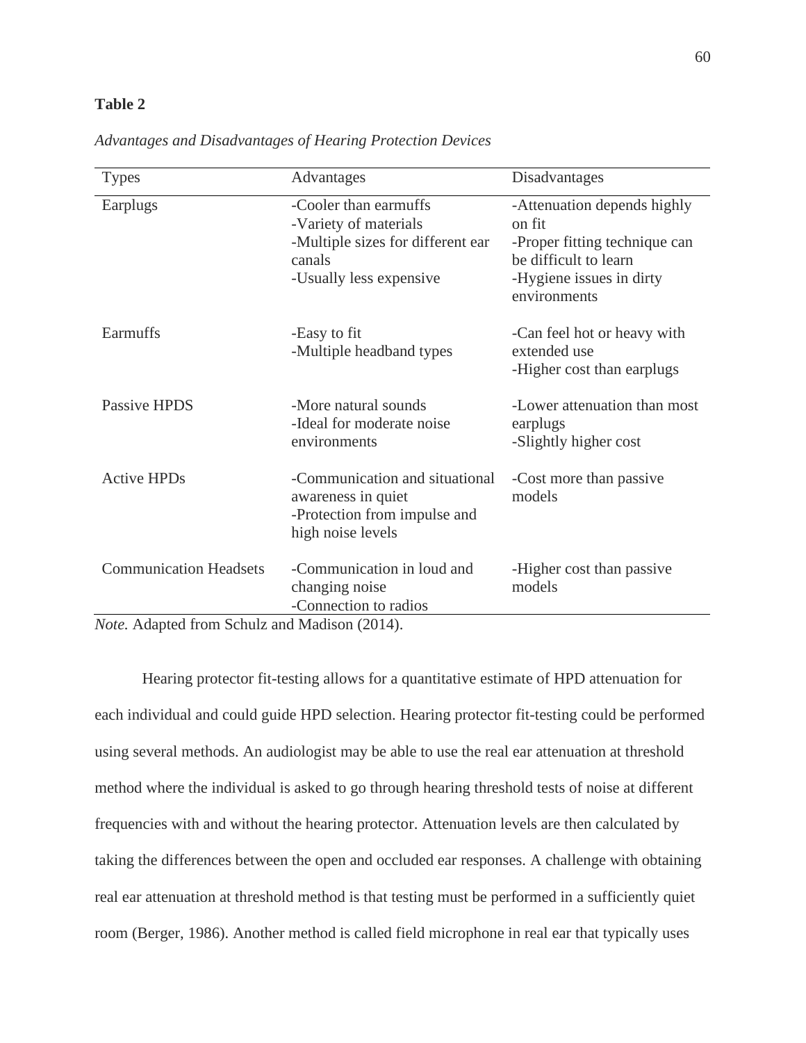# **Table 2**

| <b>Types</b>                                                                                                                 | Advantages                                                                                                               | Disadvantages                                                                                                                               |
|------------------------------------------------------------------------------------------------------------------------------|--------------------------------------------------------------------------------------------------------------------------|---------------------------------------------------------------------------------------------------------------------------------------------|
| Earplugs                                                                                                                     | -Cooler than earmuffs<br>-Variety of materials<br>-Multiple sizes for different ear<br>canals<br>-Usually less expensive | -Attenuation depends highly<br>on fit<br>-Proper fitting technique can<br>be difficult to learn<br>-Hygiene issues in dirty<br>environments |
| Earmuffs                                                                                                                     | -Easy to fit<br>-Multiple headband types                                                                                 | -Can feel hot or heavy with<br>extended use<br>-Higher cost than earplugs                                                                   |
| Passive HPDS                                                                                                                 | -More natural sounds<br>-Ideal for moderate noise<br>environments                                                        | -Lower attenuation than most<br>earplugs<br>-Slightly higher cost                                                                           |
| <b>Active HPDs</b>                                                                                                           | -Communication and situational<br>awareness in quiet<br>-Protection from impulse and<br>high noise levels                | -Cost more than passive<br>models                                                                                                           |
| <b>Communication Headsets</b><br>$\mathbf{A}$ $\mathbf{A}$ $\mathbf{A}$ $\mathbf{A}$ $\mathbf{A}$ $\mathbf{A}$<br>$\sim$ 1 1 | -Communication in loud and<br>changing noise<br>-Connection to radios<br>(0.01)                                          | -Higher cost than passive<br>models                                                                                                         |

*Advantages and Disadvantages of Hearing Protection Devices*

*Note.* Adapted from Schulz and Madison (2014).

Hearing protector fit-testing allows for a quantitative estimate of HPD attenuation for each individual and could guide HPD selection. Hearing protector fit-testing could be performed using several methods. An audiologist may be able to use the real ear attenuation at threshold method where the individual is asked to go through hearing threshold tests of noise at different frequencies with and without the hearing protector. Attenuation levels are then calculated by taking the differences between the open and occluded ear responses. A challenge with obtaining real ear attenuation at threshold method is that testing must be performed in a sufficiently quiet room (Berger, 1986). Another method is called field microphone in real ear that typically uses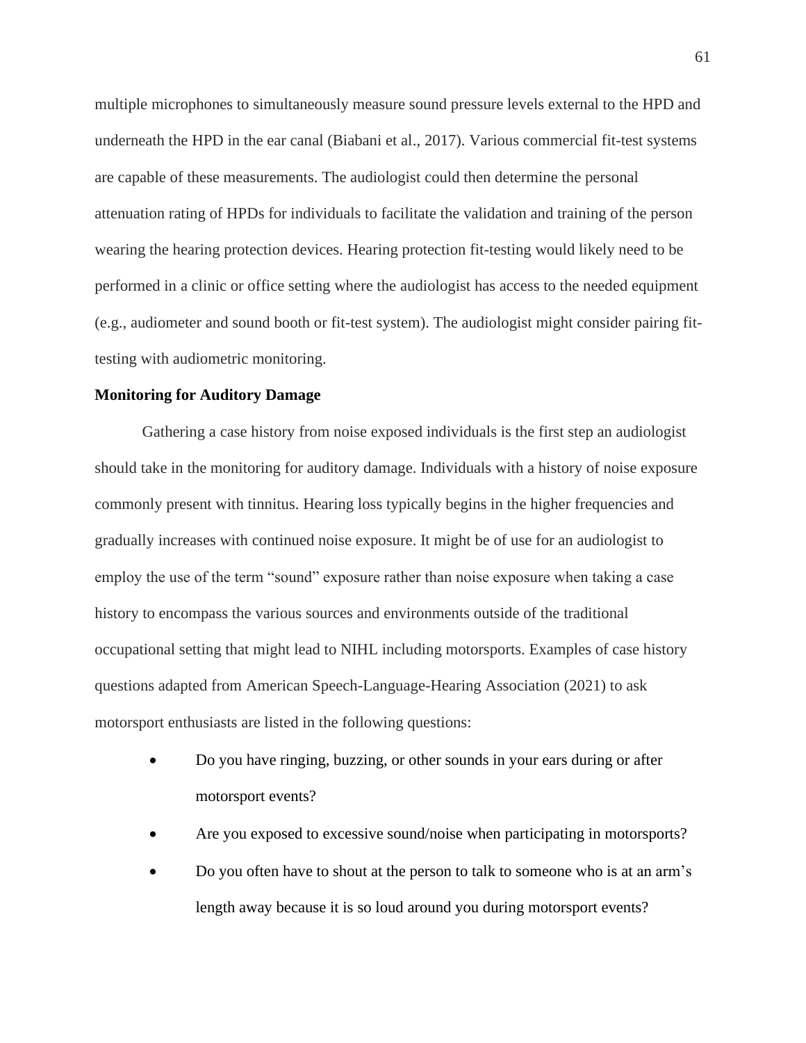multiple microphones to simultaneously measure sound pressure levels external to the HPD and underneath the HPD in the ear canal (Biabani et al., 2017). Various commercial fit-test systems are capable of these measurements. The audiologist could then determine the personal attenuation rating of HPDs for individuals to facilitate the validation and training of the person wearing the hearing protection devices. Hearing protection fit-testing would likely need to be performed in a clinic or office setting where the audiologist has access to the needed equipment (e.g., audiometer and sound booth or fit-test system). The audiologist might consider pairing fittesting with audiometric monitoring.

#### **Monitoring for Auditory Damage**

Gathering a case history from noise exposed individuals is the first step an audiologist should take in the monitoring for auditory damage. Individuals with a history of noise exposure commonly present with tinnitus. Hearing loss typically begins in the higher frequencies and gradually increases with continued noise exposure. It might be of use for an audiologist to employ the use of the term "sound" exposure rather than noise exposure when taking a case history to encompass the various sources and environments outside of the traditional occupational setting that might lead to NIHL including motorsports. Examples of case history questions adapted from American Speech-Language-Hearing Association (2021) to ask motorsport enthusiasts are listed in the following questions:

- Do you have ringing, buzzing, or other sounds in your ears during or after motorsport events?
- Are you exposed to excessive sound/noise when participating in motorsports?
- Do you often have to shout at the person to talk to someone who is at an arm's length away because it is so loud around you during motorsport events?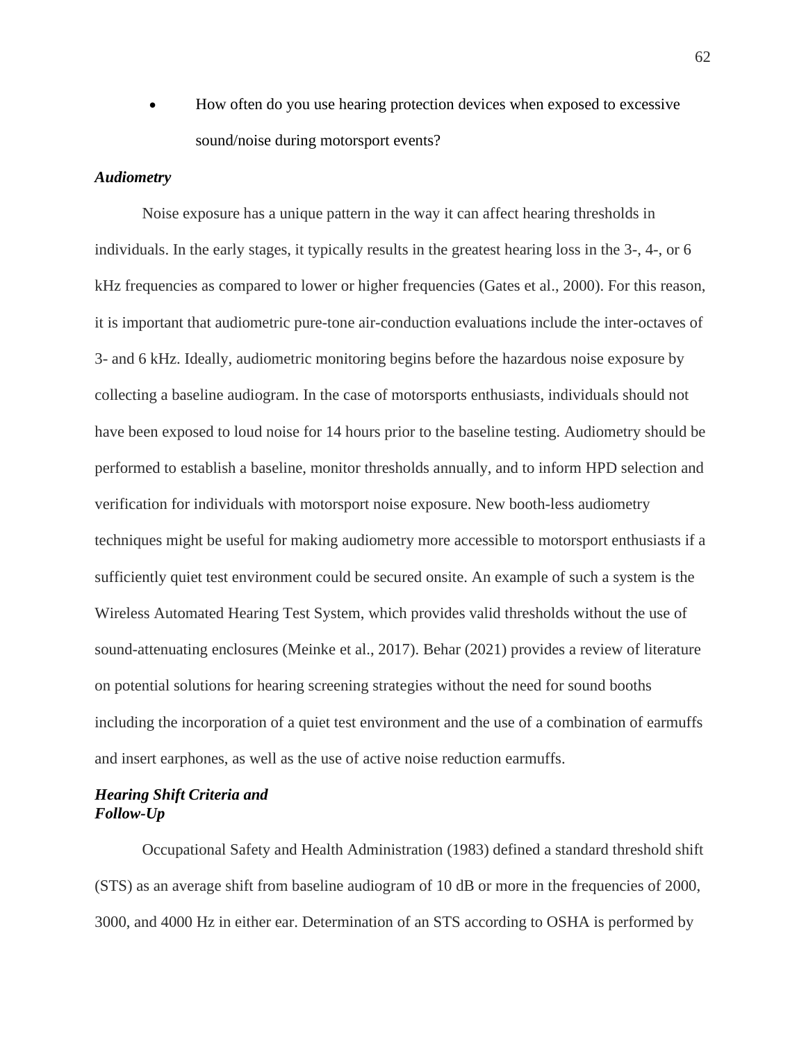• How often do you use hearing protection devices when exposed to excessive sound/noise during motorsport events?

# *Audiometry*

Noise exposure has a unique pattern in the way it can affect hearing thresholds in individuals. In the early stages, it typically results in the greatest hearing loss in the 3-, 4-, or 6 kHz frequencies as compared to lower or higher frequencies (Gates et al., 2000). For this reason, it is important that audiometric pure-tone air-conduction evaluations include the inter-octaves of 3- and 6 kHz. Ideally, audiometric monitoring begins before the hazardous noise exposure by collecting a baseline audiogram. In the case of motorsports enthusiasts, individuals should not have been exposed to loud noise for 14 hours prior to the baseline testing. Audiometry should be performed to establish a baseline, monitor thresholds annually, and to inform HPD selection and verification for individuals with motorsport noise exposure. New booth-less audiometry techniques might be useful for making audiometry more accessible to motorsport enthusiasts if a sufficiently quiet test environment could be secured onsite. An example of such a system is the Wireless Automated Hearing Test System, which provides valid thresholds without the use of sound-attenuating enclosures (Meinke et al., 2017). Behar (2021) provides a review of literature on potential solutions for hearing screening strategies without the need for sound booths including the incorporation of a quiet test environment and the use of a combination of earmuffs and insert earphones, as well as the use of active noise reduction earmuffs.

# *Hearing Shift Criteria and Follow-Up*

Occupational Safety and Health Administration (1983) defined a standard threshold shift (STS) as an average shift from baseline audiogram of 10 dB or more in the frequencies of 2000, 3000, and 4000 Hz in either ear. Determination of an STS according to OSHA is performed by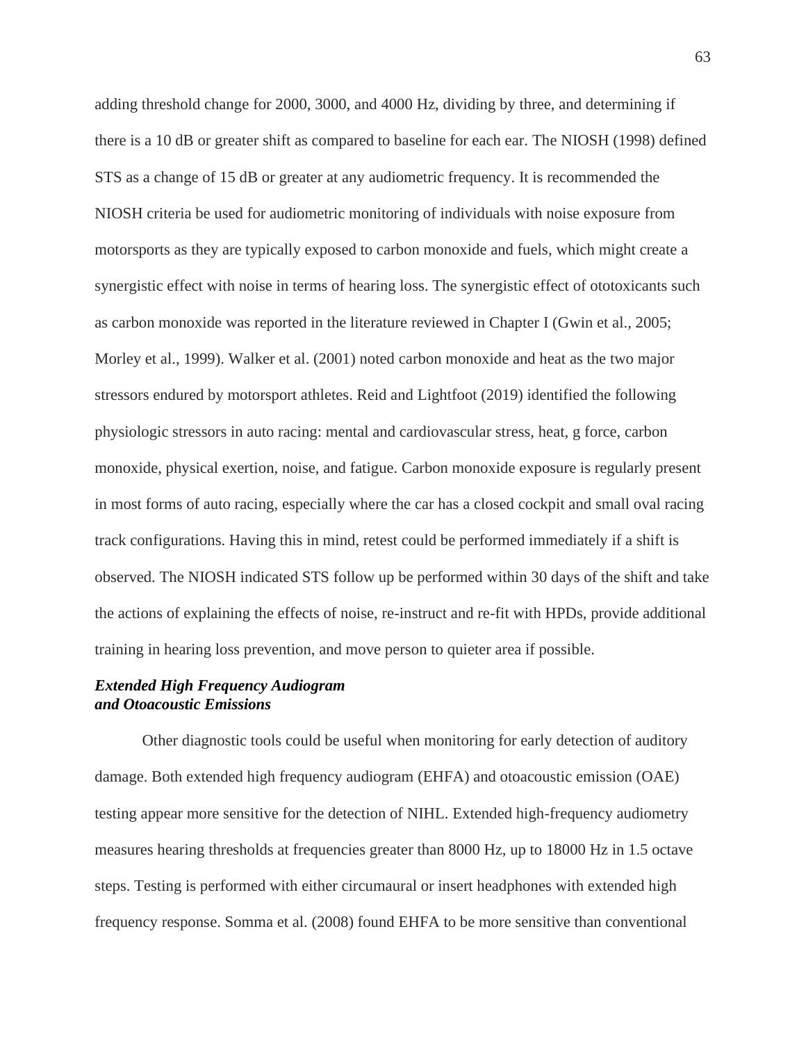adding threshold change for 2000, 3000, and 4000 Hz, dividing by three, and determining if there is a 10 dB or greater shift as compared to baseline for each ear. The NIOSH (1998) defined STS as a change of 15 dB or greater at any audiometric frequency. It is recommended the NIOSH criteria be used for audiometric monitoring of individuals with noise exposure from motorsports as they are typically exposed to carbon monoxide and fuels, which might create a synergistic effect with noise in terms of hearing loss. The synergistic effect of ototoxicants such as carbon monoxide was reported in the literature reviewed in Chapter I (Gwin et al., 2005; Morley et al., 1999). Walker et al. (2001) noted carbon monoxide and heat as the two major stressors endured by motorsport athletes. Reid and Lightfoot (2019) identified the following physiologic stressors in auto racing: mental and cardiovascular stress, heat, g force, carbon monoxide, physical exertion, noise, and fatigue. Carbon monoxide exposure is regularly present in most forms of auto racing, especially where the car has a closed cockpit and small oval racing track configurations. Having this in mind, retest could be performed immediately if a shift is observed. The NIOSH indicated STS follow up be performed within 30 days of the shift and take the actions of explaining the effects of noise, re-instruct and re-fit with HPDs, provide additional training in hearing loss prevention, and move person to quieter area if possible.

# *Extended High Frequency Audiogram and Otoacoustic Emissions*

Other diagnostic tools could be useful when monitoring for early detection of auditory damage. Both extended high frequency audiogram (EHFA) and otoacoustic emission (OAE) testing appear more sensitive for the detection of NIHL. Extended high-frequency audiometry measures hearing thresholds at frequencies greater than 8000 Hz, up to 18000 Hz in 1.5 octave steps. Testing is performed with either circumaural or insert headphones with extended high frequency response. Somma et al. (2008) found EHFA to be more sensitive than conventional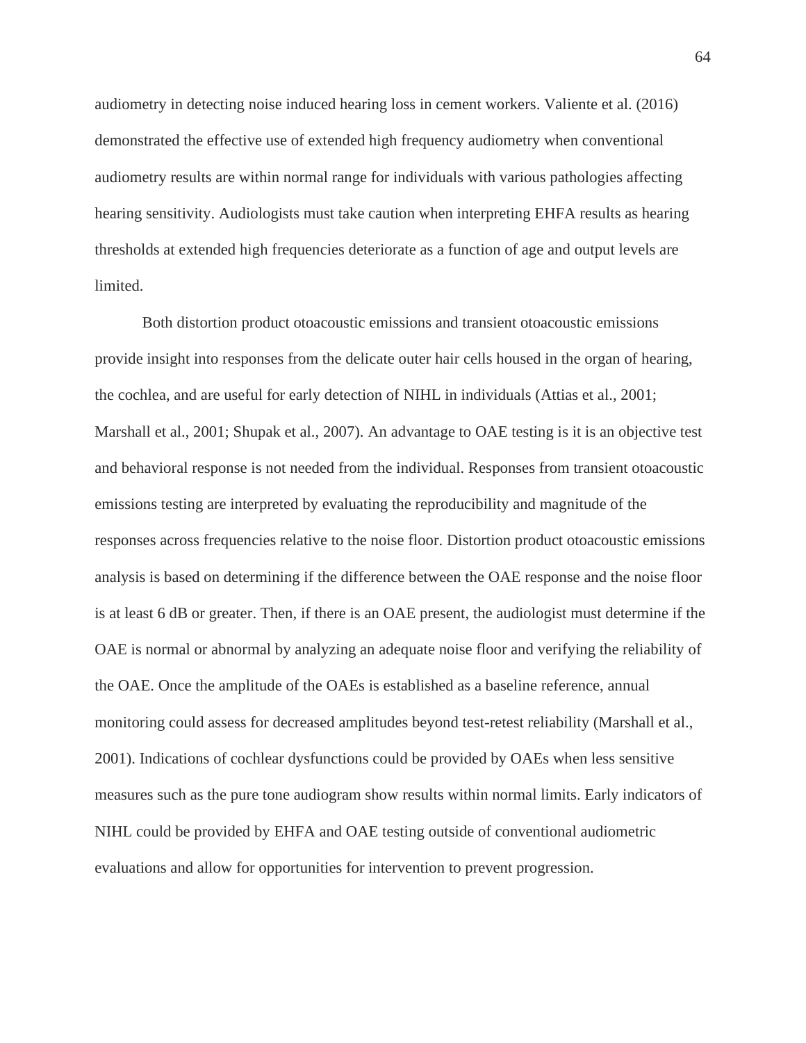audiometry in detecting noise induced hearing loss in cement workers. Valiente et al. (2016) demonstrated the effective use of extended high frequency audiometry when conventional audiometry results are within normal range for individuals with various pathologies affecting hearing sensitivity. Audiologists must take caution when interpreting EHFA results as hearing thresholds at extended high frequencies deteriorate as a function of age and output levels are limited.

Both distortion product otoacoustic emissions and transient otoacoustic emissions provide insight into responses from the delicate outer hair cells housed in the organ of hearing, the cochlea, and are useful for early detection of NIHL in individuals (Attias et al., 2001; Marshall et al., 2001; Shupak et al., 2007). An advantage to OAE testing is it is an objective test and behavioral response is not needed from the individual. Responses from transient otoacoustic emissions testing are interpreted by evaluating the reproducibility and magnitude of the responses across frequencies relative to the noise floor. Distortion product otoacoustic emissions analysis is based on determining if the difference between the OAE response and the noise floor is at least 6 dB or greater. Then, if there is an OAE present, the audiologist must determine if the OAE is normal or abnormal by analyzing an adequate noise floor and verifying the reliability of the OAE. Once the amplitude of the OAEs is established as a baseline reference, annual monitoring could assess for decreased amplitudes beyond test-retest reliability (Marshall et al., 2001). Indications of cochlear dysfunctions could be provided by OAEs when less sensitive measures such as the pure tone audiogram show results within normal limits. Early indicators of NIHL could be provided by EHFA and OAE testing outside of conventional audiometric evaluations and allow for opportunities for intervention to prevent progression.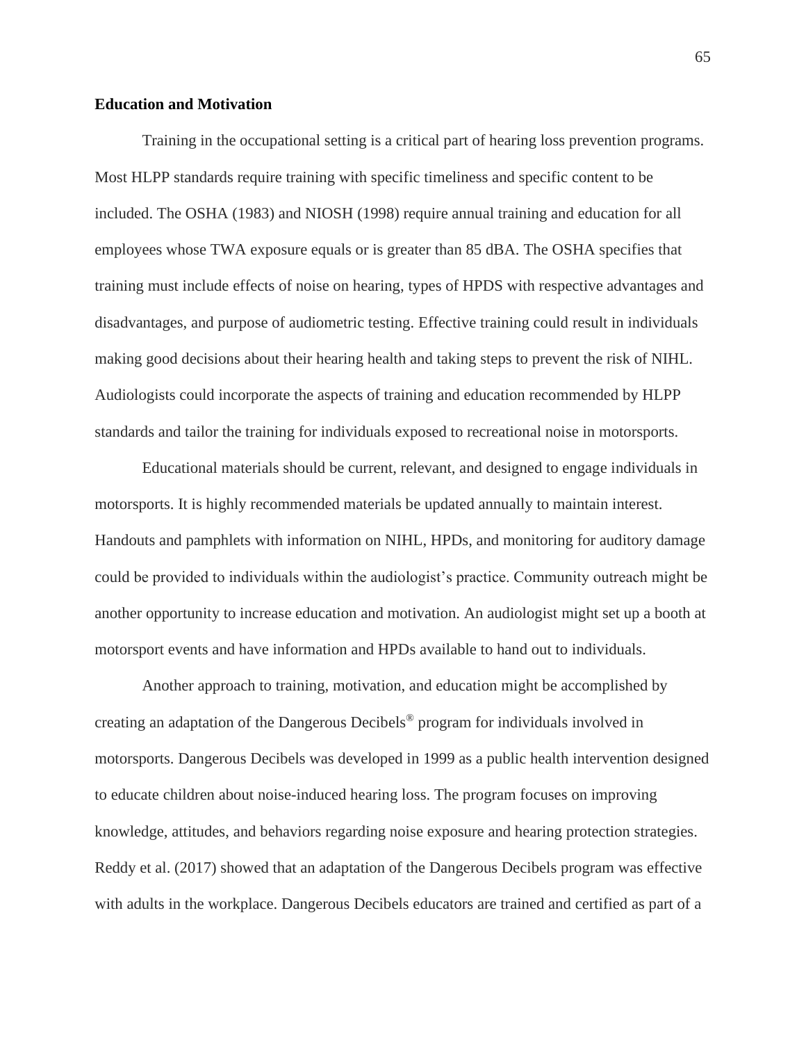#### **Education and Motivation**

Training in the occupational setting is a critical part of hearing loss prevention programs. Most HLPP standards require training with specific timeliness and specific content to be included. The OSHA (1983) and NIOSH (1998) require annual training and education for all employees whose TWA exposure equals or is greater than 85 dBA. The OSHA specifies that training must include effects of noise on hearing, types of HPDS with respective advantages and disadvantages, and purpose of audiometric testing. Effective training could result in individuals making good decisions about their hearing health and taking steps to prevent the risk of NIHL. Audiologists could incorporate the aspects of training and education recommended by HLPP standards and tailor the training for individuals exposed to recreational noise in motorsports.

Educational materials should be current, relevant, and designed to engage individuals in motorsports. It is highly recommended materials be updated annually to maintain interest. Handouts and pamphlets with information on NIHL, HPDs, and monitoring for auditory damage could be provided to individuals within the audiologist's practice. Community outreach might be another opportunity to increase education and motivation. An audiologist might set up a booth at motorsport events and have information and HPDs available to hand out to individuals.

Another approach to training, motivation, and education might be accomplished by creating an adaptation of the Dangerous Decibels® program for individuals involved in motorsports. Dangerous Decibels was developed in 1999 as a public health intervention designed to educate children about noise-induced hearing loss. The program focuses on improving knowledge, attitudes, and behaviors regarding noise exposure and hearing protection strategies. Reddy et al. (2017) showed that an adaptation of the Dangerous Decibels program was effective with adults in the workplace. Dangerous Decibels educators are trained and certified as part of a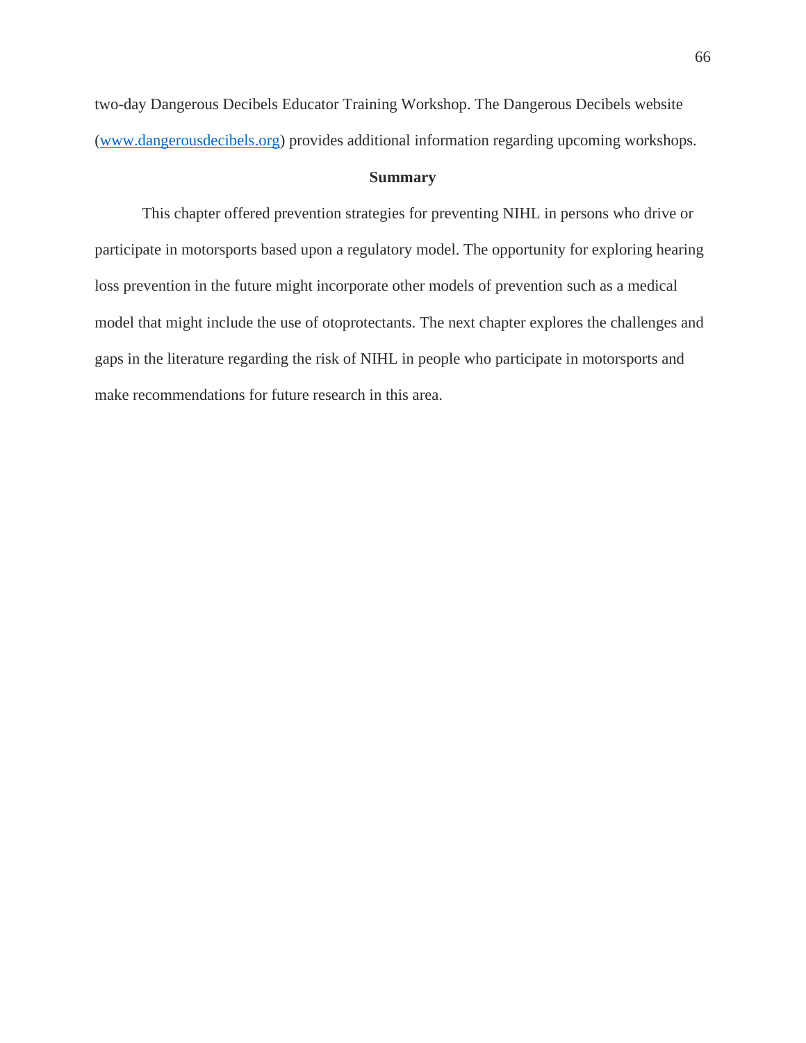two-day Dangerous Decibels Educator Training Workshop. The Dangerous Decibels website [\(www.dangerousdecibels.org\)](http://www.dangerousdecibels.org/) provides additional information regarding upcoming workshops.

#### **Summary**

This chapter offered prevention strategies for preventing NIHL in persons who drive or participate in motorsports based upon a regulatory model. The opportunity for exploring hearing loss prevention in the future might incorporate other models of prevention such as a medical model that might include the use of otoprotectants. The next chapter explores the challenges and gaps in the literature regarding the risk of NIHL in people who participate in motorsports and make recommendations for future research in this area.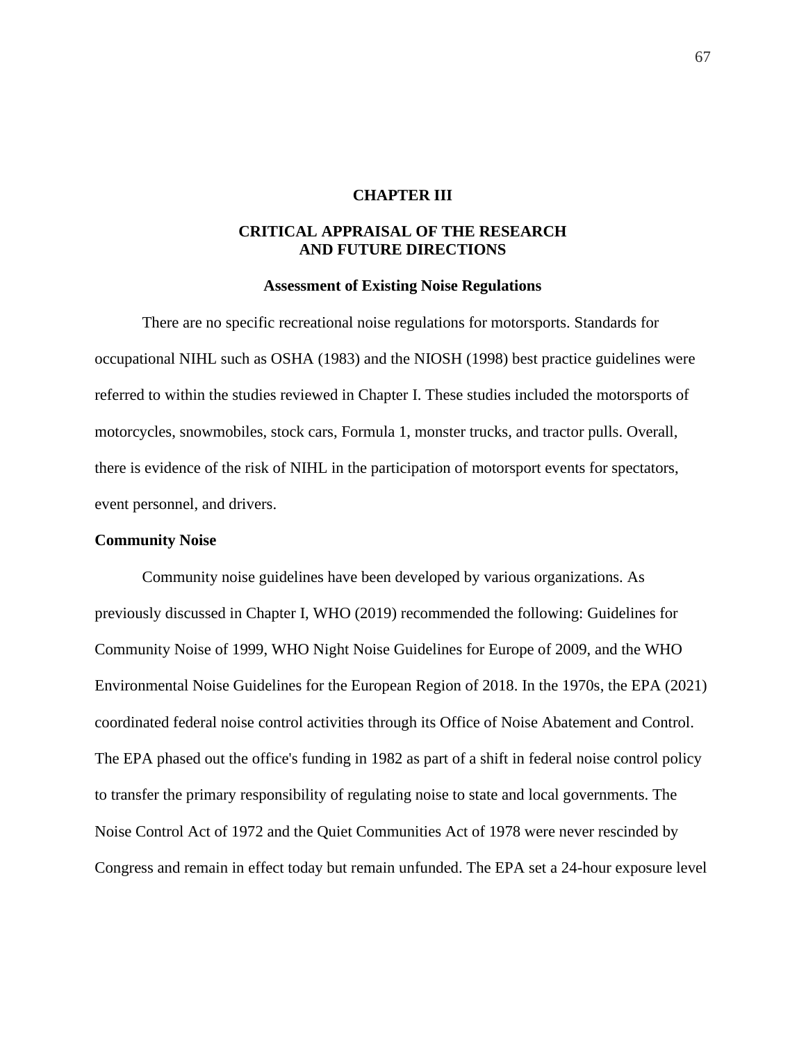#### **CHAPTER III**

## **CRITICAL APPRAISAL OF THE RESEARCH AND FUTURE DIRECTIONS**

#### **Assessment of Existing Noise Regulations**

There are no specific recreational noise regulations for motorsports. Standards for occupational NIHL such as OSHA (1983) and the NIOSH (1998) best practice guidelines were referred to within the studies reviewed in Chapter I. These studies included the motorsports of motorcycles, snowmobiles, stock cars, Formula 1, monster trucks, and tractor pulls. Overall, there is evidence of the risk of NIHL in the participation of motorsport events for spectators, event personnel, and drivers.

#### **Community Noise**

Community noise guidelines have been developed by various organizations. As previously discussed in Chapter I, WHO (2019) recommended the following: Guidelines for Community Noise of 1999, WHO Night Noise Guidelines for Europe of 2009, and the WHO Environmental Noise Guidelines for the European Region of 2018. In the 1970s, the EPA (2021) coordinated federal noise control activities through its Office of Noise Abatement and Control. The EPA phased out the office's funding in 1982 as part of a shift in federal noise control policy to transfer the primary responsibility of regulating noise to state and local governments. The Noise Control Act of 1972 and the Quiet Communities Act of 1978 were never rescinded by Congress and remain in effect today but remain unfunded. The EPA set a 24-hour exposure level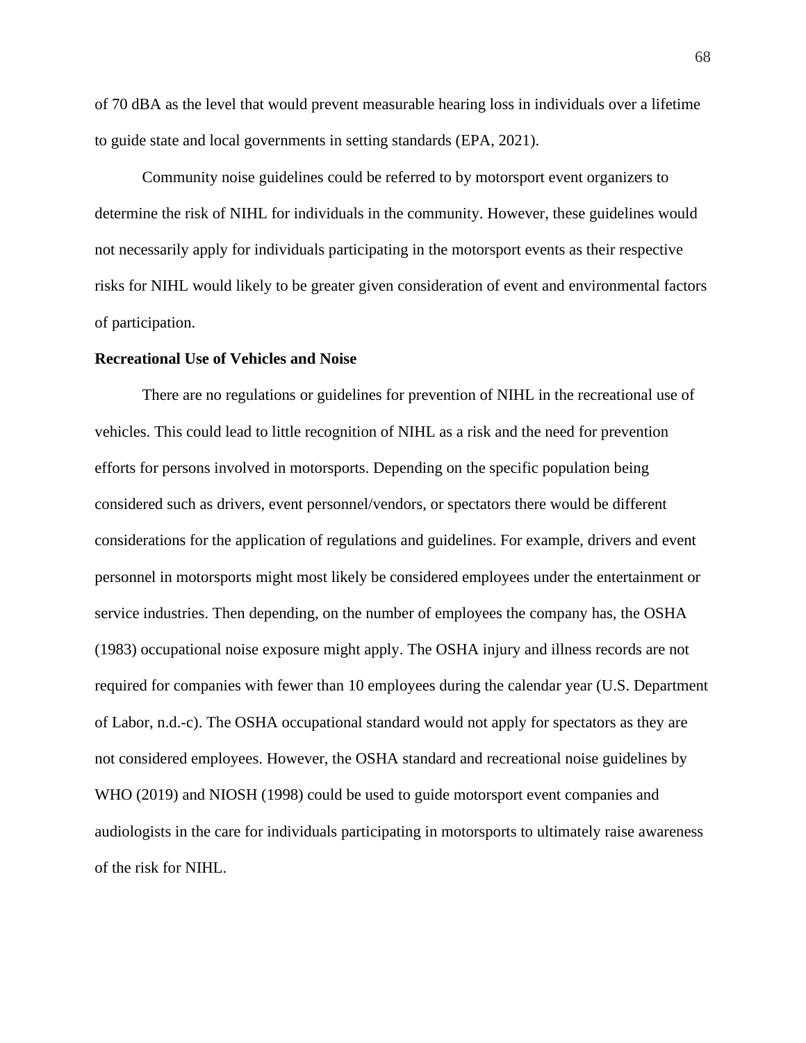of 70 dBA as the level that would prevent measurable hearing loss in individuals over a lifetime to guide state and local governments in setting standards (EPA, 2021).

Community noise guidelines could be referred to by motorsport event organizers to determine the risk of NIHL for individuals in the community. However, these guidelines would not necessarily apply for individuals participating in the motorsport events as their respective risks for NIHL would likely to be greater given consideration of event and environmental factors of participation.

## **Recreational Use of Vehicles and Noise**

There are no regulations or guidelines for prevention of NIHL in the recreational use of vehicles. This could lead to little recognition of NIHL as a risk and the need for prevention efforts for persons involved in motorsports. Depending on the specific population being considered such as drivers, event personnel/vendors, or spectators there would be different considerations for the application of regulations and guidelines. For example, drivers and event personnel in motorsports might most likely be considered employees under the entertainment or service industries. Then depending, on the number of employees the company has, the OSHA (1983) occupational noise exposure might apply. The OSHA injury and illness records are not required for companies with fewer than 10 employees during the calendar year (U.S. Department of Labor, n.d.-c). The OSHA occupational standard would not apply for spectators as they are not considered employees. However, the OSHA standard and recreational noise guidelines by WHO (2019) and NIOSH (1998) could be used to guide motorsport event companies and audiologists in the care for individuals participating in motorsports to ultimately raise awareness of the risk for NIHL.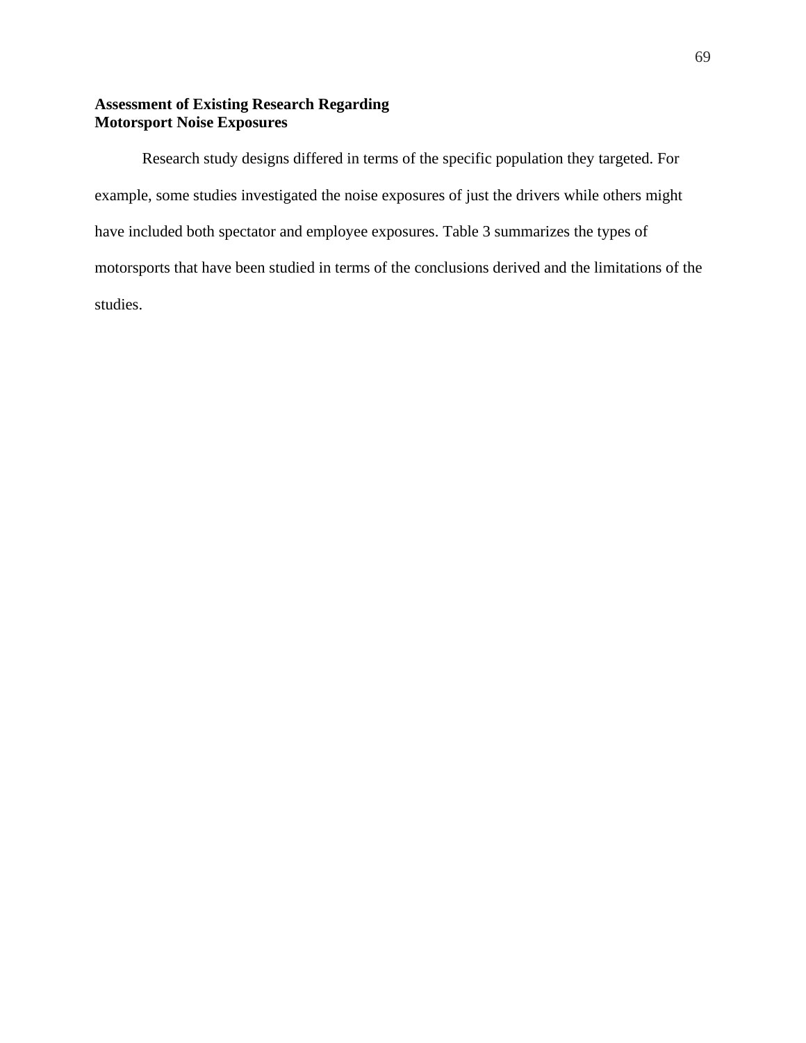## **Assessment of Existing Research Regarding Motorsport Noise Exposures**

Research study designs differed in terms of the specific population they targeted. For example, some studies investigated the noise exposures of just the drivers while others might have included both spectator and employee exposures. Table 3 summarizes the types of motorsports that have been studied in terms of the conclusions derived and the limitations of the studies.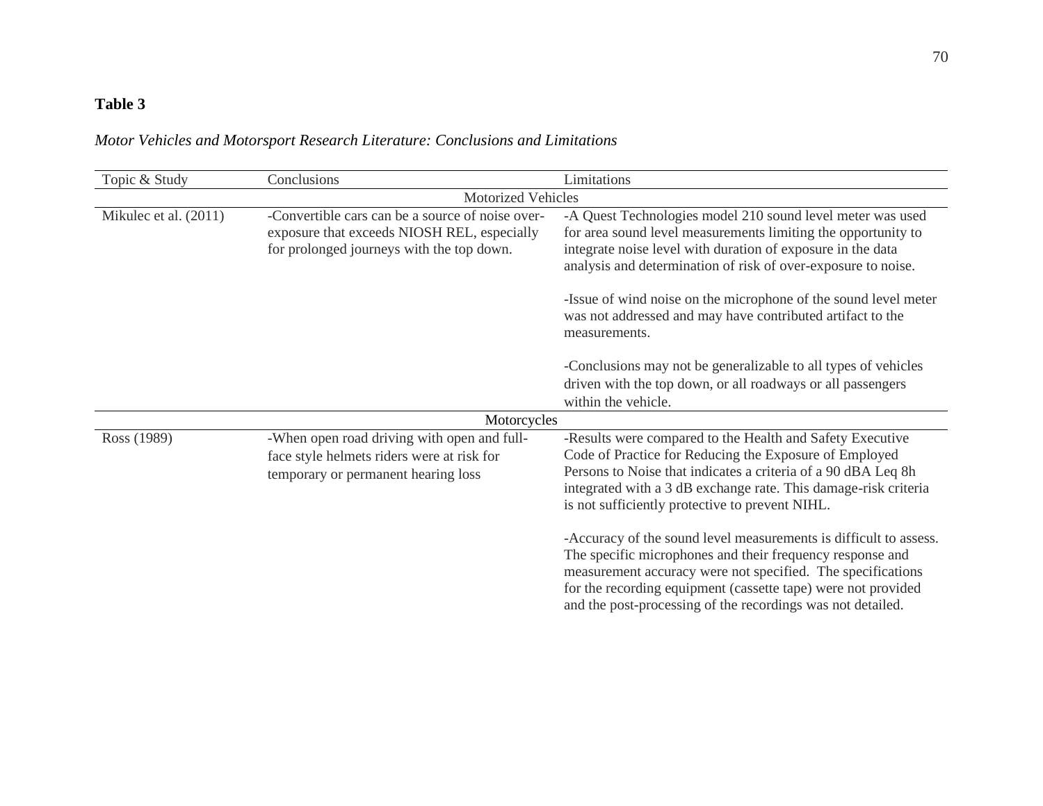# **Table 3**

*Motor Vehicles and Motorsport Research Literature: Conclusions and Limitations*

| Topic & Study         | Conclusions                                                                                                                                  | Limitations                                                                                                                                                                                                                                                                                                                                                                                                   |
|-----------------------|----------------------------------------------------------------------------------------------------------------------------------------------|---------------------------------------------------------------------------------------------------------------------------------------------------------------------------------------------------------------------------------------------------------------------------------------------------------------------------------------------------------------------------------------------------------------|
|                       | <b>Motorized Vehicles</b>                                                                                                                    |                                                                                                                                                                                                                                                                                                                                                                                                               |
| Mikulec et al. (2011) | -Convertible cars can be a source of noise over-<br>exposure that exceeds NIOSH REL, especially<br>for prolonged journeys with the top down. | -A Quest Technologies model 210 sound level meter was used<br>for area sound level measurements limiting the opportunity to<br>integrate noise level with duration of exposure in the data<br>analysis and determination of risk of over-exposure to noise.<br>-Issue of wind noise on the microphone of the sound level meter<br>was not addressed and may have contributed artifact to the<br>measurements. |
|                       |                                                                                                                                              | -Conclusions may not be generalizable to all types of vehicles<br>driven with the top down, or all roadways or all passengers<br>within the vehicle.                                                                                                                                                                                                                                                          |
|                       | Motorcycles                                                                                                                                  |                                                                                                                                                                                                                                                                                                                                                                                                               |
| Ross (1989)           | -When open road driving with open and full-<br>face style helmets riders were at risk for<br>temporary or permanent hearing loss             | -Results were compared to the Health and Safety Executive<br>Code of Practice for Reducing the Exposure of Employed<br>Persons to Noise that indicates a criteria of a 90 dBA Leq 8h<br>integrated with a 3 dB exchange rate. This damage-risk criteria<br>is not sufficiently protective to prevent NIHL.                                                                                                    |
|                       |                                                                                                                                              | -Accuracy of the sound level measurements is difficult to assess.<br>The specific microphones and their frequency response and<br>measurement accuracy were not specified. The specifications<br>for the recording equipment (cassette tape) were not provided<br>and the post-processing of the recordings was not detailed.                                                                                 |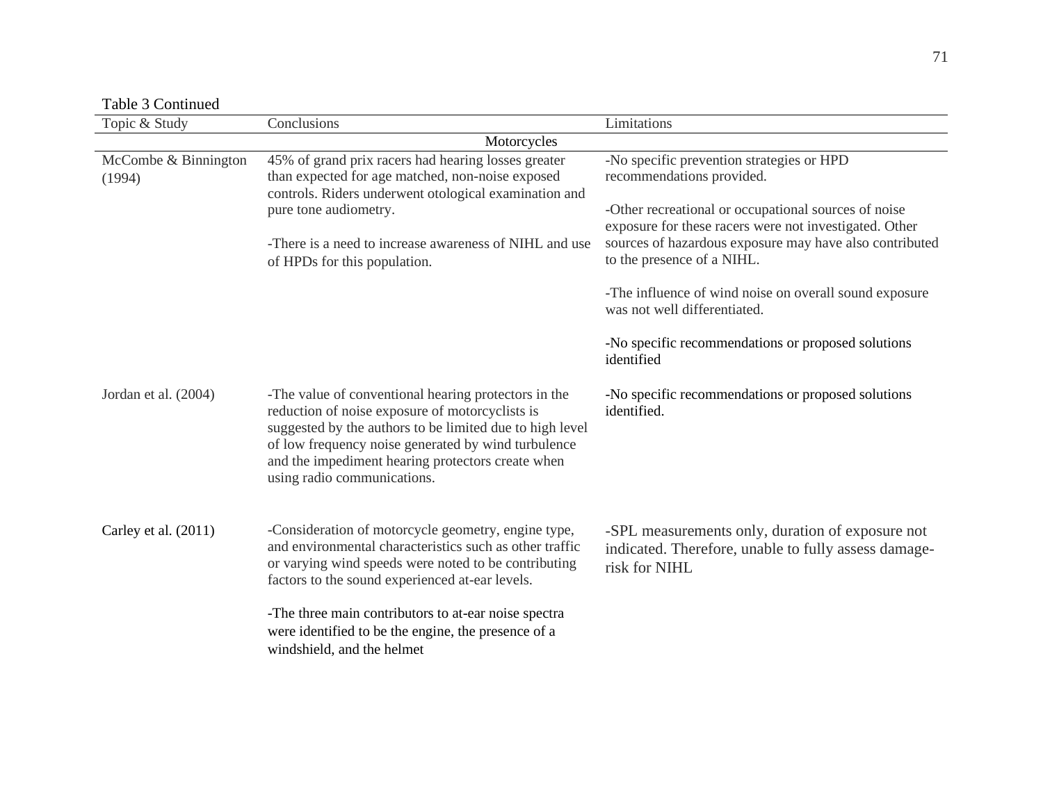Table 3 Continued

| таоте з сопинаса               |                                                                                                                                                                                                                                                                                                                |                                                                                                                                                                                          |
|--------------------------------|----------------------------------------------------------------------------------------------------------------------------------------------------------------------------------------------------------------------------------------------------------------------------------------------------------------|------------------------------------------------------------------------------------------------------------------------------------------------------------------------------------------|
| Topic & Study                  | Conclusions                                                                                                                                                                                                                                                                                                    | Limitations                                                                                                                                                                              |
|                                | Motorcycles                                                                                                                                                                                                                                                                                                    |                                                                                                                                                                                          |
| McCombe & Binnington<br>(1994) | 45% of grand prix racers had hearing losses greater<br>than expected for age matched, non-noise exposed<br>controls. Riders underwent otological examination and<br>pure tone audiometry.                                                                                                                      | -No specific prevention strategies or HPD<br>recommendations provided.<br>-Other recreational or occupational sources of noise<br>exposure for these racers were not investigated. Other |
|                                | -There is a need to increase awareness of NIHL and use<br>of HPDs for this population.                                                                                                                                                                                                                         | sources of hazardous exposure may have also contributed<br>to the presence of a NIHL.                                                                                                    |
|                                |                                                                                                                                                                                                                                                                                                                | -The influence of wind noise on overall sound exposure<br>was not well differentiated.                                                                                                   |
|                                |                                                                                                                                                                                                                                                                                                                | -No specific recommendations or proposed solutions<br>identified                                                                                                                         |
| Jordan et al. (2004)           | -The value of conventional hearing protectors in the<br>reduction of noise exposure of motorcyclists is<br>suggested by the authors to be limited due to high level<br>of low frequency noise generated by wind turbulence<br>and the impediment hearing protectors create when<br>using radio communications. | -No specific recommendations or proposed solutions<br>identified.                                                                                                                        |
| Carley et al. (2011)           | -Consideration of motorcycle geometry, engine type,<br>and environmental characteristics such as other traffic<br>or varying wind speeds were noted to be contributing<br>factors to the sound experienced at-ear levels.                                                                                      | -SPL measurements only, duration of exposure not<br>indicated. Therefore, unable to fully assess damage-<br>risk for NIHL                                                                |
|                                | -The three main contributors to at-ear noise spectra<br>were identified to be the engine, the presence of a<br>windshield, and the helmet                                                                                                                                                                      |                                                                                                                                                                                          |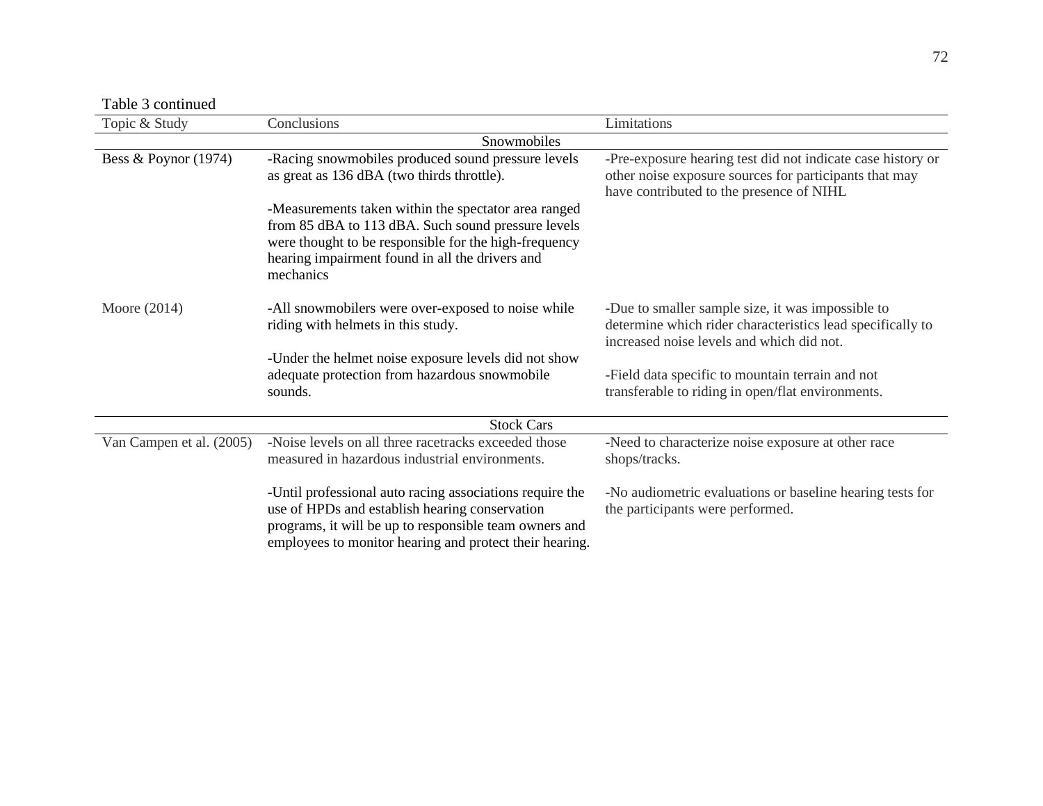Table 3 continued

| Topic & Study            | Conclusions                                                                                              | Limitations                                                                                             |  |  |
|--------------------------|----------------------------------------------------------------------------------------------------------|---------------------------------------------------------------------------------------------------------|--|--|
| Snowmobiles              |                                                                                                          |                                                                                                         |  |  |
| Bess & Poynor $(1974)$   | -Racing snowmobiles produced sound pressure levels                                                       | -Pre-exposure hearing test did not indicate case history or                                             |  |  |
|                          | as great as 136 dBA (two thirds throttle).                                                               | other noise exposure sources for participants that may<br>have contributed to the presence of NIHL      |  |  |
|                          | -Measurements taken within the spectator area ranged                                                     |                                                                                                         |  |  |
|                          | from 85 dBA to 113 dBA. Such sound pressure levels                                                       |                                                                                                         |  |  |
|                          | were thought to be responsible for the high-frequency<br>hearing impairment found in all the drivers and |                                                                                                         |  |  |
|                          | mechanics                                                                                                |                                                                                                         |  |  |
|                          |                                                                                                          |                                                                                                         |  |  |
| Moore $(2014)$           | -All snowmobilers were over-exposed to noise while                                                       | -Due to smaller sample size, it was impossible to                                                       |  |  |
|                          | riding with helmets in this study.                                                                       | determine which rider characteristics lead specifically to<br>increased noise levels and which did not. |  |  |
|                          | -Under the helmet noise exposure levels did not show                                                     |                                                                                                         |  |  |
|                          | adequate protection from hazardous snowmobile                                                            | -Field data specific to mountain terrain and not                                                        |  |  |
|                          | sounds.                                                                                                  | transferable to riding in open/flat environments.                                                       |  |  |
|                          | <b>Stock Cars</b>                                                                                        |                                                                                                         |  |  |
|                          |                                                                                                          |                                                                                                         |  |  |
| Van Campen et al. (2005) | -Noise levels on all three racetracks exceeded those                                                     | -Need to characterize noise exposure at other race                                                      |  |  |
|                          | measured in hazardous industrial environments.                                                           | shops/tracks.                                                                                           |  |  |
|                          | -Until professional auto racing associations require the                                                 | -No audiometric evaluations or baseline hearing tests for                                               |  |  |
|                          | use of HPDs and establish hearing conservation                                                           | the participants were performed.                                                                        |  |  |
|                          | programs, it will be up to responsible team owners and                                                   |                                                                                                         |  |  |
|                          | employees to monitor hearing and protect their hearing.                                                  |                                                                                                         |  |  |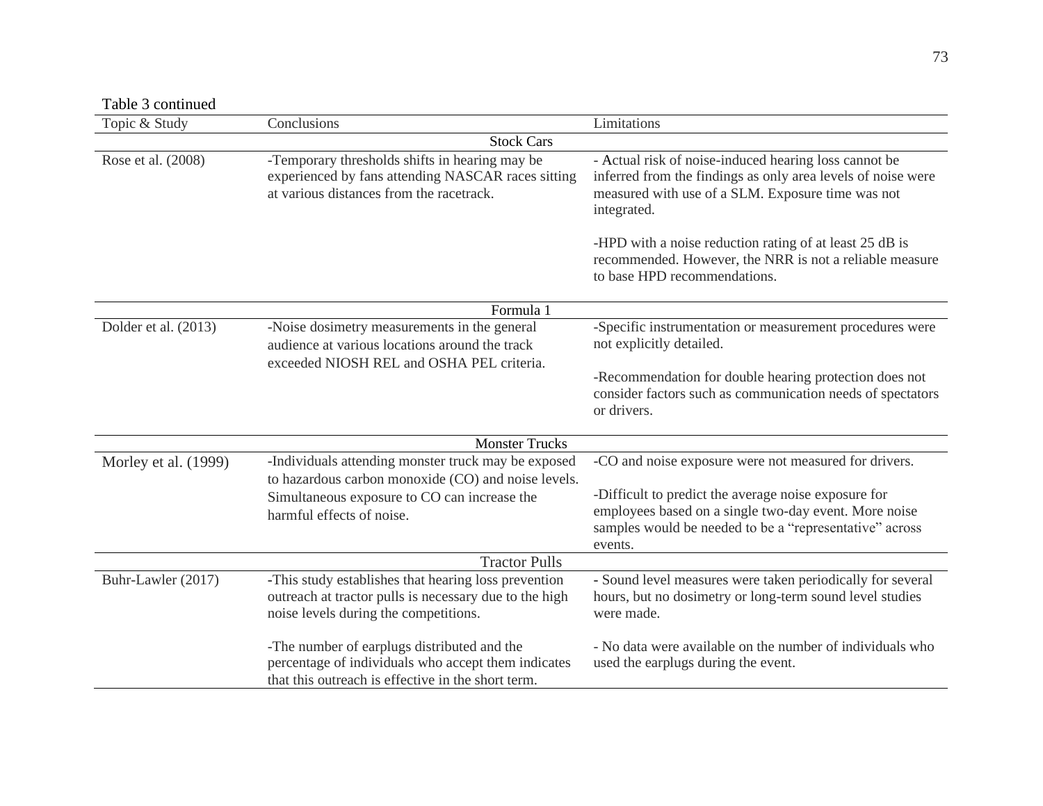Table 3 continued

| гарге элемпениес     |                                                                                                                                                          |                                                                                                                                                                                           |  |
|----------------------|----------------------------------------------------------------------------------------------------------------------------------------------------------|-------------------------------------------------------------------------------------------------------------------------------------------------------------------------------------------|--|
| Topic & Study        | Conclusions                                                                                                                                              | Limitations                                                                                                                                                                               |  |
| <b>Stock Cars</b>    |                                                                                                                                                          |                                                                                                                                                                                           |  |
| Rose et al. (2008)   | -Temporary thresholds shifts in hearing may be<br>experienced by fans attending NASCAR races sitting<br>at various distances from the racetrack.         | - Actual risk of noise-induced hearing loss cannot be<br>inferred from the findings as only area levels of noise were<br>measured with use of a SLM. Exposure time was not<br>integrated. |  |
|                      |                                                                                                                                                          | -HPD with a noise reduction rating of at least 25 dB is<br>recommended. However, the NRR is not a reliable measure<br>to base HPD recommendations.                                        |  |
|                      | Formula 1                                                                                                                                                |                                                                                                                                                                                           |  |
| Dolder et al. (2013) | -Noise dosimetry measurements in the general<br>audience at various locations around the track                                                           | -Specific instrumentation or measurement procedures were<br>not explicitly detailed.                                                                                                      |  |
|                      | exceeded NIOSH REL and OSHA PEL criteria.                                                                                                                | -Recommendation for double hearing protection does not<br>consider factors such as communication needs of spectators<br>or drivers.                                                       |  |
|                      | <b>Monster Trucks</b>                                                                                                                                    |                                                                                                                                                                                           |  |
| Morley et al. (1999) | -Individuals attending monster truck may be exposed<br>to hazardous carbon monoxide (CO) and noise levels.                                               | -CO and noise exposure were not measured for drivers.                                                                                                                                     |  |
|                      | Simultaneous exposure to CO can increase the<br>harmful effects of noise.                                                                                | -Difficult to predict the average noise exposure for<br>employees based on a single two-day event. More noise<br>samples would be needed to be a "representative" across<br>events.       |  |
|                      | <b>Tractor Pulls</b>                                                                                                                                     |                                                                                                                                                                                           |  |
| Buhr-Lawler (2017)   | -This study establishes that hearing loss prevention<br>outreach at tractor pulls is necessary due to the high<br>noise levels during the competitions.  | - Sound level measures were taken periodically for several<br>hours, but no dosimetry or long-term sound level studies<br>were made.                                                      |  |
|                      | -The number of earplugs distributed and the<br>percentage of individuals who accept them indicates<br>that this outreach is effective in the short term. | - No data were available on the number of individuals who<br>used the earplugs during the event.                                                                                          |  |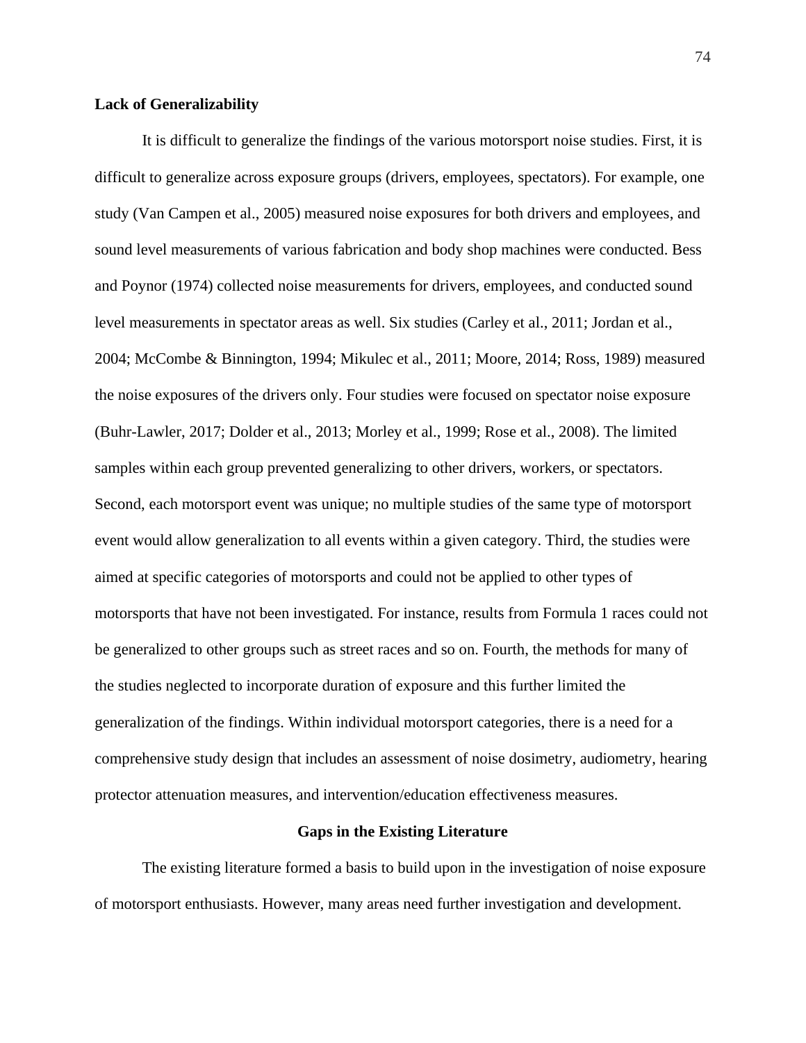#### **Lack of Generalizability**

It is difficult to generalize the findings of the various motorsport noise studies. First, it is difficult to generalize across exposure groups (drivers, employees, spectators). For example, one study (Van Campen et al., 2005) measured noise exposures for both drivers and employees, and sound level measurements of various fabrication and body shop machines were conducted. Bess and Poynor (1974) collected noise measurements for drivers, employees, and conducted sound level measurements in spectator areas as well. Six studies (Carley et al., 2011; Jordan et al., 2004; McCombe & Binnington, 1994; Mikulec et al., 2011; Moore, 2014; Ross, 1989) measured the noise exposures of the drivers only. Four studies were focused on spectator noise exposure (Buhr-Lawler, 2017; Dolder et al., 2013; Morley et al., 1999; Rose et al., 2008). The limited samples within each group prevented generalizing to other drivers, workers, or spectators. Second, each motorsport event was unique; no multiple studies of the same type of motorsport event would allow generalization to all events within a given category. Third, the studies were aimed at specific categories of motorsports and could not be applied to other types of motorsports that have not been investigated. For instance, results from Formula 1 races could not be generalized to other groups such as street races and so on. Fourth, the methods for many of the studies neglected to incorporate duration of exposure and this further limited the generalization of the findings. Within individual motorsport categories, there is a need for a comprehensive study design that includes an assessment of noise dosimetry, audiometry, hearing protector attenuation measures, and intervention/education effectiveness measures.

#### **Gaps in the Existing Literature**

The existing literature formed a basis to build upon in the investigation of noise exposure of motorsport enthusiasts. However, many areas need further investigation and development.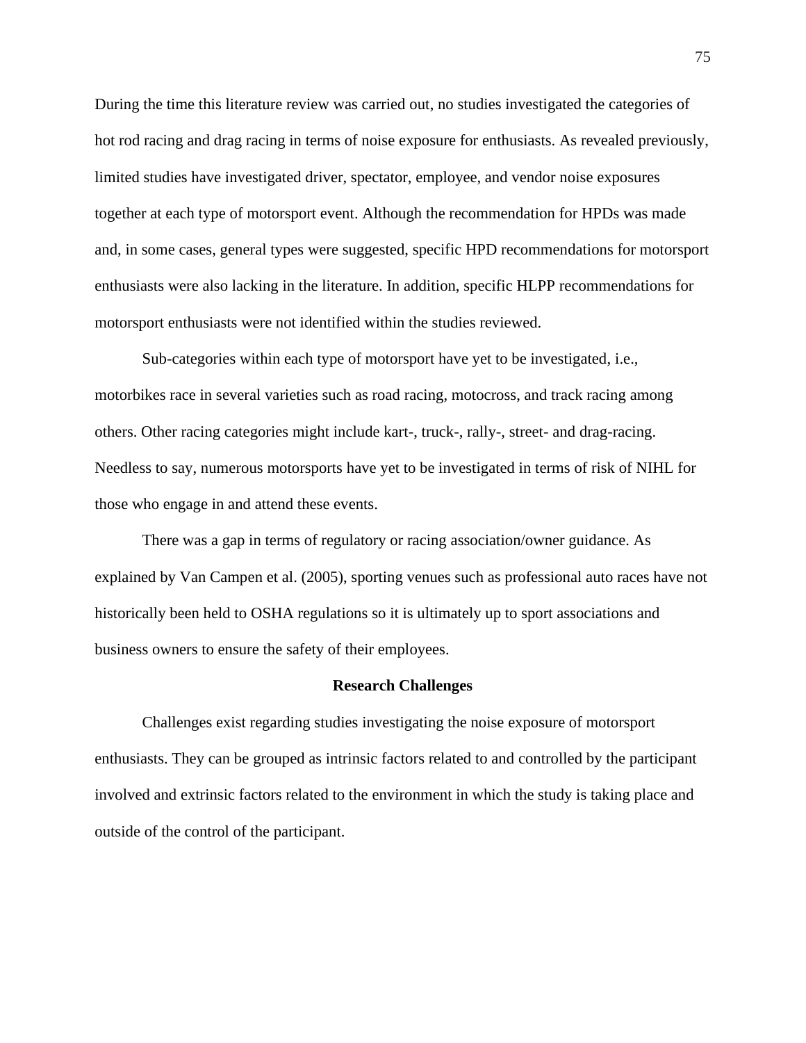During the time this literature review was carried out, no studies investigated the categories of hot rod racing and drag racing in terms of noise exposure for enthusiasts. As revealed previously, limited studies have investigated driver, spectator, employee, and vendor noise exposures together at each type of motorsport event. Although the recommendation for HPDs was made and, in some cases, general types were suggested, specific HPD recommendations for motorsport enthusiasts were also lacking in the literature. In addition, specific HLPP recommendations for motorsport enthusiasts were not identified within the studies reviewed.

Sub-categories within each type of motorsport have yet to be investigated, i.e., motorbikes race in several varieties such as road racing, motocross, and track racing among others. Other racing categories might include kart-, truck-, rally-, street- and drag-racing. Needless to say, numerous motorsports have yet to be investigated in terms of risk of NIHL for those who engage in and attend these events.

There was a gap in terms of regulatory or racing association/owner guidance. As explained by Van Campen et al. (2005), sporting venues such as professional auto races have not historically been held to OSHA regulations so it is ultimately up to sport associations and business owners to ensure the safety of their employees.

### **Research Challenges**

Challenges exist regarding studies investigating the noise exposure of motorsport enthusiasts. They can be grouped as intrinsic factors related to and controlled by the participant involved and extrinsic factors related to the environment in which the study is taking place and outside of the control of the participant.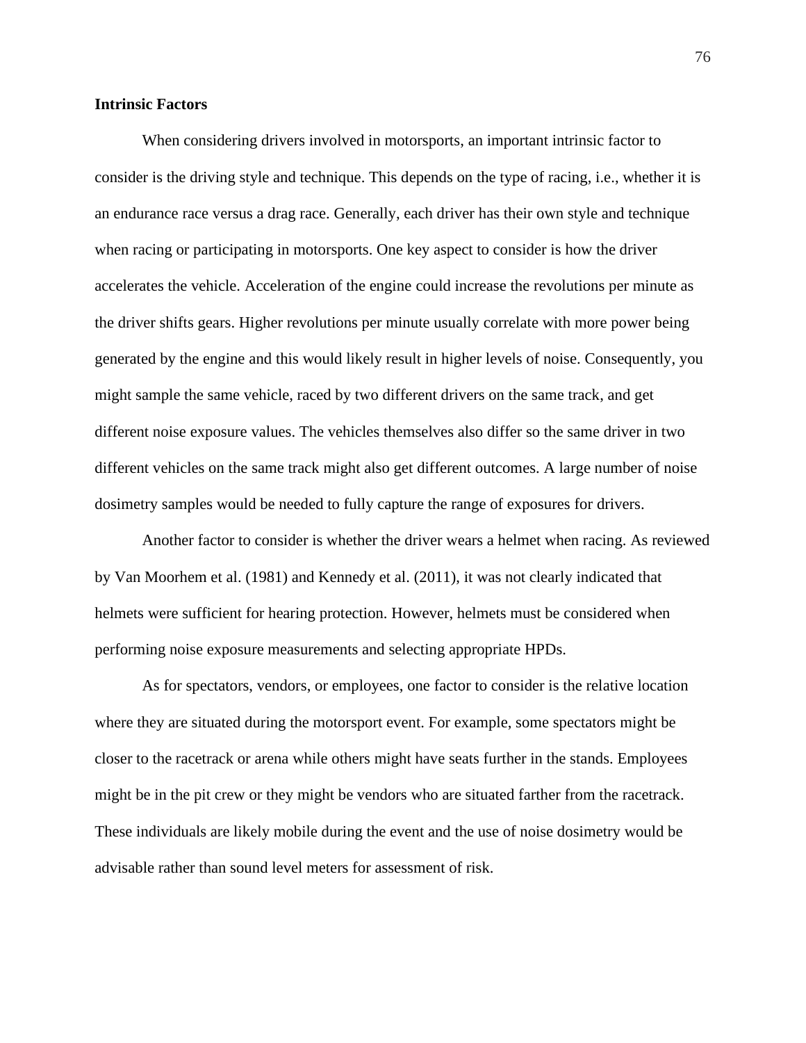#### **Intrinsic Factors**

When considering drivers involved in motorsports, an important intrinsic factor to consider is the driving style and technique. This depends on the type of racing, i.e., whether it is an endurance race versus a drag race. Generally, each driver has their own style and technique when racing or participating in motorsports. One key aspect to consider is how the driver accelerates the vehicle. Acceleration of the engine could increase the revolutions per minute as the driver shifts gears. Higher revolutions per minute usually correlate with more power being generated by the engine and this would likely result in higher levels of noise. Consequently, you might sample the same vehicle, raced by two different drivers on the same track, and get different noise exposure values. The vehicles themselves also differ so the same driver in two different vehicles on the same track might also get different outcomes. A large number of noise dosimetry samples would be needed to fully capture the range of exposures for drivers.

Another factor to consider is whether the driver wears a helmet when racing. As reviewed by Van Moorhem et al. (1981) and Kennedy et al. (2011), it was not clearly indicated that helmets were sufficient for hearing protection. However, helmets must be considered when performing noise exposure measurements and selecting appropriate HPDs.

As for spectators, vendors, or employees, one factor to consider is the relative location where they are situated during the motorsport event. For example, some spectators might be closer to the racetrack or arena while others might have seats further in the stands. Employees might be in the pit crew or they might be vendors who are situated farther from the racetrack. These individuals are likely mobile during the event and the use of noise dosimetry would be advisable rather than sound level meters for assessment of risk.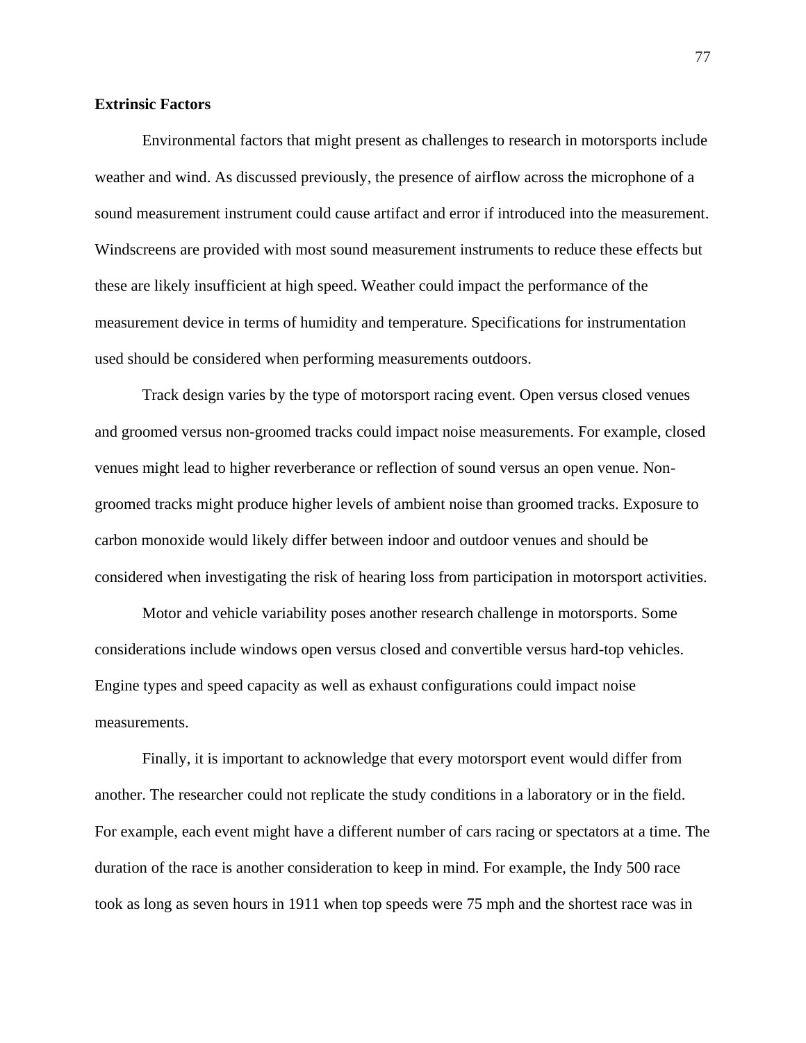#### **Extrinsic Factors**

Environmental factors that might present as challenges to research in motorsports include weather and wind. As discussed previously, the presence of airflow across the microphone of a sound measurement instrument could cause artifact and error if introduced into the measurement. Windscreens are provided with most sound measurement instruments to reduce these effects but these are likely insufficient at high speed. Weather could impact the performance of the measurement device in terms of humidity and temperature. Specifications for instrumentation used should be considered when performing measurements outdoors.

Track design varies by the type of motorsport racing event. Open versus closed venues and groomed versus non-groomed tracks could impact noise measurements. For example, closed venues might lead to higher reverberance or reflection of sound versus an open venue. Nongroomed tracks might produce higher levels of ambient noise than groomed tracks. Exposure to carbon monoxide would likely differ between indoor and outdoor venues and should be considered when investigating the risk of hearing loss from participation in motorsport activities.

Motor and vehicle variability poses another research challenge in motorsports. Some considerations include windows open versus closed and convertible versus hard-top vehicles. Engine types and speed capacity as well as exhaust configurations could impact noise measurements.

Finally, it is important to acknowledge that every motorsport event would differ from another. The researcher could not replicate the study conditions in a laboratory or in the field. For example, each event might have a different number of cars racing or spectators at a time. The duration of the race is another consideration to keep in mind. For example, the Indy 500 race took as long as seven hours in 1911 when top speeds were 75 mph and the shortest race was in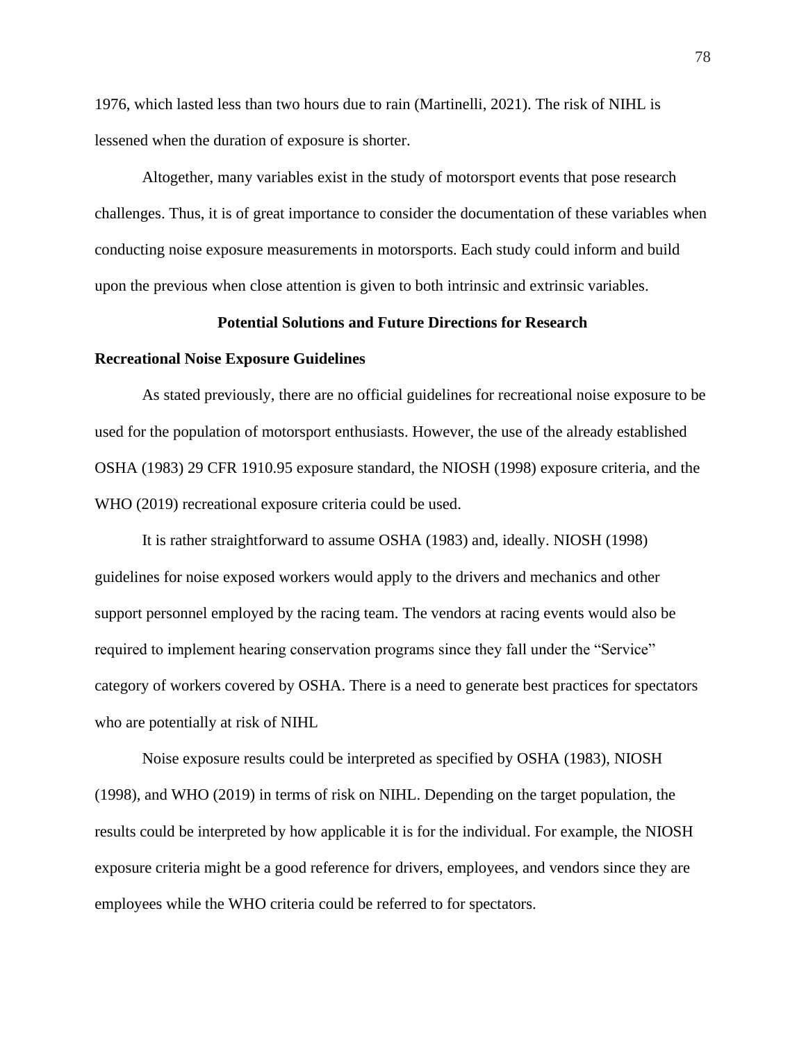1976, which lasted less than two hours due to rain (Martinelli, 2021). The risk of NIHL is lessened when the duration of exposure is shorter.

Altogether, many variables exist in the study of motorsport events that pose research challenges. Thus, it is of great importance to consider the documentation of these variables when conducting noise exposure measurements in motorsports. Each study could inform and build upon the previous when close attention is given to both intrinsic and extrinsic variables.

#### **Potential Solutions and Future Directions for Research**

#### **Recreational Noise Exposure Guidelines**

As stated previously, there are no official guidelines for recreational noise exposure to be used for the population of motorsport enthusiasts. However, the use of the already established OSHA (1983) 29 CFR 1910.95 exposure standard, the NIOSH (1998) exposure criteria, and the WHO (2019) recreational exposure criteria could be used.

It is rather straightforward to assume OSHA (1983) and, ideally. NIOSH (1998) guidelines for noise exposed workers would apply to the drivers and mechanics and other support personnel employed by the racing team. The vendors at racing events would also be required to implement hearing conservation programs since they fall under the "Service" category of workers covered by OSHA. There is a need to generate best practices for spectators who are potentially at risk of NIHL

Noise exposure results could be interpreted as specified by OSHA (1983), NIOSH (1998), and WHO (2019) in terms of risk on NIHL. Depending on the target population, the results could be interpreted by how applicable it is for the individual. For example, the NIOSH exposure criteria might be a good reference for drivers, employees, and vendors since they are employees while the WHO criteria could be referred to for spectators.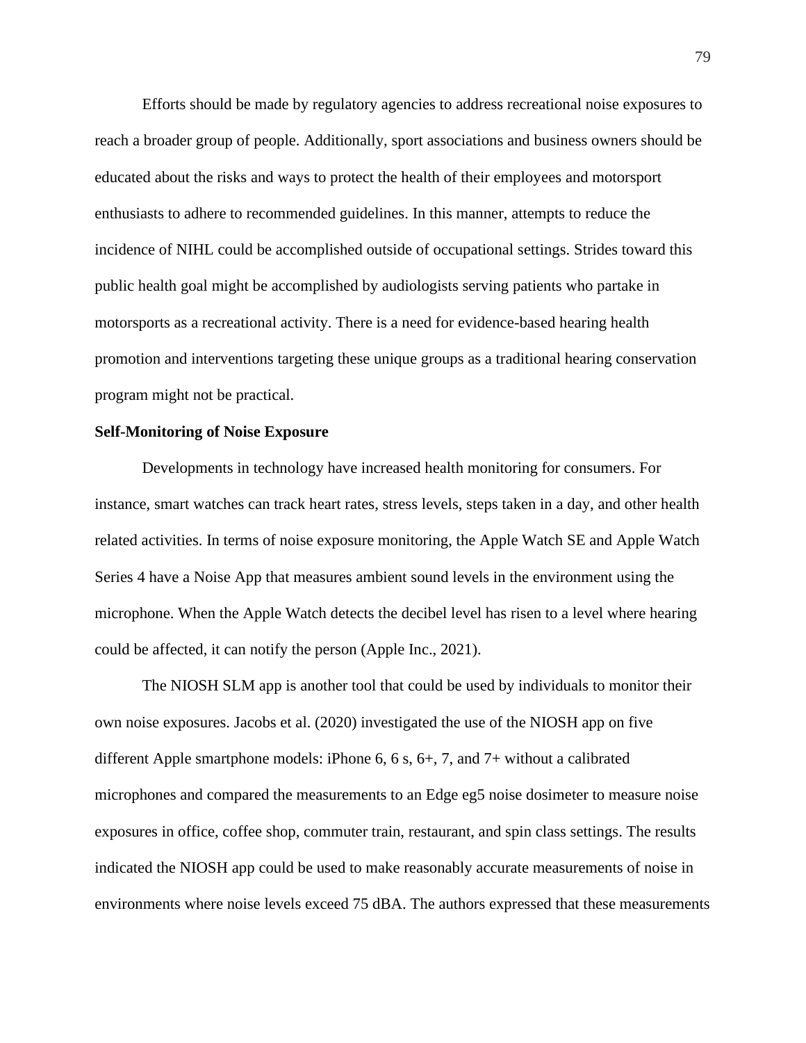Efforts should be made by regulatory agencies to address recreational noise exposures to reach a broader group of people. Additionally, sport associations and business owners should be educated about the risks and ways to protect the health of their employees and motorsport enthusiasts to adhere to recommended guidelines. In this manner, attempts to reduce the incidence of NIHL could be accomplished outside of occupational settings. Strides toward this public health goal might be accomplished by audiologists serving patients who partake in motorsports as a recreational activity. There is a need for evidence-based hearing health promotion and interventions targeting these unique groups as a traditional hearing conservation program might not be practical.

#### **Self-Monitoring of Noise Exposure**

Developments in technology have increased health monitoring for consumers. For instance, smart watches can track heart rates, stress levels, steps taken in a day, and other health related activities. In terms of noise exposure monitoring, the Apple Watch SE and Apple Watch Series 4 have a Noise App that measures ambient sound levels in the environment using the microphone. When the Apple Watch detects the decibel level has risen to a level where hearing could be affected, it can notify the person (Apple Inc., 2021).

The NIOSH SLM app is another tool that could be used by individuals to monitor their own noise exposures. Jacobs et al. (2020) investigated the use of the NIOSH app on five different Apple smartphone models: iPhone 6, 6 s, 6+, 7, and 7+ without a calibrated microphones and compared the measurements to an Edge eg5 noise dosimeter to measure noise exposures in office, coffee shop, commuter train, restaurant, and spin class settings. The results indicated the NIOSH app could be used to make reasonably accurate measurements of noise in environments where noise levels exceed 75 dBA. The authors expressed that these measurements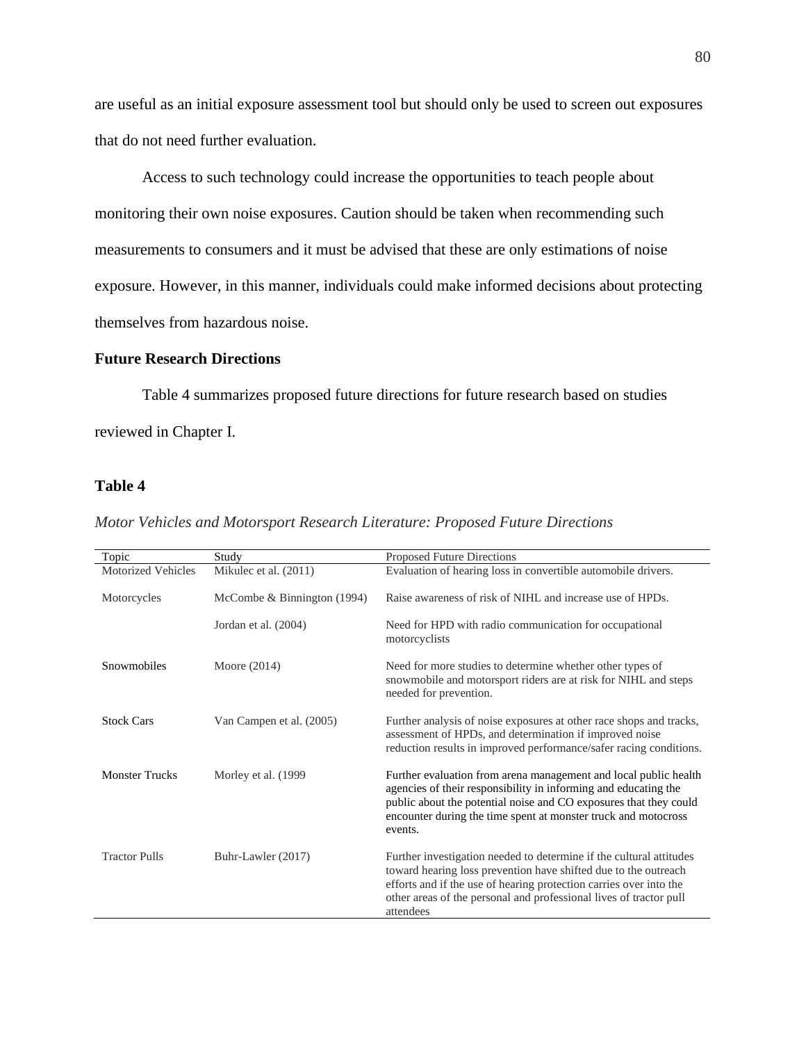are useful as an initial exposure assessment tool but should only be used to screen out exposures that do not need further evaluation.

Access to such technology could increase the opportunities to teach people about monitoring their own noise exposures. Caution should be taken when recommending such measurements to consumers and it must be advised that these are only estimations of noise exposure. However, in this manner, individuals could make informed decisions about protecting themselves from hazardous noise.

### **Future Research Directions**

Table 4 summarizes proposed future directions for future research based on studies reviewed in Chapter I.

## **Table 4**

| Motor Vehicles and Motorsport Research Literature: Proposed Future Directions |  |
|-------------------------------------------------------------------------------|--|
|-------------------------------------------------------------------------------|--|

| Topic                     | Study                       | Proposed Future Directions                                                                                                                                                                                                                                                                      |
|---------------------------|-----------------------------|-------------------------------------------------------------------------------------------------------------------------------------------------------------------------------------------------------------------------------------------------------------------------------------------------|
| <b>Motorized Vehicles</b> | Mikulec et al. (2011)       | Evaluation of hearing loss in convertible automobile drivers.                                                                                                                                                                                                                                   |
| Motorcycles               | McCombe & Binnington (1994) | Raise awareness of risk of NIHL and increase use of HPDs.                                                                                                                                                                                                                                       |
|                           | Jordan et al. (2004)        | Need for HPD with radio communication for occupational<br>motorcyclists                                                                                                                                                                                                                         |
| Snowmobiles               | Moore $(2014)$              | Need for more studies to determine whether other types of<br>snowmobile and motorsport riders are at risk for NIHL and steps<br>needed for prevention.                                                                                                                                          |
| <b>Stock Cars</b>         | Van Campen et al. (2005)    | Further analysis of noise exposures at other race shops and tracks,<br>assessment of HPDs, and determination if improved noise<br>reduction results in improved performance/safer racing conditions.                                                                                            |
| <b>Monster Trucks</b>     | Morley et al. (1999)        | Further evaluation from arena management and local public health<br>agencies of their responsibility in informing and educating the<br>public about the potential noise and CO exposures that they could<br>encounter during the time spent at monster truck and motocross<br>events.           |
| <b>Tractor Pulls</b>      | Buhr-Lawler (2017)          | Further investigation needed to determine if the cultural attitudes<br>toward hearing loss prevention have shifted due to the outreach<br>efforts and if the use of hearing protection carries over into the<br>other areas of the personal and professional lives of tractor pull<br>attendees |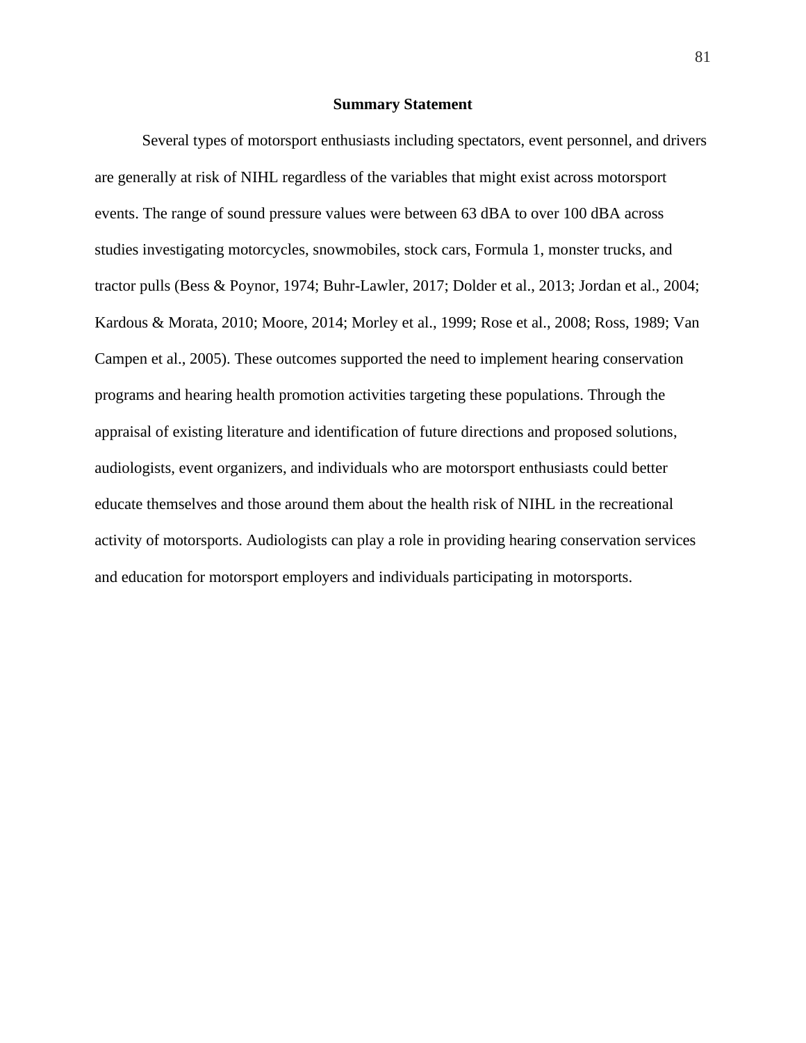#### **Summary Statement**

Several types of motorsport enthusiasts including spectators, event personnel, and drivers are generally at risk of NIHL regardless of the variables that might exist across motorsport events. The range of sound pressure values were between 63 dBA to over 100 dBA across studies investigating motorcycles, snowmobiles, stock cars, Formula 1, monster trucks, and tractor pulls (Bess & Poynor, 1974; Buhr-Lawler, 2017; Dolder et al., 2013; Jordan et al., 2004; Kardous & Morata, 2010; Moore, 2014; Morley et al., 1999; Rose et al., 2008; Ross, 1989; Van Campen et al., 2005). These outcomes supported the need to implement hearing conservation programs and hearing health promotion activities targeting these populations. Through the appraisal of existing literature and identification of future directions and proposed solutions, audiologists, event organizers, and individuals who are motorsport enthusiasts could better educate themselves and those around them about the health risk of NIHL in the recreational activity of motorsports. Audiologists can play a role in providing hearing conservation services and education for motorsport employers and individuals participating in motorsports.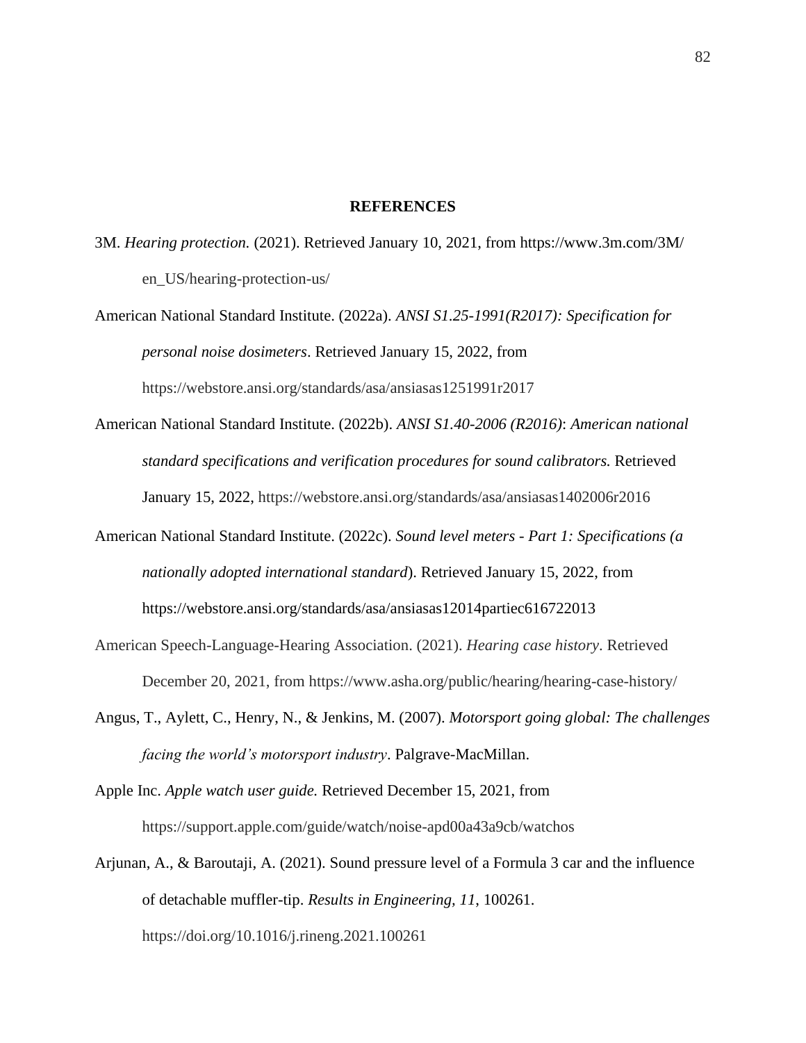#### **REFERENCES**

- 3M. *Hearing protection.* (2021). Retrieved January 10, 2021, from <https://www.3m.com/3M/> en\_US/hearing-protection-us/
- American National Standard Institute. (2022a). *ANSI S1.25-1991(R2017): Specification for personal noise dosimeters*. Retrieved January 15, 2022, from https://webstore.ansi.org/standards/asa/ansiasas1251991r2017
- American National Standard Institute. (2022b). *ANSI S1.40-2006 (R2016)*: *American national standard specifications and verification procedures for sound calibrators.* Retrieved January 15, 2022, https://webstore.ansi.org/standards/asa/ansiasas1402006r2016
- American National Standard Institute. (2022c). *Sound level meters - Part 1: Specifications (a nationally adopted international standard*). Retrieved January 15, 2022, from https://webstore.ansi.org/standards/asa/ansiasas12014partiec616722013
- American Speech-Language-Hearing Association. (2021). *Hearing case history*. Retrieved December 20, 2021, from https://www.asha.org/public/hearing/hearing-case-history/
- Angus, T., Aylett, C., Henry, N., & Jenkins, M. (2007). *Motorsport going global: The challenges facing the world's motorsport industry*. Palgrave-MacMillan.
- Apple Inc. *Apple watch user guide.* Retrieved December 15, 2021, from https://support.apple.com/guide/watch/noise-apd00a43a9cb/watchos
- Arjunan, A., & Baroutaji, A. (2021). Sound pressure level of a Formula 3 car and the influence of detachable muffler-tip. *Results in Engineering, 11*, 100261. https://doi.org/10.1016/j.rineng.2021.100261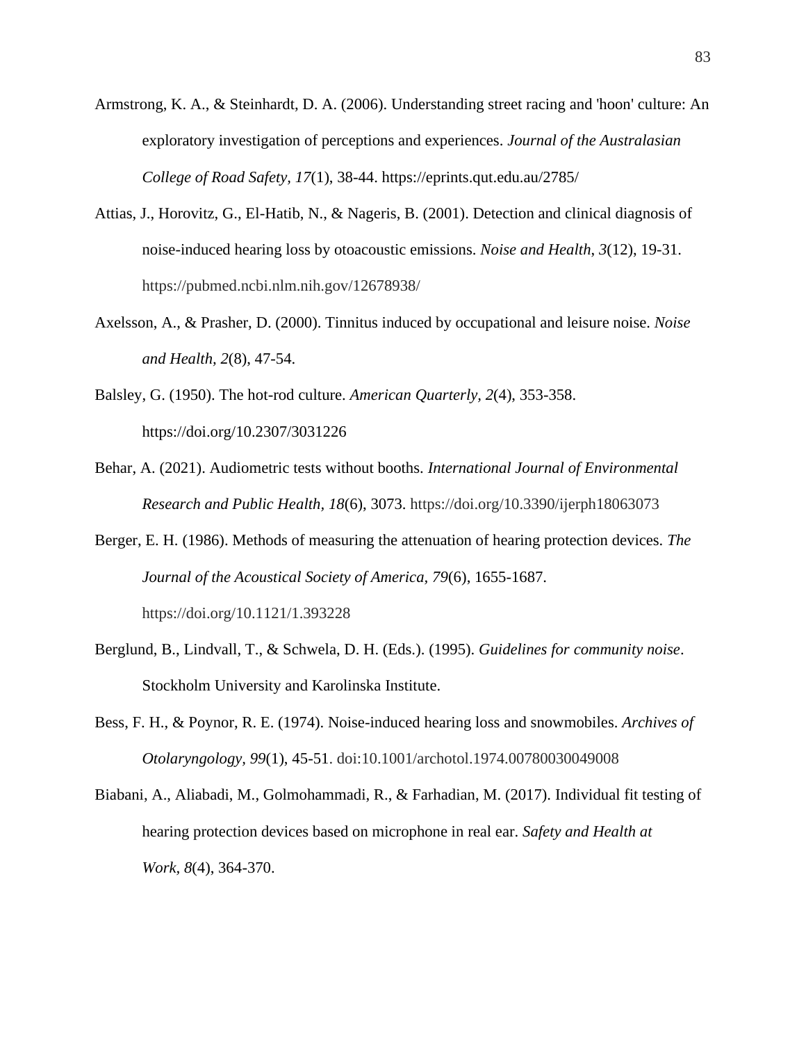- Armstrong, K. A., & Steinhardt, D. A. (2006). Understanding street racing and 'hoon' culture: An exploratory investigation of perceptions and experiences. *Journal of the Australasian College of Road Safety, 17*(1), 38-44. https://eprints.qut.edu.au/2785/
- Attias, J., Horovitz, G., El-Hatib, N., & Nageris, B. (2001). Detection and clinical diagnosis of noise-induced hearing loss by otoacoustic emissions. *Noise and Health*, *3*(12), 19-31. https://pubmed.ncbi.nlm.nih.gov/12678938/
- Axelsson, A., & Prasher, D. (2000). Tinnitus induced by occupational and leisure noise. *Noise and Health, 2*(8), 47-54.
- Balsley, G. (1950). The hot-rod culture. *American Quarterly, 2*(4), 353-358. https://doi.org/10.2307/3031226
- Behar, A. (2021). Audiometric tests without booths. *International Journal of Environmental Research and Public Health, 18*(6), 3073. https://doi.org/10.3390/ijerph18063073
- Berger, E. H. (1986). Methods of measuring the attenuation of hearing protection devices. *The Journal of the Acoustical Society of America, 79*(6), 1655-1687. https://doi.org/10.1121/1.393228
- Berglund, B., Lindvall, T., & Schwela, D. H. (Eds.). (1995). *Guidelines for community noise*. Stockholm University and Karolinska Institute.
- Bess, F. H., & Poynor, R. E. (1974). Noise-induced hearing loss and snowmobiles. *Archives of Otolaryngology, 99*(1), 45-51. doi:10.1001/archotol.1974.00780030049008
- Biabani, A., Aliabadi, M., Golmohammadi, R., & Farhadian, M. (2017). Individual fit testing of hearing protection devices based on microphone in real ear. *Safety and Health at Work, 8*(4), 364-370.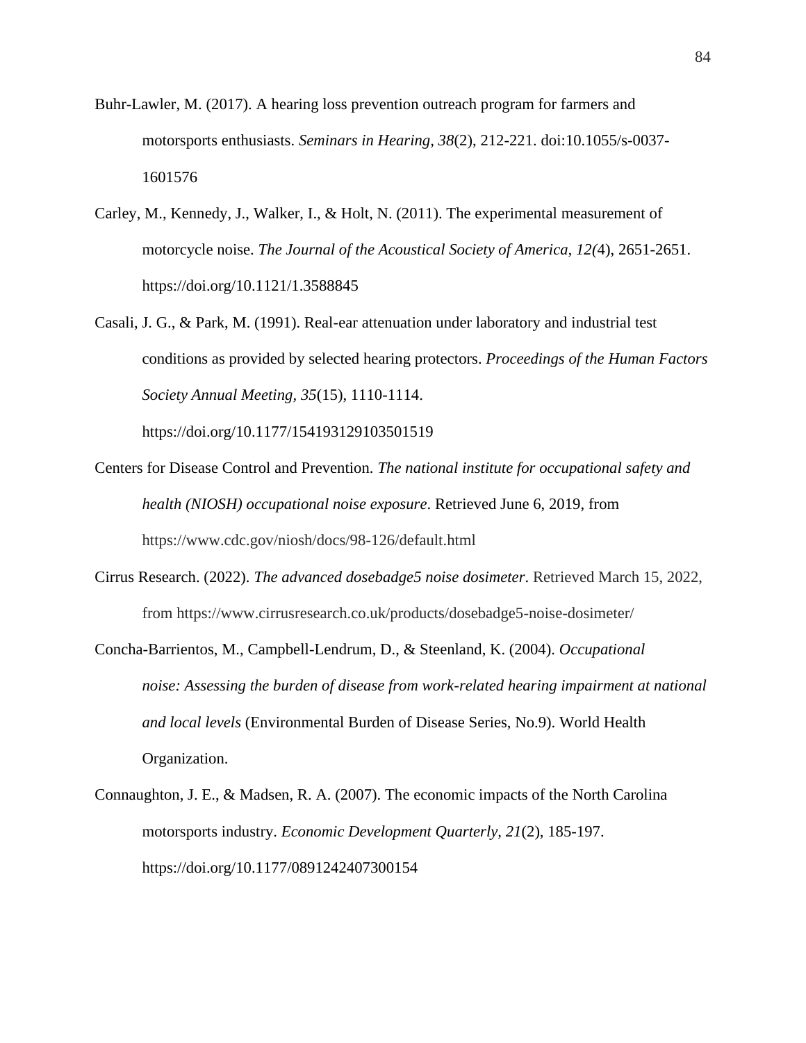- Buhr-Lawler, M. (2017). A hearing loss prevention outreach program for farmers and motorsports enthusiasts. *Seminars in Hearing, 38*(2), 212-221. doi:10.1055/s-0037- 1601576
- Carley, M., Kennedy, J., Walker, I., & Holt, N. (2011). The experimental measurement of motorcycle noise. *The Journal of the Acoustical Society of America, 12(*4), 2651-2651. https://doi.org/10.1121/1.3588845
- Casali, J. G., & Park, M. (1991). Real-ear attenuation under laboratory and industrial test conditions as provided by selected hearing protectors. *Proceedings of the Human Factors Society Annual Meeting, 35*(15), 1110-1114.

https://doi.org/10.1177/154193129103501519

- Centers for Disease Control and Prevention. *The national institute for occupational safety and health (NIOSH) occupational noise exposure*. Retrieved June 6, 2019, from https://www.cdc.gov/niosh/docs/98-126/default.html
- Cirrus Research. (2022). *The advanced dosebadge5 noise dosimeter*. Retrieved March 15, 2022, from https://www.cirrusresearch.co.uk/products/dosebadge5-noise-dosimeter/
- Concha-Barrientos, M., Campbell-Lendrum, D., & Steenland, K. (2004). *Occupational noise: Assessing the burden of disease from work-related hearing impairment at national and local levels* (Environmental Burden of Disease Series, No.9). World Health Organization.
- Connaughton, J. E., & Madsen, R. A. (2007). The economic impacts of the North Carolina motorsports industry. *Economic Development Quarterly, 21*(2), 185-197. https://doi.org/10.1177/0891242407300154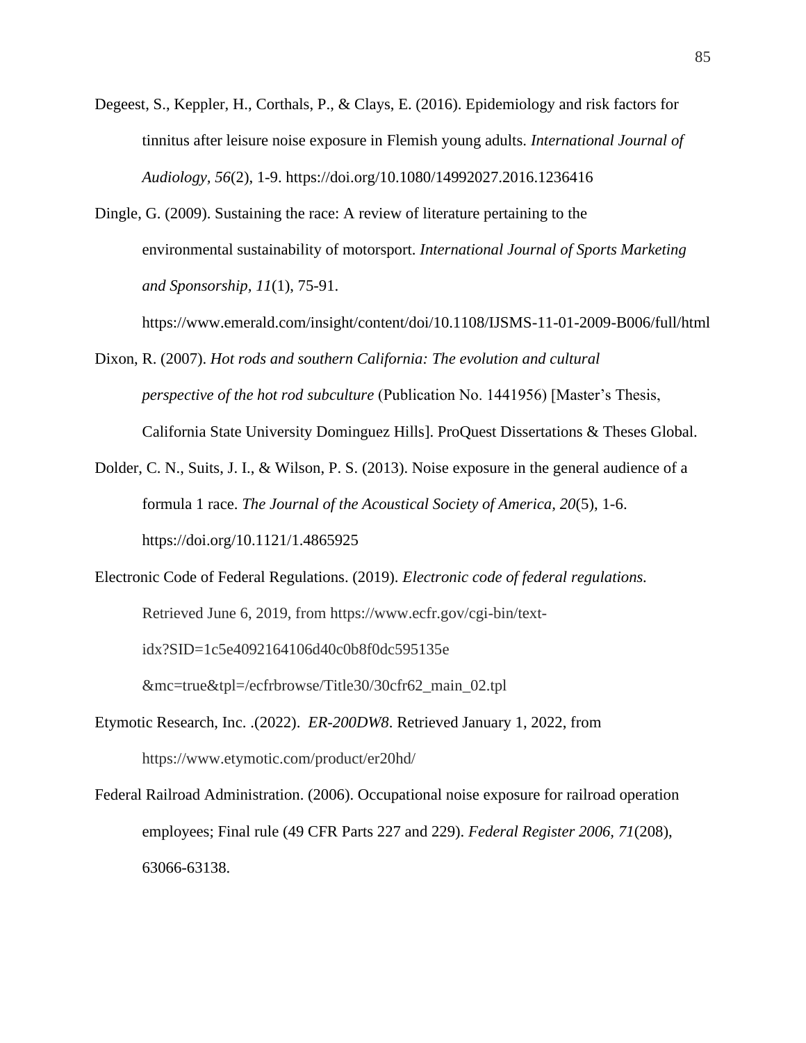- Degeest, S., Keppler, H., Corthals, P., & Clays, E. (2016). Epidemiology and risk factors for tinnitus after leisure noise exposure in Flemish young adults. *International Journal of Audiology, 56*(2), 1-9. https://doi.org/10.1080/14992027.2016.1236416
- Dingle, G. (2009). Sustaining the race: A review of literature pertaining to the environmental sustainability of motorsport. *International Journal of Sports Marketing and Sponsorship, 11*(1), 75-91.

https://www.emerald.com/insight/content/doi/10.1108/IJSMS-11-01-2009-B006/full/html

- Dixon, R. (2007). *Hot rods and southern California: The evolution and cultural perspective of the hot rod subculture* (Publication No. 1441956) [Master's Thesis, California State University Dominguez Hills]. ProQuest Dissertations & Theses Global.
- Dolder, C. N., Suits, J. I., & Wilson, P. S. (2013). Noise exposure in the general audience of a formula 1 race. *The Journal of the Acoustical Society of America, 20*(5), 1-6. https://doi.org/10.1121/1.4865925
- Electronic Code of Federal Regulations. (2019). *Electronic code of federal regulations.*  Retrieved June 6, 2019, from https://www.ecfr.gov/cgi-bin/textidx?SID=1c5e4092164106d40c0b8f0dc595135e &mc=true&tpl=/ecfrbrowse/Title30/30cfr62\_main\_02.tpl
	-
- Etymotic Research, Inc. .(2022). *ER-200DW8*. Retrieved January 1, 2022, from https://www.etymotic.com/product/er20hd/
- Federal Railroad Administration. (2006). Occupational noise exposure for railroad operation employees; Final rule (49 CFR Parts 227 and 229). *Federal Register 2006, 71*(208), 63066-63138.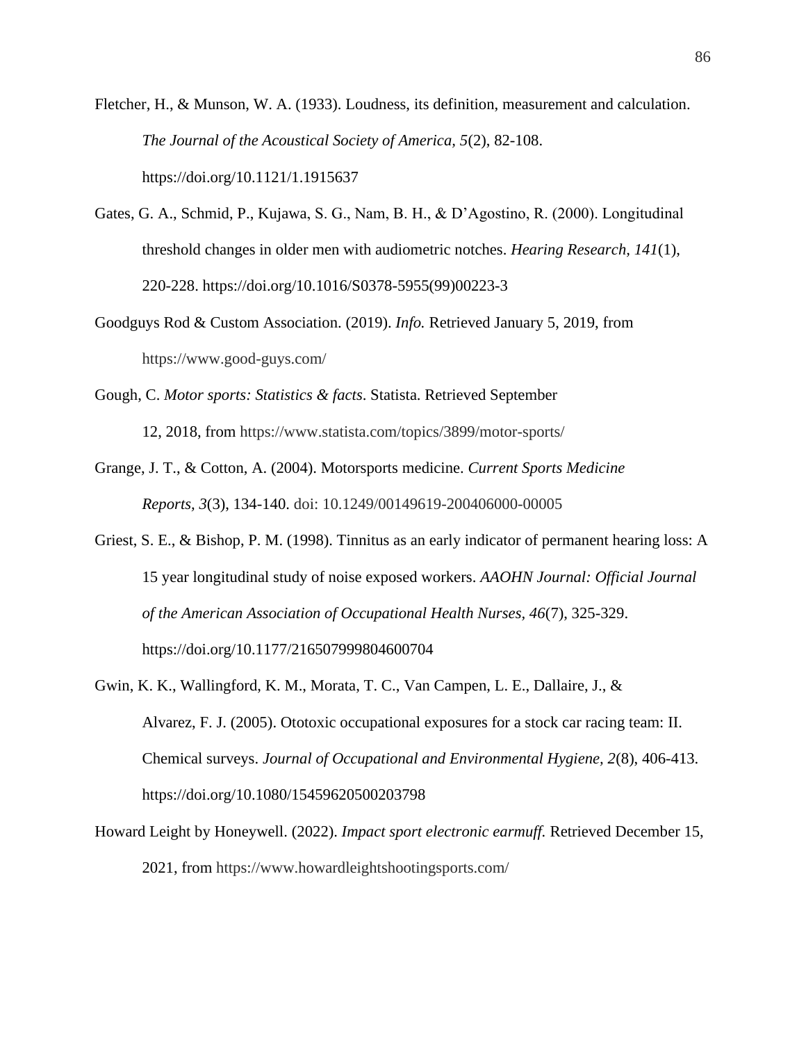Fletcher, H., & Munson, W. A. (1933). Loudness, its definition, measurement and calculation. *The Journal of the Acoustical Society of America, 5*(2), 82-108. https://doi.org/10.1121/1.1915637

- Gates, G. A., Schmid, P., Kujawa, S. G., Nam, B. H., & D'Agostino, R. (2000). Longitudinal threshold changes in older men with audiometric notches. *Hearing Research, 141*(1), 220-228. https://doi.org/10.1016/S0378-5955(99)00223-3
- Goodguys Rod & Custom Association. (2019). *Info.* Retrieved January 5, 2019, from https://www.good-guys.com/
- Gough, C. *Motor sports: Statistics & facts*. Statista. Retrieved September 12, 2018, from https://www.statista.com/topics/3899/motor-sports/
- Grange, J. T., & Cotton, A. (2004). Motorsports medicine. *Current Sports Medicine Reports, 3*(3), 134-140. doi: 10.1249/00149619-200406000-00005
- Griest, S. E., & Bishop, P. M. (1998). Tinnitus as an early indicator of permanent hearing loss: A 15 year longitudinal study of noise exposed workers. *AAOHN Journal: Official Journal of the American Association of Occupational Health Nurses, 46*(7), 325-329. https://doi.org/10.1177/216507999804600704
- Gwin, K. K., Wallingford, K. M., Morata, T. C., Van Campen, L. E., Dallaire, J., & Alvarez, F. J. (2005). Ototoxic occupational exposures for a stock car racing team: II. Chemical surveys. *Journal of Occupational and Environmental Hygiene, 2*(8), 406-413. https://doi.org/10.1080/15459620500203798
- Howard Leight by Honeywell. (2022). *Impact sport electronic earmuff.* Retrieved December 15, 2021, from https://www.howardleightshootingsports.com/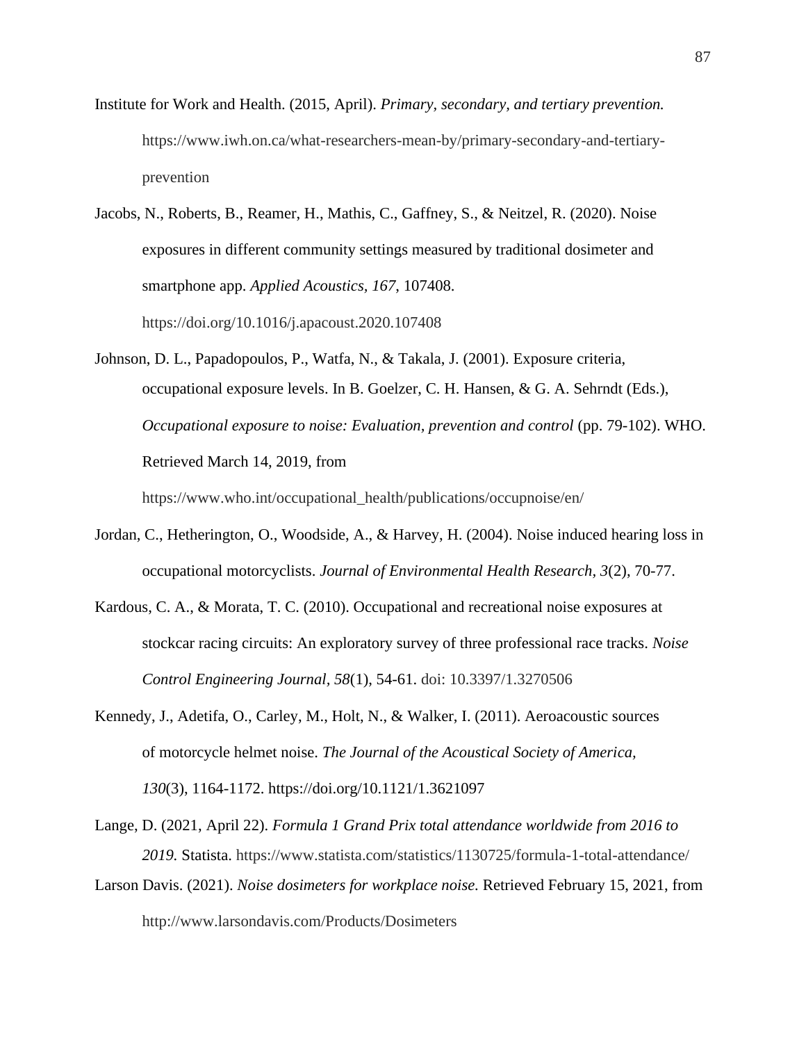Institute for Work and Health. (2015, April). *Primary, secondary, and tertiary prevention.* https://www.iwh.on.ca/what-researchers-mean-by/primary-secondary-and-tertiaryprevention

Jacobs, N., Roberts, B., Reamer, H., Mathis, C., Gaffney, S., & Neitzel, R. (2020). Noise exposures in different community settings measured by traditional dosimeter and smartphone app. *Applied Acoustics, 167*, 107408. https://doi.org/10.1016/j.apacoust.2020.107408

Johnson, D. L., Papadopoulos, P., Watfa, N., & Takala, J. (2001). Exposure criteria, occupational exposure levels. In B. Goelzer, C. H. Hansen, & G. A. Sehrndt (Eds.), *Occupational exposure to noise: Evaluation, prevention and control* (pp. 79-102). WHO. Retrieved March 14, 2019, from

https://www.who.int/occupational\_health/publications/occupnoise/en/

- Jordan, C., Hetherington, O., Woodside, A., & Harvey, H. (2004). Noise induced hearing loss in occupational motorcyclists. *Journal of Environmental Health Research, 3*(2), 70-77.
- Kardous, C. A., & Morata, T. C. (2010). Occupational and recreational noise exposures at stockcar racing circuits: An exploratory survey of three professional race tracks. *Noise Control Engineering Journal, 58*(1), 54-61. doi: 10.3397/1.3270506
- Kennedy, J., Adetifa, O., Carley, M., Holt, N., & Walker, I. (2011). Aeroacoustic sources of motorcycle helmet noise. *The Journal of the Acoustical Society of America, 130*(3), 1164-1172. https://doi.org/10.1121/1.3621097
- Lange, D. (2021, April 22). *Formula 1 Grand Prix total attendance worldwide from 2016 to 2019.* Statista. https://www.statista.com/statistics/1130725/formula-1-total-attendance/
- Larson Davis. (2021). *Noise dosimeters for workplace noise.* Retrieved February 15, 2021, from http://www.larsondavis.com/Products/Dosimeters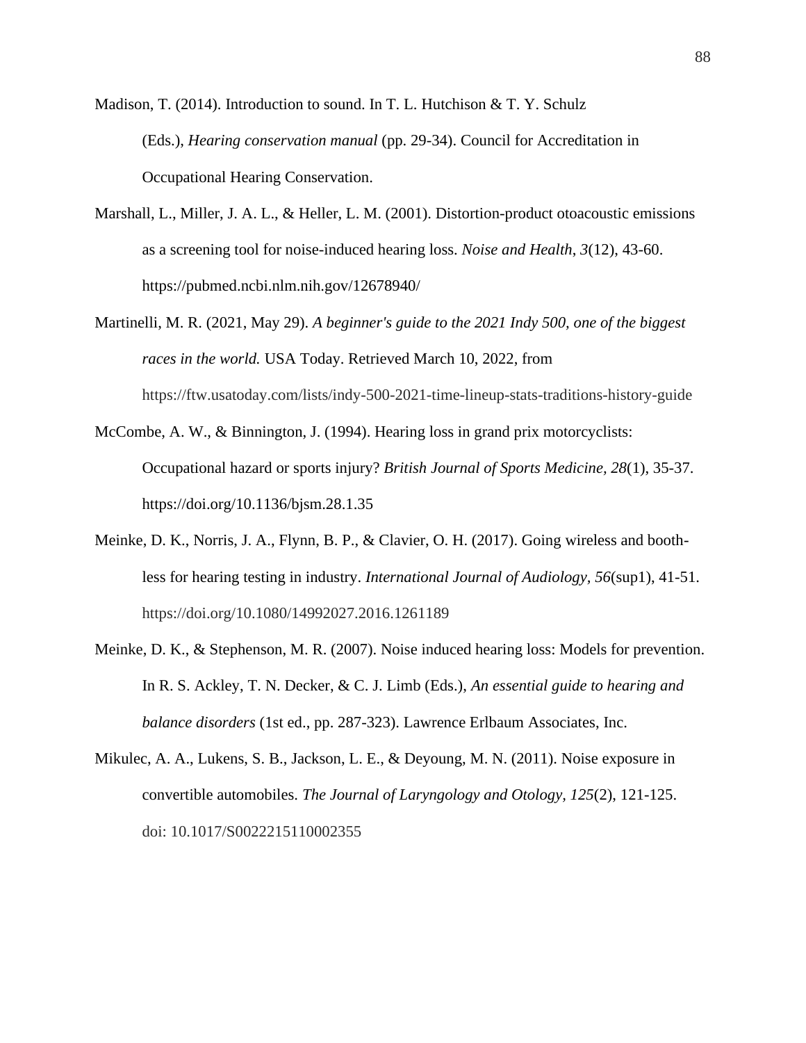Madison, T. (2014). Introduction to sound. In T. L. Hutchison  $&$  T. Y. Schulz (Eds.), *Hearing conservation manual* (pp. 29-34). Council for Accreditation in Occupational Hearing Conservation.

- Marshall, L., Miller, J. A. L., & Heller, L. M. (2001). Distortion-product otoacoustic emissions as a screening tool for noise-induced hearing loss. *Noise and Health*, *3*(12), 43-60. https://pubmed.ncbi.nlm.nih.gov/12678940/
- Martinelli, M. R. (2021, May 29). *A beginner's guide to the 2021 Indy 500, one of the biggest races in the world.* USA Today. Retrieved March 10, 2022, from https://ftw.usatoday.com/lists/indy-500-2021-time-lineup-stats-traditions-history-guide
- McCombe, A. W., & Binnington, J. (1994). Hearing loss in grand prix motorcyclists: Occupational hazard or sports injury? *British Journal of Sports Medicine, 28*(1), 35-37. https://doi.org/10.1136/bjsm.28.1.35
- Meinke, D. K., Norris, J. A., Flynn, B. P., & Clavier, O. H. (2017). Going wireless and boothless for hearing testing in industry. *International Journal of Audiology, 56*(sup1), 41-51. https://doi.org/10.1080/14992027.2016.1261189
- Meinke, D. K., & Stephenson, M. R. (2007). Noise induced hearing loss: Models for prevention. In R. S. Ackley, T. N. Decker, & C. J. Limb (Eds.), *An essential guide to hearing and balance disorders* (1st ed., pp. 287-323). Lawrence Erlbaum Associates, Inc.
- Mikulec, A. A., Lukens, S. B., Jackson, L. E., & Deyoung, M. N. (2011). Noise exposure in convertible automobiles. *The Journal of Laryngology and Otology, 125*(2), 121-125. doi: 10.1017/S0022215110002355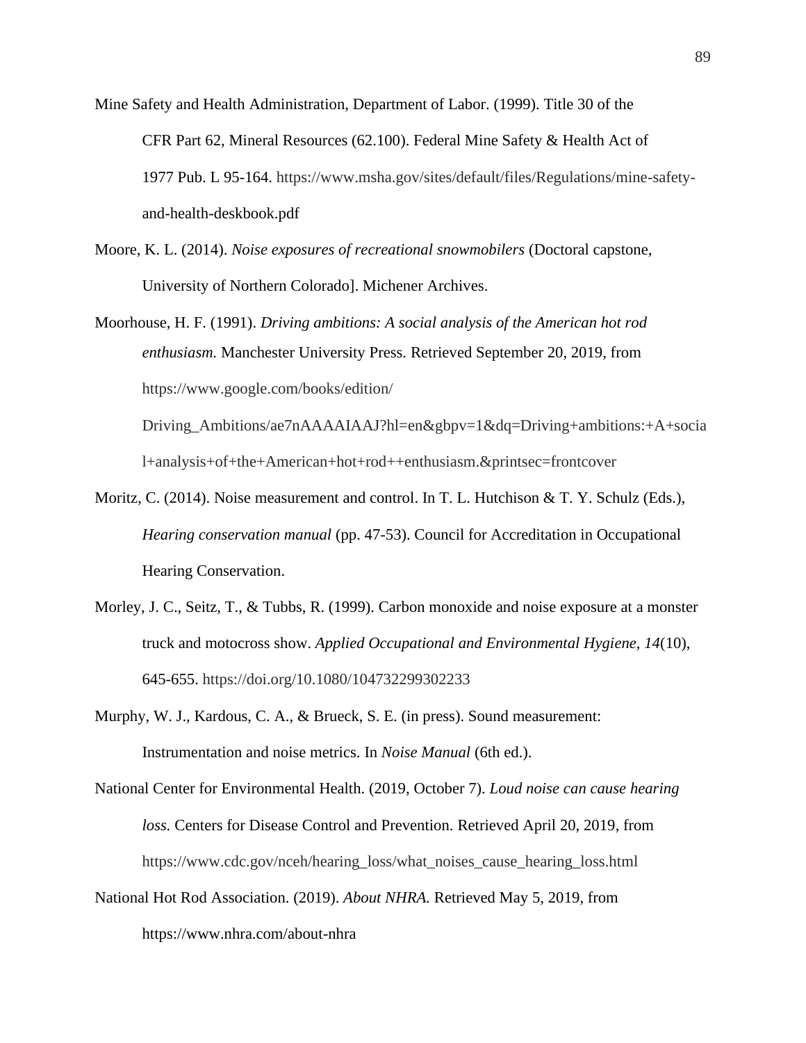Mine Safety and Health Administration, Department of Labor. (1999). Title 30 of the CFR Part 62, Mineral Resources (62.100). Federal Mine Safety & Health Act of 1977 Pub. L 95-164. https://www.msha.gov/sites/default/files/Regulations/mine-safetyand-health-deskbook.pdf

- Moore, K. L. (2014). *Noise exposures of recreational snowmobilers* (Doctoral capstone, University of Northern Colorado]. Michener Archives.
- Moorhouse, H. F. (1991). *Driving ambitions: A social analysis of the American hot rod enthusiasm.* Manchester University Press. Retrieved September 20, 2019, from https://www.google.com/books/edition/

Driving\_Ambitions/ae7nAAAAIAAJ?hl=en&gbpv=1&dq=Driving+ambitions:+A+socia l+analysis+of+the+American+hot+rod++enthusiasm.&printsec=frontcover

- Moritz, C. (2014). Noise measurement and control. In T. L. Hutchison & T. Y. Schulz (Eds.), *Hearing conservation manual* (pp. 47-53). Council for Accreditation in Occupational Hearing Conservation.
- Morley, J. C., Seitz, T., & Tubbs, R. (1999). Carbon monoxide and noise exposure at a monster truck and motocross show. *Applied Occupational and Environmental Hygiene, 14*(10), 645-655. https://doi.org/10.1080/104732299302233
- Murphy, W. J., Kardous, C. A., & Brueck, S. E. (in press). Sound measurement: Instrumentation and noise metrics. In *Noise Manual* (6th ed.).
- National Center for Environmental Health. (2019, October 7). *Loud noise can cause hearing loss.* Centers for Disease Control and Prevention. Retrieved April 20, 2019, from https://www.cdc.gov/nceh/hearing\_loss/what\_noises\_cause\_hearing\_loss.html
- National Hot Rod Association. (2019). *About NHRA.* Retrieved May 5, 2019, from https://www.nhra.com/about-nhra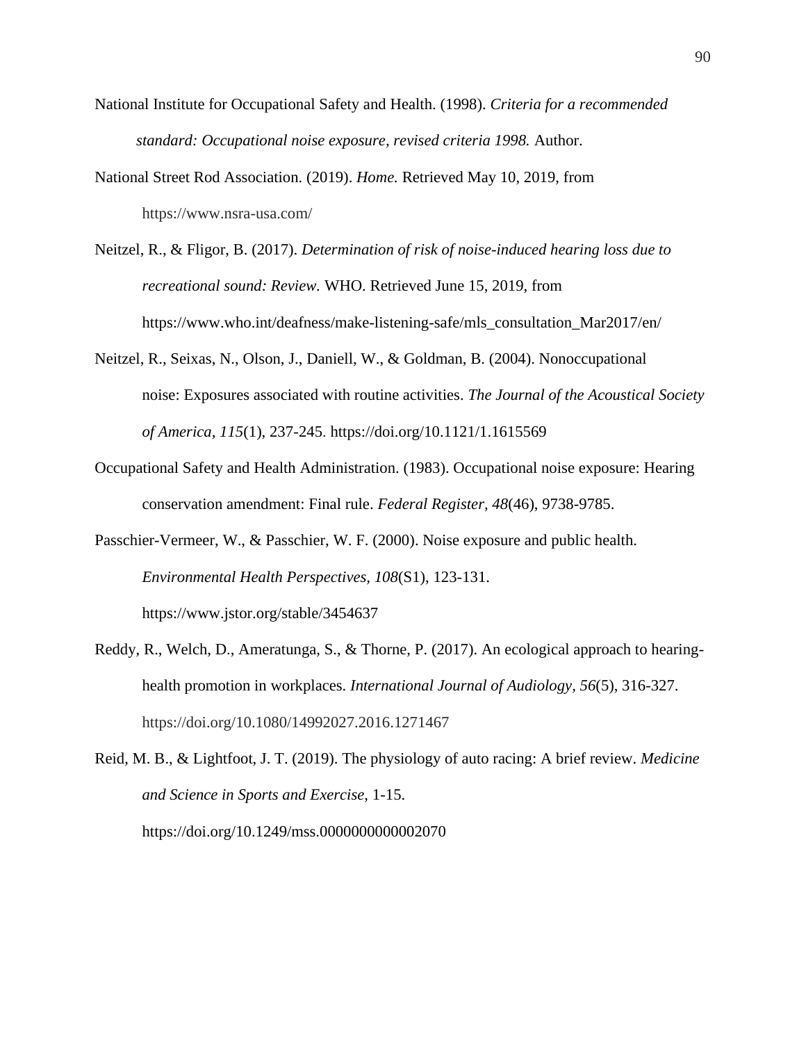- National Institute for Occupational Safety and Health. (1998). *Criteria for a recommended standard: Occupational noise exposure, revised criteria 1998.* Author.
- National Street Rod Association. (2019). *Home.* Retrieved May 10, 2019, from https://www.nsra-usa.com/
- Neitzel, R., & Fligor, B. (2017). *Determination of risk of noise-induced hearing loss due to recreational sound: Review.* WHO. Retrieved June 15, 2019, from https://www.who.int/deafness/make-listening-safe/mls\_consultation\_Mar2017/en/
- Neitzel, R., Seixas, N., Olson, J., Daniell, W., & Goldman, B. (2004). Nonoccupational noise: Exposures associated with routine activities. *The Journal of the Acoustical Society of America, 115*(1), 237-245. https://doi.org/10.1121/1.1615569
- Occupational Safety and Health Administration. (1983). Occupational noise exposure: Hearing conservation amendment: Final rule. *Federal Register, 48*(46), 9738-9785.
- Passchier-Vermeer, W., & Passchier, W. F. (2000). Noise exposure and public health. *Environmental Health Perspectives, 108*(S1), 123-131. https://www.jstor.org/stable/3454637
- Reddy, R., Welch, D., Ameratunga, S., & Thorne, P. (2017). An ecological approach to hearinghealth promotion in workplaces. *International Journal of Audiology, 56*(5), 316-327. https://doi.org/10.1080/14992027.2016.1271467
- Reid, M. B., & Lightfoot, J. T. (2019). The physiology of auto racing: A brief review. *Medicine and Science in Sports and Exercise*, 1-15. https://doi.org/10.1249/mss.0000000000002070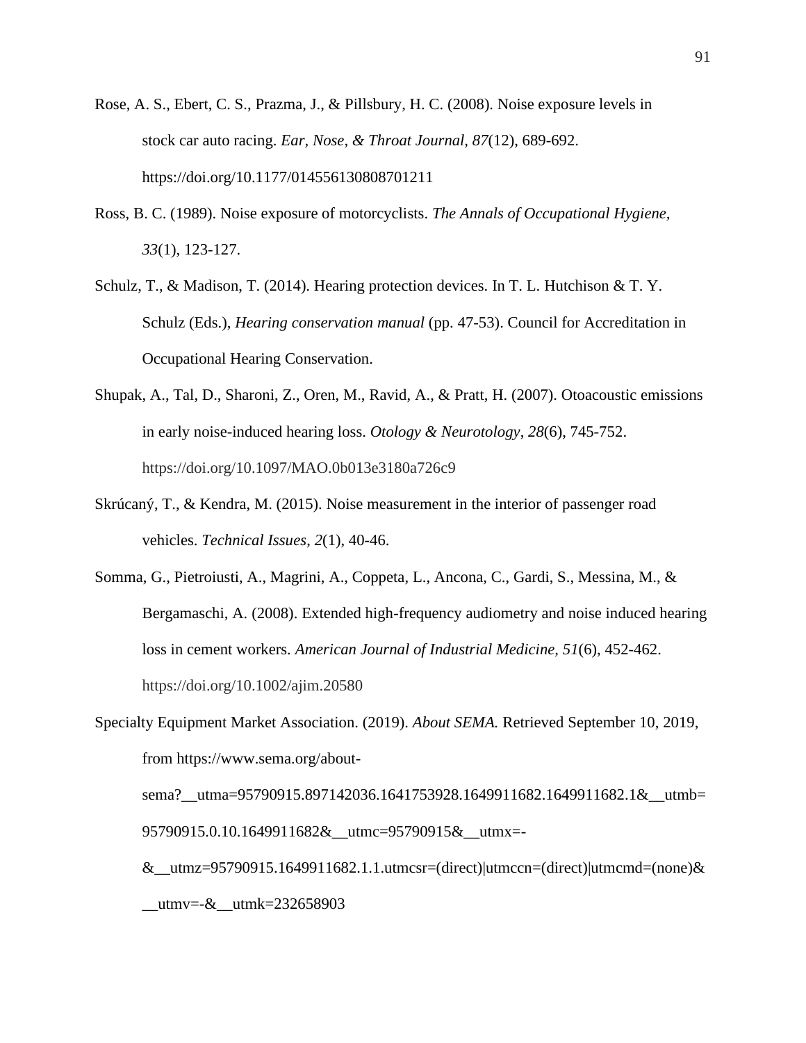- Rose, A. S., Ebert, C. S., Prazma, J., & Pillsbury, H. C. (2008). Noise exposure levels in stock car auto racing. *Ear, Nose, & Throat Journal, 87*(12), 689-692. https://doi.org/10.1177/014556130808701211
- Ross, B. C. (1989). Noise exposure of motorcyclists. *The Annals of Occupational Hygiene, 33*(1), 123-127.
- Schulz, T., & Madison, T. (2014). Hearing protection devices. In T. L. Hutchison & T. Y. Schulz (Eds.), *Hearing conservation manual* (pp. 47-53). Council for Accreditation in Occupational Hearing Conservation.
- Shupak, A., Tal, D., Sharoni, Z., Oren, M., Ravid, A., & Pratt, H. (2007). Otoacoustic emissions in early noise-induced hearing loss. *Otology & Neurotology*, *28*(6), 745-752. https://doi.org/10.1097/MAO.0b013e3180a726c9
- Skrúcaný, T., & Kendra, M. (2015). Noise measurement in the interior of passenger road vehicles. *Technical Issues*, *2*(1), 40-46.
- Somma, G., Pietroiusti, A., Magrini, A., Coppeta, L., Ancona, C., Gardi, S., Messina, M., & Bergamaschi, A. (2008). Extended high-frequency audiometry and noise induced hearing loss in cement workers. *American Journal of Industrial Medicine, 51*(6), 452-462. https://doi.org/10.1002/ajim.20580
- Specialty Equipment Market Association. (2019). *About SEMA.* Retrieved September 10, 2019, from https://www.sema.org/aboutsema?\_\_utma=95790915.897142036.1641753928.1649911682.1649911682.1&\_\_utmb= 95790915.0.10.1649911682&\_\_utmc=95790915&\_\_utmx=-  $\&$ \_utmz=95790915.1649911682.1.1.utmcsr=(direct)|utmccn=(direct)|utmcmd=(none) $\&$

 $_{\text{{}_\text{}}\text{{}_\text{}}\text{}}$  utmk=232658903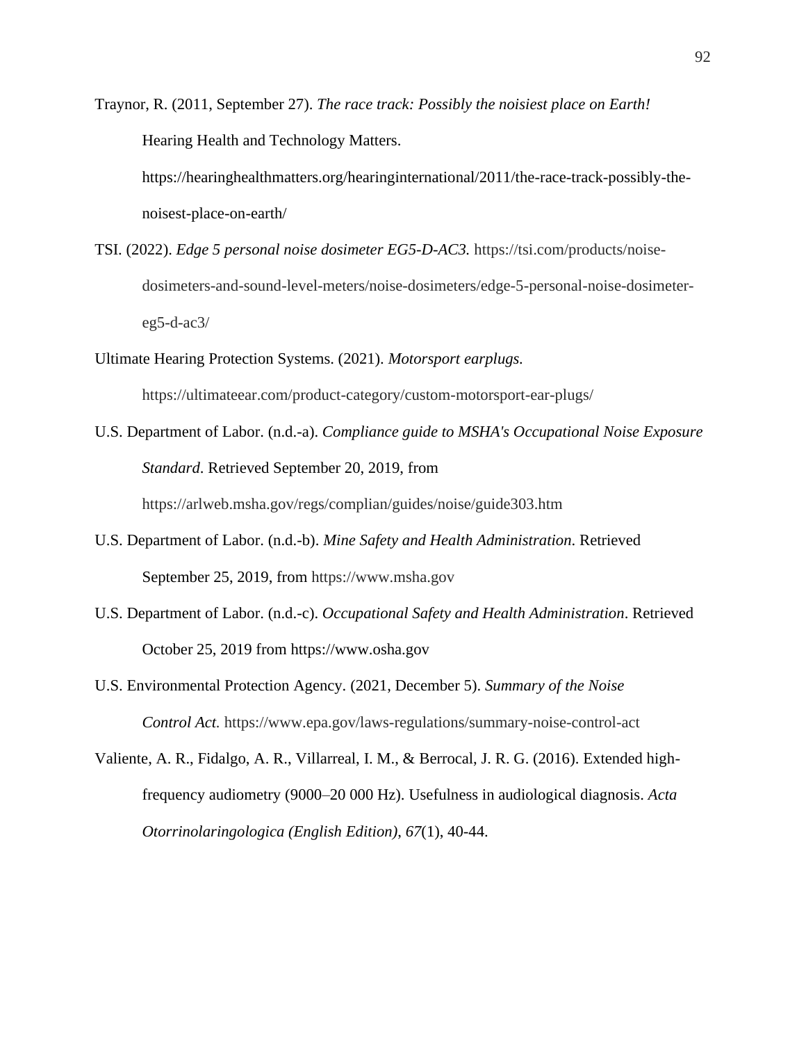Traynor, R. (2011, September 27). *The race track: Possibly the noisiest place on Earth!* Hearing Health and Technology Matters. https://hearinghealthmatters.org/hearinginternational/2011/the-race-track-possibly-thenoisest-place-on-earth/

- TSI. (2022). *Edge 5 personal noise dosimeter EG5-D-AC3.* https://tsi.com/products/noisedosimeters-and-sound-level-meters/noise-dosimeters/edge-5-personal-noise-dosimetereg5-d-ac $3/$
- Ultimate Hearing Protection Systems. (2021). *Motorsport earplugs.*  https://ultimateear.com/product-category/custom-motorsport-ear-plugs/
- U.S. Department of Labor. (n.d.-a). *Compliance guide to MSHA's Occupational Noise Exposure Standard*. Retrieved September 20, 2019, from https://arlweb.msha.gov/regs/complian/guides/noise/guide303.htm
- U.S. Department of Labor. (n.d.-b). *Mine Safety and Health Administration*. Retrieved September 25, 2019, from https://www.msha.gov
- U.S. Department of Labor. (n.d.-c). *Occupational Safety and Health Administration*. Retrieved October 25, 2019 from https://www.osha.gov
- U.S. Environmental Protection Agency. (2021, December 5). *Summary of the Noise Control Act.* https://www.epa.gov/laws-regulations/summary-noise-control-act
- Valiente, A. R., Fidalgo, A. R., Villarreal, I. M., & Berrocal, J. R. G. (2016). Extended highfrequency audiometry (9000–20 000 Hz). Usefulness in audiological diagnosis. *Acta Otorrinolaringologica (English Edition)*, *67*(1), 40-44.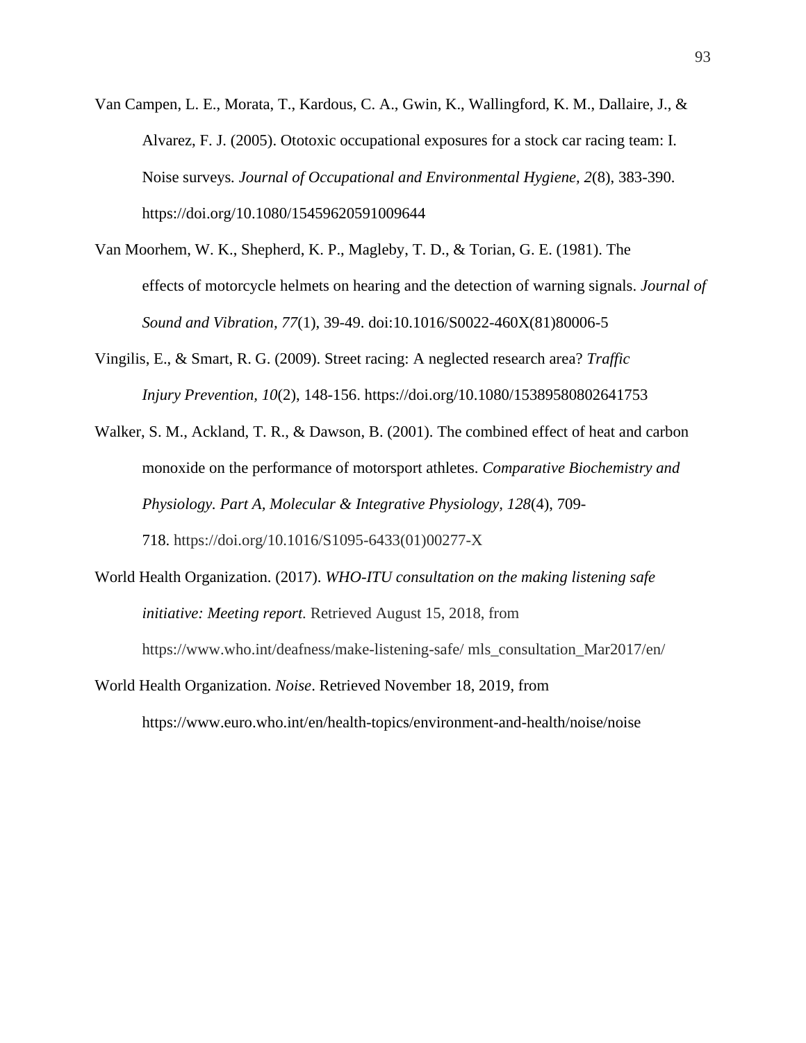- Van Campen, L. E., Morata, T., Kardous, C. A., Gwin, K., Wallingford, K. M., Dallaire, J., & Alvarez, F. J. (2005). Ototoxic occupational exposures for a stock car racing team: I. Noise surveys*. Journal of Occupational and Environmental Hygiene, 2*(8), 383-390. https://doi.org/10.1080/15459620591009644
- Van Moorhem, W. K., Shepherd, K. P., Magleby, T. D., & Torian, G. E. (1981). The effects of motorcycle helmets on hearing and the detection of warning signals. *Journal of Sound and Vibration, 77*(1), 39-49. doi:10.1016/S0022-460X(81)80006-5
- Vingilis, E., & Smart, R. G. (2009). Street racing: A neglected research area? *Traffic Injury Prevention, 10*(2), 148-156. https://doi.org/10.1080/15389580802641753
- Walker, S. M., Ackland, T. R., & Dawson, B. (2001). The combined effect of heat and carbon monoxide on the performance of motorsport athletes. *Comparative Biochemistry and Physiology. Part A, Molecular & Integrative Physiology, 128*(4), 709- 718. https://doi.org/10.1016/S1095-6433(01)00277-X

World Health Organization. (2017). *WHO-ITU consultation on the making listening safe* 

*initiative: Meeting report.* Retrieved August 15, 2018, from https://www.who.int/deafness/make-listening-safe/ mls\_consultation\_Mar2017/en/

World Health Organization. *Noise*. Retrieved November 18, 2019, from https://www.euro.who.int/en/health-topics/environment-and-health/noise/noise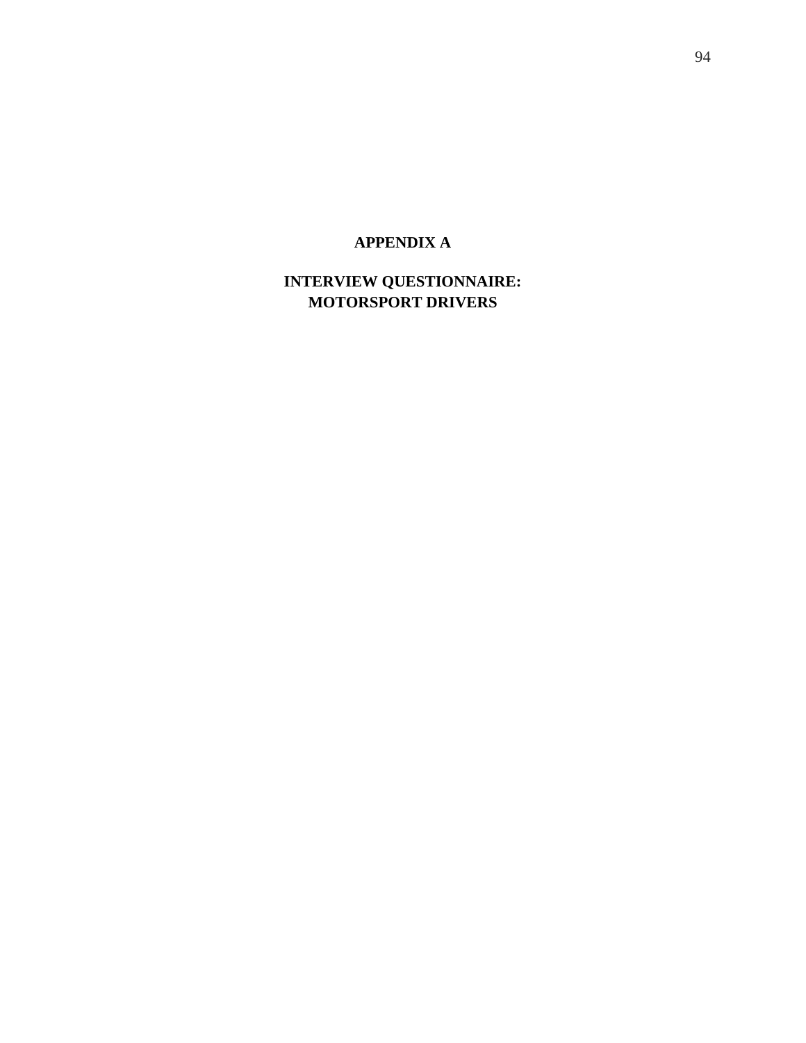## **APPENDIX A**

## **INTERVIEW QUESTIONNAIRE: MOTORSPORT DRIVERS**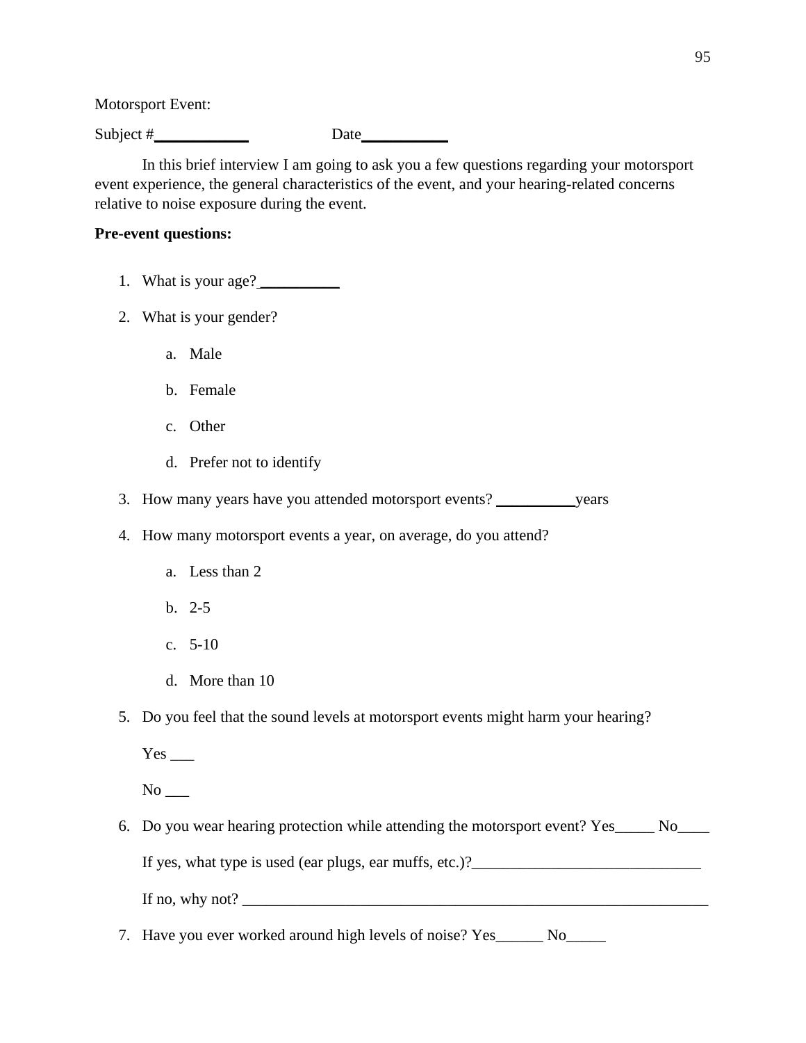Motorsport Event:

Subject # Date

In this brief interview I am going to ask you a few questions regarding your motorsport event experience, the general characteristics of the event, and your hearing-related concerns relative to noise exposure during the event.

## **Pre-event questions:**

- 1. What is your age? \_\_\_\_\_\_\_\_\_\_
- 2. What is your gender?
	- a. Male
	- b. Female
	- c. Other
	- d. Prefer not to identify

3. How many years have you attended motorsport events? \_\_\_\_\_\_\_\_\_\_years

- 4. How many motorsport events a year, on average, do you attend?
	- a. Less than 2
	- b. 2-5
	- c. 5-10
	- d. More than 10
- 5. Do you feel that the sound levels at motorsport events might harm your hearing?

Yes \_\_\_

 $No$ <sub>\_\_\_</sub>

6. Do you wear hearing protection while attending the motorsport event? Yes\_\_\_\_\_ No\_\_\_\_ If yes, what type is used (ear plugs, ear muffs, etc.)?\_\_\_\_\_\_\_\_\_\_\_\_\_\_\_\_\_\_\_\_\_\_\_\_\_\_\_\_\_

If no, why not?

7. Have you ever worked around high levels of noise? Yes\_\_\_\_\_\_ No\_\_\_\_\_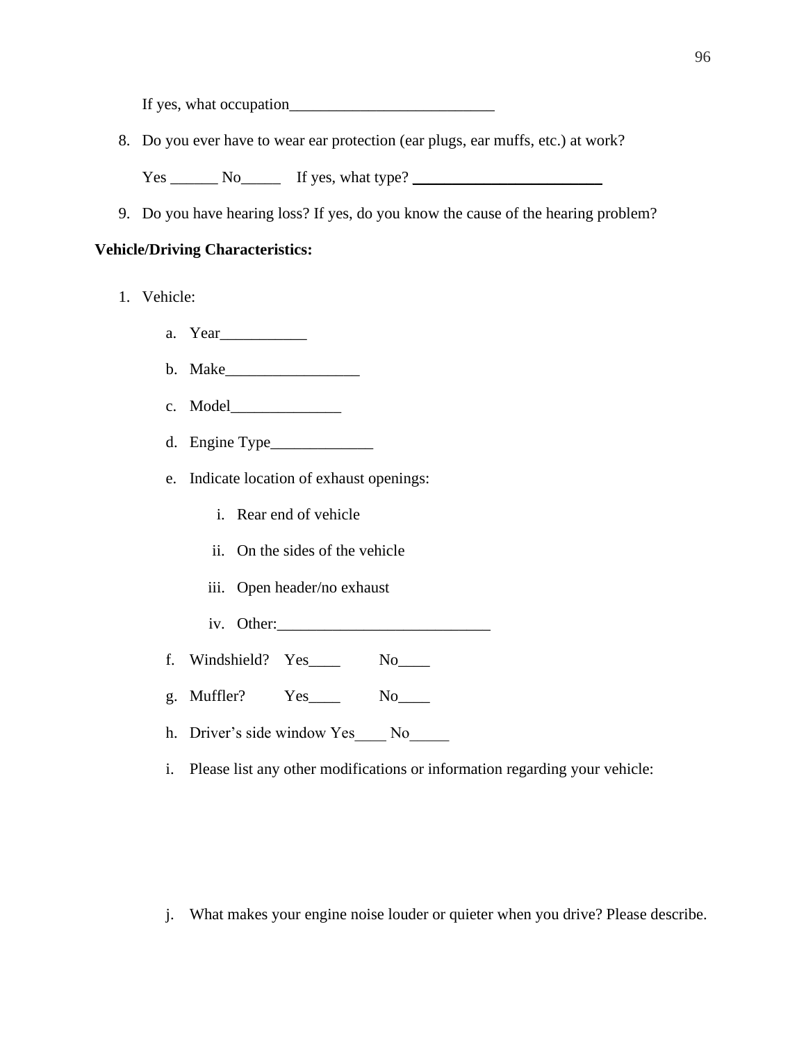If yes, what occupation\_\_\_\_\_\_\_\_\_\_\_\_\_\_\_\_\_\_\_\_\_\_\_\_\_\_

8. Do you ever have to wear ear protection (ear plugs, ear muffs, etc.) at work?

 $Yes \_\_\_\_No \_\_\_\_$  If yes, what type?  $\_\_\_\_\_\_\_\_\_\_$ 

9. Do you have hearing loss? If yes, do you know the cause of the hearing problem?

## **Vehicle/Driving Characteristics:**

- 1. Vehicle:
	- a. Year\_\_\_\_\_\_\_\_\_\_\_
	- b. Make\_\_\_\_\_\_\_\_\_\_\_\_\_\_\_\_\_
	- c. Model\_\_\_\_\_\_\_\_\_\_\_\_\_\_
	- d. Engine Type\_\_\_\_\_\_\_\_\_\_\_\_\_
	- e. Indicate location of exhaust openings:
		- i. Rear end of vehicle
		- ii. On the sides of the vehicle
		- iii. Open header/no exhaust
		- iv. Other:
	- f. Windshield? Yes\_\_\_\_ No\_\_\_\_
	- g. Muffler? Yes\_\_\_\_ No\_\_\_\_
	- h. Driver's side window Yes\_\_\_\_ No\_\_\_\_\_
	- i. Please list any other modifications or information regarding your vehicle:

j. What makes your engine noise louder or quieter when you drive? Please describe.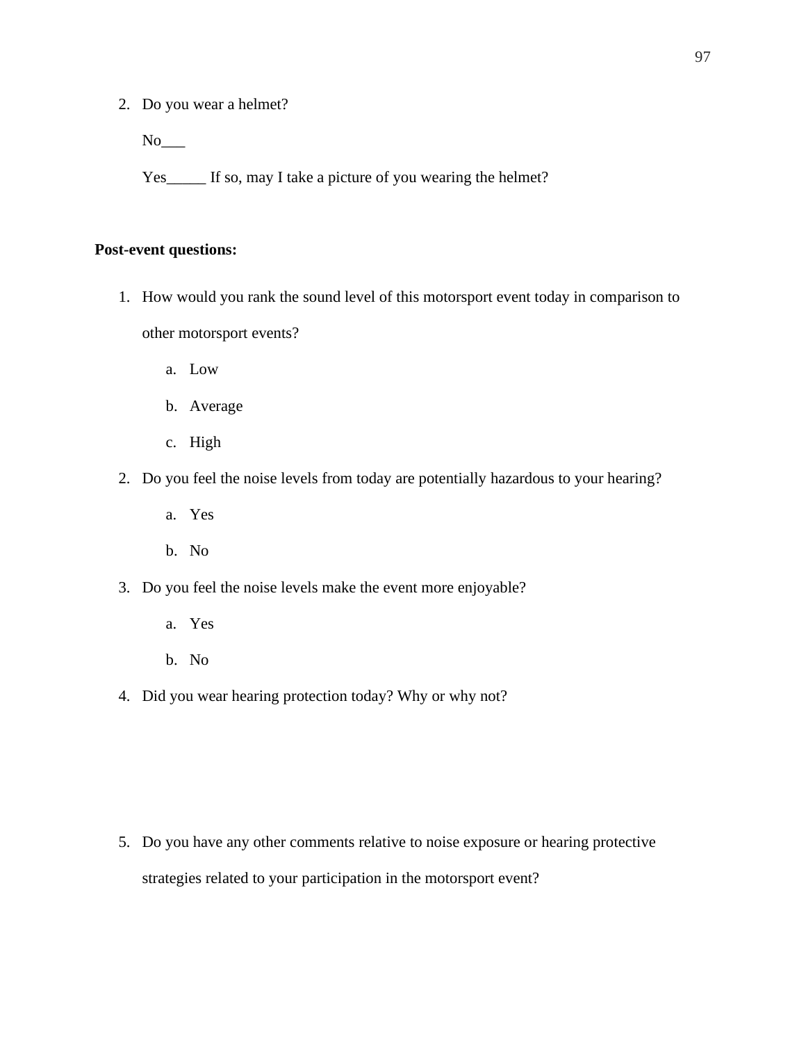2. Do you wear a helmet?

 $No$ <sub>\_\_\_\_</sub>

Yes\_\_\_\_\_ If so, may I take a picture of you wearing the helmet?

## **Post-event questions:**

- 1. How would you rank the sound level of this motorsport event today in comparison to other motorsport events?
	- a. Low
	- b. Average
	- c. High
- 2. Do you feel the noise levels from today are potentially hazardous to your hearing?
	- a. Yes
	- b. No
- 3. Do you feel the noise levels make the event more enjoyable?
	- a. Yes
	- b. No
- 4. Did you wear hearing protection today? Why or why not?

5. Do you have any other comments relative to noise exposure or hearing protective strategies related to your participation in the motorsport event?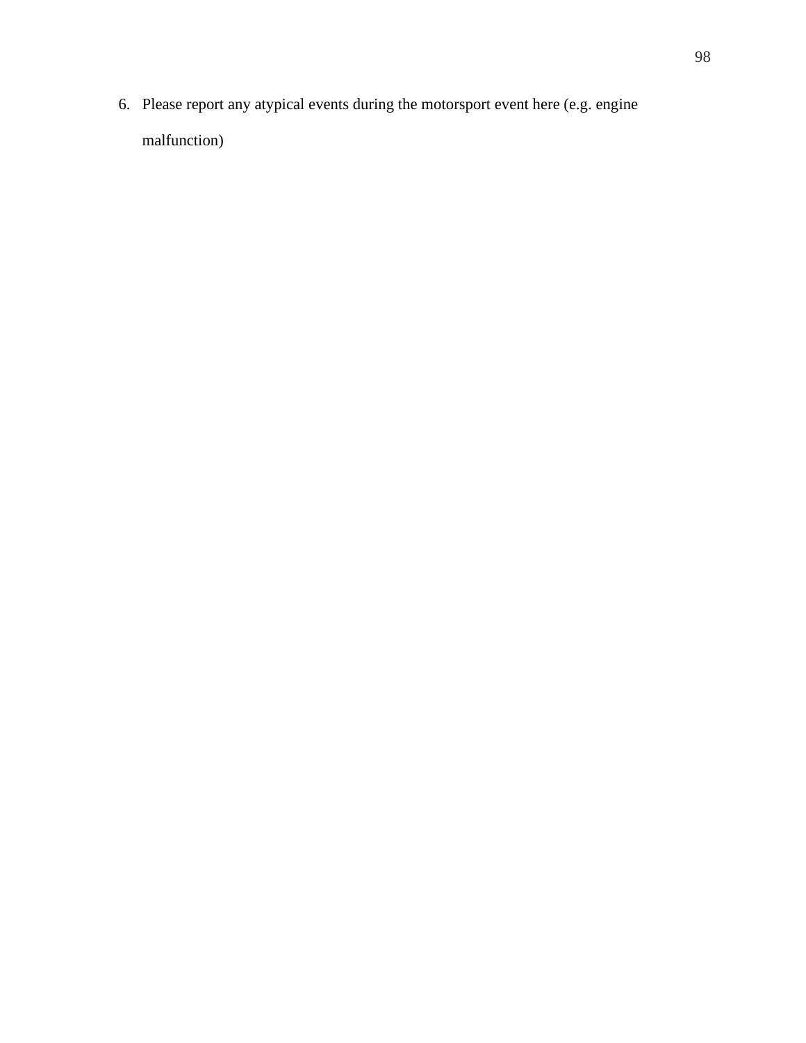6. Please report any atypical events during the motorsport event here (e.g. engine malfunction)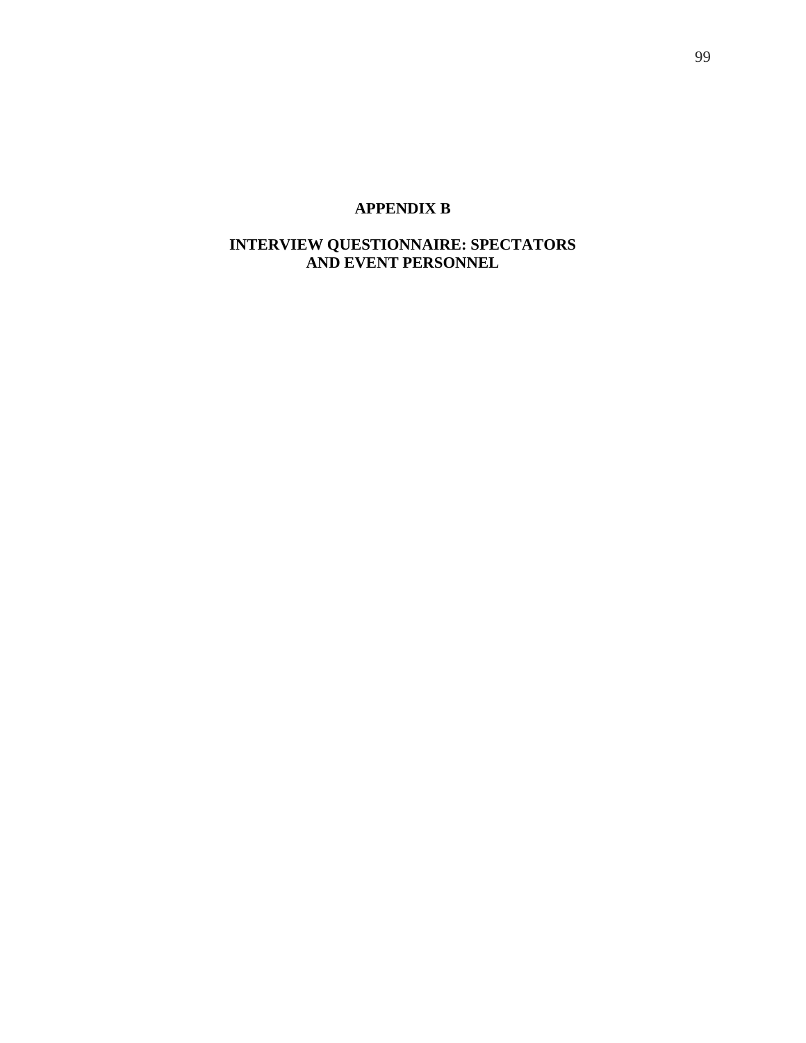## **APPENDIX B**

## **INTERVIEW QUESTIONNAIRE: SPECTATORS AND EVENT PERSONNEL**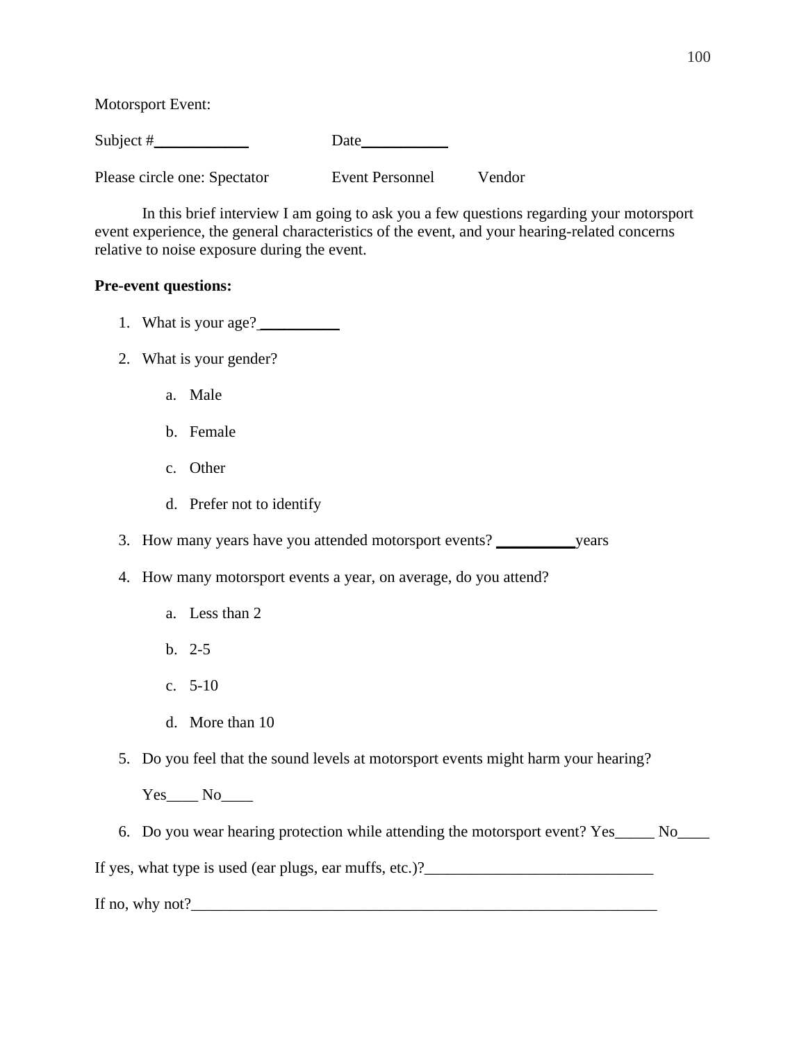Motorsport Event:

Subject #\_\_\_\_\_\_\_\_\_\_\_\_ Date\_\_\_\_\_\_\_\_\_\_\_

Please circle one: Spectator Event Personnel Vendor

In this brief interview I am going to ask you a few questions regarding your motorsport event experience, the general characteristics of the event, and your hearing-related concerns relative to noise exposure during the event.

## **Pre-event questions:**

- 1. What is your age? \_\_\_\_\_\_\_\_\_\_
- 2. What is your gender?
	- a. Male
	- b. Female
	- c. Other
	- d. Prefer not to identify

3. How many years have you attended motorsport events? \_\_\_\_\_\_\_\_\_\_years

- 4. How many motorsport events a year, on average, do you attend?
	- a. Less than 2
	- b. 2-5
	- c. 5-10
	- d. More than 10
- 5. Do you feel that the sound levels at motorsport events might harm your hearing?

Yes No

6. Do you wear hearing protection while attending the motorsport event? Yes\_\_\_\_\_ No\_\_\_\_

If yes, what type is used (ear plugs, ear muffs, etc.)?\_\_\_\_\_\_\_\_\_\_\_\_\_\_\_\_\_\_\_\_\_\_\_\_\_\_

If no, why not?\_\_\_\_\_\_\_\_\_\_\_\_\_\_\_\_\_\_\_\_\_\_\_\_\_\_\_\_\_\_\_\_\_\_\_\_\_\_\_\_\_\_\_\_\_\_\_\_\_\_\_\_\_\_\_\_\_\_\_